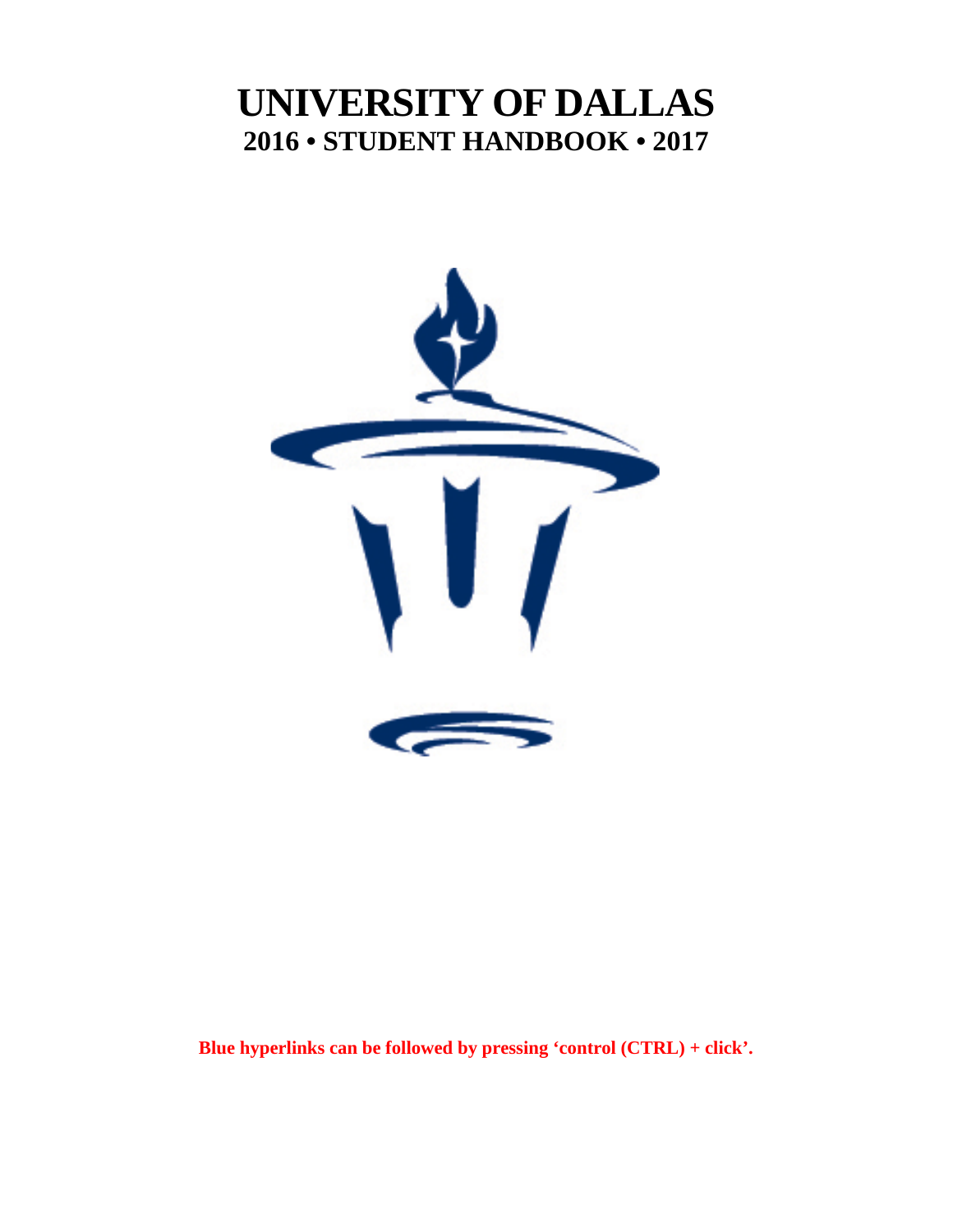# **UNIVERSITY OF DALLAS 2016 • STUDENT HANDBOOK • 2017**



**Blue hyperlinks can be followed by pressing 'control (CTRL) + click'.**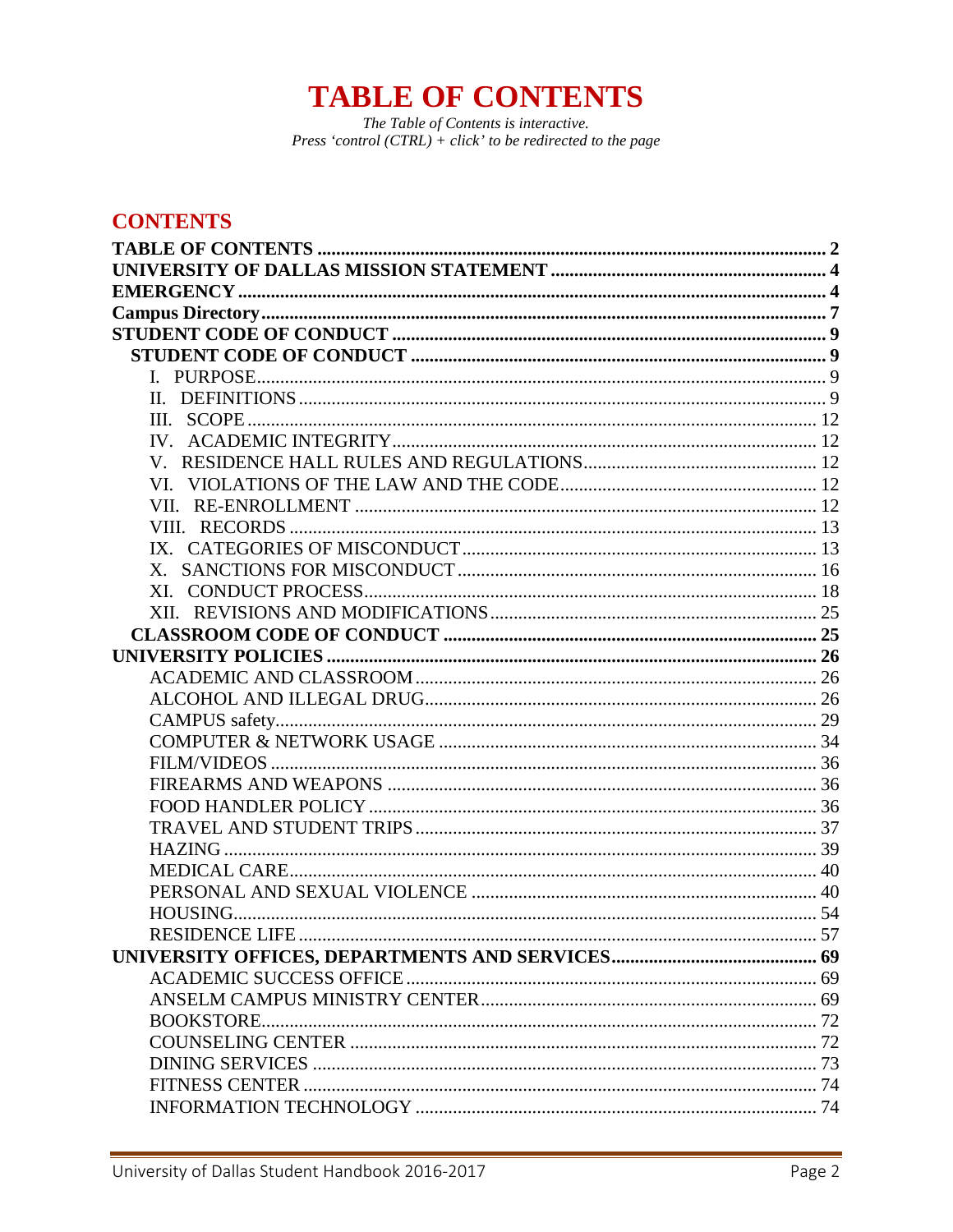# **TABLE OF CONTENTS**

The Table of Contents is interactive. Press 'control  $(CTRL) + click'$ ' to be redirected to the page

# <span id="page-1-0"></span>**CONTENTS**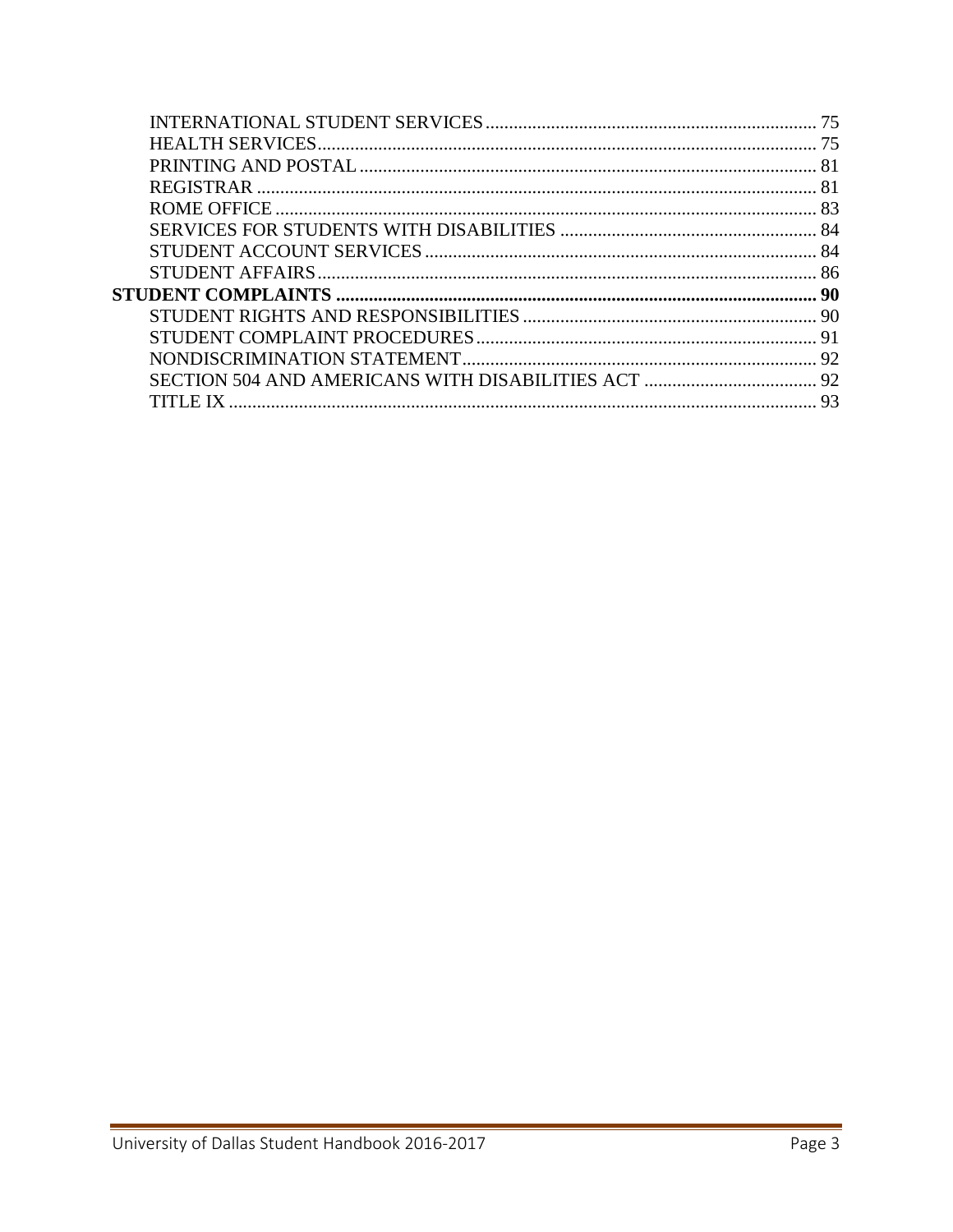|          | 75             |
|----------|----------------|
|          | 75             |
|          |                |
|          |                |
|          |                |
|          |                |
|          |                |
|          |                |
|          | -90            |
|          |                |
|          |                |
|          |                |
|          |                |
| TLE IX . | Q <sub>3</sub> |
|          |                |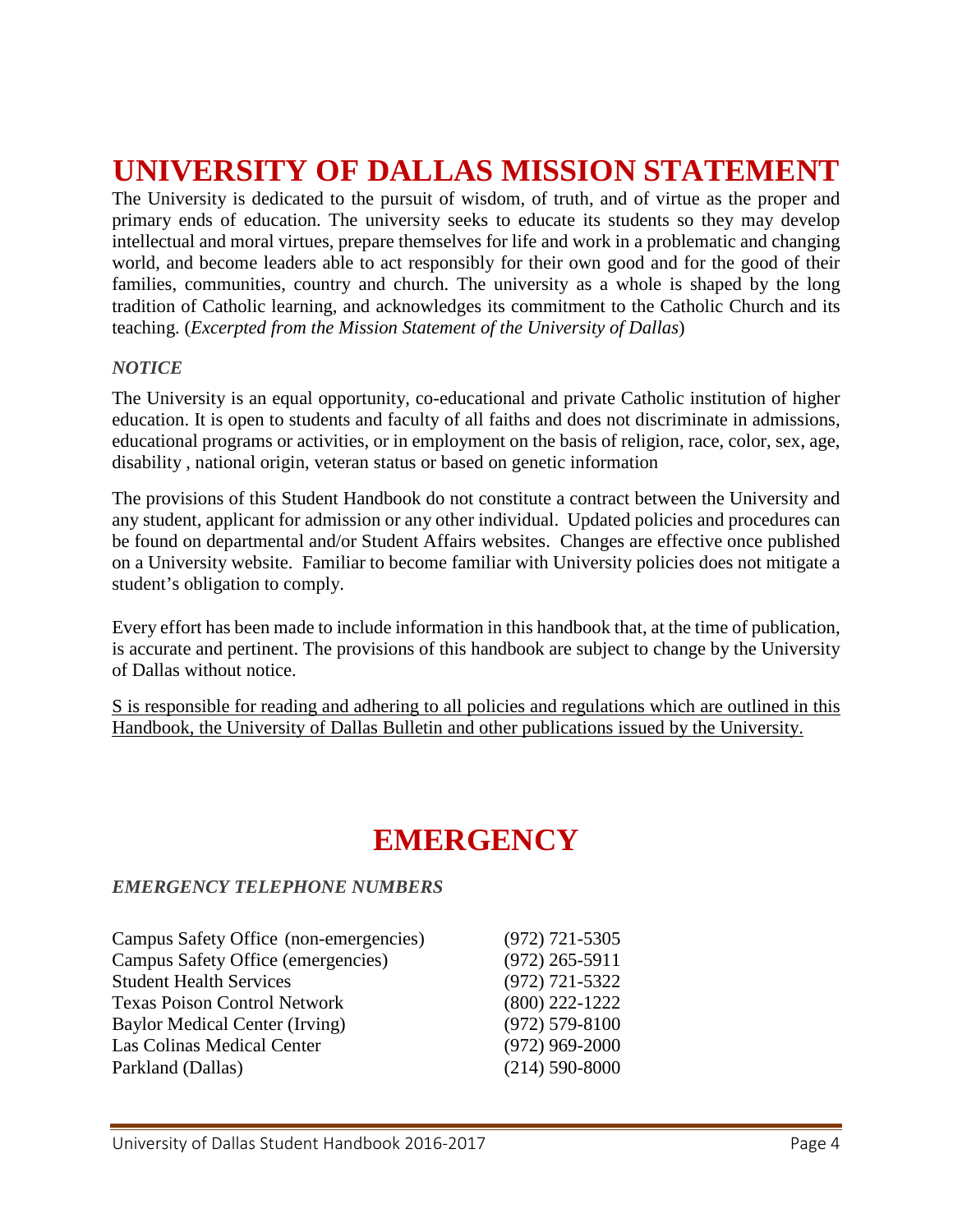# <span id="page-3-0"></span>**UNIVERSITY OF DALLAS MISSION STATEMENT**

The University is dedicated to the pursuit of wisdom, of truth, and of virtue as the proper and primary ends of education. The university seeks to educate its students so they may develop intellectual and moral virtues, prepare themselves for life and work in a problematic and changing world, and become leaders able to act responsibly for their own good and for the good of their families, communities, country and church. The university as a whole is shaped by the long tradition of Catholic learning, and acknowledges its commitment to the Catholic Church and its teaching. (*Excerpted from the Mission Statement of the University of Dallas*)

#### *NOTICE*

The University is an equal opportunity, co-educational and private Catholic institution of higher education. It is open to students and faculty of all faiths and does not discriminate in admissions, educational programs or activities, or in employment on the basis of religion, race, color, sex, age, disability , national origin, veteran status or based on genetic information

The provisions of this Student Handbook do not constitute a contract between the University and any student, applicant for admission or any other individual. Updated policies and procedures can be found on departmental and/or Student Affairs websites. Changes are effective once published on a University website. Familiar to become familiar with University policies does not mitigate a student's obligation to comply.

Every effort has been made to include information in this handbook that, at the time of publication, is accurate and pertinent. The provisions of this handbook are subject to change by the University of Dallas without notice.

S is responsible for reading and adhering to all policies and regulations which are outlined in this Handbook, the University of Dallas Bulletin and other publications issued by the University.

# **EMERGENCY**

#### <span id="page-3-1"></span>*EMERGENCY TELEPHONE NUMBERS*

| Campus Safety Office (non-emergencies) | $(972)$ 721-5305   |
|----------------------------------------|--------------------|
| Campus Safety Office (emergencies)     | $(972)$ 265-5911   |
| <b>Student Health Services</b>         | $(972) 721 - 5322$ |
| <b>Texas Poison Control Network</b>    | $(800)$ 222-1222   |
| <b>Baylor Medical Center (Irving)</b>  | $(972) 579 - 8100$ |
| Las Colinas Medical Center             | $(972)$ 969-2000   |
| Parkland (Dallas)                      | $(214)$ 590-8000   |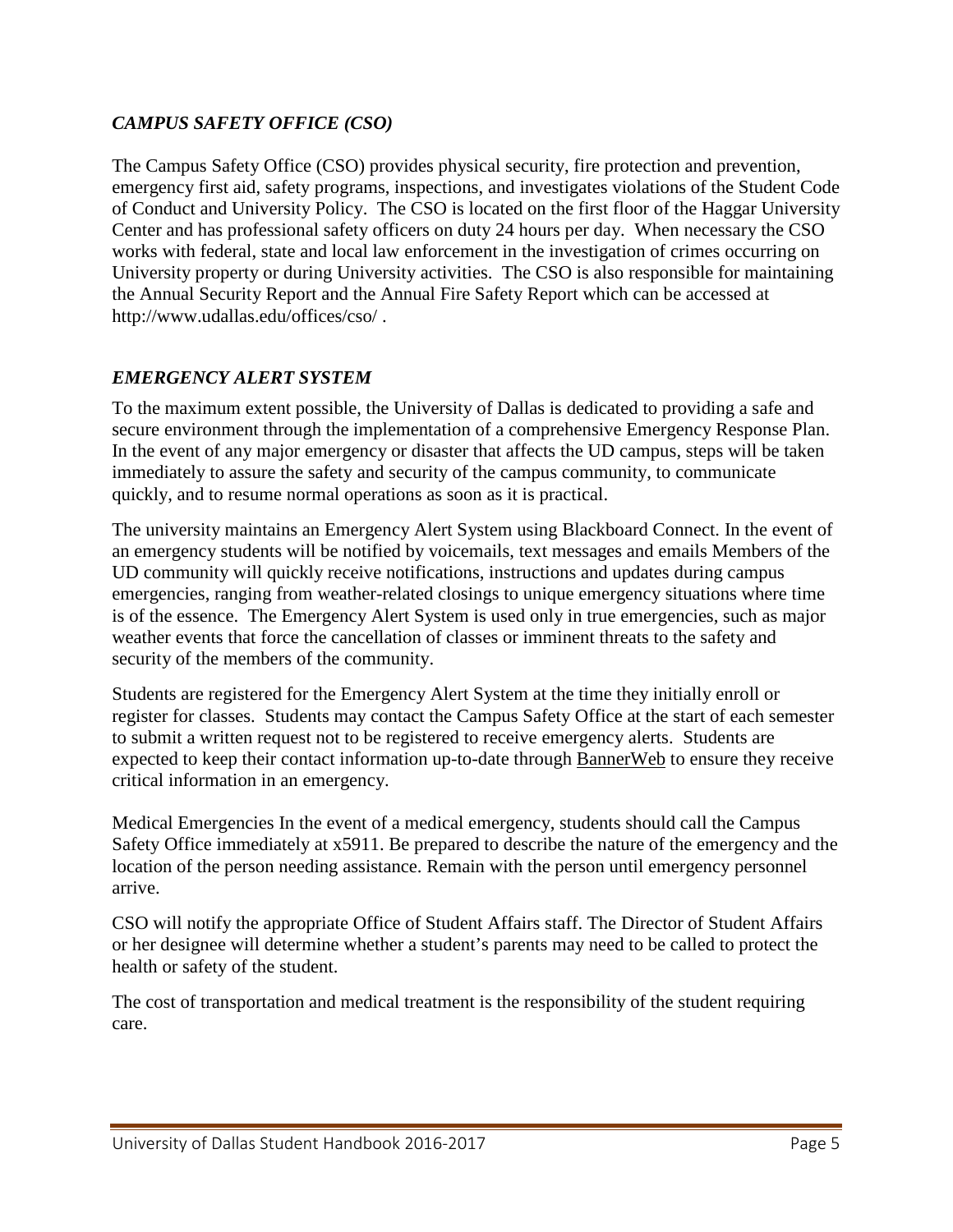### *CAMPUS SAFETY OFFICE (CSO)*

The Campus Safety Office (CSO) provides physical security, fire protection and prevention, emergency first aid, safety programs, inspections, and investigates violations of the Student Code of Conduct and University Policy. The CSO is located on the first floor of the Haggar University Center and has professional safety officers on duty 24 hours per day. When necessary the CSO works with federal, state and local law enforcement in the investigation of crimes occurring on University property or during University activities. The CSO is also responsible for maintaining the Annual Security Report and the Annual Fire Safety Report which can be accessed at http://www.udallas.edu/offices/cso/ .

#### *EMERGENCY ALERT SYSTEM*

To the maximum extent possible, the University of Dallas is dedicated to providing a safe and secure environment through the implementation of a comprehensive Emergency Response Plan. In the event of any major emergency or disaster that affects the UD campus, steps will be taken immediately to assure the safety and security of the campus community, to communicate quickly, and to resume normal operations as soon as it is practical.

The university maintains an Emergency Alert System using Blackboard Connect. In the event of an emergency students will be notified by voicemails, text messages and emails Members of the UD community will quickly receive notifications, instructions and updates during campus emergencies, ranging from weather-related closings to unique emergency situations where time is of the essence. The Emergency Alert System is used only in true emergencies, such as major weather events that force the cancellation of classes or imminent threats to the safety and security of the members of the community.

Students are registered for the Emergency Alert System at the time they initially enroll or register for classes. Students may contact the Campus Safety Office at the start of each semester to submit a written request not to be registered to receive emergency alerts. Students are expected to keep their contact information up-to-date through [BannerWeb](http://banner.udallas.edu/PROD/twbkwbis.P_GenMenu?name=homepage) to ensure they receive critical information in an emergency.

Medical Emergencies In the event of a medical emergency, students should call the Campus Safety Office immediately at x5911. Be prepared to describe the nature of the emergency and the location of the person needing assistance. Remain with the person until emergency personnel arrive.

CSO will notify the appropriate Office of Student Affairs staff. The Director of Student Affairs or her designee will determine whether a student's parents may need to be called to protect the health or safety of the student.

The cost of transportation and medical treatment is the responsibility of the student requiring care.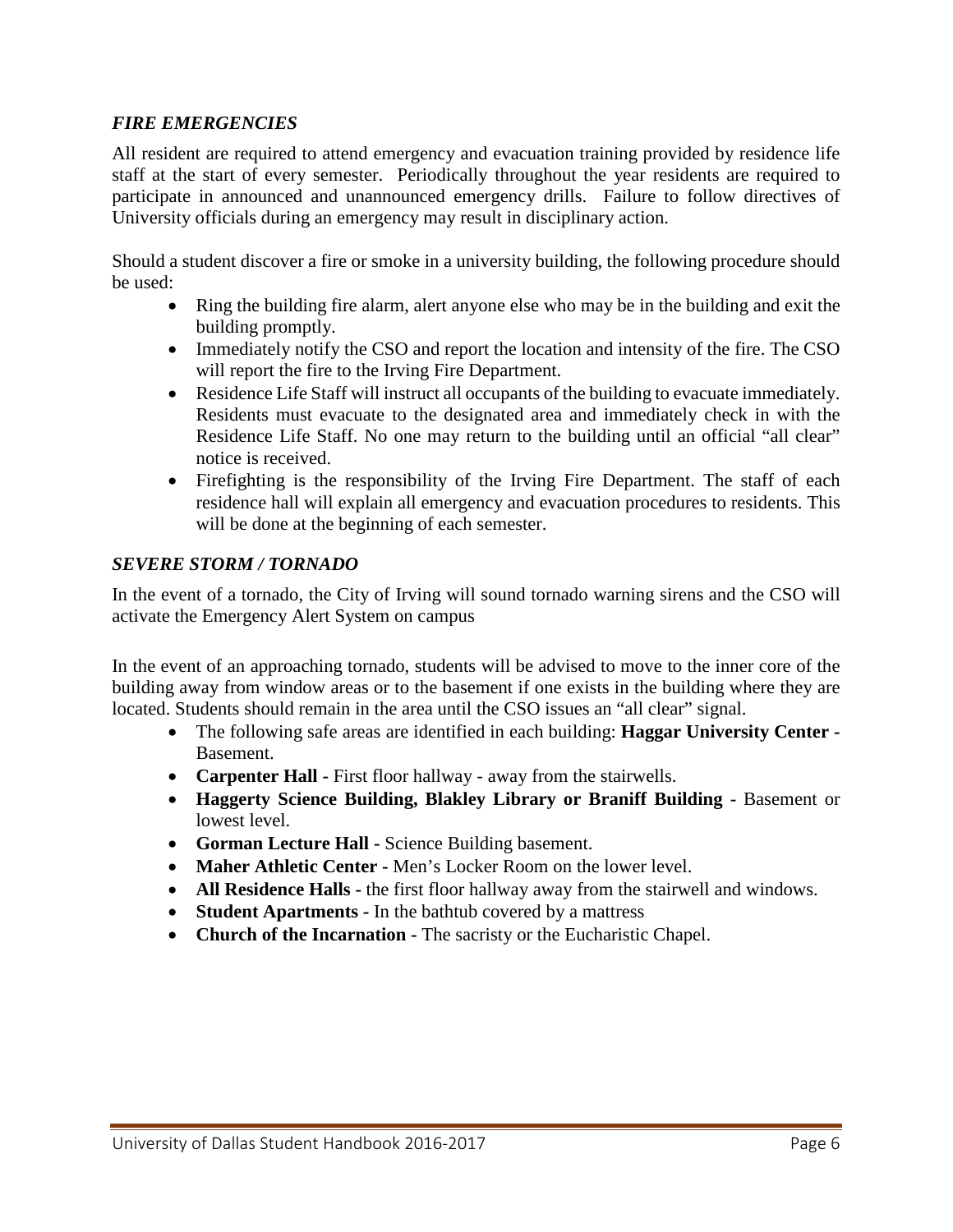### *FIRE EMERGENCIES*

All resident are required to attend emergency and evacuation training provided by residence life staff at the start of every semester. Periodically throughout the year residents are required to participate in announced and unannounced emergency drills. Failure to follow directives of University officials during an emergency may result in disciplinary action.

Should a student discover a fire or smoke in a university building, the following procedure should be used:

- Ring the building fire alarm, alert anyone else who may be in the building and exit the building promptly.
- Immediately notify the CSO and report the location and intensity of the fire. The CSO will report the fire to the Irving Fire Department.
- Residence Life Staff will instruct all occupants of the building to evacuate immediately. Residents must evacuate to the designated area and immediately check in with the Residence Life Staff. No one may return to the building until an official "all clear" notice is received.
- Firefighting is the responsibility of the Irving Fire Department. The staff of each residence hall will explain all emergency and evacuation procedures to residents. This will be done at the beginning of each semester.

#### *SEVERE STORM / TORNADO*

In the event of a tornado, the City of Irving will sound tornado warning sirens and the CSO will activate the Emergency Alert System on campus

In the event of an approaching tornado, students will be advised to move to the inner core of the building away from window areas or to the basement if one exists in the building where they are located. Students should remain in the area until the CSO issues an "all clear" signal.

- The following safe areas are identified in each building: **Haggar University Center -** Basement.
- **Carpenter Hall -** First floor hallway away from the stairwells.
- **Haggerty Science Building, Blakley Library or Braniff Building -** Basement or lowest level.
- **Gorman Lecture Hall -** Science Building basement.
- **Maher Athletic Center -** Men's Locker Room on the lower level.
- **All Residence Halls -** the first floor hallway away from the stairwell and windows.
- **Student Apartments -** In the bathtub covered by a mattress
- **Church of the Incarnation -** The sacristy or the Eucharistic Chapel.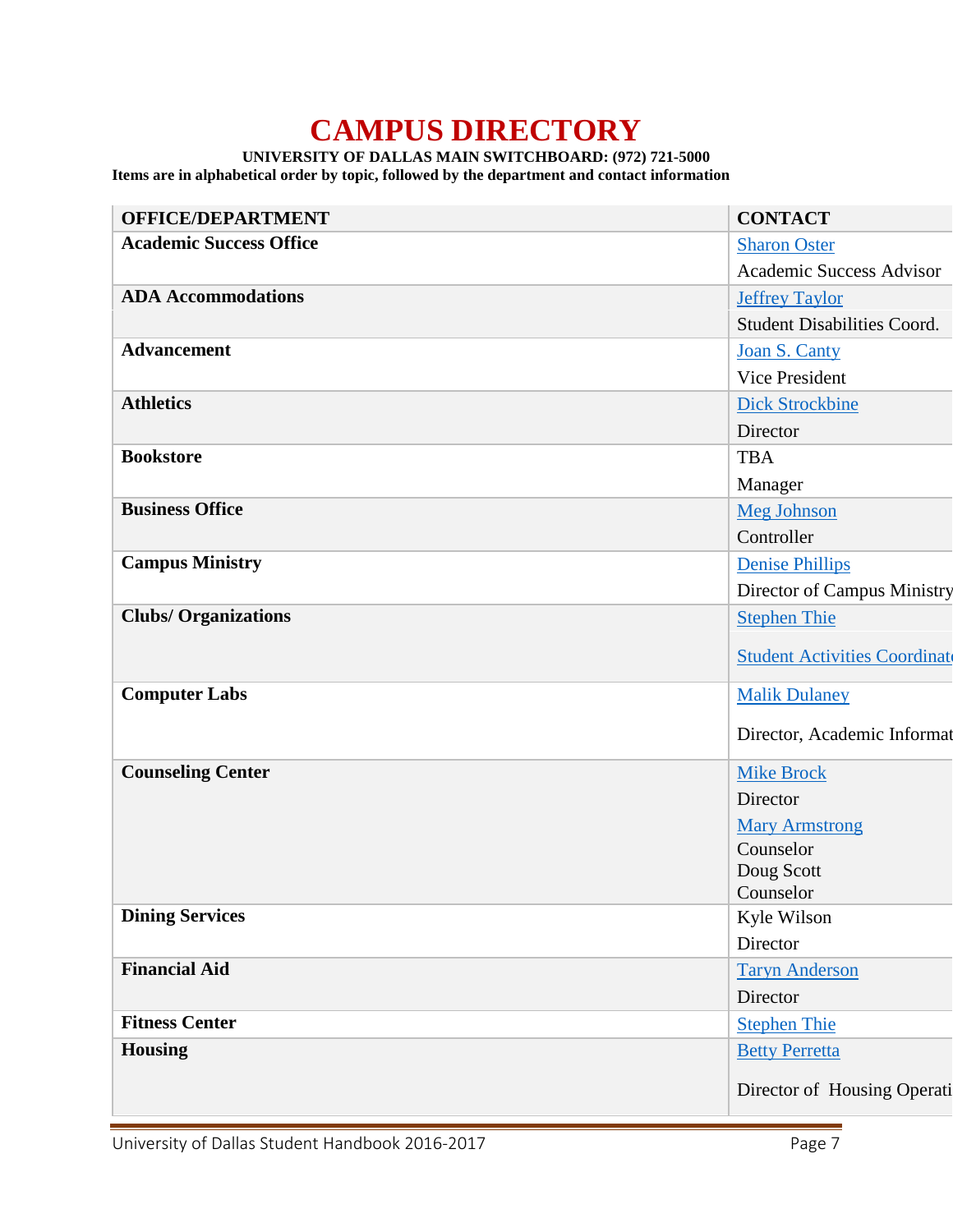# **CAMPUS DIRECTORY**

#### **UNIVERSITY OF DALLAS MAIN SWITCHBOARD: (972) 721-5000**

<span id="page-6-0"></span>**Items are in alphabetical order by topic, followed by the department and contact information**

| <b>OFFICE/DEPARTMENT</b>       | <b>CONTACT</b>                       |
|--------------------------------|--------------------------------------|
| <b>Academic Success Office</b> | <b>Sharon Oster</b>                  |
|                                | Academic Success Advisor             |
| <b>ADA Accommodations</b>      | <b>Jeffrey Taylor</b>                |
|                                | <b>Student Disabilities Coord.</b>   |
| <b>Advancement</b>             | Joan S. Canty                        |
|                                | Vice President                       |
| <b>Athletics</b>               | <b>Dick Strockbine</b>               |
|                                | Director                             |
| <b>Bookstore</b>               | <b>TBA</b>                           |
|                                | Manager                              |
| <b>Business Office</b>         | <b>Meg Johnson</b>                   |
|                                | Controller                           |
| <b>Campus Ministry</b>         | Denise Phillips                      |
|                                | Director of Campus Ministry          |
| <b>Clubs/Organizations</b>     | <b>Stephen Thie</b>                  |
|                                | <b>Student Activities Coordinate</b> |
|                                |                                      |
| <b>Computer Labs</b>           | <b>Malik Dulaney</b>                 |
|                                | Director, Academic Informat          |
|                                |                                      |
| <b>Counseling Center</b>       | <b>Mike Brock</b>                    |
|                                | Director                             |
|                                | <b>Mary Armstrong</b>                |
|                                | Counselor                            |
|                                | Doug Scott<br>Counselor              |
| <b>Dining Services</b>         | Kyle Wilson                          |
|                                | Director                             |
| <b>Financial Aid</b>           | <b>Taryn Anderson</b>                |
|                                | Director                             |
| <b>Fitness Center</b>          | <b>Stephen Thie</b>                  |
| <b>Housing</b>                 | <b>Betty Perretta</b>                |
|                                |                                      |
|                                | Director of Housing Operati          |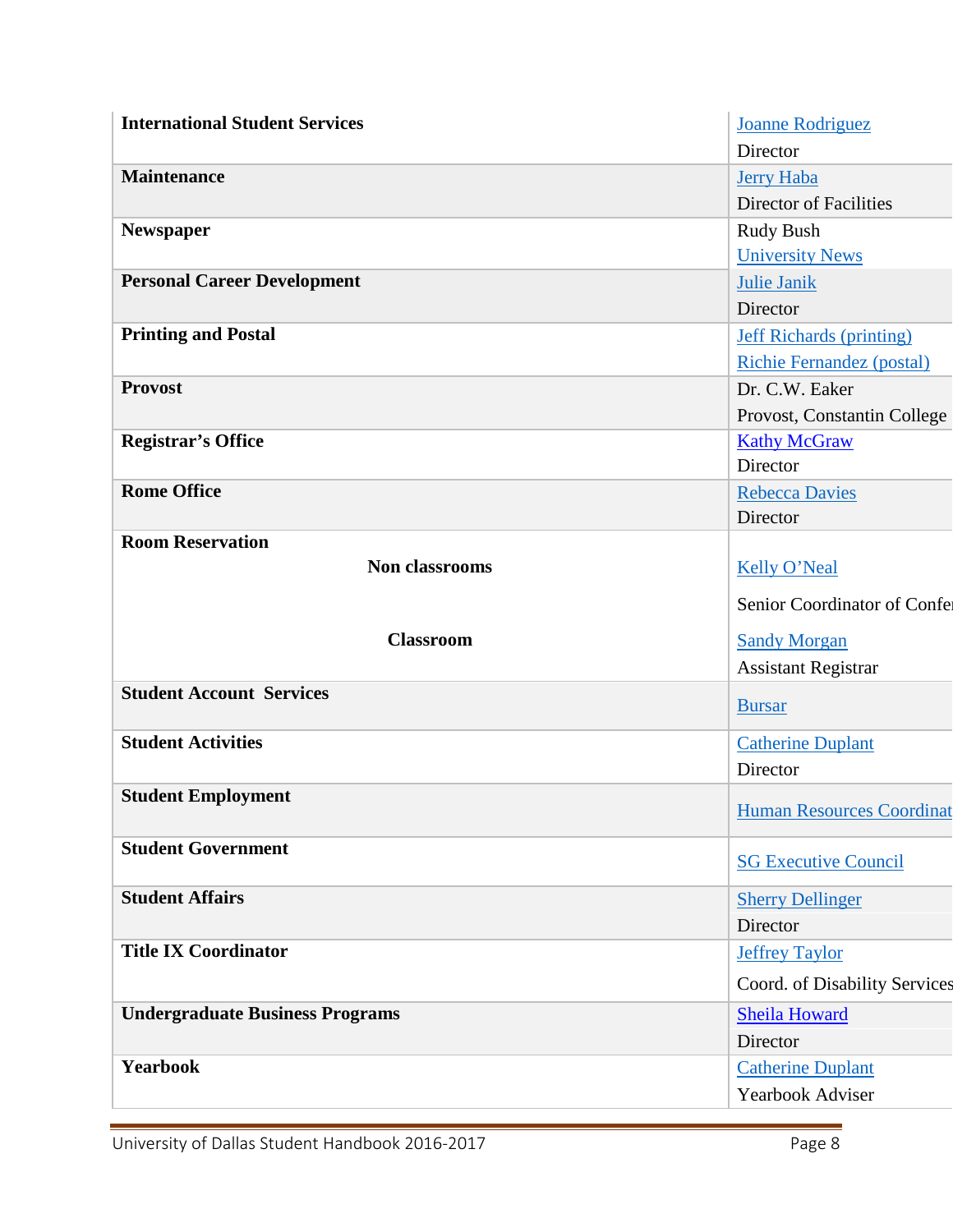| <b>International Student Services</b>  | <b>Joanne Rodriguez</b>                      |  |
|----------------------------------------|----------------------------------------------|--|
|                                        | Director                                     |  |
| <b>Maintenance</b>                     | <b>Jerry Haba</b>                            |  |
|                                        | <b>Director of Facilities</b>                |  |
| Newspaper                              | Rudy Bush                                    |  |
|                                        | <b>University News</b>                       |  |
| <b>Personal Career Development</b>     | <b>Julie Janik</b>                           |  |
|                                        | Director                                     |  |
| <b>Printing and Postal</b>             | <b>Jeff Richards (printing)</b>              |  |
|                                        | <b>Richie Fernandez (postal)</b>             |  |
| <b>Provost</b>                         | Dr. C.W. Eaker                               |  |
|                                        | Provost, Constantin College                  |  |
| <b>Registrar's Office</b>              | <b>Kathy McGraw</b>                          |  |
|                                        | Director                                     |  |
| <b>Rome Office</b>                     | <b>Rebecca Davies</b>                        |  |
|                                        | Director                                     |  |
| <b>Room Reservation</b>                |                                              |  |
| Non classrooms                         | <b>Kelly O'Neal</b>                          |  |
|                                        | Senior Coordinator of Confe                  |  |
| <b>Classroom</b>                       | <b>Sandy Morgan</b>                          |  |
|                                        | Assistant Registrar                          |  |
| <b>Student Account Services</b>        |                                              |  |
|                                        | <b>Bursar</b>                                |  |
| <b>Student Activities</b>              | <b>Catherine Duplant</b>                     |  |
|                                        | Director                                     |  |
| <b>Student Employment</b>              |                                              |  |
|                                        | <b>Human Resources Coordinat</b>             |  |
| <b>Student Government</b>              | <b>SG Executive Council</b>                  |  |
| <b>Student Affairs</b>                 | <b>Sherry Dellinger</b>                      |  |
|                                        | Director                                     |  |
| <b>Title IX Coordinator</b>            | <b>Jeffrey Taylor</b>                        |  |
|                                        | Coord. of Disability Services                |  |
|                                        |                                              |  |
| <b>Undergraduate Business Programs</b> | <b>Sheila Howard</b>                         |  |
|                                        | Director                                     |  |
|                                        |                                              |  |
| Yearbook                               | <b>Catherine Duplant</b><br>Yearbook Adviser |  |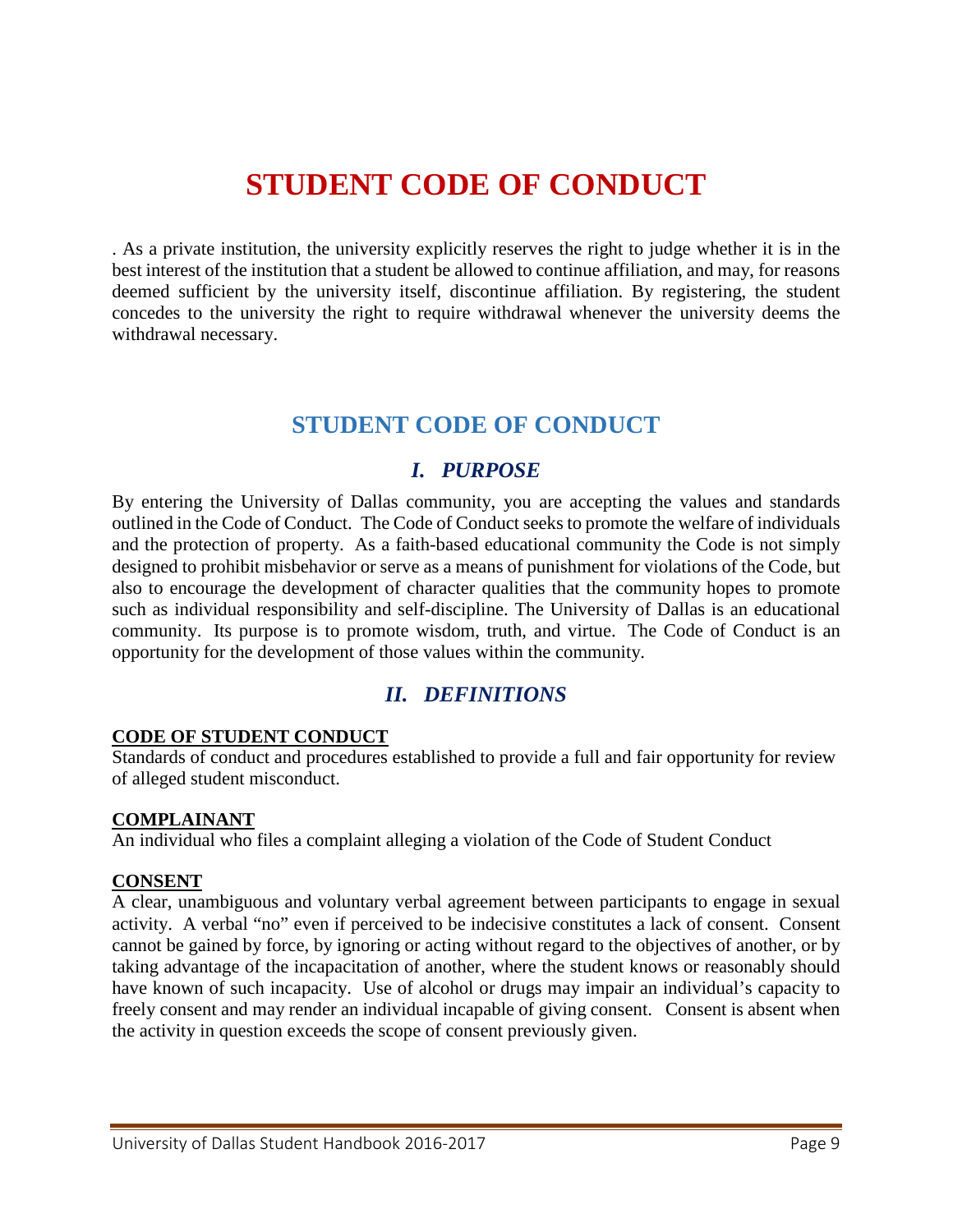# **STUDENT CODE OF CONDUCT**

<span id="page-8-0"></span>. As a private institution, the university explicitly reserves the right to judge whether it is in the best interest of the institution that a student be allowed to continue affiliation, and may, for reasons deemed sufficient by the university itself, discontinue affiliation. By registering, the student concedes to the university the right to require withdrawal whenever the university deems the withdrawal necessary.

# **STUDENT CODE OF CONDUCT**

# *I. PURPOSE*

<span id="page-8-2"></span><span id="page-8-1"></span>By entering the University of Dallas community, you are accepting the values and standards outlined in the Code of Conduct. The Code of Conduct seeks to promote the welfare of individuals and the protection of property. As a faith-based educational community the Code is not simply designed to prohibit misbehavior or serve as a means of punishment for violations of the Code, but also to encourage the development of character qualities that the community hopes to promote such as individual responsibility and self-discipline. The University of Dallas is an educational community. Its purpose is to promote wisdom, truth, and virtue. The Code of Conduct is an opportunity for the development of those values within the community.

# *II. DEFINITIONS*

#### <span id="page-8-3"></span>**CODE OF STUDENT CONDUCT**

Standards of conduct and procedures established to provide a full and fair opportunity for review of alleged student misconduct.

#### **COMPLAINANT**

An individual who files a complaint alleging a violation of the Code of Student Conduct

#### **CONSENT**

A clear, unambiguous and voluntary verbal agreement between participants to engage in sexual activity. A verbal "no" even if perceived to be indecisive constitutes a lack of consent. Consent cannot be gained by force, by ignoring or acting without regard to the objectives of another, or by taking advantage of the incapacitation of another, where the student knows or reasonably should have known of such incapacity. Use of alcohol or drugs may impair an individual's capacity to freely consent and may render an individual incapable of giving consent. Consent is absent when the activity in question exceeds the scope of consent previously given.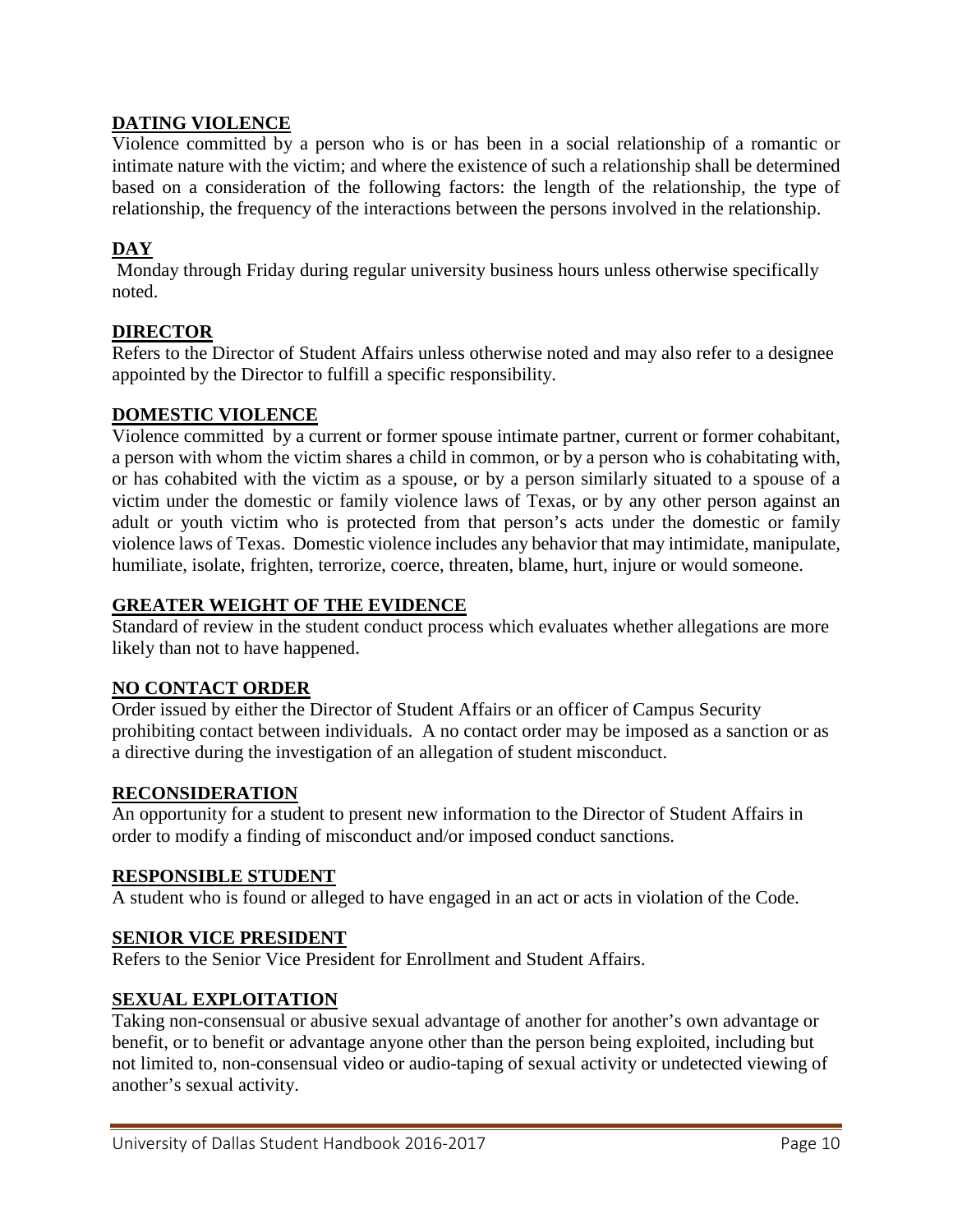### **DATING VIOLENCE**

Violence committed by a person who is or has been in a social relationship of a romantic or intimate nature with the victim; and where the existence of such a relationship shall be determined based on a consideration of the following factors: the length of the relationship, the type of relationship, the frequency of the interactions between the persons involved in the relationship.

#### **DAY**

Monday through Friday during regular university business hours unless otherwise specifically noted.

#### **DIRECTOR**

Refers to the Director of Student Affairs unless otherwise noted and may also refer to a designee appointed by the Director to fulfill a specific responsibility.

#### **DOMESTIC VIOLENCE**

Violence committed by a current or former spouse intimate partner, current or former cohabitant, a person with whom the victim shares a child in common, or by a person who is cohabitating with, or has cohabited with the victim as a spouse, or by a person similarly situated to a spouse of a victim under the domestic or family violence laws of Texas, or by any other person against an adult or youth victim who is protected from that person's acts under the domestic or family violence laws of Texas. Domestic violence includes any behavior that may intimidate, manipulate, humiliate, isolate, frighten, terrorize, coerce, threaten, blame, hurt, injure or would someone.

#### **GREATER WEIGHT OF THE EVIDENCE**

Standard of review in the student conduct process which evaluates whether allegations are more likely than not to have happened.

#### **NO CONTACT ORDER**

Order issued by either the Director of Student Affairs or an officer of Campus Security prohibiting contact between individuals. A no contact order may be imposed as a sanction or as a directive during the investigation of an allegation of student misconduct.

#### **RECONSIDERATION**

An opportunity for a student to present new information to the Director of Student Affairs in order to modify a finding of misconduct and/or imposed conduct sanctions.

#### **RESPONSIBLE STUDENT**

A student who is found or alleged to have engaged in an act or acts in violation of the Code.

#### **SENIOR VICE PRESIDENT**

Refers to the Senior Vice President for Enrollment and Student Affairs.

#### **SEXUAL EXPLOITATION**

Taking non-consensual or abusive sexual advantage of another for another's own advantage or benefit, or to benefit or advantage anyone other than the person being exploited, including but not limited to, non-consensual video or audio-taping of sexual activity or undetected viewing of another's sexual activity.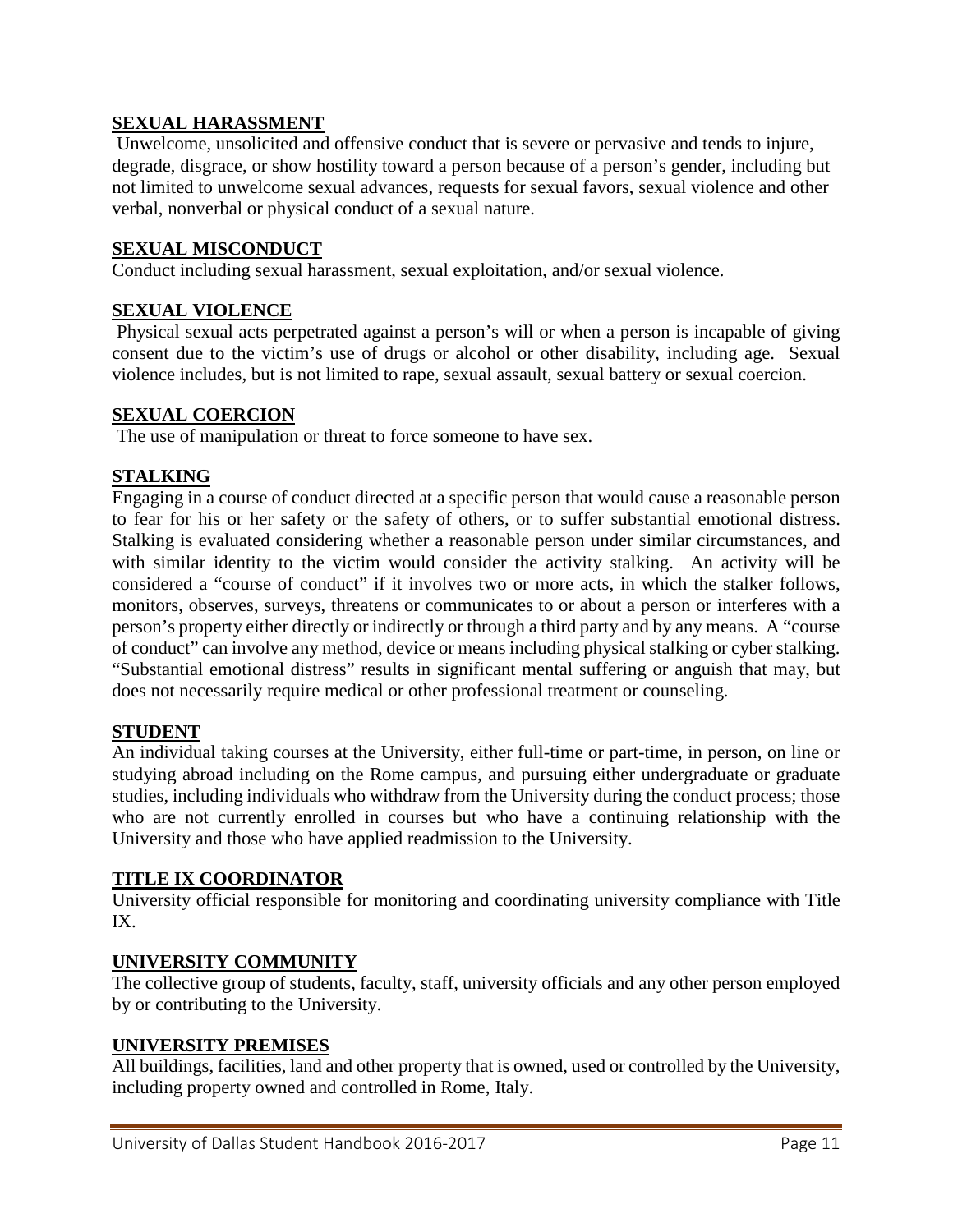#### **SEXUAL HARASSMENT**

Unwelcome, unsolicited and offensive conduct that is severe or pervasive and tends to injure, degrade, disgrace, or show hostility toward a person because of a person's gender, including but not limited to unwelcome sexual advances, requests for sexual favors, sexual violence and other verbal, nonverbal or physical conduct of a sexual nature.

#### **SEXUAL MISCONDUCT**

Conduct including sexual harassment, sexual exploitation, and/or sexual violence.

#### **SEXUAL VIOLENCE**

Physical sexual acts perpetrated against a person's will or when a person is incapable of giving consent due to the victim's use of drugs or alcohol or other disability, including age. Sexual violence includes, but is not limited to rape, sexual assault, sexual battery or sexual coercion.

#### **SEXUAL COERCION**

The use of manipulation or threat to force someone to have sex.

#### **STALKING**

Engaging in a course of conduct directed at a specific person that would cause a reasonable person to fear for his or her safety or the safety of others, or to suffer substantial emotional distress. Stalking is evaluated considering whether a reasonable person under similar circumstances, and with similar identity to the victim would consider the activity stalking. An activity will be considered a "course of conduct" if it involves two or more acts, in which the stalker follows, monitors, observes, surveys, threatens or communicates to or about a person or interferes with a person's property either directly or indirectly or through a third party and by any means. A "course of conduct" can involve any method, device or means including physical stalking or cyber stalking. "Substantial emotional distress" results in significant mental suffering or anguish that may, but does not necessarily require medical or other professional treatment or counseling.

#### **STUDENT**

An individual taking courses at the University, either full-time or part-time, in person, on line or studying abroad including on the Rome campus, and pursuing either undergraduate or graduate studies, including individuals who withdraw from the University during the conduct process; those who are not currently enrolled in courses but who have a continuing relationship with the University and those who have applied readmission to the University.

#### **TITLE IX COORDINATOR**

University official responsible for monitoring and coordinating university compliance with Title IX.

#### **UNIVERSITY COMMUNITY**

The collective group of students, faculty, staff, university officials and any other person employed by or contributing to the University.

#### **UNIVERSITY PREMISES**

All buildings, facilities, land and other property that is owned, used or controlled by the University, including property owned and controlled in Rome, Italy.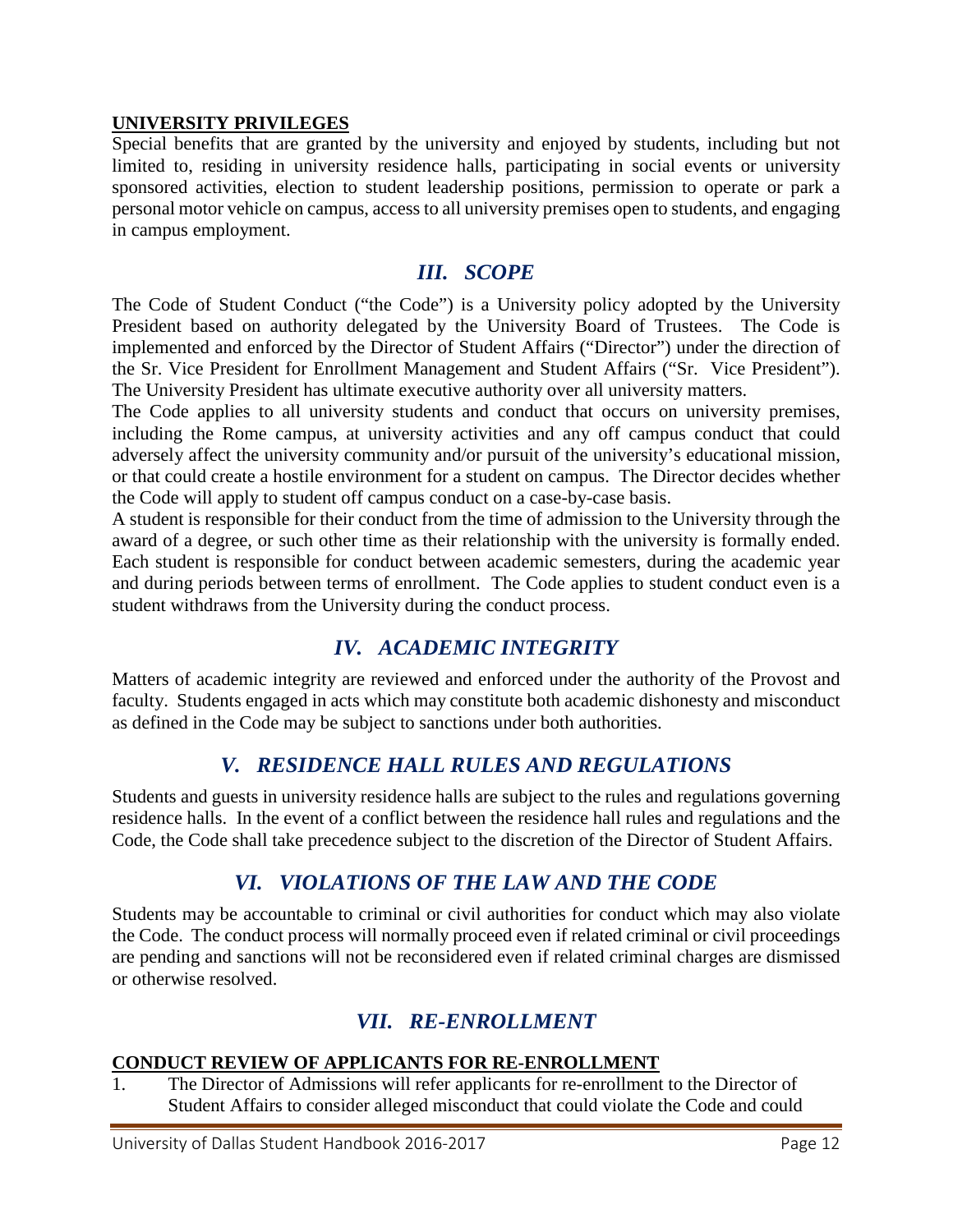#### **UNIVERSITY PRIVILEGES**

Special benefits that are granted by the university and enjoyed by students, including but not limited to, residing in university residence halls, participating in social events or university sponsored activities, election to student leadership positions, permission to operate or park a personal motor vehicle on campus, access to all university premises open to students, and engaging in campus employment.

## *III. SCOPE*

<span id="page-11-0"></span>The Code of Student Conduct ("the Code") is a University policy adopted by the University President based on authority delegated by the University Board of Trustees. The Code is implemented and enforced by the Director of Student Affairs ("Director") under the direction of the Sr. Vice President for Enrollment Management and Student Affairs ("Sr. Vice President"). The University President has ultimate executive authority over all university matters.

The Code applies to all university students and conduct that occurs on university premises, including the Rome campus, at university activities and any off campus conduct that could adversely affect the university community and/or pursuit of the university's educational mission, or that could create a hostile environment for a student on campus. The Director decides whether the Code will apply to student off campus conduct on a case-by-case basis.

A student is responsible for their conduct from the time of admission to the University through the award of a degree, or such other time as their relationship with the university is formally ended. Each student is responsible for conduct between academic semesters, during the academic year and during periods between terms of enrollment. The Code applies to student conduct even is a student withdraws from the University during the conduct process.

# *IV. ACADEMIC INTEGRITY*

<span id="page-11-1"></span>Matters of academic integrity are reviewed and enforced under the authority of the Provost and faculty. Students engaged in acts which may constitute both academic dishonesty and misconduct as defined in the Code may be subject to sanctions under both authorities.

## *V. RESIDENCE HALL RULES AND REGULATIONS*

<span id="page-11-2"></span>Students and guests in university residence halls are subject to the rules and regulations governing residence halls. In the event of a conflict between the residence hall rules and regulations and the Code, the Code shall take precedence subject to the discretion of the Director of Student Affairs.

# *VI. VIOLATIONS OF THE LAW AND THE CODE*

<span id="page-11-3"></span>Students may be accountable to criminal or civil authorities for conduct which may also violate the Code. The conduct process will normally proceed even if related criminal or civil proceedings are pending and sanctions will not be reconsidered even if related criminal charges are dismissed or otherwise resolved.

# *VII. RE-ENROLLMENT*

#### <span id="page-11-4"></span>**CONDUCT REVIEW OF APPLICANTS FOR RE-ENROLLMENT**

1. The Director of Admissions will refer applicants for re-enrollment to the Director of Student Affairs to consider alleged misconduct that could violate the Code and could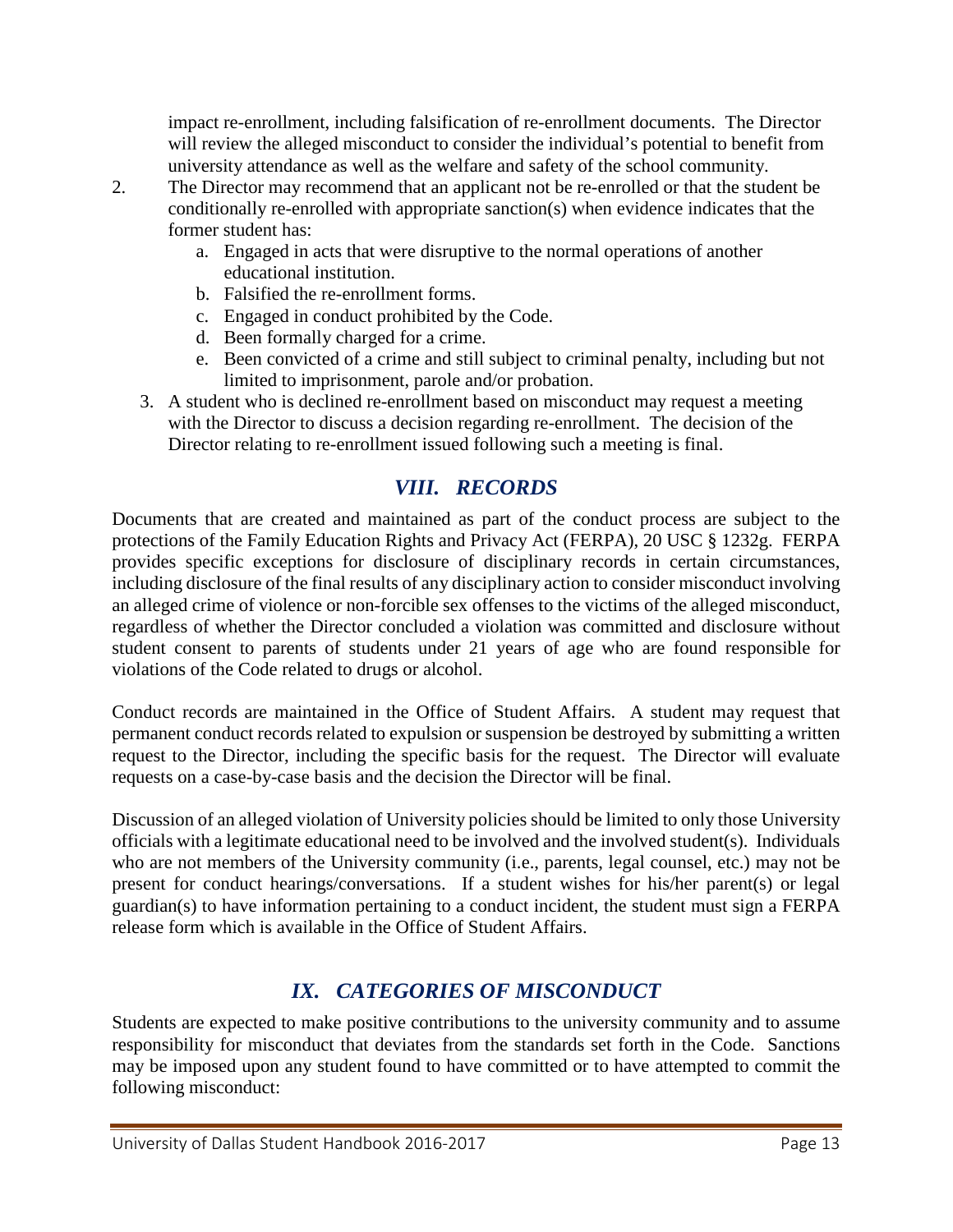impact re-enrollment, including falsification of re-enrollment documents. The Director will review the alleged misconduct to consider the individual's potential to benefit from university attendance as well as the welfare and safety of the school community.

- 2. The Director may recommend that an applicant not be re-enrolled or that the student be conditionally re-enrolled with appropriate sanction(s) when evidence indicates that the former student has:
	- a. Engaged in acts that were disruptive to the normal operations of another educational institution.
	- b. Falsified the re-enrollment forms.
	- c. Engaged in conduct prohibited by the Code.
	- d. Been formally charged for a crime.
	- e. Been convicted of a crime and still subject to criminal penalty, including but not limited to imprisonment, parole and/or probation.
	- 3. A student who is declined re-enrollment based on misconduct may request a meeting with the Director to discuss a decision regarding re-enrollment. The decision of the Director relating to re-enrollment issued following such a meeting is final.

# *VIII. RECORDS*

<span id="page-12-0"></span>Documents that are created and maintained as part of the conduct process are subject to the protections of the Family Education Rights and Privacy Act (FERPA), 20 USC § 1232g. FERPA provides specific exceptions for disclosure of disciplinary records in certain circumstances, including disclosure of the final results of any disciplinary action to consider misconduct involving an alleged crime of violence or non-forcible sex offenses to the victims of the alleged misconduct, regardless of whether the Director concluded a violation was committed and disclosure without student consent to parents of students under 21 years of age who are found responsible for violations of the Code related to drugs or alcohol.

Conduct records are maintained in the Office of Student Affairs. A student may request that permanent conduct records related to expulsion or suspension be destroyed by submitting a written request to the Director, including the specific basis for the request. The Director will evaluate requests on a case-by-case basis and the decision the Director will be final.

Discussion of an alleged violation of University policies should be limited to only those University officials with a legitimate educational need to be involved and the involved student(s). Individuals who are not members of the University community (i.e., parents, legal counsel, etc.) may not be present for conduct hearings/conversations. If a student wishes for his/her parent(s) or legal guardian(s) to have information pertaining to a conduct incident, the student must sign a FERPA release form which is available in the Office of Student Affairs.

# *IX. CATEGORIES OF MISCONDUCT*

<span id="page-12-1"></span>Students are expected to make positive contributions to the university community and to assume responsibility for misconduct that deviates from the standards set forth in the Code. Sanctions may be imposed upon any student found to have committed or to have attempted to commit the following misconduct: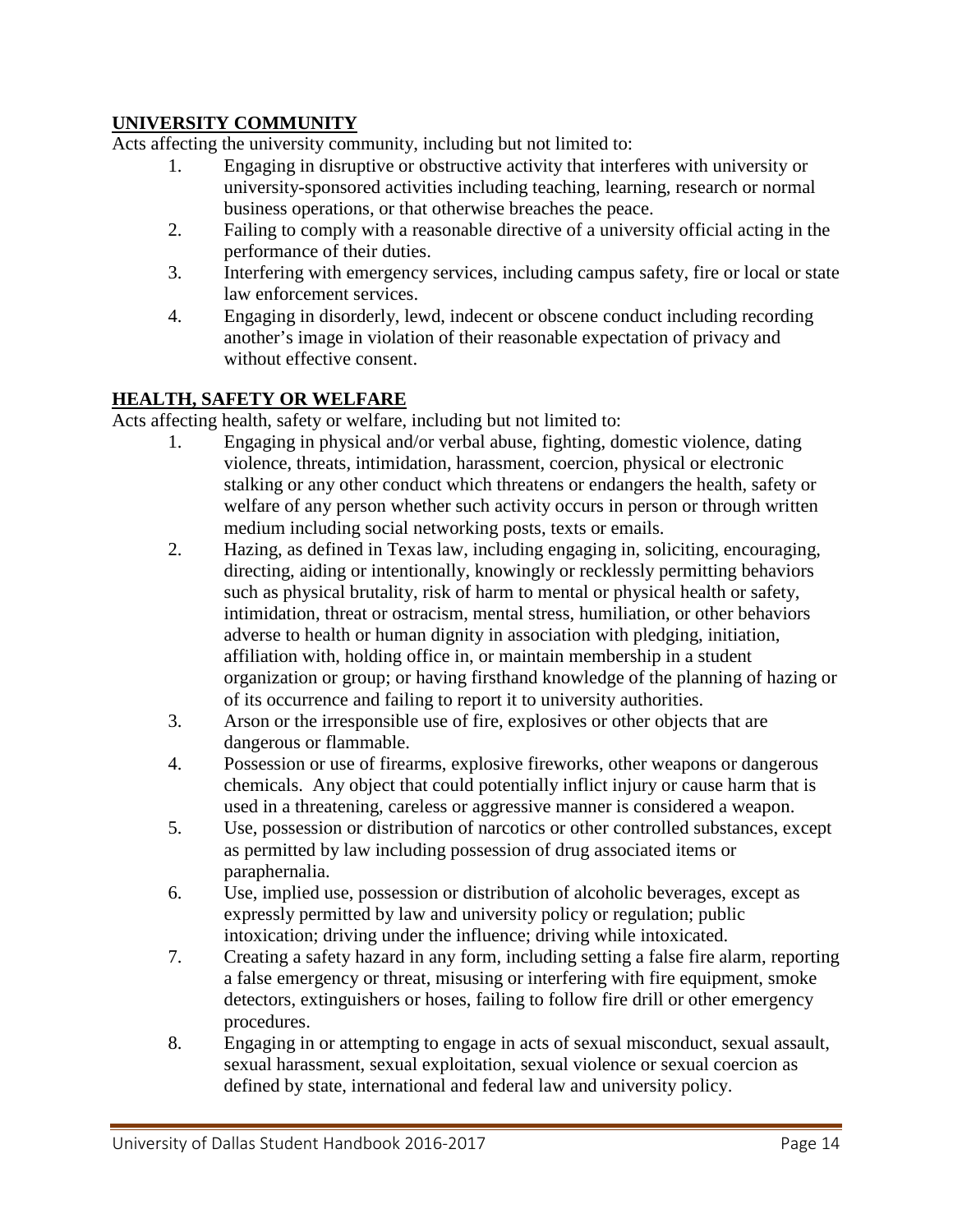## **UNIVERSITY COMMUNITY**

Acts affecting the university community, including but not limited to:

- 1. Engaging in disruptive or obstructive activity that interferes with university or university-sponsored activities including teaching, learning, research or normal business operations, or that otherwise breaches the peace.
- 2. Failing to comply with a reasonable directive of a university official acting in the performance of their duties.
- 3. Interfering with emergency services, including campus safety, fire or local or state law enforcement services.
- 4. Engaging in disorderly, lewd, indecent or obscene conduct including recording another's image in violation of their reasonable expectation of privacy and without effective consent.

#### **HEALTH, SAFETY OR WELFARE**

Acts affecting health, safety or welfare, including but not limited to:

- 1. Engaging in physical and/or verbal abuse, fighting, domestic violence, dating violence, threats, intimidation, harassment, coercion, physical or electronic stalking or any other conduct which threatens or endangers the health, safety or welfare of any person whether such activity occurs in person or through written medium including social networking posts, texts or emails.
- 2. Hazing, as defined in Texas law, including engaging in, soliciting, encouraging, directing, aiding or intentionally, knowingly or recklessly permitting behaviors such as physical brutality, risk of harm to mental or physical health or safety, intimidation, threat or ostracism, mental stress, humiliation, or other behaviors adverse to health or human dignity in association with pledging, initiation, affiliation with, holding office in, or maintain membership in a student organization or group; or having firsthand knowledge of the planning of hazing or of its occurrence and failing to report it to university authorities.
- 3. Arson or the irresponsible use of fire, explosives or other objects that are dangerous or flammable.
- 4. Possession or use of firearms, explosive fireworks, other weapons or dangerous chemicals. Any object that could potentially inflict injury or cause harm that is used in a threatening, careless or aggressive manner is considered a weapon.
- 5. Use, possession or distribution of narcotics or other controlled substances, except as permitted by law including possession of drug associated items or paraphernalia.
- 6. Use, implied use, possession or distribution of alcoholic beverages, except as expressly permitted by law and university policy or regulation; public intoxication; driving under the influence; driving while intoxicated.
- 7. Creating a safety hazard in any form, including setting a false fire alarm, reporting a false emergency or threat, misusing or interfering with fire equipment, smoke detectors, extinguishers or hoses, failing to follow fire drill or other emergency procedures.
- 8. Engaging in or attempting to engage in acts of sexual misconduct, sexual assault, sexual harassment, sexual exploitation, sexual violence or sexual coercion as defined by state, international and federal law and university policy.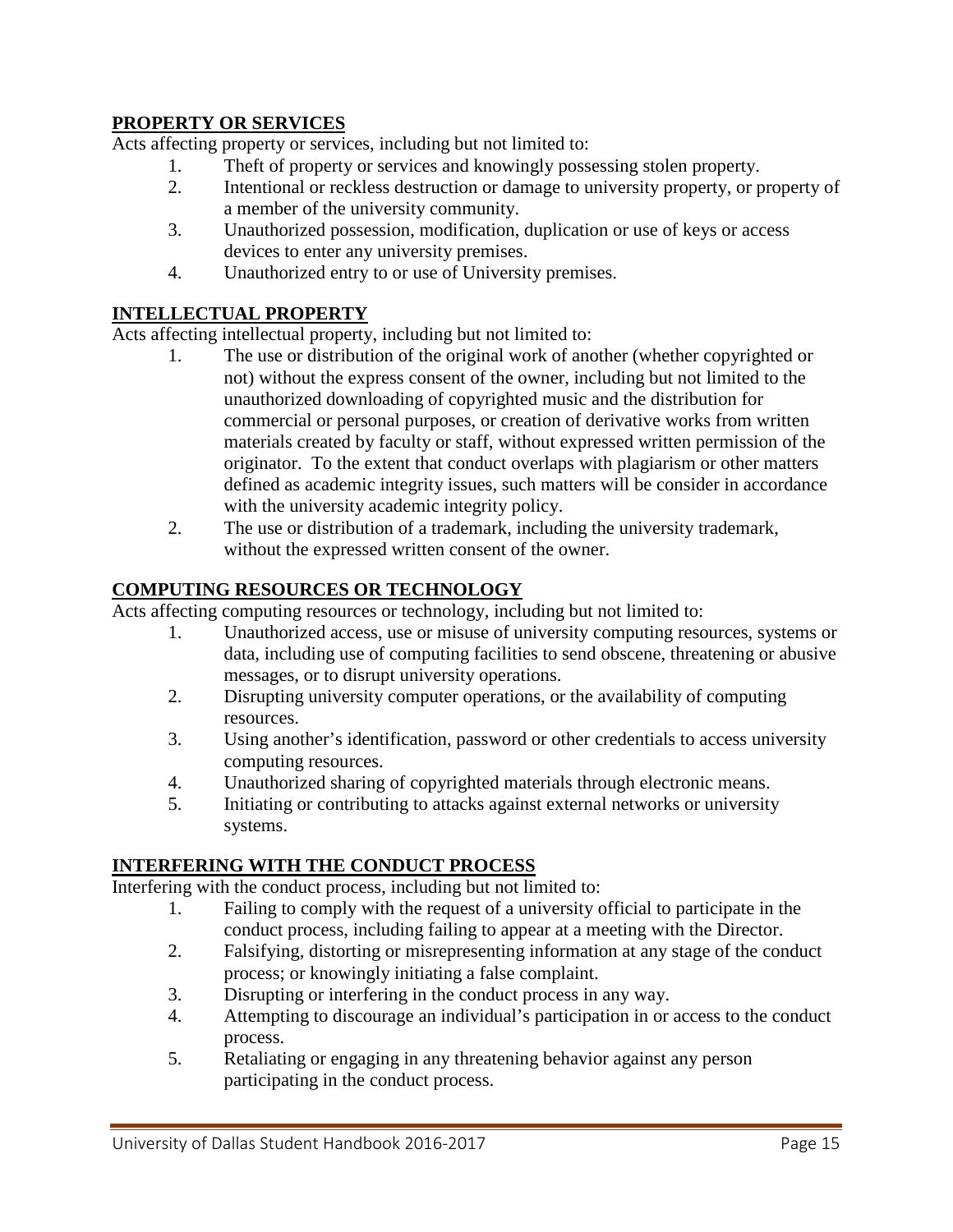### **PROPERTY OR SERVICES**

Acts affecting property or services, including but not limited to:

- 1. Theft of property or services and knowingly possessing stolen property.
- 2. Intentional or reckless destruction or damage to university property, or property of a member of the university community.
- 3. Unauthorized possession, modification, duplication or use of keys or access devices to enter any university premises.
- 4. Unauthorized entry to or use of University premises.

#### **INTELLECTUAL PROPERTY**

Acts affecting intellectual property, including but not limited to:

- 1. The use or distribution of the original work of another (whether copyrighted or not) without the express consent of the owner, including but not limited to the unauthorized downloading of copyrighted music and the distribution for commercial or personal purposes, or creation of derivative works from written materials created by faculty or staff, without expressed written permission of the originator. To the extent that conduct overlaps with plagiarism or other matters defined as academic integrity issues, such matters will be consider in accordance with the university academic integrity policy.
- 2. The use or distribution of a trademark, including the university trademark, without the expressed written consent of the owner.

#### **COMPUTING RESOURCES OR TECHNOLOGY**

Acts affecting computing resources or technology, including but not limited to:

- 1. Unauthorized access, use or misuse of university computing resources, systems or data, including use of computing facilities to send obscene, threatening or abusive messages, or to disrupt university operations.
- 2. Disrupting university computer operations, or the availability of computing resources.
- 3. Using another's identification, password or other credentials to access university computing resources.
- 4. Unauthorized sharing of copyrighted materials through electronic means.
- 5. Initiating or contributing to attacks against external networks or university systems.

#### **INTERFERING WITH THE CONDUCT PROCESS**

Interfering with the conduct process, including but not limited to:

- 1. Failing to comply with the request of a university official to participate in the conduct process, including failing to appear at a meeting with the Director.
- 2. Falsifying, distorting or misrepresenting information at any stage of the conduct process; or knowingly initiating a false complaint.
- 3. Disrupting or interfering in the conduct process in any way.
- 4. Attempting to discourage an individual's participation in or access to the conduct process.
- 5. Retaliating or engaging in any threatening behavior against any person participating in the conduct process.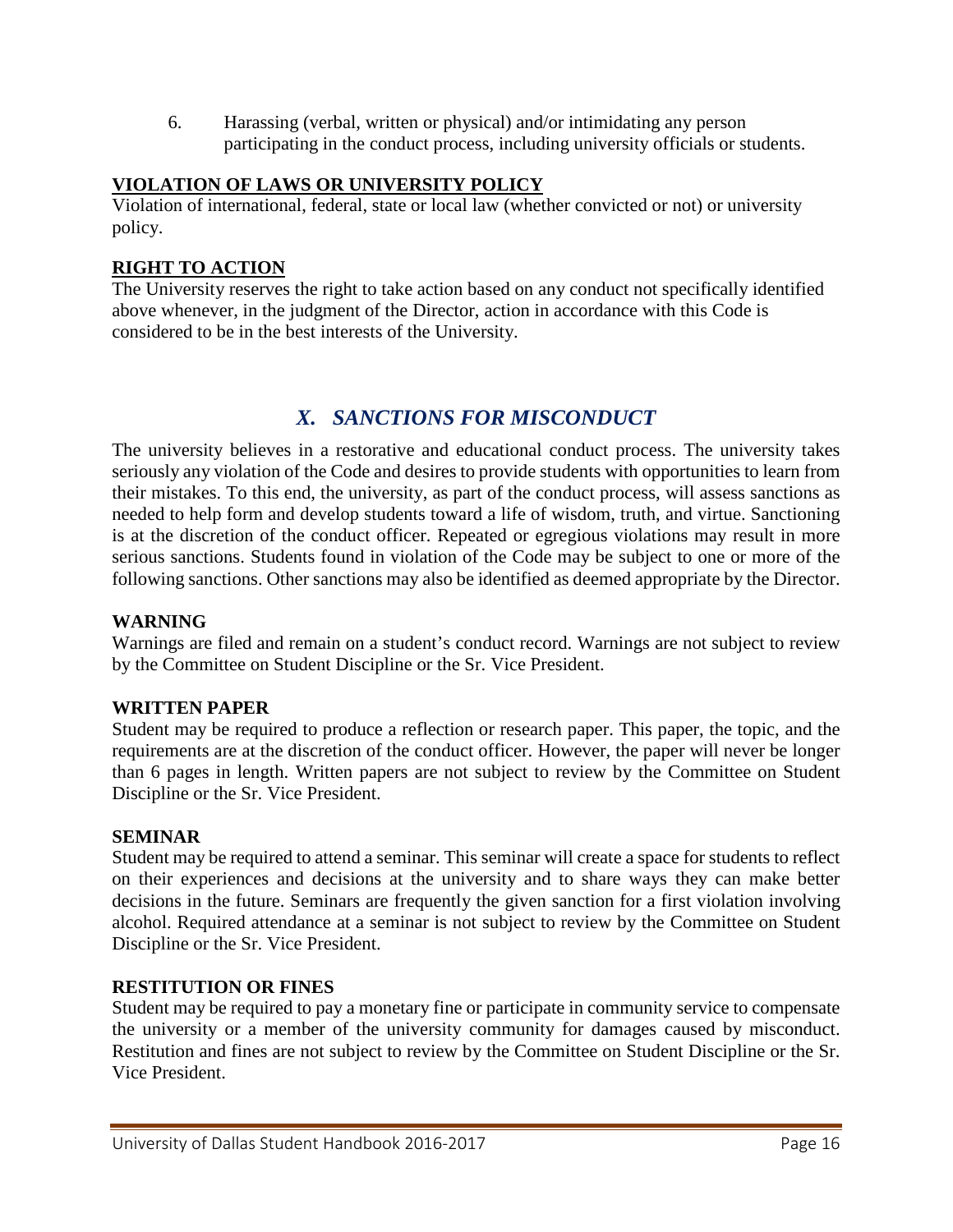6. Harassing (verbal, written or physical) and/or intimidating any person participating in the conduct process, including university officials or students.

#### **VIOLATION OF LAWS OR UNIVERSITY POLICY**

Violation of international, federal, state or local law (whether convicted or not) or university policy.

## **RIGHT TO ACTION**

The University reserves the right to take action based on any conduct not specifically identified above whenever, in the judgment of the Director, action in accordance with this Code is considered to be in the best interests of the University.

# *X. SANCTIONS FOR MISCONDUCT*

<span id="page-15-0"></span>The university believes in a restorative and educational conduct process. The university takes seriously any violation of the Code and desires to provide students with opportunities to learn from their mistakes. To this end, the university, as part of the conduct process, will assess sanctions as needed to help form and develop students toward a life of wisdom, truth, and virtue. Sanctioning is at the discretion of the conduct officer. Repeated or egregious violations may result in more serious sanctions. Students found in violation of the Code may be subject to one or more of the following sanctions. Other sanctions may also be identified as deemed appropriate by the Director.

### **WARNING**

Warnings are filed and remain on a student's conduct record. Warnings are not subject to review by the Committee on Student Discipline or the Sr. Vice President.

#### **WRITTEN PAPER**

Student may be required to produce a reflection or research paper. This paper, the topic, and the requirements are at the discretion of the conduct officer. However, the paper will never be longer than 6 pages in length. Written papers are not subject to review by the Committee on Student Discipline or the Sr. Vice President.

#### **SEMINAR**

Student may be required to attend a seminar. This seminar will create a space for students to reflect on their experiences and decisions at the university and to share ways they can make better decisions in the future. Seminars are frequently the given sanction for a first violation involving alcohol. Required attendance at a seminar is not subject to review by the Committee on Student Discipline or the Sr. Vice President.

#### **RESTITUTION OR FINES**

Student may be required to pay a monetary fine or participate in community service to compensate the university or a member of the university community for damages caused by misconduct. Restitution and fines are not subject to review by the Committee on Student Discipline or the Sr. Vice President.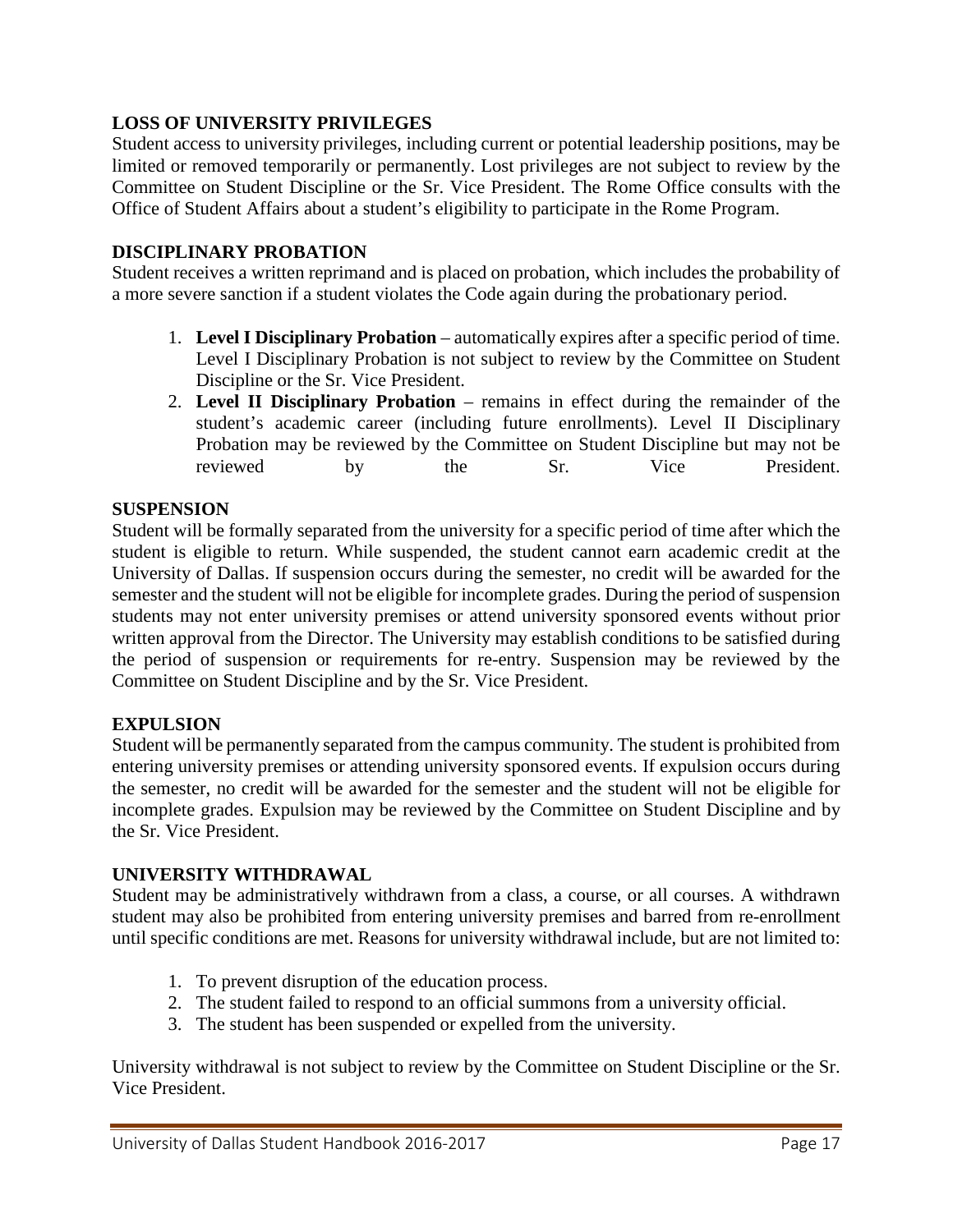#### **LOSS OF UNIVERSITY PRIVILEGES**

Student access to university privileges, including current or potential leadership positions, may be limited or removed temporarily or permanently. Lost privileges are not subject to review by the Committee on Student Discipline or the Sr. Vice President. The Rome Office consults with the Office of Student Affairs about a student's eligibility to participate in the Rome Program.

#### **DISCIPLINARY PROBATION**

Student receives a written reprimand and is placed on probation, which includes the probability of a more severe sanction if a student violates the Code again during the probationary period.

- 1. **Level I Disciplinary Probation**  automatically expires after a specific period of time. Level I Disciplinary Probation is not subject to review by the Committee on Student Discipline or the Sr. Vice President.
- 2. **Level II Disciplinary Probation**  remains in effect during the remainder of the student's academic career (including future enrollments). Level II Disciplinary Probation may be reviewed by the Committee on Student Discipline but may not be reviewed by the Sr. Vice President.

#### **SUSPENSION**

Student will be formally separated from the university for a specific period of time after which the student is eligible to return. While suspended, the student cannot earn academic credit at the University of Dallas. If suspension occurs during the semester, no credit will be awarded for the semester and the student will not be eligible for incomplete grades. During the period of suspension students may not enter university premises or attend university sponsored events without prior written approval from the Director. The University may establish conditions to be satisfied during the period of suspension or requirements for re-entry. Suspension may be reviewed by the Committee on Student Discipline and by the Sr. Vice President.

#### **EXPULSION**

Student will be permanently separated from the campus community. The student is prohibited from entering university premises or attending university sponsored events. If expulsion occurs during the semester, no credit will be awarded for the semester and the student will not be eligible for incomplete grades. Expulsion may be reviewed by the Committee on Student Discipline and by the Sr. Vice President.

#### **UNIVERSITY WITHDRAWAL**

Student may be administratively withdrawn from a class, a course, or all courses. A withdrawn student may also be prohibited from entering university premises and barred from re-enrollment until specific conditions are met. Reasons for university withdrawal include, but are not limited to:

- 1. To prevent disruption of the education process.
- 2. The student failed to respond to an official summons from a university official.
- 3. The student has been suspended or expelled from the university.

University withdrawal is not subject to review by the Committee on Student Discipline or the Sr. Vice President.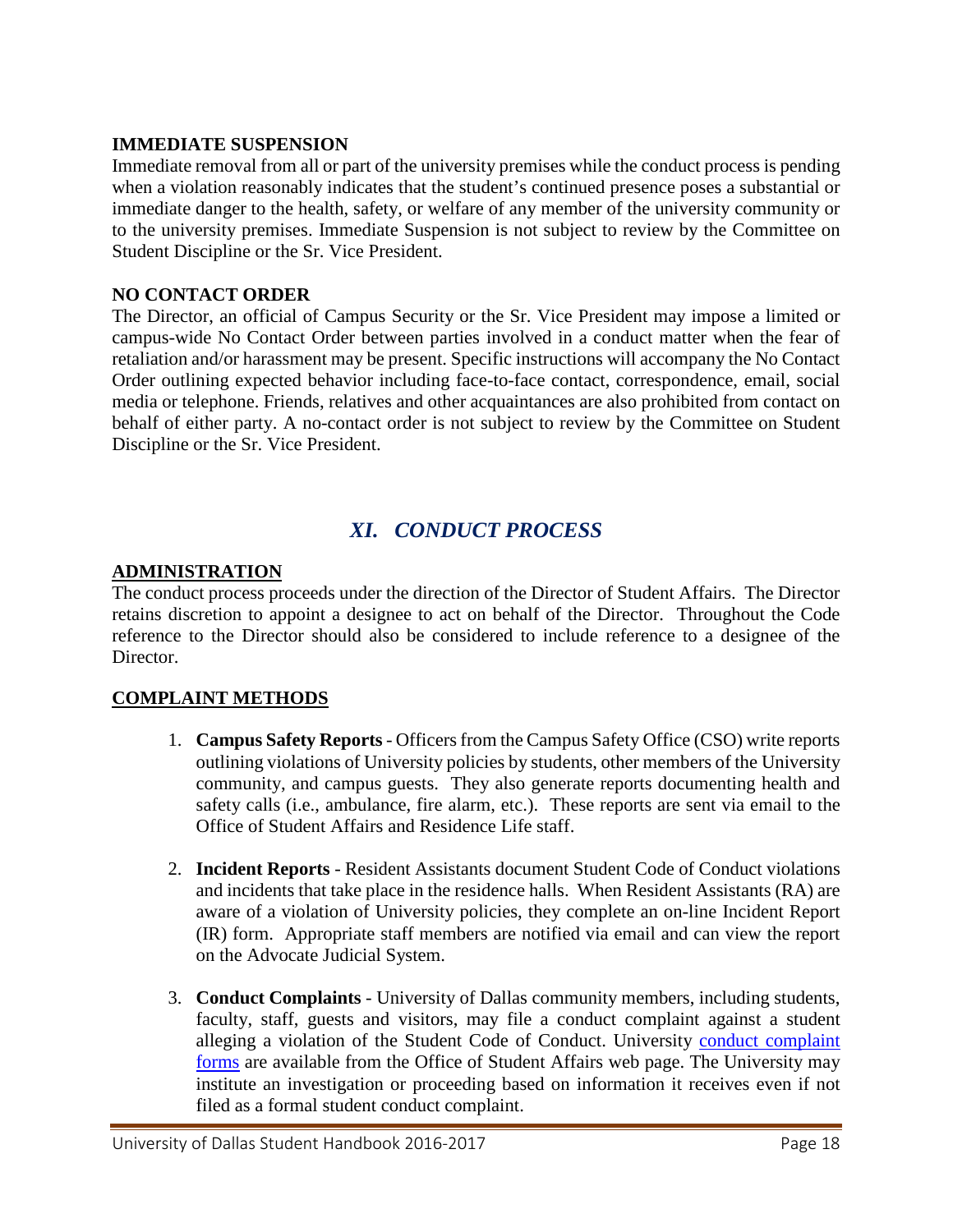#### **IMMEDIATE SUSPENSION**

Immediate removal from all or part of the university premises while the conduct process is pending when a violation reasonably indicates that the student's continued presence poses a substantial or immediate danger to the health, safety, or welfare of any member of the university community or to the university premises. Immediate Suspension is not subject to review by the Committee on Student Discipline or the Sr. Vice President.

#### **NO CONTACT ORDER**

The Director, an official of Campus Security or the Sr. Vice President may impose a limited or campus-wide No Contact Order between parties involved in a conduct matter when the fear of retaliation and/or harassment may be present. Specific instructions will accompany the No Contact Order outlining expected behavior including face-to-face contact, correspondence, email, social media or telephone. Friends, relatives and other acquaintances are also prohibited from contact on behalf of either party. A no-contact order is not subject to review by the Committee on Student Discipline or the Sr. Vice President.

# *XI. CONDUCT PROCESS*

#### <span id="page-17-0"></span>**ADMINISTRATION**

The conduct process proceeds under the direction of the Director of Student Affairs. The Director retains discretion to appoint a designee to act on behalf of the Director. Throughout the Code reference to the Director should also be considered to include reference to a designee of the Director.

#### **COMPLAINT METHODS**

- 1. **Campus Safety Reports** Officers from the Campus Safety Office (CSO) write reports outlining violations of University policies by students, other members of the University community, and campus guests. They also generate reports documenting health and safety calls (i.e., ambulance, fire alarm, etc.). These reports are sent via email to the Office of Student Affairs and Residence Life staff.
- 2. **Incident Reports** Resident Assistants document Student Code of Conduct violations and incidents that take place in the residence halls. When Resident Assistants (RA) are aware of a violation of University policies, they complete an on-line Incident Report (IR) form. Appropriate staff members are notified via email and can view the report on the Advocate Judicial System.
- 3. **Conduct Complaints** University of Dallas community members, including students, faculty, staff, guests and visitors, may file a conduct complaint against a student alleging a violation of the Student Code of Conduct. University [conduct complaint](http://www.udallas.edu/studentcomplaints/complaintform.html)  [forms](http://www.udallas.edu/studentcomplaints/complaintform.html) are available from the Office of Student Affairs web page. The University may institute an investigation or proceeding based on information it receives even if not filed as a formal student conduct complaint.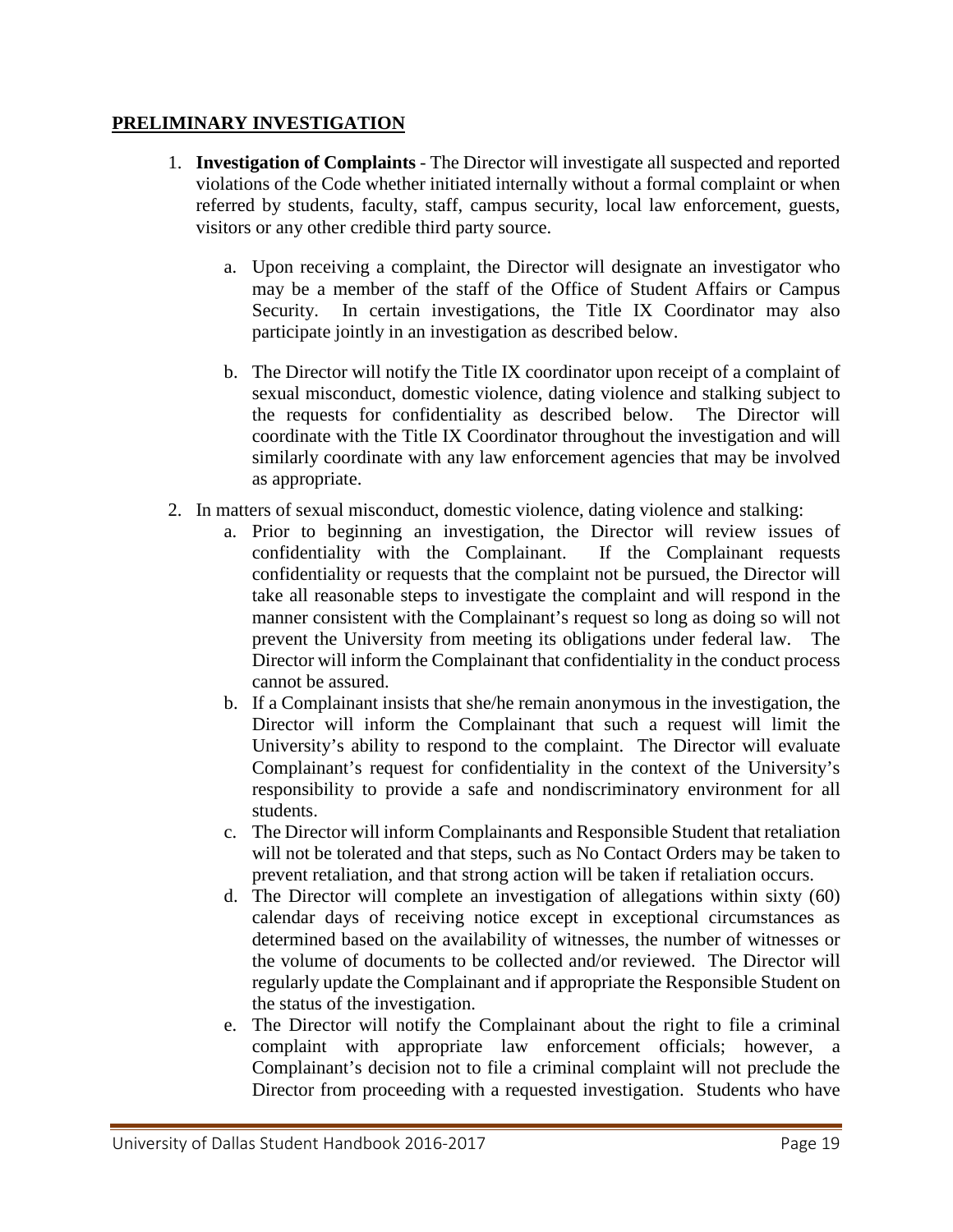#### **PRELIMINARY INVESTIGATION**

- 1. **Investigation of Complaints**  The Director will investigate all suspected and reported violations of the Code whether initiated internally without a formal complaint or when referred by students, faculty, staff, campus security, local law enforcement, guests, visitors or any other credible third party source.
	- a. Upon receiving a complaint, the Director will designate an investigator who may be a member of the staff of the Office of Student Affairs or Campus Security. In certain investigations, the Title IX Coordinator may also participate jointly in an investigation as described below.
	- b. The Director will notify the Title IX coordinator upon receipt of a complaint of sexual misconduct, domestic violence, dating violence and stalking subject to the requests for confidentiality as described below. The Director will the requests for confidentiality as described below. coordinate with the Title IX Coordinator throughout the investigation and will similarly coordinate with any law enforcement agencies that may be involved as appropriate.
- 2. In matters of sexual misconduct, domestic violence, dating violence and stalking:
	- a. Prior to beginning an investigation, the Director will review issues of confidentiality with the Complainant. If the Complainant requests confidentiality or requests that the complaint not be pursued, the Director will take all reasonable steps to investigate the complaint and will respond in the manner consistent with the Complainant's request so long as doing so will not prevent the University from meeting its obligations under federal law. The Director will inform the Complainant that confidentiality in the conduct process cannot be assured.
	- b. If a Complainant insists that she/he remain anonymous in the investigation, the Director will inform the Complainant that such a request will limit the University's ability to respond to the complaint. The Director will evaluate Complainant's request for confidentiality in the context of the University's responsibility to provide a safe and nondiscriminatory environment for all students.
	- c. The Director will inform Complainants and Responsible Student that retaliation will not be tolerated and that steps, such as No Contact Orders may be taken to prevent retaliation, and that strong action will be taken if retaliation occurs.
	- d. The Director will complete an investigation of allegations within sixty (60) calendar days of receiving notice except in exceptional circumstances as determined based on the availability of witnesses, the number of witnesses or the volume of documents to be collected and/or reviewed. The Director will regularly update the Complainant and if appropriate the Responsible Student on the status of the investigation.
	- e. The Director will notify the Complainant about the right to file a criminal complaint with appropriate law enforcement officials; however, a Complainant's decision not to file a criminal complaint will not preclude the Director from proceeding with a requested investigation. Students who have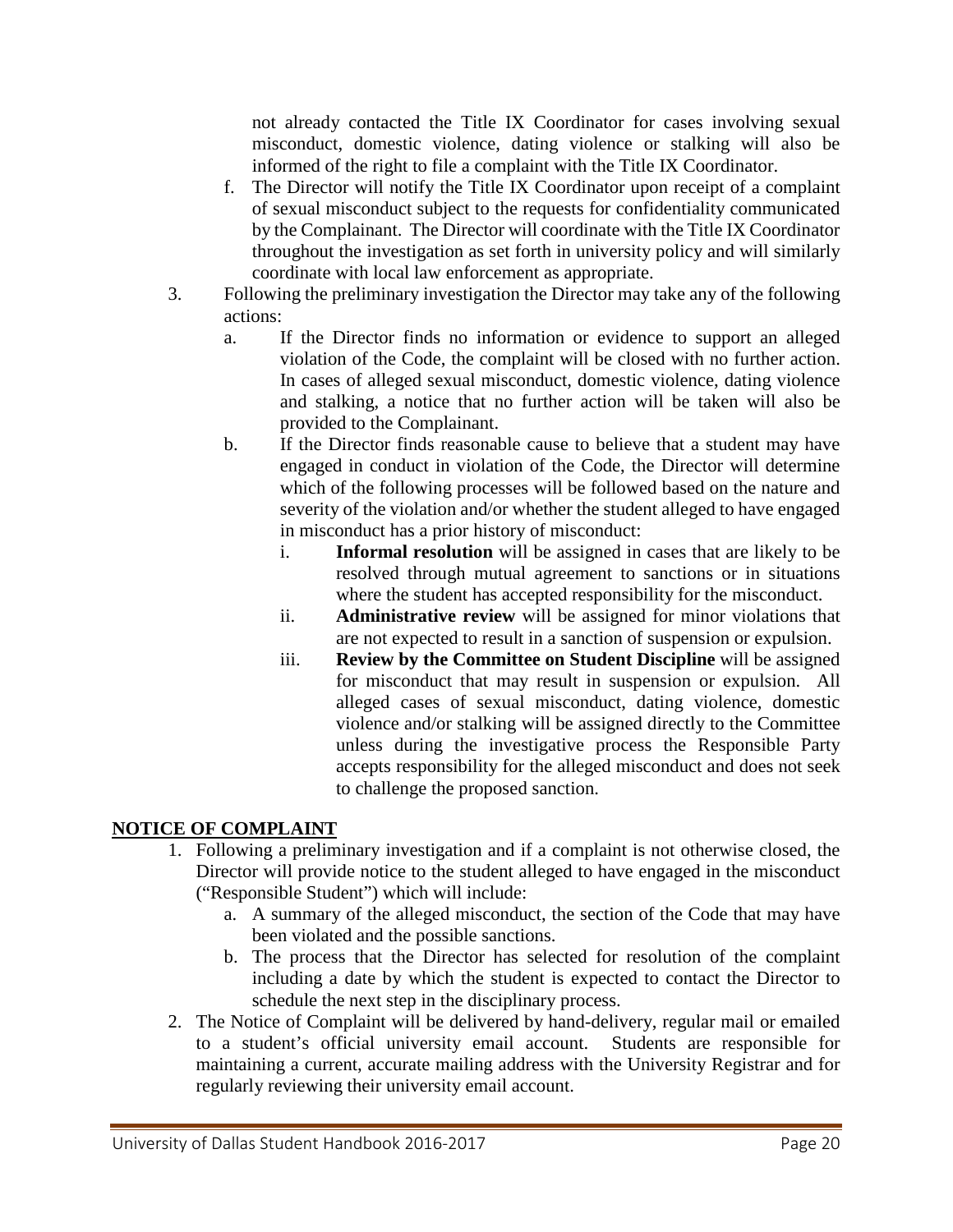not already contacted the Title IX Coordinator for cases involving sexual misconduct, domestic violence, dating violence or stalking will also be informed of the right to file a complaint with the Title IX Coordinator.

- f. The Director will notify the Title IX Coordinator upon receipt of a complaint of sexual misconduct subject to the requests for confidentiality communicated by the Complainant. The Director will coordinate with the Title IX Coordinator throughout the investigation as set forth in university policy and will similarly coordinate with local law enforcement as appropriate.
- 3. Following the preliminary investigation the Director may take any of the following actions:
	- a. If the Director finds no information or evidence to support an alleged violation of the Code, the complaint will be closed with no further action. In cases of alleged sexual misconduct, domestic violence, dating violence and stalking, a notice that no further action will be taken will also be provided to the Complainant.
	- b. If the Director finds reasonable cause to believe that a student may have engaged in conduct in violation of the Code, the Director will determine which of the following processes will be followed based on the nature and severity of the violation and/or whether the student alleged to have engaged in misconduct has a prior history of misconduct:
		- i. **Informal resolution** will be assigned in cases that are likely to be resolved through mutual agreement to sanctions or in situations where the student has accepted responsibility for the misconduct.
		- ii. **Administrative review** will be assigned for minor violations that are not expected to result in a sanction of suspension or expulsion.
		- iii. **Review by the Committee on Student Discipline** will be assigned for misconduct that may result in suspension or expulsion. All alleged cases of sexual misconduct, dating violence, domestic violence and/or stalking will be assigned directly to the Committee unless during the investigative process the Responsible Party accepts responsibility for the alleged misconduct and does not seek to challenge the proposed sanction.

## **NOTICE OF COMPLAINT**

- 1. Following a preliminary investigation and if a complaint is not otherwise closed, the Director will provide notice to the student alleged to have engaged in the misconduct ("Responsible Student") which will include:
	- a. A summary of the alleged misconduct, the section of the Code that may have been violated and the possible sanctions.
	- b. The process that the Director has selected for resolution of the complaint including a date by which the student is expected to contact the Director to schedule the next step in the disciplinary process.
- 2. The Notice of Complaint will be delivered by hand-delivery, regular mail or emailed to a student's official university email account. Students are responsible for maintaining a current, accurate mailing address with the University Registrar and for regularly reviewing their university email account.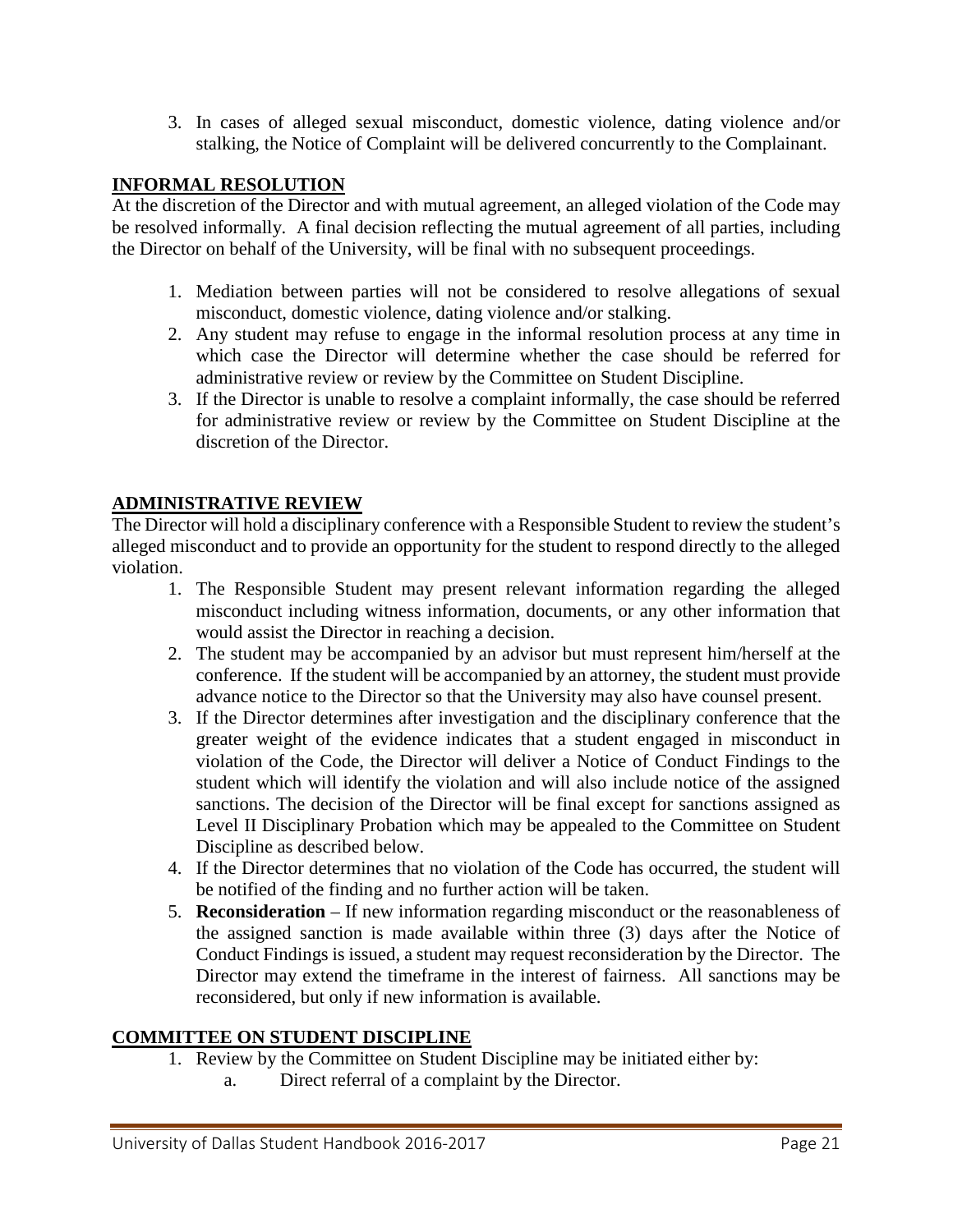3. In cases of alleged sexual misconduct, domestic violence, dating violence and/or stalking, the Notice of Complaint will be delivered concurrently to the Complainant.

#### **INFORMAL RESOLUTION**

At the discretion of the Director and with mutual agreement, an alleged violation of the Code may be resolved informally. A final decision reflecting the mutual agreement of all parties, including the Director on behalf of the University, will be final with no subsequent proceedings.

- 1. Mediation between parties will not be considered to resolve allegations of sexual misconduct, domestic violence, dating violence and/or stalking.
- 2. Any student may refuse to engage in the informal resolution process at any time in which case the Director will determine whether the case should be referred for administrative review or review by the Committee on Student Discipline.
- 3. If the Director is unable to resolve a complaint informally, the case should be referred for administrative review or review by the Committee on Student Discipline at the discretion of the Director.

#### **ADMINISTRATIVE REVIEW**

The Director will hold a disciplinary conference with a Responsible Student to review the student's alleged misconduct and to provide an opportunity for the student to respond directly to the alleged violation.

- 1. The Responsible Student may present relevant information regarding the alleged misconduct including witness information, documents, or any other information that would assist the Director in reaching a decision.
- 2. The student may be accompanied by an advisor but must represent him/herself at the conference. If the student will be accompanied by an attorney, the student must provide advance notice to the Director so that the University may also have counsel present.
- 3. If the Director determines after investigation and the disciplinary conference that the greater weight of the evidence indicates that a student engaged in misconduct in violation of the Code, the Director will deliver a Notice of Conduct Findings to the student which will identify the violation and will also include notice of the assigned sanctions. The decision of the Director will be final except for sanctions assigned as Level II Disciplinary Probation which may be appealed to the Committee on Student Discipline as described below.
- 4. If the Director determines that no violation of the Code has occurred, the student will be notified of the finding and no further action will be taken.
- 5. **Reconsideration** If new information regarding misconduct or the reasonableness of the assigned sanction is made available within three (3) days after the Notice of Conduct Findings is issued, a student may request reconsideration by the Director. The Director may extend the timeframe in the interest of fairness. All sanctions may be reconsidered, but only if new information is available.

#### **COMMITTEE ON STUDENT DISCIPLINE**

- 1. Review by the Committee on Student Discipline may be initiated either by:
	- a. Direct referral of a complaint by the Director.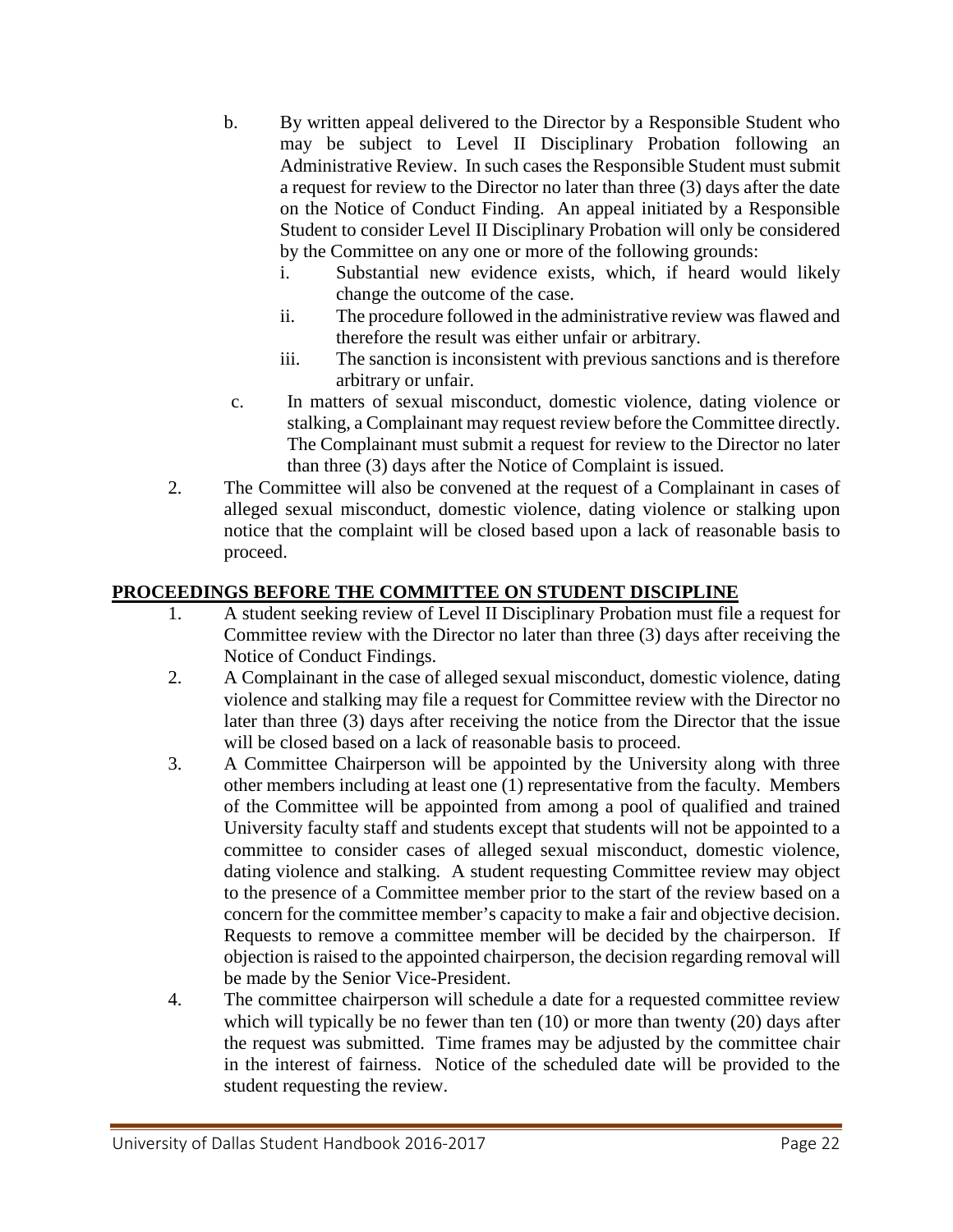- b. By written appeal delivered to the Director by a Responsible Student who may be subject to Level II Disciplinary Probation following an Administrative Review. In such cases the Responsible Student must submit a request for review to the Director no later than three (3) days after the date on the Notice of Conduct Finding. An appeal initiated by a Responsible Student to consider Level II Disciplinary Probation will only be considered by the Committee on any one or more of the following grounds:
	- i. Substantial new evidence exists, which, if heard would likely change the outcome of the case.
	- ii. The procedure followed in the administrative review was flawed and therefore the result was either unfair or arbitrary.
	- iii. The sanction is inconsistent with previous sanctions and is therefore arbitrary or unfair.
- c. In matters of sexual misconduct, domestic violence, dating violence or stalking, a Complainant may request review before the Committee directly. The Complainant must submit a request for review to the Director no later than three (3) days after the Notice of Complaint is issued.
- 2. The Committee will also be convened at the request of a Complainant in cases of alleged sexual misconduct, domestic violence, dating violence or stalking upon notice that the complaint will be closed based upon a lack of reasonable basis to proceed.

## **PROCEEDINGS BEFORE THE COMMITTEE ON STUDENT DISCIPLINE**

- 1. A student seeking review of Level II Disciplinary Probation must file a request for Committee review with the Director no later than three (3) days after receiving the Notice of Conduct Findings.
- 2. A Complainant in the case of alleged sexual misconduct, domestic violence, dating violence and stalking may file a request for Committee review with the Director no later than three (3) days after receiving the notice from the Director that the issue will be closed based on a lack of reasonable basis to proceed.
- 3. A Committee Chairperson will be appointed by the University along with three other members including at least one (1) representative from the faculty. Members of the Committee will be appointed from among a pool of qualified and trained University faculty staff and students except that students will not be appointed to a committee to consider cases of alleged sexual misconduct, domestic violence, dating violence and stalking. A student requesting Committee review may object to the presence of a Committee member prior to the start of the review based on a concern for the committee member's capacity to make a fair and objective decision. Requests to remove a committee member will be decided by the chairperson. If objection is raised to the appointed chairperson, the decision regarding removal will be made by the Senior Vice-President.
- 4. The committee chairperson will schedule a date for a requested committee review which will typically be no fewer than ten (10) or more than twenty (20) days after the request was submitted. Time frames may be adjusted by the committee chair in the interest of fairness. Notice of the scheduled date will be provided to the student requesting the review.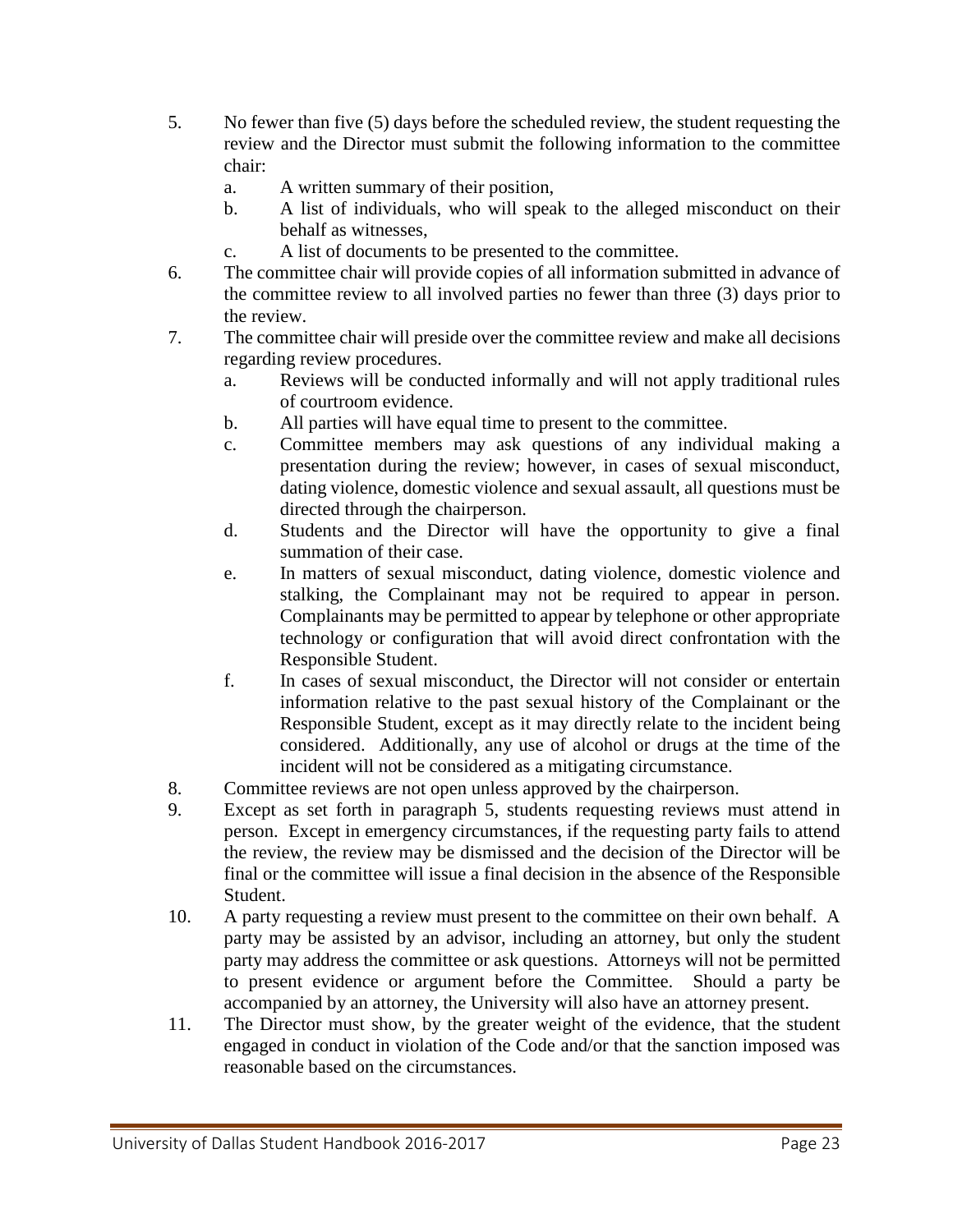- 5. No fewer than five (5) days before the scheduled review, the student requesting the review and the Director must submit the following information to the committee chair:
	- a. A written summary of their position,
	- b. A list of individuals, who will speak to the alleged misconduct on their behalf as witnesses,
	- c. A list of documents to be presented to the committee.
- 6. The committee chair will provide copies of all information submitted in advance of the committee review to all involved parties no fewer than three (3) days prior to the review.
- 7. The committee chair will preside over the committee review and make all decisions regarding review procedures.
	- a. Reviews will be conducted informally and will not apply traditional rules of courtroom evidence.
	- b. All parties will have equal time to present to the committee.
	- c. Committee members may ask questions of any individual making a presentation during the review; however, in cases of sexual misconduct, dating violence, domestic violence and sexual assault, all questions must be directed through the chairperson.
	- d. Students and the Director will have the opportunity to give a final summation of their case.
	- e. In matters of sexual misconduct, dating violence, domestic violence and stalking, the Complainant may not be required to appear in person. Complainants may be permitted to appear by telephone or other appropriate technology or configuration that will avoid direct confrontation with the Responsible Student.
	- f. In cases of sexual misconduct, the Director will not consider or entertain information relative to the past sexual history of the Complainant or the Responsible Student, except as it may directly relate to the incident being considered. Additionally, any use of alcohol or drugs at the time of the incident will not be considered as a mitigating circumstance.
- 8. Committee reviews are not open unless approved by the chairperson.
- 9. Except as set forth in paragraph 5, students requesting reviews must attend in person. Except in emergency circumstances, if the requesting party fails to attend the review, the review may be dismissed and the decision of the Director will be final or the committee will issue a final decision in the absence of the Responsible Student.
- 10. A party requesting a review must present to the committee on their own behalf. A party may be assisted by an advisor, including an attorney, but only the student party may address the committee or ask questions. Attorneys will not be permitted to present evidence or argument before the Committee. Should a party be accompanied by an attorney, the University will also have an attorney present.
- 11. The Director must show, by the greater weight of the evidence, that the student engaged in conduct in violation of the Code and/or that the sanction imposed was reasonable based on the circumstances.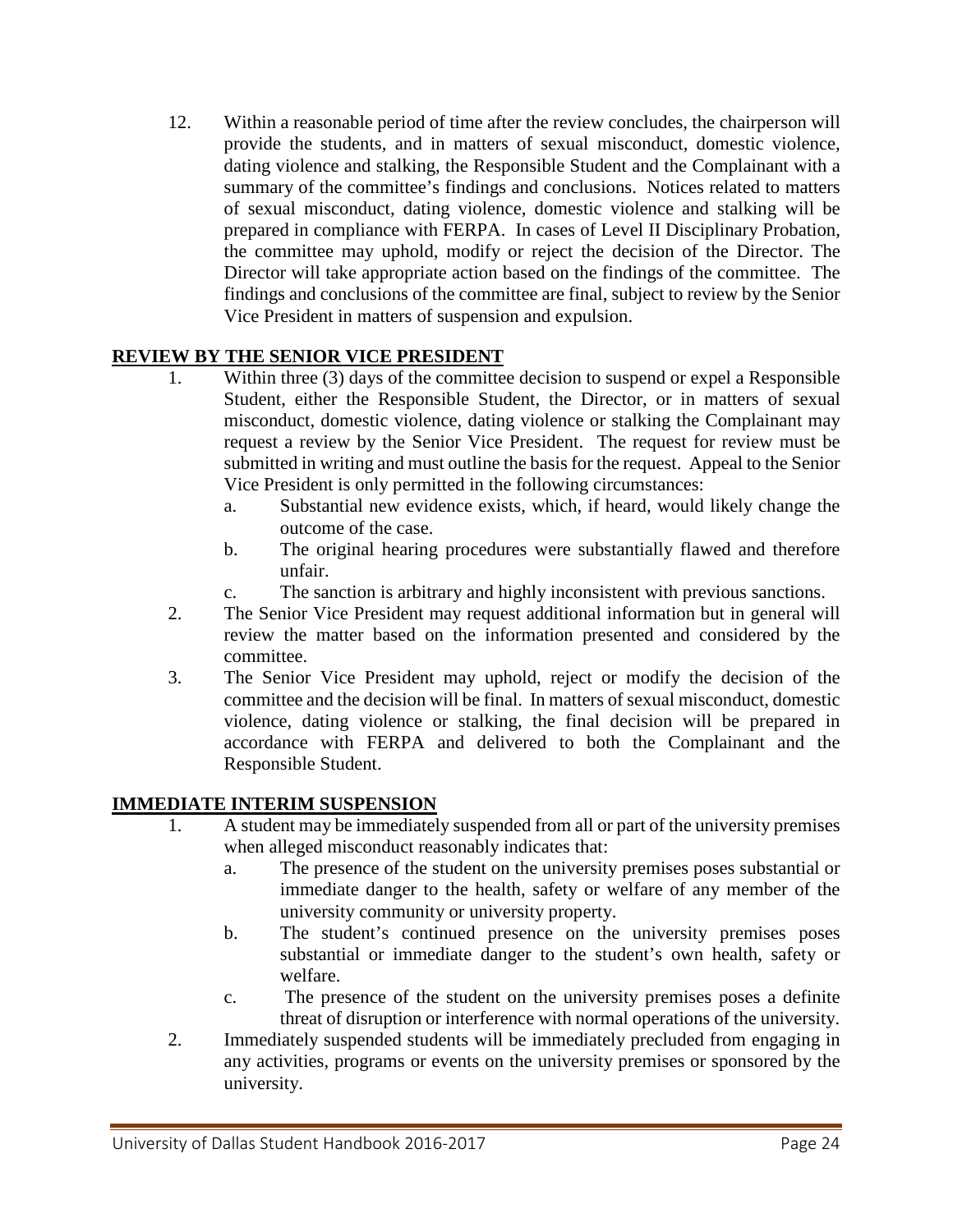12. Within a reasonable period of time after the review concludes, the chairperson will provide the students, and in matters of sexual misconduct, domestic violence, dating violence and stalking, the Responsible Student and the Complainant with a summary of the committee's findings and conclusions. Notices related to matters of sexual misconduct, dating violence, domestic violence and stalking will be prepared in compliance with FERPA. In cases of Level II Disciplinary Probation, the committee may uphold, modify or reject the decision of the Director. The Director will take appropriate action based on the findings of the committee. The findings and conclusions of the committee are final, subject to review by the Senior Vice President in matters of suspension and expulsion.

#### **REVIEW BY THE SENIOR VICE PRESIDENT**

- 1. Within three (3) days of the committee decision to suspend or expel a Responsible Student, either the Responsible Student, the Director, or in matters of sexual misconduct, domestic violence, dating violence or stalking the Complainant may request a review by the Senior Vice President. The request for review must be submitted in writing and must outline the basis for the request. Appeal to the Senior Vice President is only permitted in the following circumstances:
	- a. Substantial new evidence exists, which, if heard, would likely change the outcome of the case.
	- b. The original hearing procedures were substantially flawed and therefore unfair.
	- c. The sanction is arbitrary and highly inconsistent with previous sanctions.
- 2. The Senior Vice President may request additional information but in general will review the matter based on the information presented and considered by the committee.
- 3. The Senior Vice President may uphold, reject or modify the decision of the committee and the decision will be final. In matters of sexual misconduct, domestic violence, dating violence or stalking, the final decision will be prepared in accordance with FERPA and delivered to both the Complainant and the Responsible Student.

#### **IMMEDIATE INTERIM SUSPENSION**

- 1. A student may be immediately suspended from all or part of the university premises when alleged misconduct reasonably indicates that:
	- a. The presence of the student on the university premises poses substantial or immediate danger to the health, safety or welfare of any member of the university community or university property.
	- b. The student's continued presence on the university premises poses substantial or immediate danger to the student's own health, safety or welfare.
	- c. The presence of the student on the university premises poses a definite threat of disruption or interference with normal operations of the university.
- 2. Immediately suspended students will be immediately precluded from engaging in any activities, programs or events on the university premises or sponsored by the university.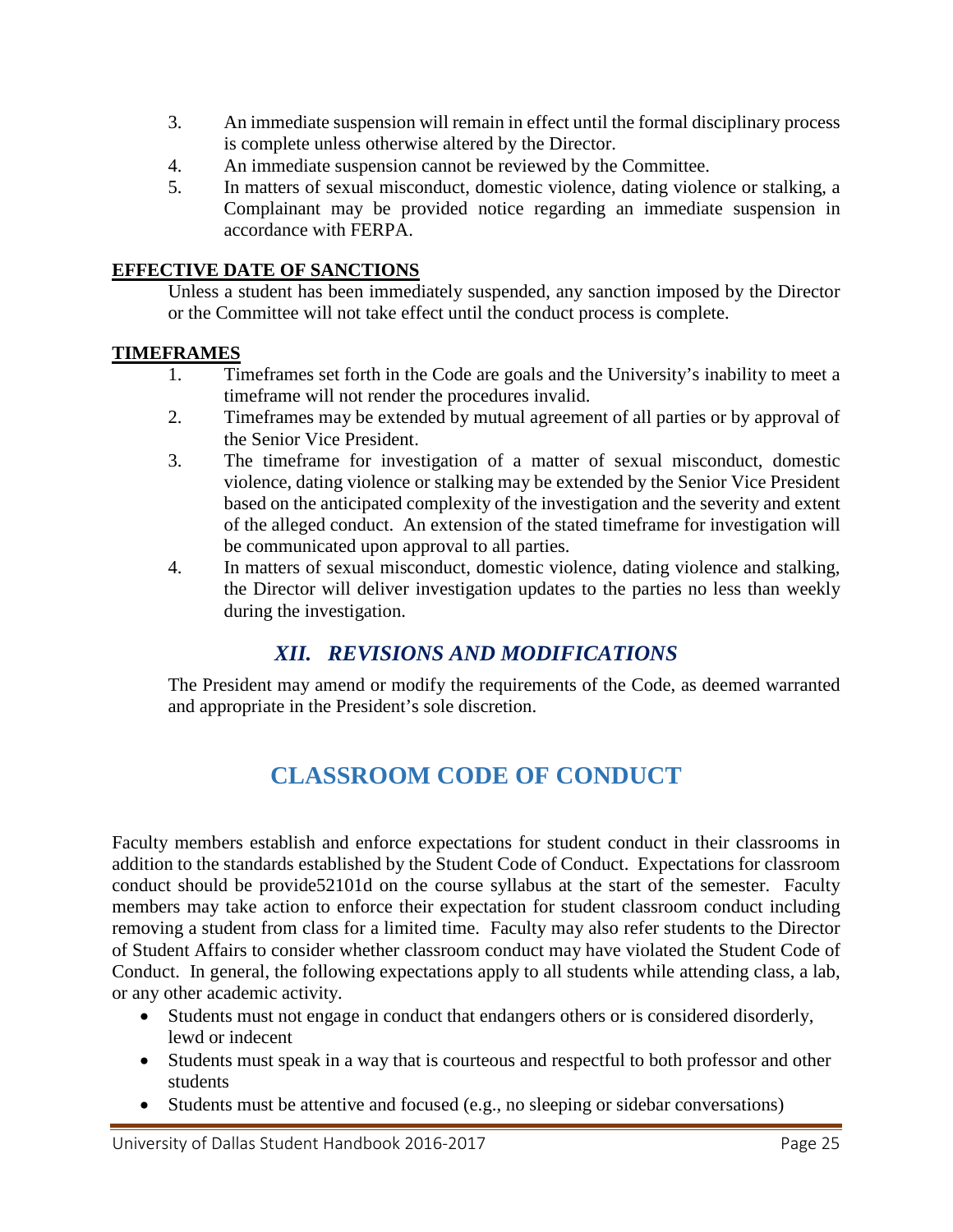- 3. An immediate suspension will remain in effect until the formal disciplinary process is complete unless otherwise altered by the Director.
- 4. An immediate suspension cannot be reviewed by the Committee.
- 5. In matters of sexual misconduct, domestic violence, dating violence or stalking, a Complainant may be provided notice regarding an immediate suspension in accordance with FERPA.

## **EFFECTIVE DATE OF SANCTIONS**

Unless a student has been immediately suspended, any sanction imposed by the Director or the Committee will not take effect until the conduct process is complete.

## **TIMEFRAMES**

- 1. Timeframes set forth in the Code are goals and the University's inability to meet a timeframe will not render the procedures invalid.
- 2. Timeframes may be extended by mutual agreement of all parties or by approval of the Senior Vice President.
- 3. The timeframe for investigation of a matter of sexual misconduct, domestic violence, dating violence or stalking may be extended by the Senior Vice President based on the anticipated complexity of the investigation and the severity and extent of the alleged conduct. An extension of the stated timeframe for investigation will be communicated upon approval to all parties.
- 4. In matters of sexual misconduct, domestic violence, dating violence and stalking, the Director will deliver investigation updates to the parties no less than weekly during the investigation.

# *XII. REVISIONS AND MODIFICATIONS*

<span id="page-24-0"></span>The President may amend or modify the requirements of the Code, as deemed warranted and appropriate in the President's sole discretion.

# **CLASSROOM CODE OF CONDUCT**

<span id="page-24-1"></span>Faculty members establish and enforce expectations for student conduct in their classrooms in addition to the standards established by the Student Code of Conduct. Expectations for classroom conduct should be provide52101d on the course syllabus at the start of the semester. Faculty members may take action to enforce their expectation for student classroom conduct including removing a student from class for a limited time. Faculty may also refer students to the Director of Student Affairs to consider whether classroom conduct may have violated the Student Code of Conduct. In general, the following expectations apply to all students while attending class, a lab, or any other academic activity.

- Students must not engage in conduct that endangers others or is considered disorderly, lewd or indecent
- Students must speak in a way that is courteous and respectful to both professor and other students
- Students must be attentive and focused (e.g., no sleeping or sidebar conversations)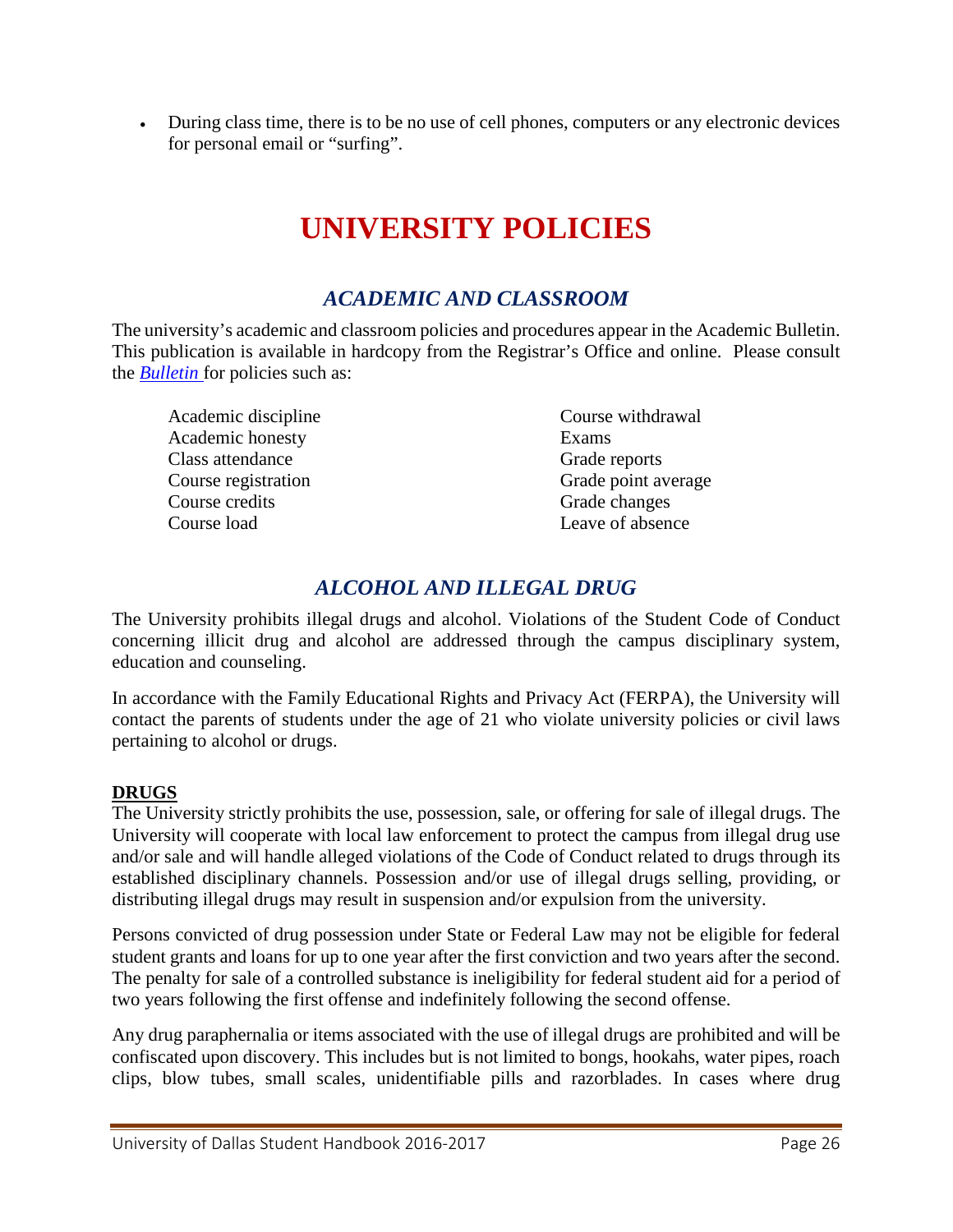<span id="page-25-0"></span>• During class time, there is to be no use of cell phones, computers or any electronic devices for personal email or "surfing".

# **UNIVERSITY POLICIES**

# *ACADEMIC AND CLASSROOM*

<span id="page-25-1"></span>The university's academic and classroom policies and procedures appear in the Academic Bulletin. This publication is available in hardcopy from the Registrar's Office and online. Please consult the *[Bulletin](http://udallas.edu/offices/registrar/documents/bulletinfinal2013-2014.pdf)* for policies such as:

Academic discipline Academic honesty Class attendance Course registration Course credits Course load

Course withdrawal Exams Grade reports Grade point average Grade changes Leave of absence

# *ALCOHOL AND ILLEGAL DRUG*

<span id="page-25-2"></span>The University prohibits illegal drugs and alcohol. Violations of the Student Code of Conduct concerning illicit drug and alcohol are addressed through the campus disciplinary system, education and counseling.

In accordance with the Family Educational Rights and Privacy Act (FERPA), the University will contact the parents of students under the age of 21 who violate university policies or civil laws pertaining to alcohol or drugs.

#### **DRUGS**

The University strictly prohibits the use, possession, sale, or offering for sale of illegal drugs. The University will cooperate with local law enforcement to protect the campus from illegal drug use and/or sale and will handle alleged violations of the Code of Conduct related to drugs through its established disciplinary channels. Possession and/or use of illegal drugs selling, providing, or distributing illegal drugs may result in suspension and/or expulsion from the university.

Persons convicted of drug possession under State or Federal Law may not be eligible for federal student grants and loans for up to one year after the first conviction and two years after the second. The penalty for sale of a controlled substance is ineligibility for federal student aid for a period of two years following the first offense and indefinitely following the second offense.

Any drug paraphernalia or items associated with the use of illegal drugs are prohibited and will be confiscated upon discovery. This includes but is not limited to bongs, hookahs, water pipes, roach clips, blow tubes, small scales, unidentifiable pills and razorblades. In cases where drug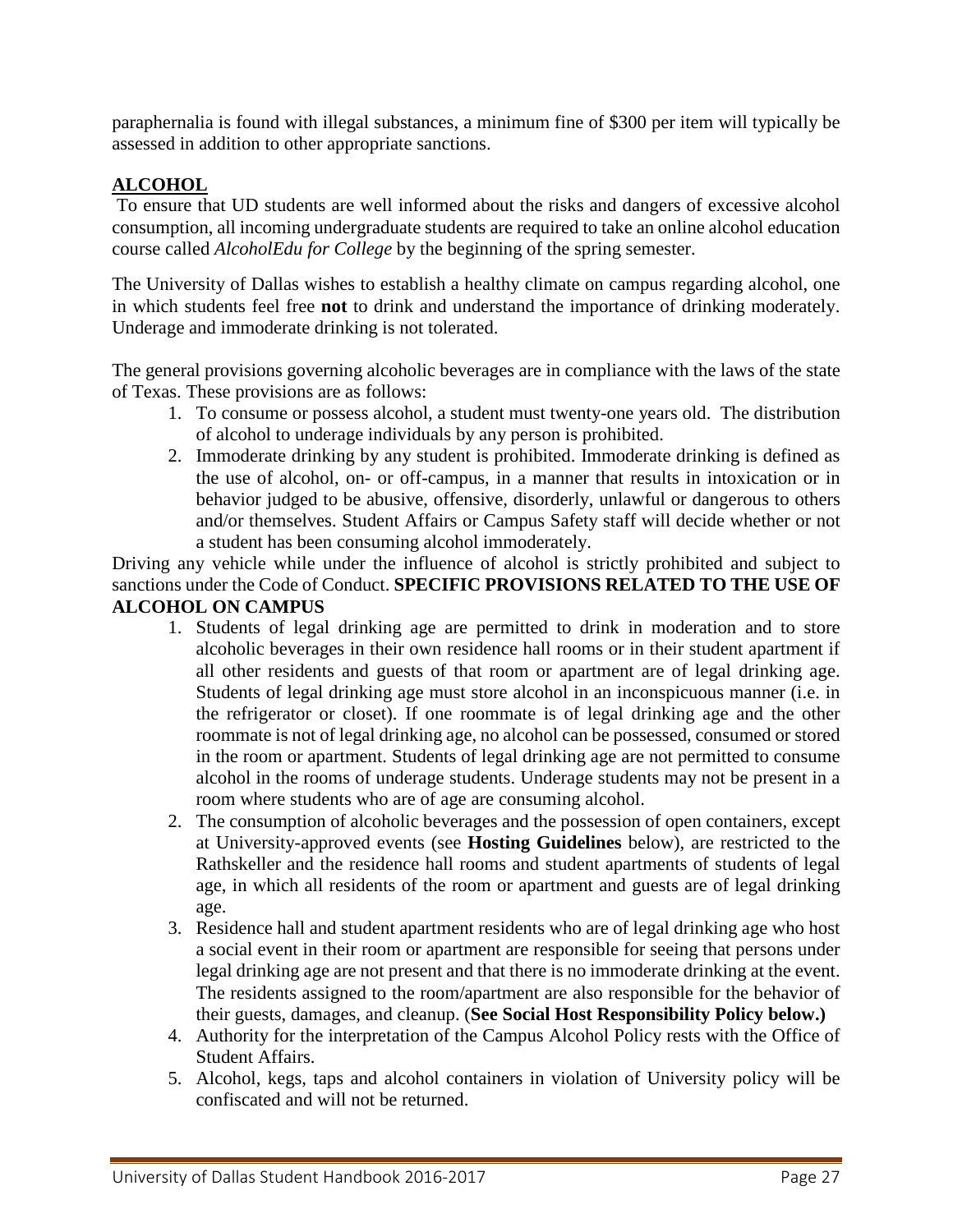paraphernalia is found with illegal substances, a minimum fine of \$300 per item will typically be assessed in addition to other appropriate sanctions.

#### **ALCOHOL**

To ensure that UD students are well informed about the risks and dangers of excessive alcohol consumption, all incoming undergraduate students are required to take an online alcohol education course called *AlcoholEdu for College* by the beginning of the spring semester.

The University of Dallas wishes to establish a healthy climate on campus regarding alcohol, one in which students feel free **not** to drink and understand the importance of drinking moderately. Underage and immoderate drinking is not tolerated.

The general provisions governing alcoholic beverages are in compliance with the laws of the state of Texas. These provisions are as follows:

- 1. To consume or possess alcohol, a student must twenty-one years old. The distribution of alcohol to underage individuals by any person is prohibited.
- 2. Immoderate drinking by any student is prohibited. Immoderate drinking is defined as the use of alcohol, on- or off-campus, in a manner that results in intoxication or in behavior judged to be abusive, offensive, disorderly, unlawful or dangerous to others and/or themselves. Student Affairs or Campus Safety staff will decide whether or not a student has been consuming alcohol immoderately.

Driving any vehicle while under the influence of alcohol is strictly prohibited and subject to sanctions under the Code of Conduct. **SPECIFIC PROVISIONS RELATED TO THE USE OF ALCOHOL ON CAMPUS**

- 1. Students of legal drinking age are permitted to drink in moderation and to store alcoholic beverages in their own residence hall rooms or in their student apartment if all other residents and guests of that room or apartment are of legal drinking age. Students of legal drinking age must store alcohol in an inconspicuous manner (i.e. in the refrigerator or closet). If one roommate is of legal drinking age and the other roommate is not of legal drinking age, no alcohol can be possessed, consumed or stored in the room or apartment. Students of legal drinking age are not permitted to consume alcohol in the rooms of underage students. Underage students may not be present in a room where students who are of age are consuming alcohol.
- 2. The consumption of alcoholic beverages and the possession of open containers, except at University-approved events (see **Hosting Guidelines** below), are restricted to the Rathskeller and the residence hall rooms and student apartments of students of legal age, in which all residents of the room or apartment and guests are of legal drinking age.
- 3. Residence hall and student apartment residents who are of legal drinking age who host a social event in their room or apartment are responsible for seeing that persons under legal drinking age are not present and that there is no immoderate drinking at the event. The residents assigned to the room/apartment are also responsible for the behavior of their guests, damages, and cleanup. (**See Social Host Responsibility Policy below.)**
- 4. Authority for the interpretation of the Campus Alcohol Policy rests with the Office of Student Affairs.
- 5. Alcohol, kegs, taps and alcohol containers in violation of University policy will be confiscated and will not be returned.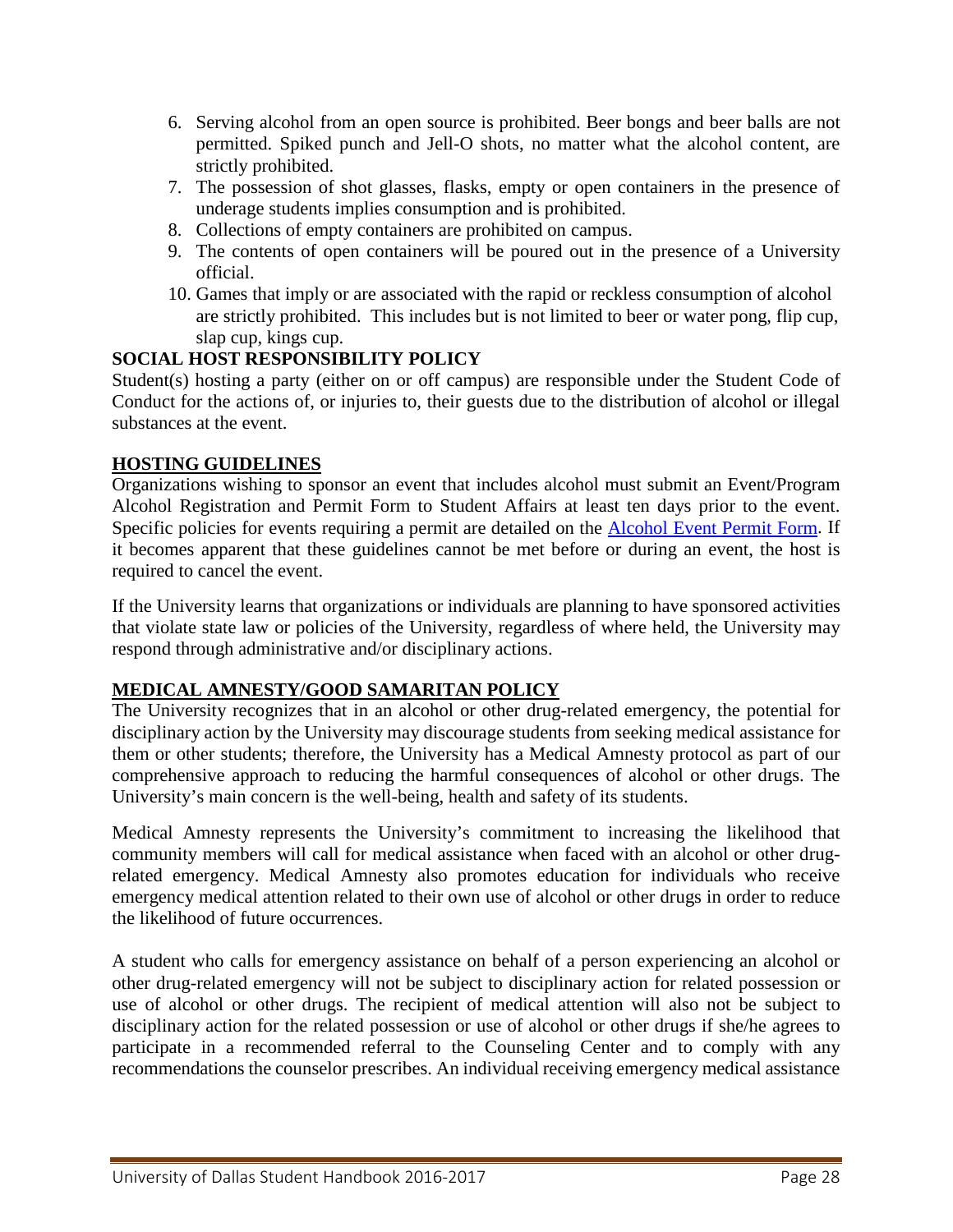- 6. Serving alcohol from an open source is prohibited. Beer bongs and beer balls are not permitted. Spiked punch and Jell-O shots, no matter what the alcohol content, are strictly prohibited.
- 7. The possession of shot glasses, flasks, empty or open containers in the presence of underage students implies consumption and is prohibited.
- 8. Collections of empty containers are prohibited on campus.
- 9. The contents of open containers will be poured out in the presence of a University official.
- 10. Games that imply or are associated with the rapid or reckless consumption of alcohol are strictly prohibited. This includes but is not limited to beer or water pong, flip cup, slap cup, kings cup.

#### **SOCIAL HOST RESPONSIBILITY POLICY**

Student(s) hosting a party (either on or off campus) are responsible under the Student Code of Conduct for the actions of, or injuries to, their guests due to the distribution of alcohol or illegal substances at the event.

#### **HOSTING GUIDELINES**

Organizations wishing to sponsor an event that includes alcohol must submit an Event/Program Alcohol Registration and Permit Form to Student Affairs at least ten days prior to the event. Specific policies for events requiring a permit are detailed on the [Alcohol Event Permit Form.](http://udallas.edu/offices/cso/alcohol-policy-event-form.html) If it becomes apparent that these guidelines cannot be met before or during an event, the host is required to cancel the event.

If the University learns that organizations or individuals are planning to have sponsored activities that violate state law or policies of the University, regardless of where held, the University may respond through administrative and/or disciplinary actions.

#### **MEDICAL AMNESTY/GOOD SAMARITAN POLICY**

The University recognizes that in an alcohol or other drug-related emergency, the potential for disciplinary action by the University may discourage students from seeking medical assistance for them or other students; therefore, the University has a Medical Amnesty protocol as part of our comprehensive approach to reducing the harmful consequences of alcohol or other drugs. The University's main concern is the well-being, health and safety of its students.

Medical Amnesty represents the University's commitment to increasing the likelihood that community members will call for medical assistance when faced with an alcohol or other drugrelated emergency. Medical Amnesty also promotes education for individuals who receive emergency medical attention related to their own use of alcohol or other drugs in order to reduce the likelihood of future occurrences.

A student who calls for emergency assistance on behalf of a person experiencing an alcohol or other drug-related emergency will not be subject to disciplinary action for related possession or use of alcohol or other drugs. The recipient of medical attention will also not be subject to disciplinary action for the related possession or use of alcohol or other drugs if she/he agrees to participate in a recommended referral to the Counseling Center and to comply with any recommendations the counselor prescribes. An individual receiving emergency medical assistance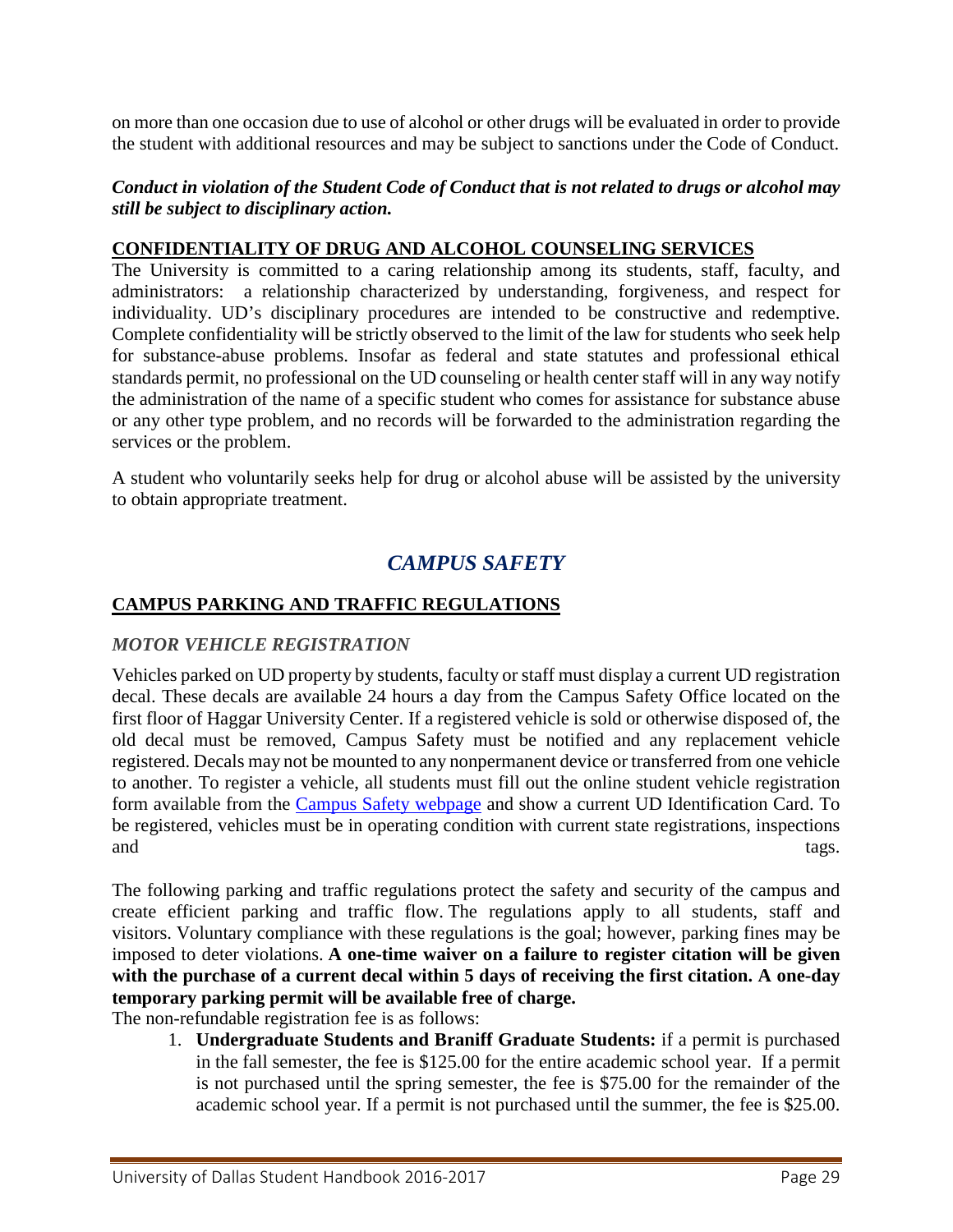on more than one occasion due to use of alcohol or other drugs will be evaluated in order to provide the student with additional resources and may be subject to sanctions under the Code of Conduct.

#### *Conduct in violation of the Student Code of Conduct that is not related to drugs or alcohol may still be subject to disciplinary action.*

#### **CONFIDENTIALITY OF DRUG AND ALCOHOL COUNSELING SERVICES**

The University is committed to a caring relationship among its students, staff, faculty, and administrators: a relationship characterized by understanding, forgiveness, and respect for individuality. UD's disciplinary procedures are intended to be constructive and redemptive. Complete confidentiality will be strictly observed to the limit of the law for students who seek help for substance-abuse problems. Insofar as federal and state statutes and professional ethical standards permit, no professional on the UD counseling or health center staff will in any way notify the administration of the name of a specific student who comes for assistance for substance abuse or any other type problem, and no records will be forwarded to the administration regarding the services or the problem.

<span id="page-28-0"></span>A student who voluntarily seeks help for drug or alcohol abuse will be assisted by the university to obtain appropriate treatment.

# *CAMPUS SAFETY*

#### **[CAMPUS PARKING AND TRAFFIC REGULATIONS](http://www.udallas.edu/offices/cso/parking_rules.html)**

#### *MOTOR VEHICLE REGISTRATION*

Vehicles parked on UD property by students, faculty or staff must display a current UD registration decal. These decals are available 24 hours a day from the Campus Safety Office located on the first floor of Haggar University Center. If a registered vehicle is sold or otherwise disposed of, the old decal must be removed, Campus Safety must be notified and any replacement vehicle registered. Decals may not be mounted to any nonpermanent device or transferred from one vehicle to another. To register a vehicle, all students must fill out the online student vehicle registration form available from the [Campus Safety webpage](http://udallas.edu/offices/cso/index.html) and show a current UD Identification Card. To be registered, vehicles must be in operating condition with current state registrations, inspections and tags.

The following parking and traffic regulations protect the safety and security of the campus and create efficient parking and traffic flow. The regulations apply to all students, staff and visitors. Voluntary compliance with these regulations is the goal; however, parking fines may be imposed to deter violations. **A one-time waiver on a failure to register citation will be given with the purchase of a current decal within 5 days of receiving the first citation. A one-day temporary parking permit will be available free of charge.**

The non-refundable registration fee is as follows:

1. **Undergraduate Students and Braniff Graduate Students:** if a permit is purchased in the fall semester, the fee is \$125.00 for the entire academic school year. If a permit is not purchased until the spring semester, the fee is \$75.00 for the remainder of the academic school year. If a permit is not purchased until the summer, the fee is \$25.00.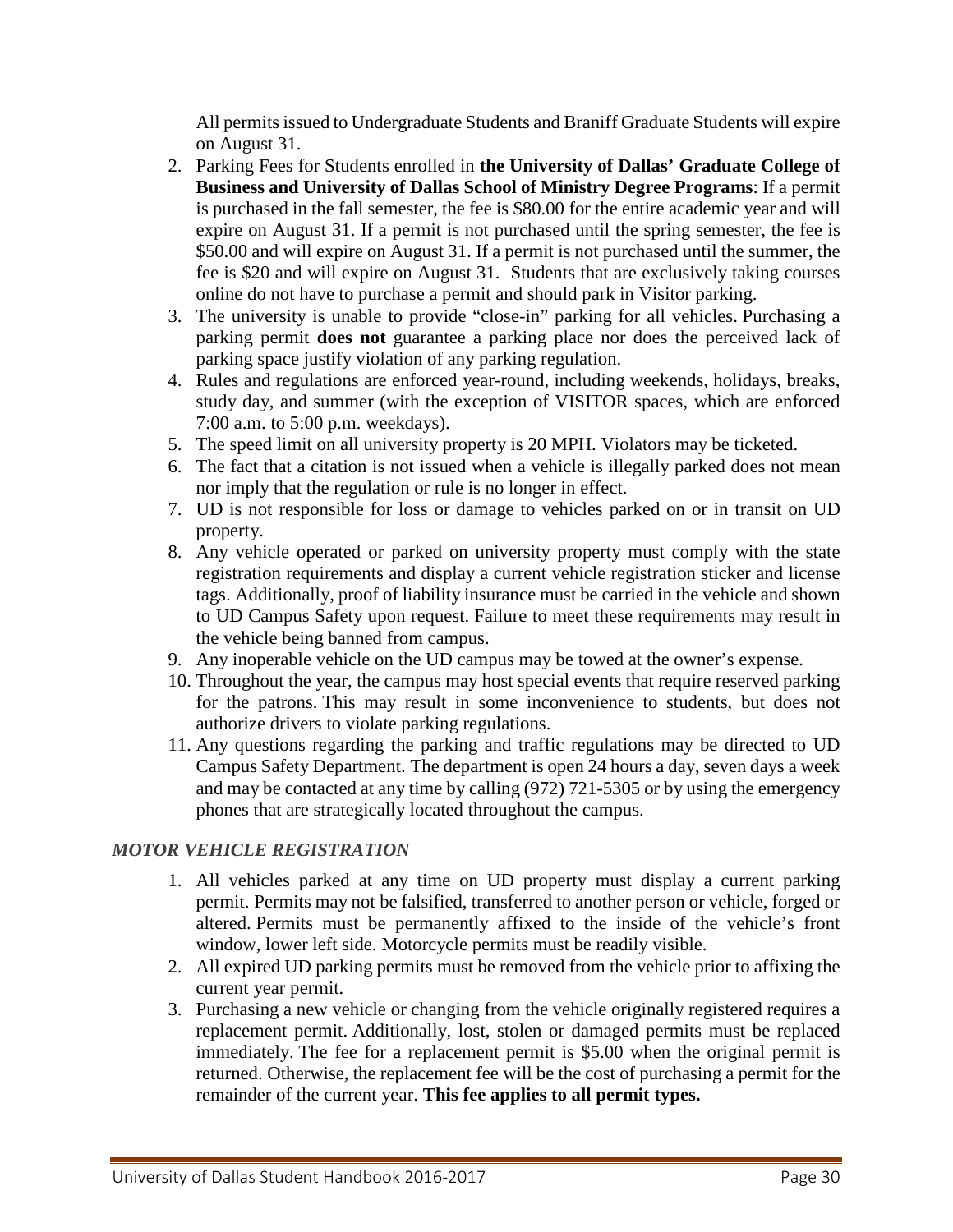All permits issued to Undergraduate Students and Braniff Graduate Students will expire on August 31.

- 2. Parking Fees for Students enrolled in **the University of Dallas' Graduate College of Business and University of Dallas School of Ministry Degree Programs**: If a permit is purchased in the fall semester, the fee is \$80.00 for the entire academic year and will expire on August 31. If a permit is not purchased until the spring semester, the fee is \$50.00 and will expire on August 31. If a permit is not purchased until the summer, the fee is \$20 and will expire on August 31. Students that are exclusively taking courses online do not have to purchase a permit and should park in Visitor parking.
- 3. The university is unable to provide "close-in" parking for all vehicles. Purchasing a parking permit **does not** guarantee a parking place nor does the perceived lack of parking space justify violation of any parking regulation.
- 4. Rules and regulations are enforced year-round, including weekends, holidays, breaks, study day, and summer (with the exception of VISITOR spaces, which are enforced 7:00 a.m. to 5:00 p.m. weekdays).
- 5. The speed limit on all university property is 20 MPH. Violators may be ticketed.
- 6. The fact that a citation is not issued when a vehicle is illegally parked does not mean nor imply that the regulation or rule is no longer in effect.
- 7. UD is not responsible for loss or damage to vehicles parked on or in transit on UD property.
- 8. Any vehicle operated or parked on university property must comply with the state registration requirements and display a current vehicle registration sticker and license tags. Additionally, proof of liability insurance must be carried in the vehicle and shown to UD Campus Safety upon request. Failure to meet these requirements may result in the vehicle being banned from campus.
- 9. Any inoperable vehicle on the UD campus may be towed at the owner's expense.
- 10. Throughout the year, the campus may host special events that require reserved parking for the patrons. This may result in some inconvenience to students, but does not authorize drivers to violate parking regulations.
- 11. Any questions regarding the parking and traffic regulations may be directed to UD Campus Safety Department. The department is open 24 hours a day, seven days a week and may be contacted at any time by calling (972) 721-5305 or by using the emergency phones that are strategically located throughout the campus.

## *MOTOR VEHICLE REGISTRATION*

- 1. All vehicles parked at any time on UD property must display a current parking permit. Permits may not be falsified, transferred to another person or vehicle, forged or altered. Permits must be permanently affixed to the inside of the vehicle's front window, lower left side. Motorcycle permits must be readily visible.
- 2. All expired UD parking permits must be removed from the vehicle prior to affixing the current year permit.
- 3. Purchasing a new vehicle or changing from the vehicle originally registered requires a replacement permit. Additionally, lost, stolen or damaged permits must be replaced immediately. The fee for a replacement permit is \$5.00 when the original permit is returned. Otherwise, the replacement fee will be the cost of purchasing a permit for the remainder of the current year. **This fee applies to all permit types.**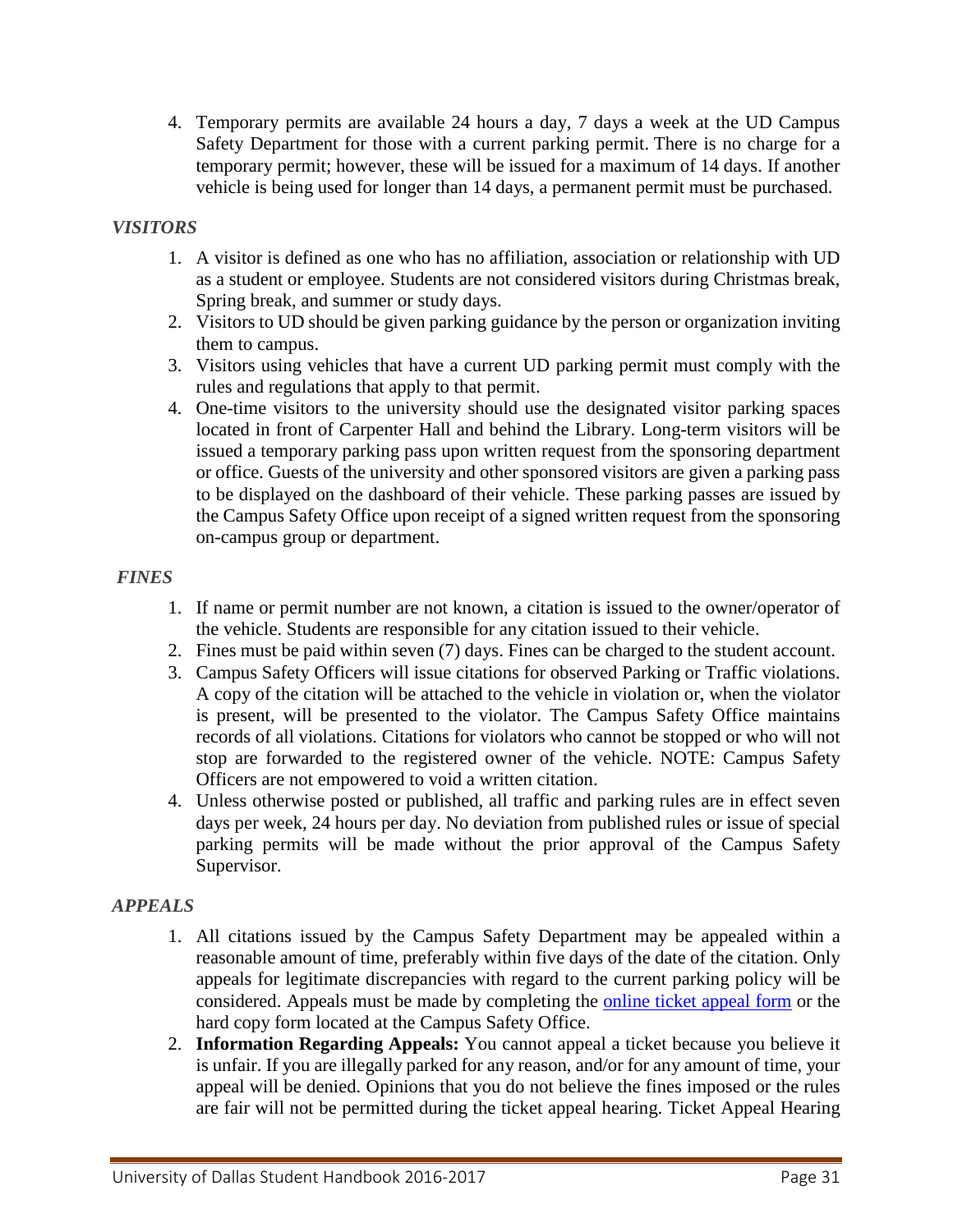4. Temporary permits are available 24 hours a day, 7 days a week at the UD Campus Safety Department for those with a current parking permit. There is no charge for a temporary permit; however, these will be issued for a maximum of 14 days. If another vehicle is being used for longer than 14 days, a permanent permit must be purchased.

### *VISITORS*

- 1. A visitor is defined as one who has no affiliation, association or relationship with UD as a student or employee. Students are not considered visitors during Christmas break, Spring break, and summer or study days.
- 2. Visitors to UD should be given parking guidance by the person or organization inviting them to campus.
- 3. Visitors using vehicles that have a current UD parking permit must comply with the rules and regulations that apply to that permit.
- 4. One-time visitors to the university should use the designated visitor parking spaces located in front of Carpenter Hall and behind the Library. Long-term visitors will be issued a temporary parking pass upon written request from the sponsoring department or office. Guests of the university and other sponsored visitors are given a parking pass to be displayed on the dashboard of their vehicle. These parking passes are issued by the Campus Safety Office upon receipt of a signed written request from the sponsoring on-campus group or department.

#### *FINES*

- 1. If name or permit number are not known, a citation is issued to the owner/operator of the vehicle. Students are responsible for any citation issued to their vehicle.
- 2. Fines must be paid within seven (7) days. Fines can be charged to the student account.
- 3. Campus Safety Officers will issue citations for observed Parking or Traffic violations. A copy of the citation will be attached to the vehicle in violation or, when the violator is present, will be presented to the violator. The Campus Safety Office maintains records of all violations. Citations for violators who cannot be stopped or who will not stop are forwarded to the registered owner of the vehicle. NOTE: Campus Safety Officers are not empowered to void a written citation.
- 4. Unless otherwise posted or published, all traffic and parking rules are in effect seven days per week, 24 hours per day. No deviation from published rules or issue of special parking permits will be made without the prior approval of the Campus Safety Supervisor.

## *APPEALS*

- 1. All citations issued by the Campus Safety Department may be appealed within a reasonable amount of time, preferably within five days of the date of the citation. Only appeals for legitimate discrepancies with regard to the current parking policy will be considered. Appeals must be made by completing the [online ticket appeal form](http://udallas.edu/offices/cso/ticketappeals.html) or the hard copy form located at the Campus Safety Office.
- 2. **Information Regarding Appeals:** You cannot appeal a ticket because you believe it is unfair. If you are illegally parked for any reason, and/or for any amount of time, your appeal will be denied. Opinions that you do not believe the fines imposed or the rules are fair will not be permitted during the ticket appeal hearing. Ticket Appeal Hearing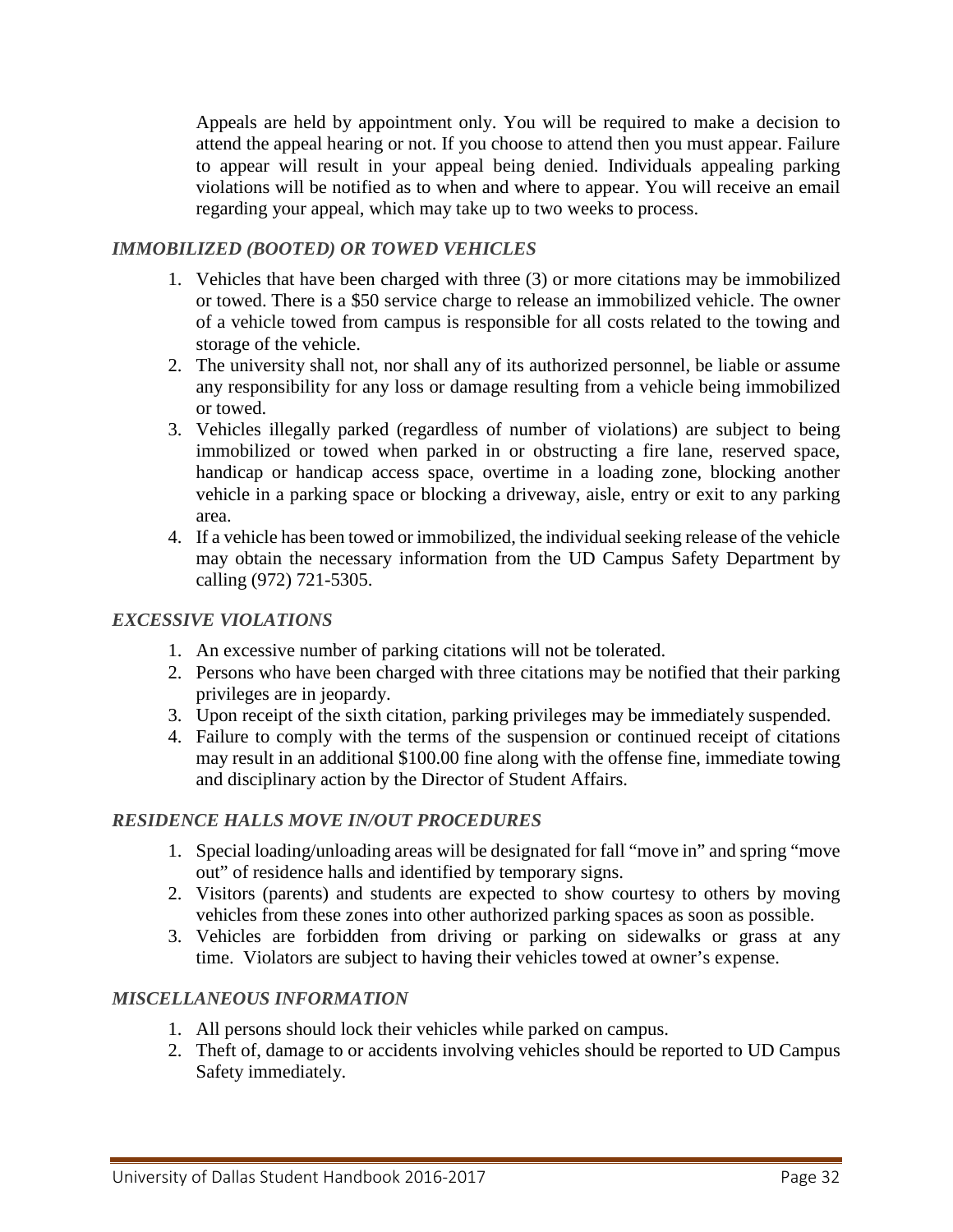Appeals are held by appointment only. You will be required to make a decision to attend the appeal hearing or not. If you choose to attend then you must appear. Failure to appear will result in your appeal being denied. Individuals appealing parking violations will be notified as to when and where to appear. You will receive an email regarding your appeal, which may take up to two weeks to process.

## *IMMOBILIZED (BOOTED) OR TOWED VEHICLES*

- 1. Vehicles that have been charged with three (3) or more citations may be immobilized or towed. There is a \$50 service charge to release an immobilized vehicle. The owner of a vehicle towed from campus is responsible for all costs related to the towing and storage of the vehicle.
- 2. The university shall not, nor shall any of its authorized personnel, be liable or assume any responsibility for any loss or damage resulting from a vehicle being immobilized or towed.
- 3. Vehicles illegally parked (regardless of number of violations) are subject to being immobilized or towed when parked in or obstructing a fire lane, reserved space, handicap or handicap access space, overtime in a loading zone, blocking another vehicle in a parking space or blocking a driveway, aisle, entry or exit to any parking area.
- 4. If a vehicle has been towed or immobilized, the individual seeking release of the vehicle may obtain the necessary information from the UD Campus Safety Department by calling (972) 721-5305.

## *EXCESSIVE VIOLATIONS*

- 1. An excessive number of parking citations will not be tolerated.
- 2. Persons who have been charged with three citations may be notified that their parking privileges are in jeopardy.
- 3. Upon receipt of the sixth citation, parking privileges may be immediately suspended.
- 4. Failure to comply with the terms of the suspension or continued receipt of citations may result in an additional \$100.00 fine along with the offense fine, immediate towing and disciplinary action by the Director of Student Affairs.

## *RESIDENCE HALLS MOVE IN/OUT PROCEDURES*

- 1. Special loading/unloading areas will be designated for fall "move in" and spring "move out" of residence halls and identified by temporary signs.
- 2. Visitors (parents) and students are expected to show courtesy to others by moving vehicles from these zones into other authorized parking spaces as soon as possible.
- 3. Vehicles are forbidden from driving or parking on sidewalks or grass at any time. Violators are subject to having their vehicles towed at owner's expense.

## *MISCELLANEOUS INFORMATION*

- 1. All persons should lock their vehicles while parked on campus.
- 2. Theft of, damage to or accidents involving vehicles should be reported to UD Campus Safety immediately.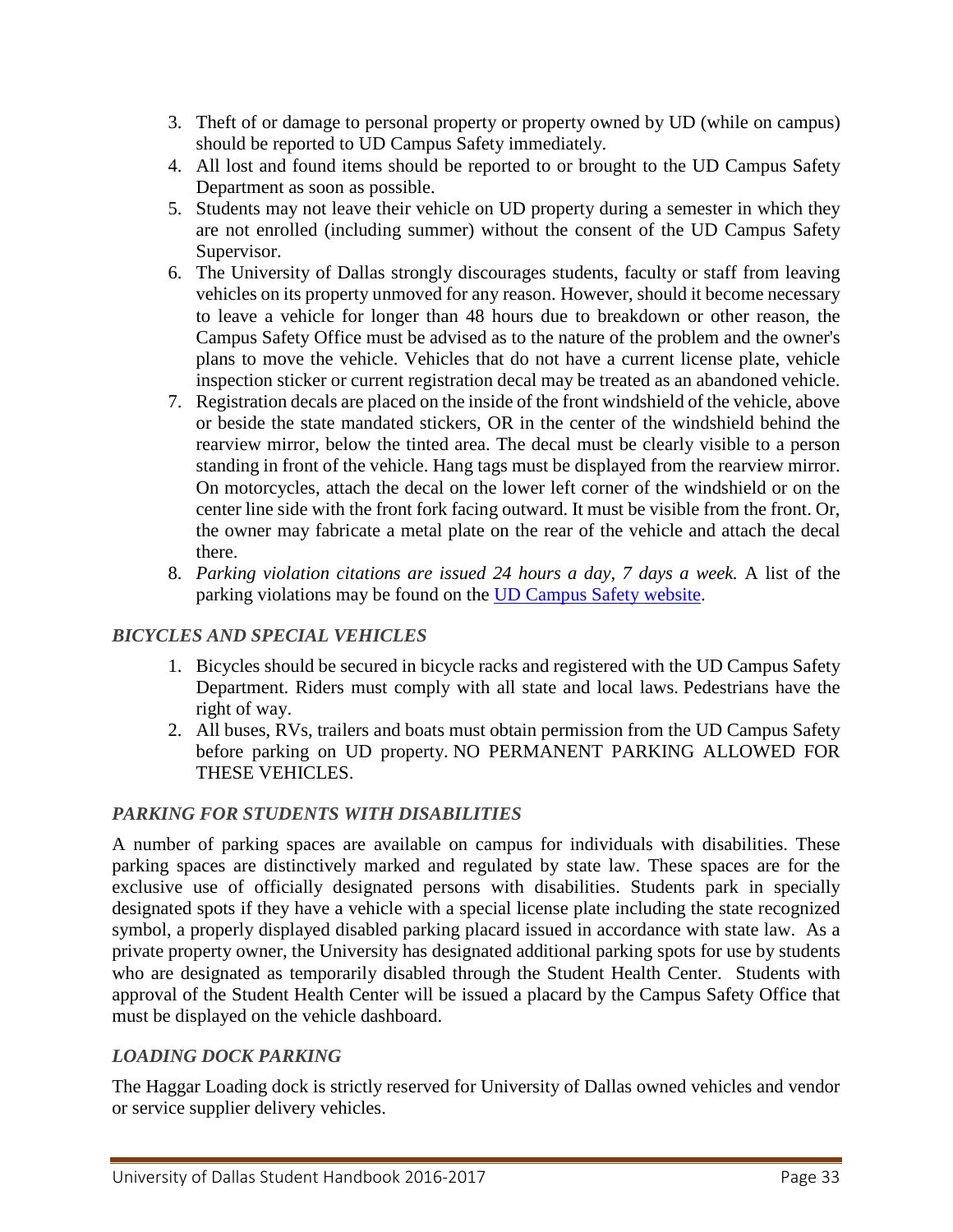- 3. Theft of or damage to personal property or property owned by UD (while on campus) should be reported to UD Campus Safety immediately.
- 4. All lost and found items should be reported to or brought to the UD Campus Safety Department as soon as possible.
- 5. Students may not leave their vehicle on UD property during a semester in which they are not enrolled (including summer) without the consent of the UD Campus Safety Supervisor.
- 6. The University of Dallas strongly discourages students, faculty or staff from leaving vehicles on its property unmoved for any reason. However, should it become necessary to leave a vehicle for longer than 48 hours due to breakdown or other reason, the Campus Safety Office must be advised as to the nature of the problem and the owner's plans to move the vehicle. Vehicles that do not have a current license plate, vehicle inspection sticker or current registration decal may be treated as an abandoned vehicle.
- 7. Registration decals are placed on the inside of the front windshield of the vehicle, above or beside the state mandated stickers, OR in the center of the windshield behind the rearview mirror, below the tinted area. The decal must be clearly visible to a person standing in front of the vehicle. Hang tags must be displayed from the rearview mirror. On motorcycles, attach the decal on the lower left corner of the windshield or on the center line side with the front fork facing outward. It must be visible from the front. Or, the owner may fabricate a metal plate on the rear of the vehicle and attach the decal there.
- 8. *Parking violation citations are issued 24 hours a day, 7 days a week.* A list of the parking violations may be found on the [UD Campus Safety website.](http://www.udallas.edu/offices/cso/parking_rules.html)

## *BICYCLES AND SPECIAL VEHICLES*

- 1. Bicycles should be secured in bicycle racks and registered with the UD Campus Safety Department. Riders must comply with all state and local laws. Pedestrians have the right of way.
- 2. All buses, RVs, trailers and boats must obtain permission from the UD Campus Safety before parking on UD property. NO PERMANENT PARKING ALLOWED FOR THESE VEHICLES.

## *PARKING FOR STUDENTS WITH DISABILITIES*

A number of parking spaces are available on campus for individuals with disabilities. These parking spaces are distinctively marked and regulated by state law. These spaces are for the exclusive use of officially designated persons with disabilities. Students park in specially designated spots if they have a vehicle with a special license plate including the state recognized symbol, a properly displayed disabled parking placard issued in accordance with state law. As a private property owner, the University has designated additional parking spots for use by students who are designated as temporarily disabled through the Student Health Center. Students with approval of the Student Health Center will be issued a placard by the Campus Safety Office that must be displayed on the vehicle dashboard.

## *LOADING DOCK PARKING*

The Haggar Loading dock is strictly reserved for University of Dallas owned vehicles and vendor or service supplier delivery vehicles.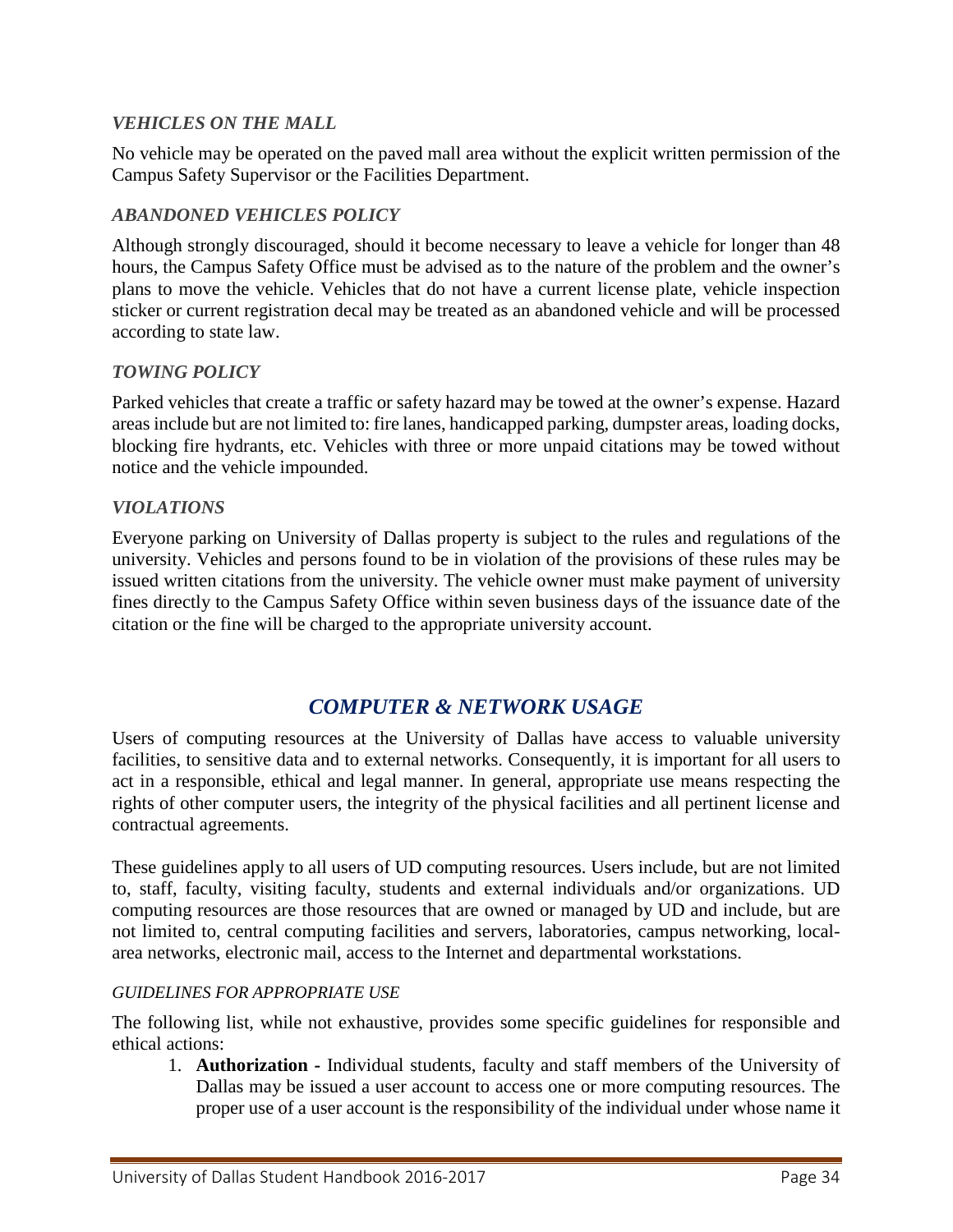#### *VEHICLES ON THE MALL*

No vehicle may be operated on the paved mall area without the explicit written permission of the Campus Safety Supervisor or the Facilities Department.

#### *ABANDONED VEHICLES POLICY*

Although strongly discouraged, should it become necessary to leave a vehicle for longer than 48 hours, the Campus Safety Office must be advised as to the nature of the problem and the owner's plans to move the vehicle. Vehicles that do not have a current license plate, vehicle inspection sticker or current registration decal may be treated as an abandoned vehicle and will be processed according to state law.

#### *TOWING POLICY*

Parked vehicles that create a traffic or safety hazard may be towed at the owner's expense. Hazard areas include but are not limited to: fire lanes, handicapped parking, dumpster areas, loading docks, blocking fire hydrants, etc. Vehicles with three or more unpaid citations may be towed without notice and the vehicle impounded.

#### *VIOLATIONS*

Everyone parking on University of Dallas property is subject to the rules and regulations of the university. Vehicles and persons found to be in violation of the provisions of these rules may be issued written citations from the university. The vehicle owner must make payment of university fines directly to the Campus Safety Office within seven business days of the issuance date of the citation or the fine will be charged to the appropriate university account.

## *COMPUTER & NETWORK USAGE*

<span id="page-33-0"></span>Users of computing resources at the University of Dallas have access to valuable university facilities, to sensitive data and to external networks. Consequently, it is important for all users to act in a responsible, ethical and legal manner. In general, appropriate use means respecting the rights of other computer users, the integrity of the physical facilities and all pertinent license and contractual agreements.

These guidelines apply to all users of UD computing resources. Users include, but are not limited to, staff, faculty, visiting faculty, students and external individuals and/or organizations. UD computing resources are those resources that are owned or managed by UD and include, but are not limited to, central computing facilities and servers, laboratories, campus networking, localarea networks, electronic mail, access to the Internet and departmental workstations.

#### *GUIDELINES FOR APPROPRIATE USE*

The following list, while not exhaustive, provides some specific guidelines for responsible and ethical actions:

1. **Authorization -** Individual students, faculty and staff members of the University of Dallas may be issued a user account to access one or more computing resources. The proper use of a user account is the responsibility of the individual under whose name it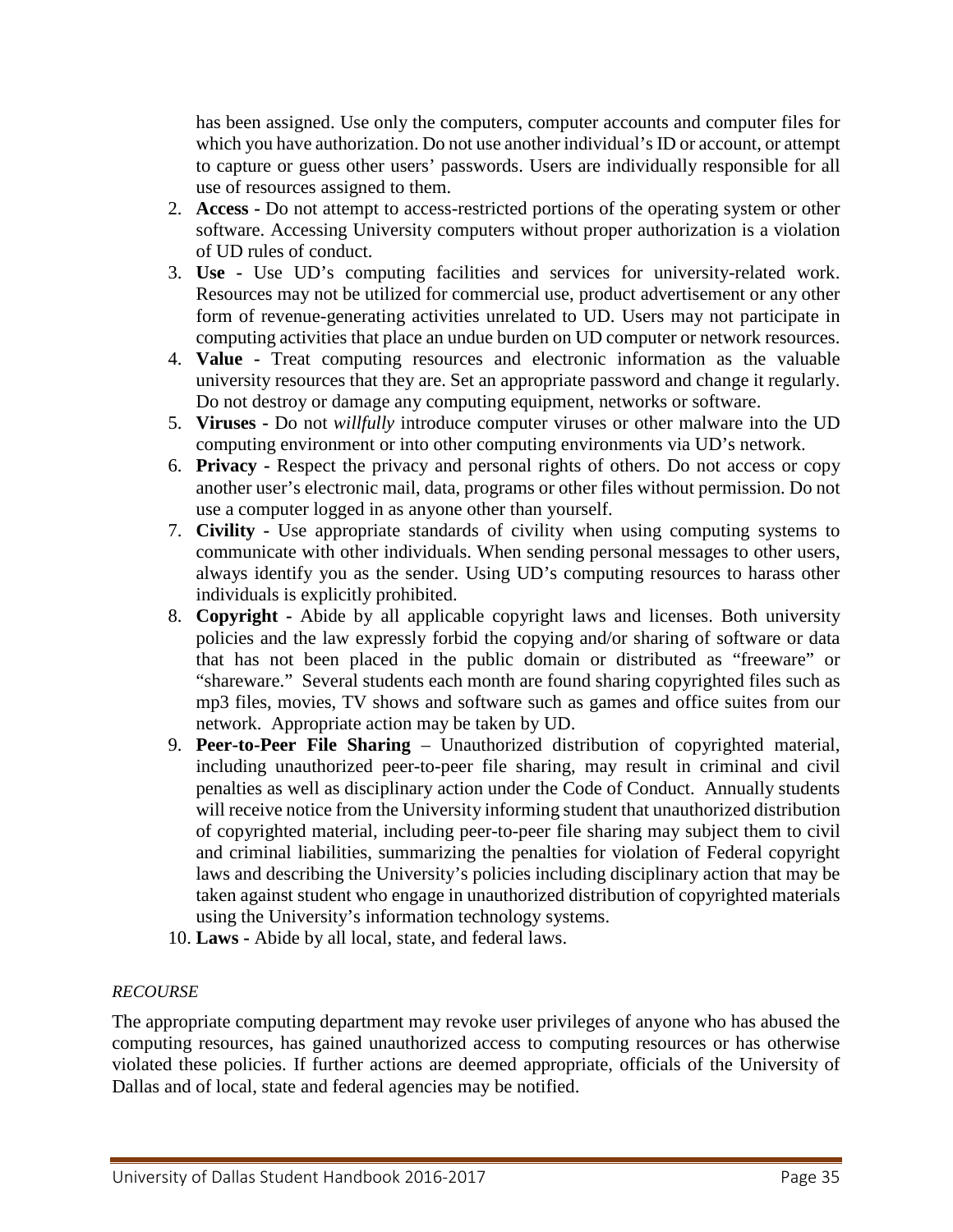has been assigned. Use only the computers, computer accounts and computer files for which you have authorization. Do not use another individual's ID or account, or attempt to capture or guess other users' passwords. Users are individually responsible for all use of resources assigned to them.

- 2. **Access -** Do not attempt to access-restricted portions of the operating system or other software. Accessing University computers without proper authorization is a violation of UD rules of conduct.
- 3. **Use -** Use UD's computing facilities and services for university-related work. Resources may not be utilized for commercial use, product advertisement or any other form of revenue-generating activities unrelated to UD. Users may not participate in computing activities that place an undue burden on UD computer or network resources.
- 4. **Value -** Treat computing resources and electronic information as the valuable university resources that they are. Set an appropriate password and change it regularly. Do not destroy or damage any computing equipment, networks or software.
- 5. **Viruses -** Do not *willfully* introduce computer viruses or other malware into the UD computing environment or into other computing environments via UD's network.
- 6. **Privacy -** Respect the privacy and personal rights of others. Do not access or copy another user's electronic mail, data, programs or other files without permission. Do not use a computer logged in as anyone other than yourself.
- 7. **Civility -** Use appropriate standards of civility when using computing systems to communicate with other individuals. When sending personal messages to other users, always identify you as the sender. Using UD's computing resources to harass other individuals is explicitly prohibited.
- 8. **Copyright -** Abide by all applicable copyright laws and licenses. Both university policies and the law expressly forbid the copying and/or sharing of software or data that has not been placed in the public domain or distributed as "freeware" or "shareware." Several students each month are found sharing copyrighted files such as mp3 files, movies, TV shows and software such as games and office suites from our network. Appropriate action may be taken by UD.
- 9. **Peer-to-Peer File Sharing** Unauthorized distribution of copyrighted material, including unauthorized peer-to-peer file sharing, may result in criminal and civil penalties as well as disciplinary action under the Code of Conduct. Annually students will receive notice from the University informing student that unauthorized distribution of copyrighted material, including peer-to-peer file sharing may subject them to civil and criminal liabilities, summarizing the penalties for violation of Federal copyright laws and describing the University's policies including disciplinary action that may be taken against student who engage in unauthorized distribution of copyrighted materials using the University's information technology systems.
- 10. **Laws -** Abide by all local, state, and federal laws.

#### *RECOURSE*

The appropriate computing department may revoke user privileges of anyone who has abused the computing resources, has gained unauthorized access to computing resources or has otherwise violated these policies. If further actions are deemed appropriate, officials of the University of Dallas and of local, state and federal agencies may be notified.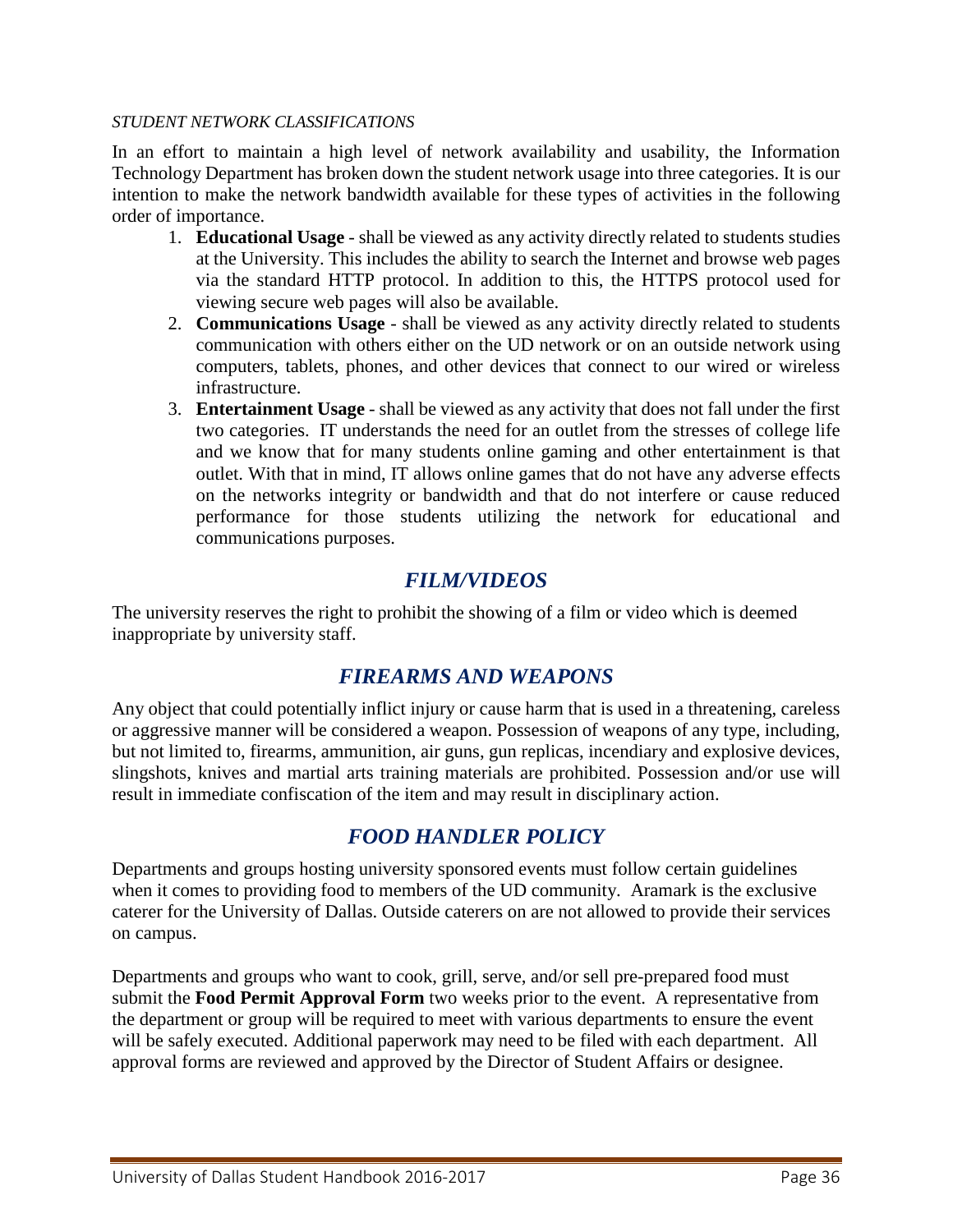#### *STUDENT NETWORK CLASSIFICATIONS*

In an effort to maintain a high level of network availability and usability, the Information Technology Department has broken down the student network usage into three categories. It is our intention to make the network bandwidth available for these types of activities in the following order of importance.

- 1. **Educational Usage** shall be viewed as any activity directly related to students studies at the University. This includes the ability to search the Internet and browse web pages via the standard HTTP protocol. In addition to this, the HTTPS protocol used for viewing secure web pages will also be available.
- 2. **Communications Usage** shall be viewed as any activity directly related to students communication with others either on the UD network or on an outside network using computers, tablets, phones, and other devices that connect to our wired or wireless infrastructure.
- 3. **Entertainment Usage** shall be viewed as any activity that does not fall under the first two categories. IT understands the need for an outlet from the stresses of college life and we know that for many students online gaming and other entertainment is that outlet. With that in mind, IT allows online games that do not have any adverse effects on the networks integrity or bandwidth and that do not interfere or cause reduced performance for those students utilizing the network for educational and communications purposes.

# *FILM/VIDEOS*

<span id="page-35-1"></span><span id="page-35-0"></span>The university reserves the right to prohibit the showing of a film or video which is deemed inappropriate by university staff.

## *FIREARMS AND WEAPONS*

Any object that could potentially inflict injury or cause harm that is used in a threatening, careless or aggressive manner will be considered a weapon. Possession of weapons of any type, including, but not limited to, firearms, ammunition, air guns, gun replicas, incendiary and explosive devices, slingshots, knives and martial arts training materials are prohibited. Possession and/or use will result in immediate confiscation of the item and may result in disciplinary action.

# *FOOD HANDLER POLICY*

<span id="page-35-2"></span>Departments and groups hosting university sponsored events must follow certain guidelines when it comes to providing food to members of the UD community. Aramark is the exclusive caterer for the University of Dallas. Outside caterers on are not allowed to provide their services on campus.

Departments and groups who want to cook, grill, serve, and/or sell pre-prepared food must submit the **Food Permit Approval Form** two weeks prior to the event. A representative from the department or group will be required to meet with various departments to ensure the event will be safely executed. Additional paperwork may need to be filed with each department. All approval forms are reviewed and approved by the Director of Student Affairs or designee.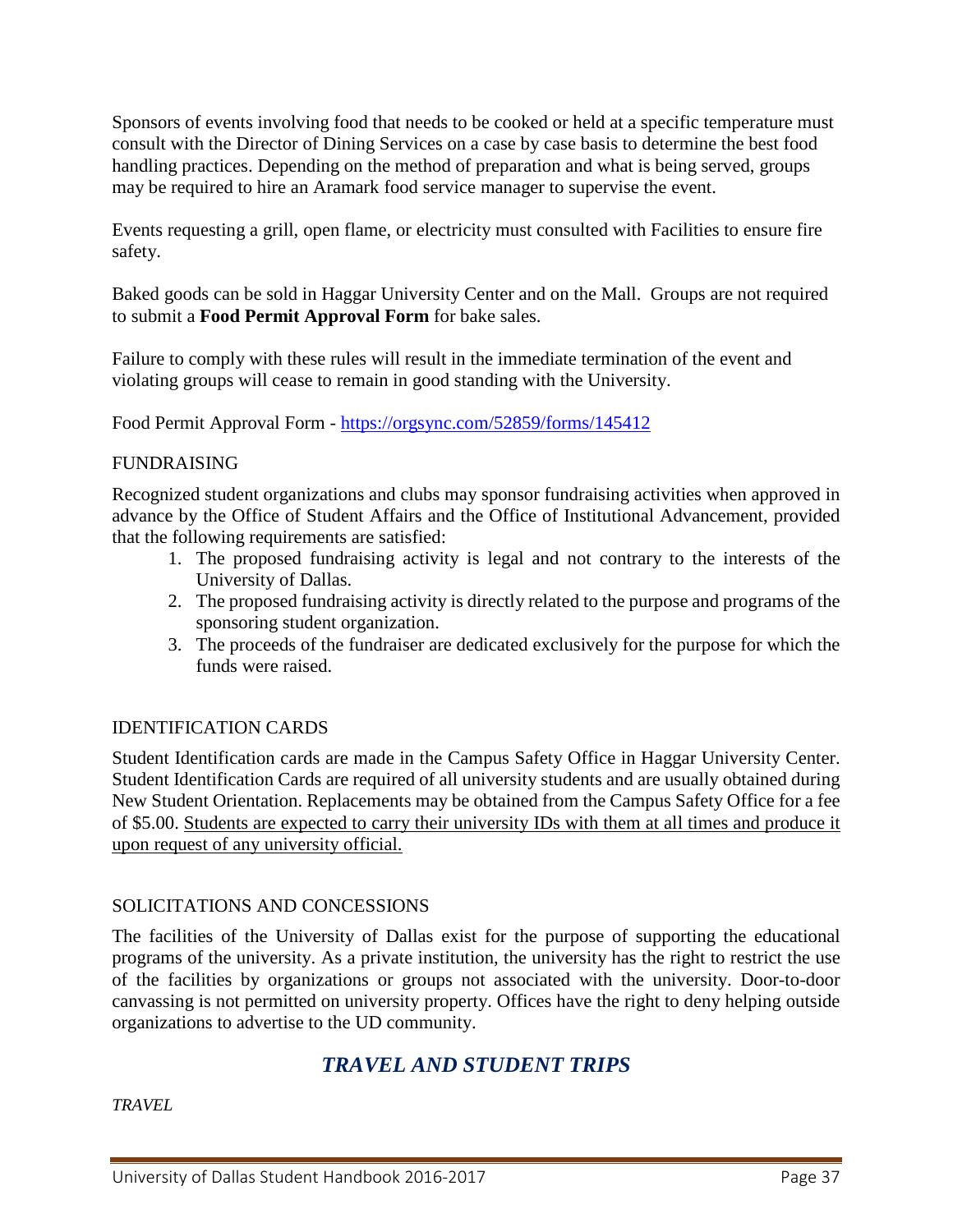Sponsors of events involving food that needs to be cooked or held at a specific temperature must consult with the Director of Dining Services on a case by case basis to determine the best food handling practices. Depending on the method of preparation and what is being served, groups may be required to hire an Aramark food service manager to supervise the event.

Events requesting a grill, open flame, or electricity must consulted with Facilities to ensure fire safety.

Baked goods can be sold in Haggar University Center and on the Mall. Groups are not required to submit a **Food Permit Approval Form** for bake sales.

Failure to comply with these rules will result in the immediate termination of the event and violating groups will cease to remain in good standing with the University.

Food Permit Approval Form - <https://orgsync.com/52859/forms/145412>

#### FUNDRAISING

Recognized student organizations and clubs may sponsor fundraising activities when approved in advance by the Office of Student Affairs and the Office of Institutional Advancement, provided that the following requirements are satisfied:

- 1. The proposed fundraising activity is legal and not contrary to the interests of the University of Dallas.
- 2. The proposed fundraising activity is directly related to the purpose and programs of the sponsoring student organization.
- 3. The proceeds of the fundraiser are dedicated exclusively for the purpose for which the funds were raised.

## IDENTIFICATION CARDS

Student Identification cards are made in the Campus Safety Office in Haggar University Center. Student Identification Cards are required of all university students and are usually obtained during New Student Orientation. Replacements may be obtained from the Campus Safety Office for a fee of \$5.00. Students are expected to carry their university IDs with them at all times and produce it upon request of any university official.

## SOLICITATIONS AND CONCESSIONS

The facilities of the University of Dallas exist for the purpose of supporting the educational programs of the university. As a private institution, the university has the right to restrict the use of the facilities by organizations or groups not associated with the university. Door-to-door canvassing is not permitted on university property. Offices have the right to deny helping outside organizations to advertise to the UD community.

# *TRAVEL AND STUDENT TRIPS*

*TRAVEL*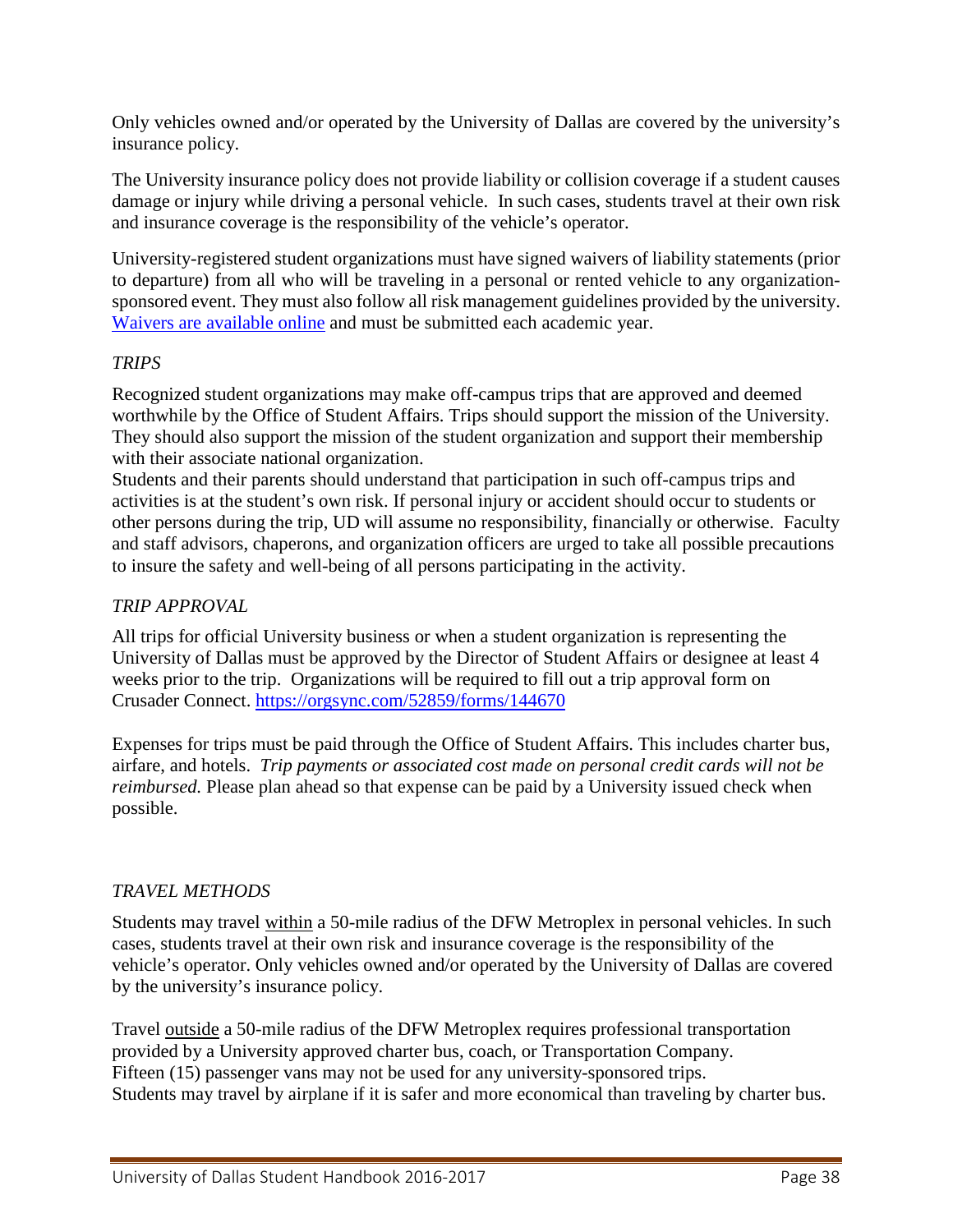Only vehicles owned and/or operated by the University of Dallas are covered by the university's insurance policy.

The University insurance policy does not provide liability or collision coverage if a student causes damage or injury while driving a personal vehicle. In such cases, students travel at their own risk and insurance coverage is the responsibility of the vehicle's operator.

University-registered student organizations must have signed waivers of liability statements (prior to departure) from all who will be traveling in a personal or rented vehicle to any organizationsponsored event. They must also follow all risk management guidelines provided by the university. [Waivers are available online](http://www.udallas.edu/offices/studentactivities/sageneralwaiver.html) and must be submitted each academic year.

## *TRIPS*

Recognized student organizations may make off-campus trips that are approved and deemed worthwhile by the Office of Student Affairs. Trips should support the mission of the University. They should also support the mission of the student organization and support their membership with their associate national organization.

Students and their parents should understand that participation in such off-campus trips and activities is at the student's own risk. If personal injury or accident should occur to students or other persons during the trip, UD will assume no responsibility, financially or otherwise. Faculty and staff advisors, chaperons, and organization officers are urged to take all possible precautions to insure the safety and well-being of all persons participating in the activity.

## *TRIP APPROVAL*

All trips for official University business or when a student organization is representing the University of Dallas must be approved by the Director of Student Affairs or designee at least 4 weeks prior to the trip. Organizations will be required to fill out a trip approval form on Crusader Connect.<https://orgsync.com/52859/forms/144670>

Expenses for trips must be paid through the Office of Student Affairs. This includes charter bus, airfare, and hotels. *Trip payments or associated cost made on personal credit cards will not be reimbursed.* Please plan ahead so that expense can be paid by a University issued check when possible.

## *TRAVEL METHODS*

Students may travel within a 50-mile radius of the DFW Metroplex in personal vehicles. In such cases, students travel at their own risk and insurance coverage is the responsibility of the vehicle's operator. Only vehicles owned and/or operated by the University of Dallas are covered by the university's insurance policy.

Travel <u>outside</u> a 50-mile radius of the DFW Metroplex requires professional transportation provided by a University approved charter bus, coach, or Transportation Company. Fifteen (15) passenger vans may not be used for any university-sponsored trips. Students may travel by airplane if it is safer and more economical than traveling by charter bus.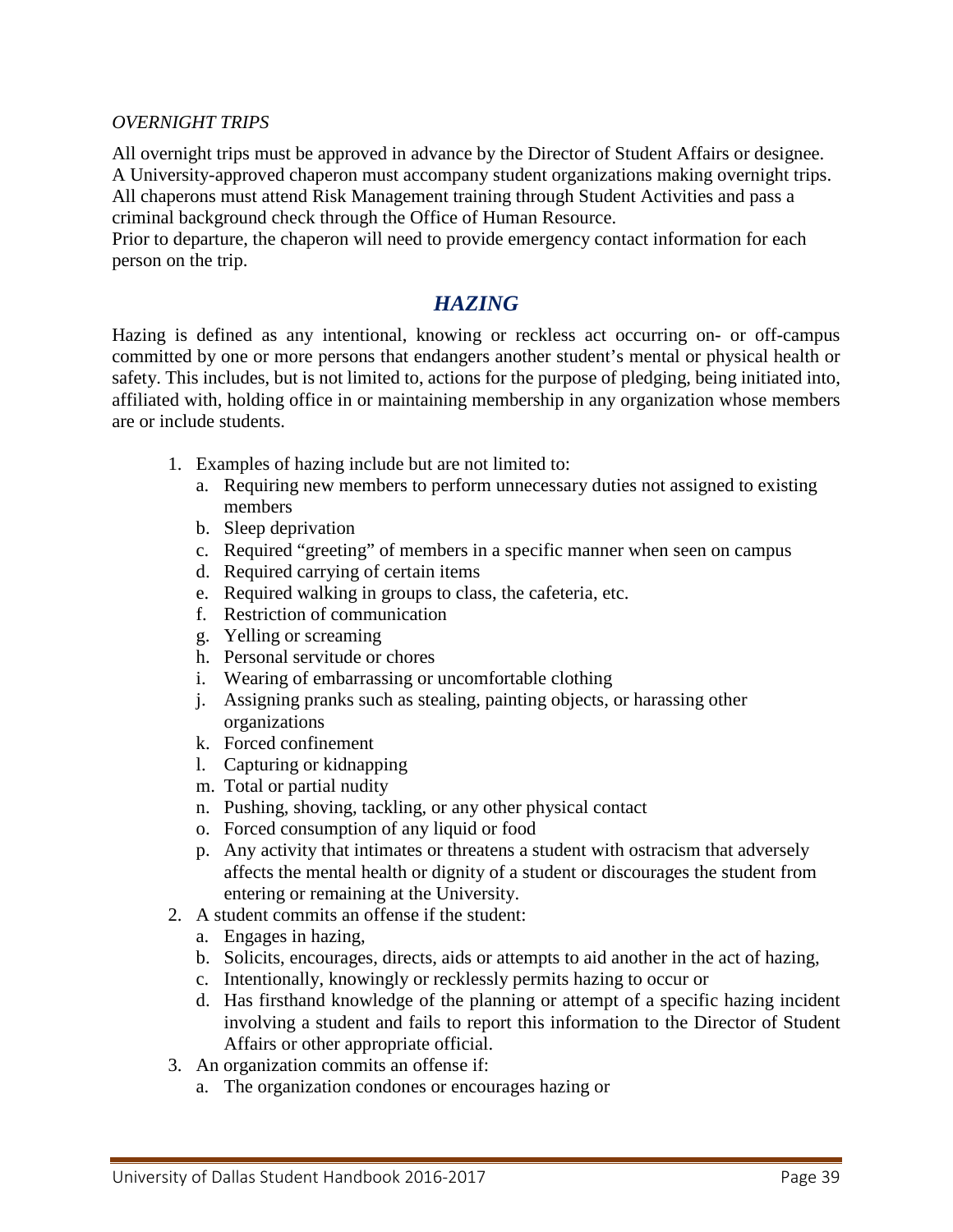#### *OVERNIGHT TRIPS*

All overnight trips must be approved in advance by the Director of Student Affairs or designee. A University-approved chaperon must accompany student organizations making overnight trips. All chaperons must attend Risk Management training through Student Activities and pass a criminal background check through the Office of Human Resource.

Prior to departure, the chaperon will need to provide emergency contact information for each person on the trip.

# *HAZING*

Hazing is defined as any intentional, knowing or reckless act occurring on- or off-campus committed by one or more persons that endangers another student's mental or physical health or safety. This includes, but is not limited to, actions for the purpose of pledging, being initiated into, affiliated with, holding office in or maintaining membership in any organization whose members are or include students.

- 1. Examples of hazing include but are not limited to:
	- a. Requiring new members to perform unnecessary duties not assigned to existing members
	- b. Sleep deprivation
	- c. Required "greeting" of members in a specific manner when seen on campus
	- d. Required carrying of certain items
	- e. Required walking in groups to class, the cafeteria, etc.
	- f. Restriction of communication
	- g. Yelling or screaming
	- h. Personal servitude or chores
	- i. Wearing of embarrassing or uncomfortable clothing
	- j. Assigning pranks such as stealing, painting objects, or harassing other organizations
	- k. Forced confinement
	- l. Capturing or kidnapping
	- m. Total or partial nudity
	- n. Pushing, shoving, tackling, or any other physical contact
	- o. Forced consumption of any liquid or food
	- p. Any activity that intimates or threatens a student with ostracism that adversely affects the mental health or dignity of a student or discourages the student from entering or remaining at the University.
- 2. A student commits an offense if the student:
	- a. Engages in hazing,
	- b. Solicits, encourages, directs, aids or attempts to aid another in the act of hazing,
	- c. Intentionally, knowingly or recklessly permits hazing to occur or
	- d. Has firsthand knowledge of the planning or attempt of a specific hazing incident involving a student and fails to report this information to the Director of Student Affairs or other appropriate official.
- 3. An organization commits an offense if:
	- a. The organization condones or encourages hazing or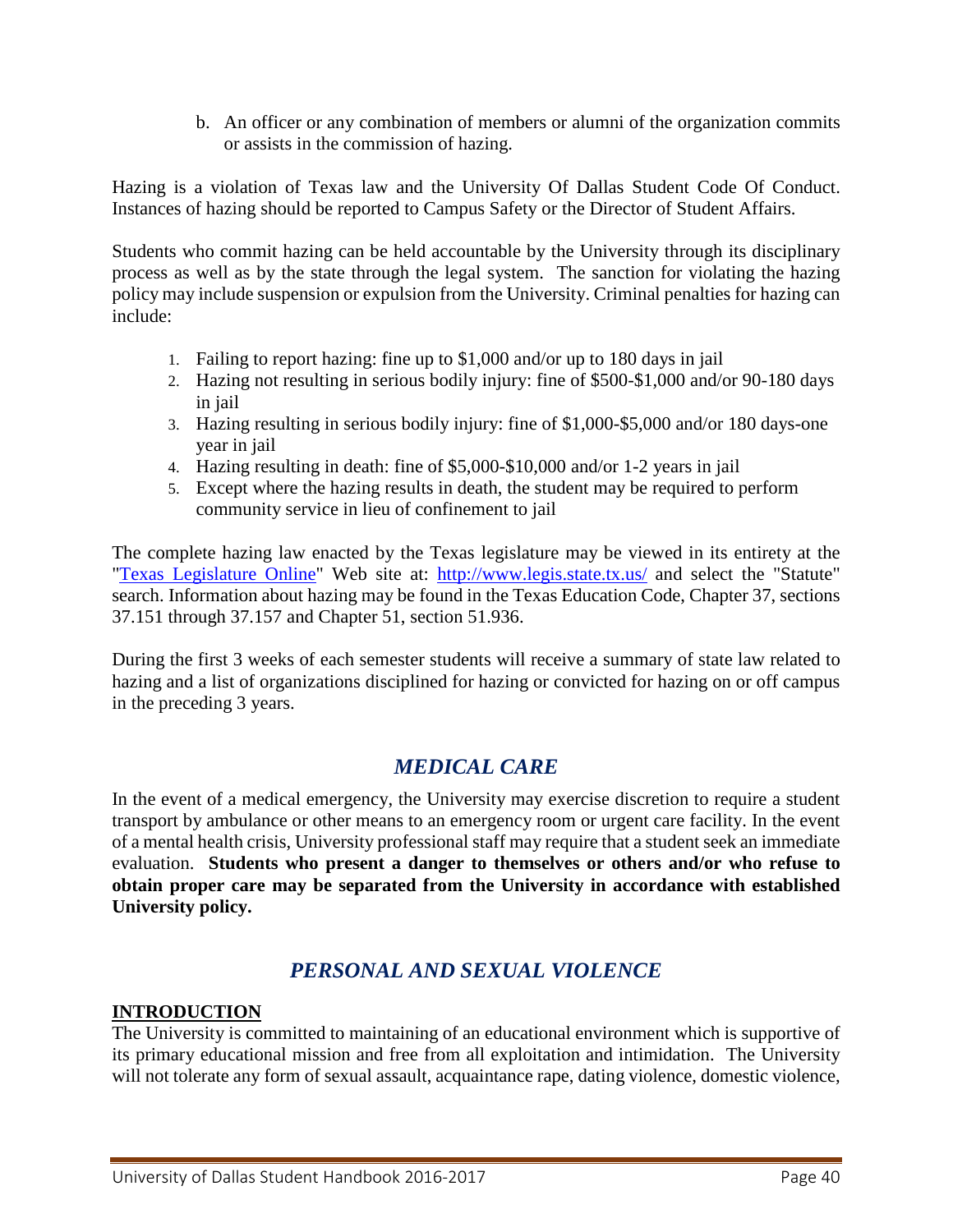b. An officer or any combination of members or alumni of the organization commits or assists in the commission of hazing.

Hazing is a violation of Texas law and the University Of Dallas Student Code Of Conduct. Instances of hazing should be reported to Campus Safety or the Director of Student Affairs.

Students who commit hazing can be held accountable by the University through its disciplinary process as well as by the state through the legal system. The sanction for violating the hazing policy may include suspension or expulsion from the University. Criminal penalties for hazing can include:

- 1. Failing to report hazing: fine up to \$1,000 and/or up to 180 days in jail
- 2. Hazing not resulting in serious bodily injury: fine of \$500-\$1,000 and/or 90-180 days in jail
- 3. Hazing resulting in serious bodily injury: fine of \$1,000-\$5,000 and/or 180 days-one year in jail
- 4. Hazing resulting in death: fine of \$5,000-\$10,000 and/or 1-2 years in jail
- 5. Except where the hazing results in death, the student may be required to perform community service in lieu of confinement to jail

The complete hazing law enacted by the Texas legislature may be viewed in its entirety at the ["Texas Legislature Online"](http://www.legis.state.tx.us/) Web site at: <http://www.legis.state.tx.us/> and select the "Statute" search. Information about hazing may be found in the Texas Education Code, Chapter 37, sections 37.151 through 37.157 and Chapter 51, section 51.936.

During the first 3 weeks of each semester students will receive a summary of state law related to hazing and a list of organizations disciplined for hazing or convicted for hazing on or off campus in the preceding 3 years.

# *MEDICAL CARE*

In the event of a medical emergency, the University may exercise discretion to require a student transport by ambulance or other means to an emergency room or urgent care facility. In the event of a mental health crisis, University professional staff may require that a student seek an immediate evaluation. **Students who present a danger to themselves or others and/or who refuse to obtain proper care may be separated from the University in accordance with established University policy.**

# *PERSONAL AND SEXUAL VIOLENCE*

## **INTRODUCTION**

The University is committed to maintaining of an educational environment which is supportive of its primary educational mission and free from all exploitation and intimidation. The University will not tolerate any form of sexual assault, acquaintance rape, dating violence, domestic violence,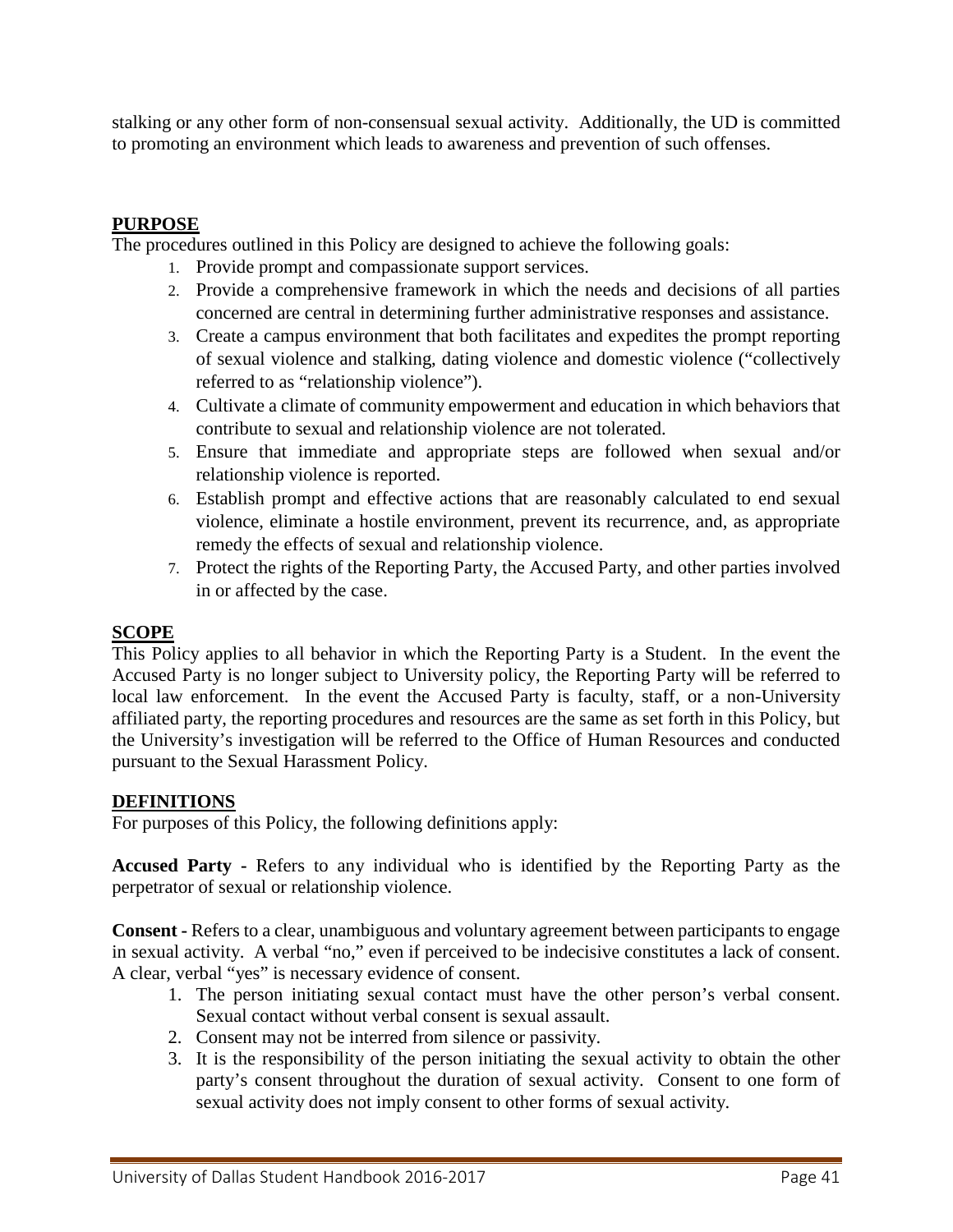stalking or any other form of non-consensual sexual activity. Additionally, the UD is committed to promoting an environment which leads to awareness and prevention of such offenses.

## **PURPOSE**

The procedures outlined in this Policy are designed to achieve the following goals:

- 1. Provide prompt and compassionate support services.
- 2. Provide a comprehensive framework in which the needs and decisions of all parties concerned are central in determining further administrative responses and assistance.
- 3. Create a campus environment that both facilitates and expedites the prompt reporting of sexual violence and stalking, dating violence and domestic violence ("collectively referred to as "relationship violence").
- 4. Cultivate a climate of community empowerment and education in which behaviors that contribute to sexual and relationship violence are not tolerated.
- 5. Ensure that immediate and appropriate steps are followed when sexual and/or relationship violence is reported.
- 6. Establish prompt and effective actions that are reasonably calculated to end sexual violence, eliminate a hostile environment, prevent its recurrence, and, as appropriate remedy the effects of sexual and relationship violence.
- 7. Protect the rights of the Reporting Party, the Accused Party, and other parties involved in or affected by the case.

#### **SCOPE**

This Policy applies to all behavior in which the Reporting Party is a Student. In the event the Accused Party is no longer subject to University policy, the Reporting Party will be referred to local law enforcement. In the event the Accused Party is faculty, staff, or a non-University affiliated party, the reporting procedures and resources are the same as set forth in this Policy, but the University's investigation will be referred to the Office of Human Resources and conducted pursuant to the Sexual Harassment Policy.

#### **DEFINITIONS**

For purposes of this Policy, the following definitions apply:

**Accused Party -** Refers to any individual who is identified by the Reporting Party as the perpetrator of sexual or relationship violence.

**Consent -** Refers to a clear, unambiguous and voluntary agreement between participants to engage in sexual activity. A verbal "no," even if perceived to be indecisive constitutes a lack of consent. A clear, verbal "yes" is necessary evidence of consent.

- 1. The person initiating sexual contact must have the other person's verbal consent. Sexual contact without verbal consent is sexual assault.
- 2. Consent may not be interred from silence or passivity.
- 3. It is the responsibility of the person initiating the sexual activity to obtain the other party's consent throughout the duration of sexual activity. Consent to one form of sexual activity does not imply consent to other forms of sexual activity.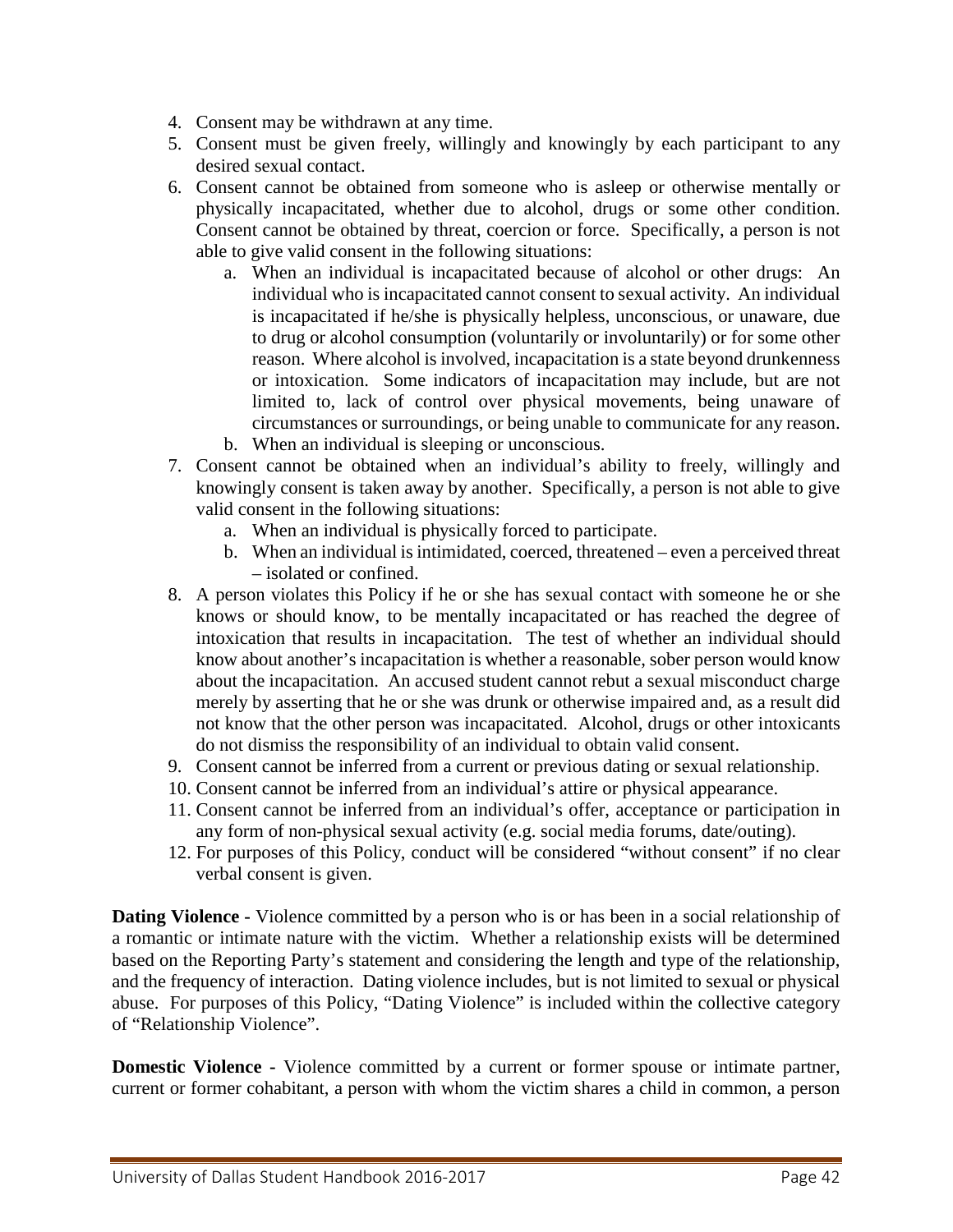- 4. Consent may be withdrawn at any time.
- 5. Consent must be given freely, willingly and knowingly by each participant to any desired sexual contact.
- 6. Consent cannot be obtained from someone who is asleep or otherwise mentally or physically incapacitated, whether due to alcohol, drugs or some other condition. Consent cannot be obtained by threat, coercion or force. Specifically, a person is not able to give valid consent in the following situations:
	- a. When an individual is incapacitated because of alcohol or other drugs: An individual who is incapacitated cannot consent to sexual activity. An individual is incapacitated if he/she is physically helpless, unconscious, or unaware, due to drug or alcohol consumption (voluntarily or involuntarily) or for some other reason. Where alcohol is involved, incapacitation is a state beyond drunkenness or intoxication. Some indicators of incapacitation may include, but are not limited to, lack of control over physical movements, being unaware of circumstances or surroundings, or being unable to communicate for any reason.
	- b. When an individual is sleeping or unconscious.
- 7. Consent cannot be obtained when an individual's ability to freely, willingly and knowingly consent is taken away by another. Specifically, a person is not able to give valid consent in the following situations:
	- a. When an individual is physically forced to participate.
	- b. When an individual is intimidated, coerced, threatened even a perceived threat – isolated or confined.
- 8. A person violates this Policy if he or she has sexual contact with someone he or she knows or should know, to be mentally incapacitated or has reached the degree of intoxication that results in incapacitation. The test of whether an individual should know about another's incapacitation is whether a reasonable, sober person would know about the incapacitation. An accused student cannot rebut a sexual misconduct charge merely by asserting that he or she was drunk or otherwise impaired and, as a result did not know that the other person was incapacitated. Alcohol, drugs or other intoxicants do not dismiss the responsibility of an individual to obtain valid consent.
- 9. Consent cannot be inferred from a current or previous dating or sexual relationship.
- 10. Consent cannot be inferred from an individual's attire or physical appearance.
- 11. Consent cannot be inferred from an individual's offer, acceptance or participation in any form of non-physical sexual activity (e.g. social media forums, date/outing).
- 12. For purposes of this Policy, conduct will be considered "without consent" if no clear verbal consent is given.

**Dating Violence -** Violence committed by a person who is or has been in a social relationship of a romantic or intimate nature with the victim. Whether a relationship exists will be determined based on the Reporting Party's statement and considering the length and type of the relationship, and the frequency of interaction. Dating violence includes, but is not limited to sexual or physical abuse. For purposes of this Policy, "Dating Violence" is included within the collective category of "Relationship Violence".

**Domestic Violence -** Violence committed by a current or former spouse or intimate partner, current or former cohabitant, a person with whom the victim shares a child in common, a person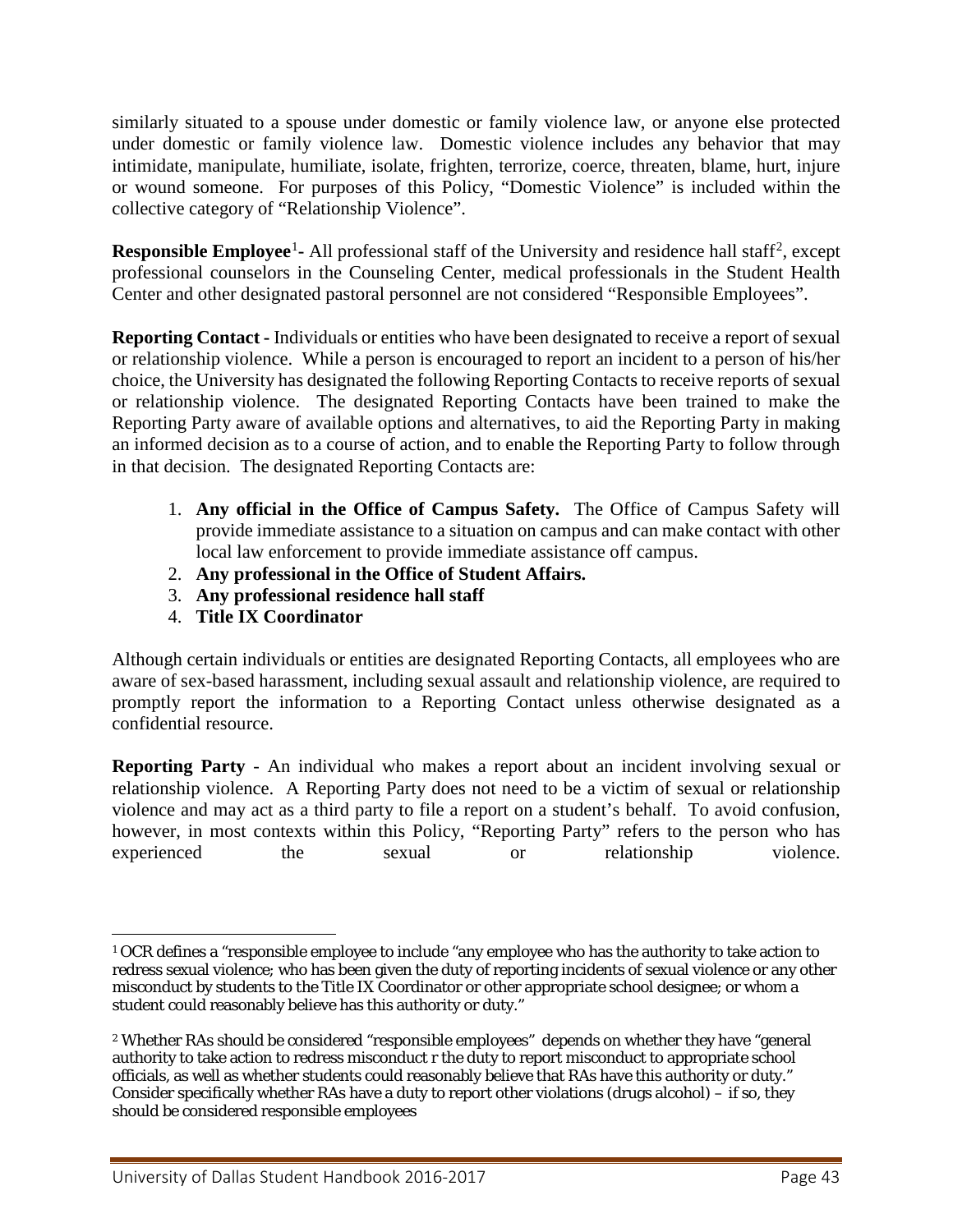similarly situated to a spouse under domestic or family violence law, or anyone else protected under domestic or family violence law. Domestic violence includes any behavior that may intimidate, manipulate, humiliate, isolate, frighten, terrorize, coerce, threaten, blame, hurt, injure or wound someone. For purposes of this Policy, "Domestic Violence" is included within the collective category of "Relationship Violence".

**Responsible Employee<sup>[1](#page-42-0)</sup>**- All professional staff of the University and residence hall staff<sup>[2](#page-42-1)</sup>, except professional counselors in the Counseling Center, medical professionals in the Student Health Center and other designated pastoral personnel are not considered "Responsible Employees".

**Reporting Contact -** Individuals or entities who have been designated to receive a report of sexual or relationship violence. While a person is encouraged to report an incident to a person of his/her choice, the University has designated the following Reporting Contacts to receive reports of sexual or relationship violence. The designated Reporting Contacts have been trained to make the Reporting Party aware of available options and alternatives, to aid the Reporting Party in making an informed decision as to a course of action, and to enable the Reporting Party to follow through in that decision. The designated Reporting Contacts are:

- 1. **Any official in the Office of Campus Safety.** The Office of Campus Safety will provide immediate assistance to a situation on campus and can make contact with other local law enforcement to provide immediate assistance off campus.
- 2. **Any professional in the Office of Student Affairs.**
- 3. **Any professional residence hall staff**
- 4. **Title IX Coordinator**

Although certain individuals or entities are designated Reporting Contacts, all employees who are aware of sex-based harassment, including sexual assault and relationship violence, are required to promptly report the information to a Reporting Contact unless otherwise designated as a confidential resource.

**Reporting Party** - An individual who makes a report about an incident involving sexual or relationship violence. A Reporting Party does not need to be a victim of sexual or relationship violence and may act as a third party to file a report on a student's behalf. To avoid confusion, however, in most contexts within this Policy, "Reporting Party" refers to the person who has experienced the sexual or relationship violence.

<span id="page-42-0"></span> $\overline{a}$ <sup>1</sup> OCR defines a "responsible employee to include "any employee who has the authority to take action to redress sexual violence; who has been given the duty of reporting incidents of sexual violence or any other misconduct by students to the Title IX Coordinator or other appropriate school designee; or whom a student could reasonably believe has this authority or duty."

<span id="page-42-1"></span><sup>2</sup> Whether RAs should be considered "responsible employees" depends on whether they have "general authority to take action to redress misconduct r the duty to report misconduct to appropriate school officials, as well as whether students could reasonably believe that RAs have this authority or duty." Consider specifically whether RAs have a duty to report other violations (drugs alcohol) – if so, they should be considered responsible employees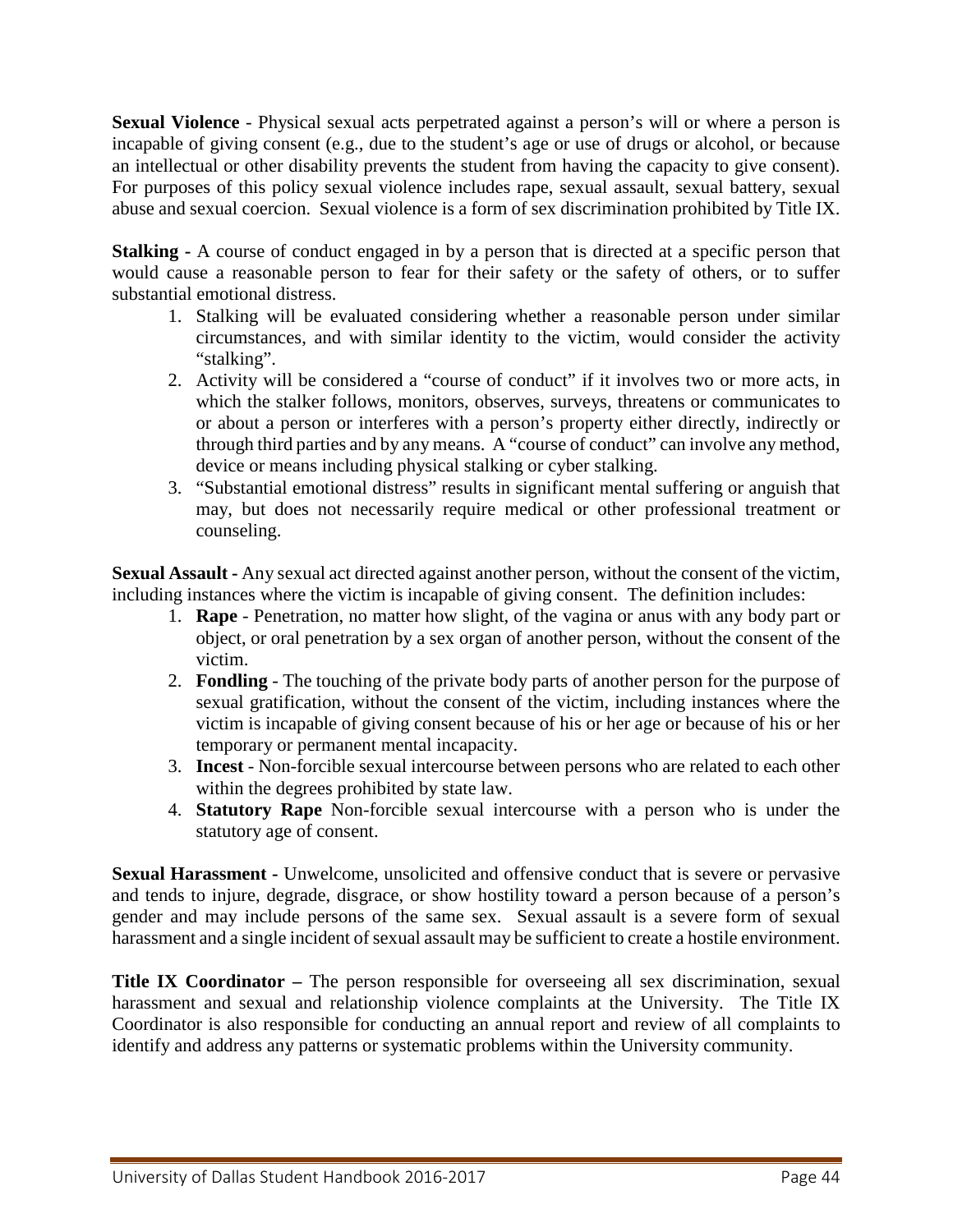**Sexual Violence** - Physical sexual acts perpetrated against a person's will or where a person is incapable of giving consent (e.g., due to the student's age or use of drugs or alcohol, or because an intellectual or other disability prevents the student from having the capacity to give consent). For purposes of this policy sexual violence includes rape, sexual assault, sexual battery, sexual abuse and sexual coercion. Sexual violence is a form of sex discrimination prohibited by Title IX.

**Stalking -** A course of conduct engaged in by a person that is directed at a specific person that would cause a reasonable person to fear for their safety or the safety of others, or to suffer substantial emotional distress.

- 1. Stalking will be evaluated considering whether a reasonable person under similar circumstances, and with similar identity to the victim, would consider the activity "stalking".
- 2. Activity will be considered a "course of conduct" if it involves two or more acts, in which the stalker follows, monitors, observes, surveys, threatens or communicates to or about a person or interferes with a person's property either directly, indirectly or through third parties and by any means. A "course of conduct" can involve any method, device or means including physical stalking or cyber stalking.
- 3. "Substantial emotional distress" results in significant mental suffering or anguish that may, but does not necessarily require medical or other professional treatment or counseling.

**Sexual Assault -** Any sexual act directed against another person, without the consent of the victim, including instances where the victim is incapable of giving consent. The definition includes:

- 1. **Rape** Penetration, no matter how slight, of the vagina or anus with any body part or object, or oral penetration by a sex organ of another person, without the consent of the victim.
- 2. **Fondling** The touching of the private body parts of another person for the purpose of sexual gratification, without the consent of the victim, including instances where the victim is incapable of giving consent because of his or her age or because of his or her temporary or permanent mental incapacity.
- 3. **Incest** Non-forcible sexual intercourse between persons who are related to each other within the degrees prohibited by state law.
- 4. **Statutory Rape** Non-forcible sexual intercourse with a person who is under the statutory age of consent.

**Sexual Harassment -** Unwelcome, unsolicited and offensive conduct that is severe or pervasive and tends to injure, degrade, disgrace, or show hostility toward a person because of a person's gender and may include persons of the same sex. Sexual assault is a severe form of sexual harassment and a single incident of sexual assault may be sufficient to create a hostile environment.

**Title IX Coordinator –** The person responsible for overseeing all sex discrimination, sexual harassment and sexual and relationship violence complaints at the University. The Title IX Coordinator is also responsible for conducting an annual report and review of all complaints to identify and address any patterns or systematic problems within the University community.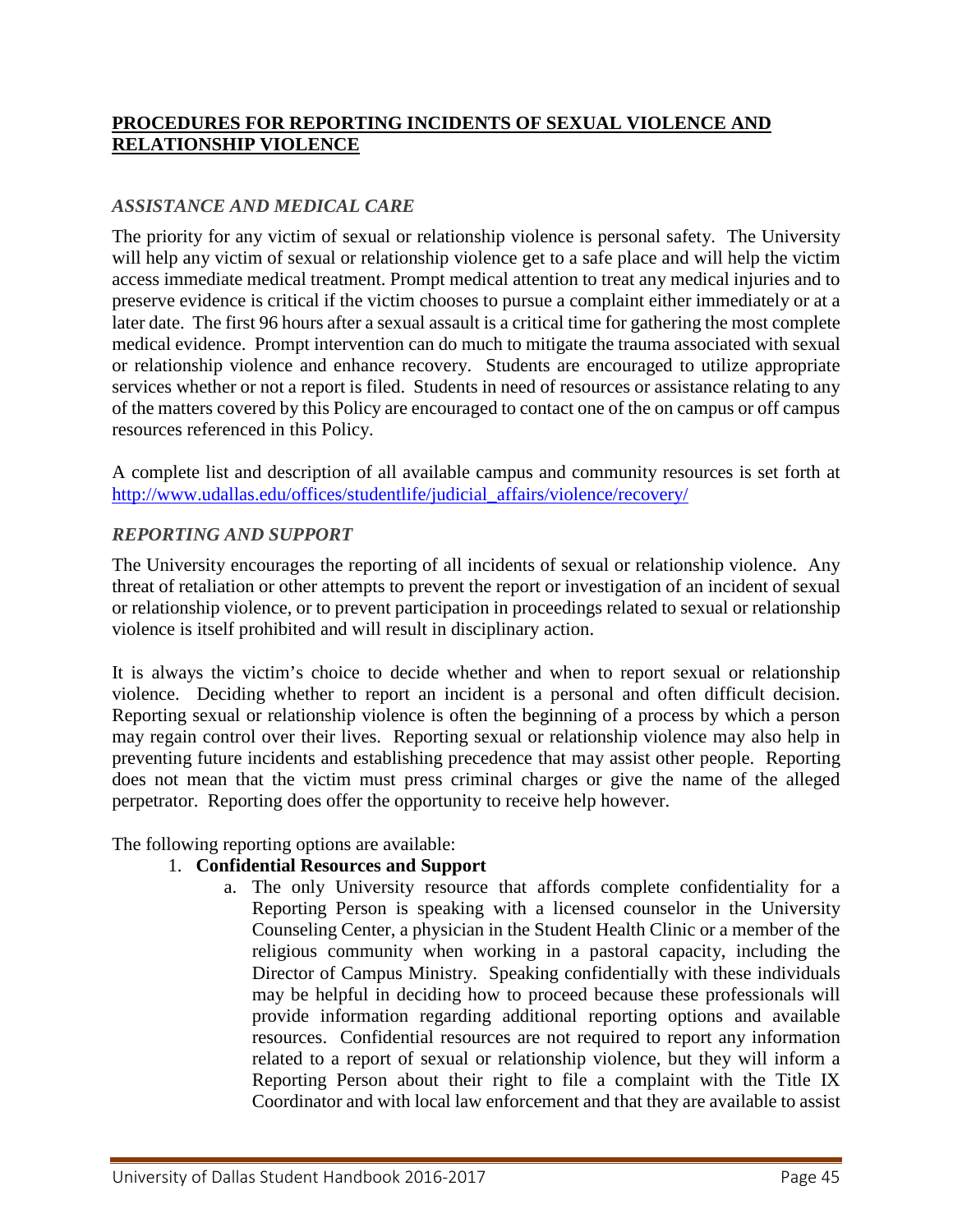## **PROCEDURES FOR REPORTING INCIDENTS OF SEXUAL VIOLENCE AND RELATIONSHIP VIOLENCE**

## *ASSISTANCE AND MEDICAL CARE*

The priority for any victim of sexual or relationship violence is personal safety. The University will help any victim of sexual or relationship violence get to a safe place and will help the victim access immediate medical treatment. Prompt medical attention to treat any medical injuries and to preserve evidence is critical if the victim chooses to pursue a complaint either immediately or at a later date. The first 96 hours after a sexual assault is a critical time for gathering the most complete medical evidence. Prompt intervention can do much to mitigate the trauma associated with sexual or relationship violence and enhance recovery. Students are encouraged to utilize appropriate services whether or not a report is filed. Students in need of resources or assistance relating to any of the matters covered by this Policy are encouraged to contact one of the on campus or off campus resources referenced in this Policy.

A complete list and description of all available campus and community resources is set forth at [http://www.udallas.edu/offices/studentlife/judicial\\_affairs/violence/recovery/](http://www.udallas.edu/offices/studentlife/judicial_affairs/violence/recovery/)

#### *REPORTING AND SUPPORT*

The University encourages the reporting of all incidents of sexual or relationship violence. Any threat of retaliation or other attempts to prevent the report or investigation of an incident of sexual or relationship violence, or to prevent participation in proceedings related to sexual or relationship violence is itself prohibited and will result in disciplinary action.

It is always the victim's choice to decide whether and when to report sexual or relationship violence. Deciding whether to report an incident is a personal and often difficult decision. Reporting sexual or relationship violence is often the beginning of a process by which a person may regain control over their lives. Reporting sexual or relationship violence may also help in preventing future incidents and establishing precedence that may assist other people. Reporting does not mean that the victim must press criminal charges or give the name of the alleged perpetrator. Reporting does offer the opportunity to receive help however.

The following reporting options are available:

## 1. **Confidential Resources and Support**

a. The only University resource that affords complete confidentiality for a Reporting Person is speaking with a licensed counselor in the University Counseling Center, a physician in the Student Health Clinic or a member of the religious community when working in a pastoral capacity, including the Director of Campus Ministry. Speaking confidentially with these individuals may be helpful in deciding how to proceed because these professionals will provide information regarding additional reporting options and available resources. Confidential resources are not required to report any information related to a report of sexual or relationship violence, but they will inform a Reporting Person about their right to file a complaint with the Title IX Coordinator and with local law enforcement and that they are available to assist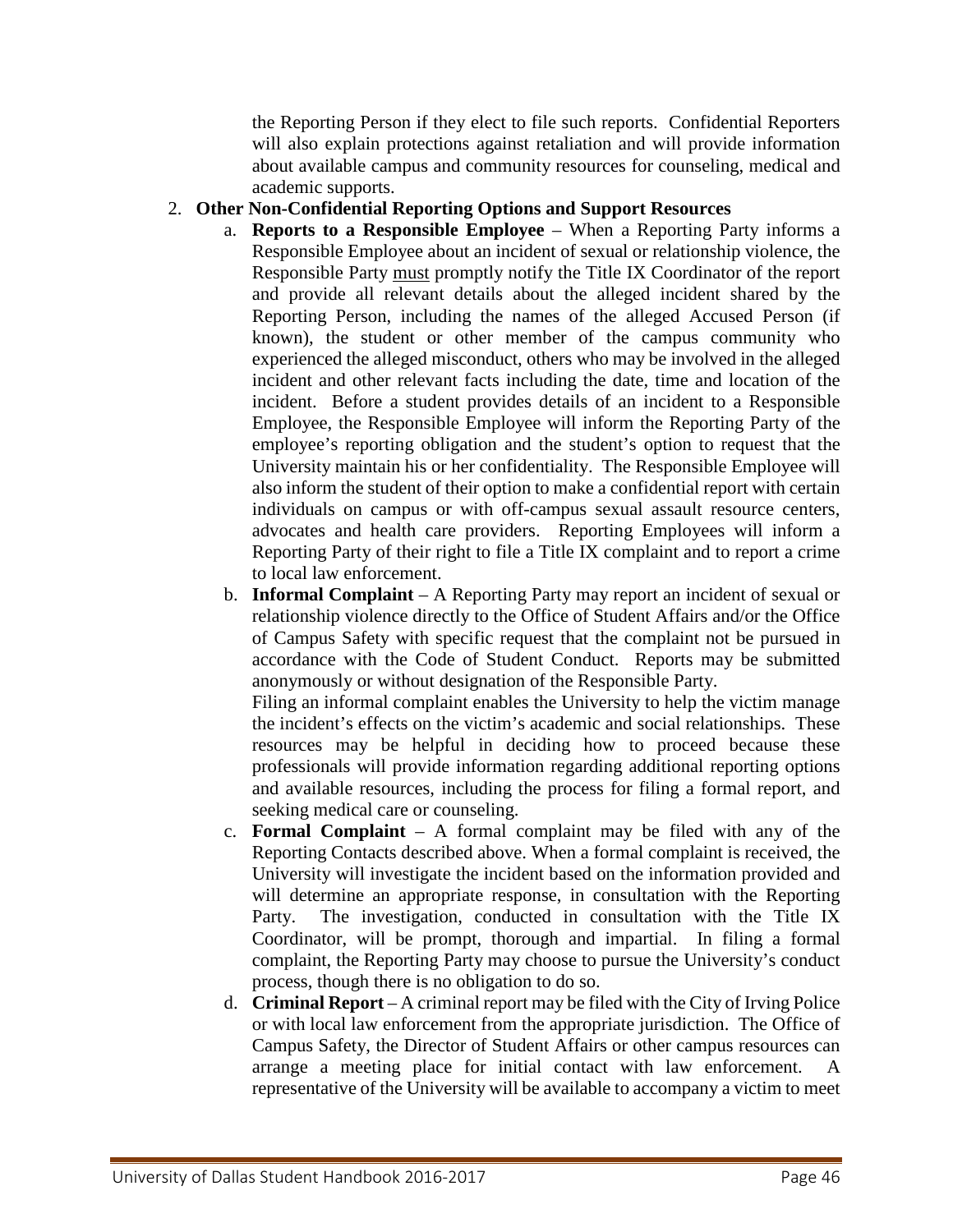the Reporting Person if they elect to file such reports. Confidential Reporters will also explain protections against retaliation and will provide information about available campus and community resources for counseling, medical and academic supports.

## 2. **Other Non-Confidential Reporting Options and Support Resources**

- a. **Reports to a Responsible Employee** When a Reporting Party informs a Responsible Employee about an incident of sexual or relationship violence, the Responsible Party must promptly notify the Title IX Coordinator of the report and provide all relevant details about the alleged incident shared by the Reporting Person, including the names of the alleged Accused Person (if known), the student or other member of the campus community who experienced the alleged misconduct, others who may be involved in the alleged incident and other relevant facts including the date, time and location of the incident. Before a student provides details of an incident to a Responsible Employee, the Responsible Employee will inform the Reporting Party of the employee's reporting obligation and the student's option to request that the University maintain his or her confidentiality. The Responsible Employee will also inform the student of their option to make a confidential report with certain individuals on campus or with off-campus sexual assault resource centers, advocates and health care providers. Reporting Employees will inform a Reporting Party of their right to file a Title IX complaint and to report a crime to local law enforcement.
- b. **Informal Complaint** A Reporting Party may report an incident of sexual or relationship violence directly to the Office of Student Affairs and/or the Office of Campus Safety with specific request that the complaint not be pursued in accordance with the Code of Student Conduct. Reports may be submitted anonymously or without designation of the Responsible Party.

Filing an informal complaint enables the University to help the victim manage the incident's effects on the victim's academic and social relationships. These resources may be helpful in deciding how to proceed because these professionals will provide information regarding additional reporting options and available resources, including the process for filing a formal report, and seeking medical care or counseling.

- c. **Formal Complaint** A formal complaint may be filed with any of the Reporting Contacts described above. When a formal complaint is received, the University will investigate the incident based on the information provided and will determine an appropriate response, in consultation with the Reporting Party. The investigation, conducted in consultation with the Title IX Coordinator, will be prompt, thorough and impartial. In filing a formal complaint, the Reporting Party may choose to pursue the University's conduct process, though there is no obligation to do so.
- d. **Criminal Report** A criminal report may be filed with the City of Irving Police or with local law enforcement from the appropriate jurisdiction. The Office of Campus Safety, the Director of Student Affairs or other campus resources can arrange a meeting place for initial contact with law enforcement. A representative of the University will be available to accompany a victim to meet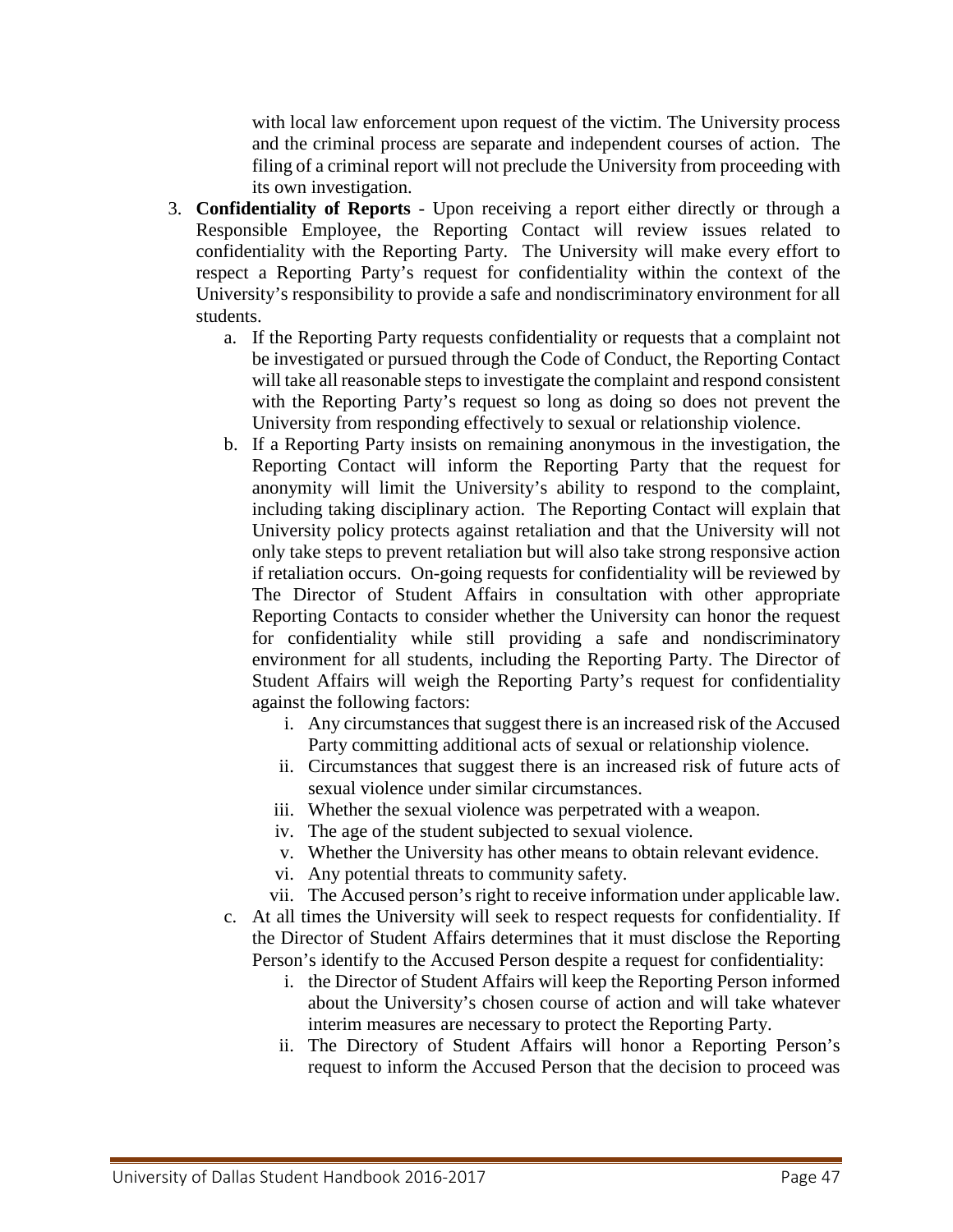with local law enforcement upon request of the victim. The University process and the criminal process are separate and independent courses of action. The filing of a criminal report will not preclude the University from proceeding with its own investigation.

- 3. **Confidentiality of Reports** Upon receiving a report either directly or through a Responsible Employee, the Reporting Contact will review issues related to confidentiality with the Reporting Party. The University will make every effort to respect a Reporting Party's request for confidentiality within the context of the University's responsibility to provide a safe and nondiscriminatory environment for all students.
	- a. If the Reporting Party requests confidentiality or requests that a complaint not be investigated or pursued through the Code of Conduct, the Reporting Contact will take all reasonable steps to investigate the complaint and respond consistent with the Reporting Party's request so long as doing so does not prevent the University from responding effectively to sexual or relationship violence.
	- b. If a Reporting Party insists on remaining anonymous in the investigation, the Reporting Contact will inform the Reporting Party that the request for anonymity will limit the University's ability to respond to the complaint, including taking disciplinary action. The Reporting Contact will explain that University policy protects against retaliation and that the University will not only take steps to prevent retaliation but will also take strong responsive action if retaliation occurs. On-going requests for confidentiality will be reviewed by The Director of Student Affairs in consultation with other appropriate Reporting Contacts to consider whether the University can honor the request for confidentiality while still providing a safe and nondiscriminatory environment for all students, including the Reporting Party. The Director of Student Affairs will weigh the Reporting Party's request for confidentiality against the following factors:
		- i. Any circumstances that suggest there is an increased risk of the Accused Party committing additional acts of sexual or relationship violence.
		- ii. Circumstances that suggest there is an increased risk of future acts of sexual violence under similar circumstances.
		- iii. Whether the sexual violence was perpetrated with a weapon.
		- iv. The age of the student subjected to sexual violence.
		- v. Whether the University has other means to obtain relevant evidence.
		- vi. Any potential threats to community safety.
		- vii. The Accused person's right to receive information under applicable law.
	- c. At all times the University will seek to respect requests for confidentiality. If the Director of Student Affairs determines that it must disclose the Reporting Person's identify to the Accused Person despite a request for confidentiality:
		- i. the Director of Student Affairs will keep the Reporting Person informed about the University's chosen course of action and will take whatever interim measures are necessary to protect the Reporting Party.
		- ii. The Directory of Student Affairs will honor a Reporting Person's request to inform the Accused Person that the decision to proceed was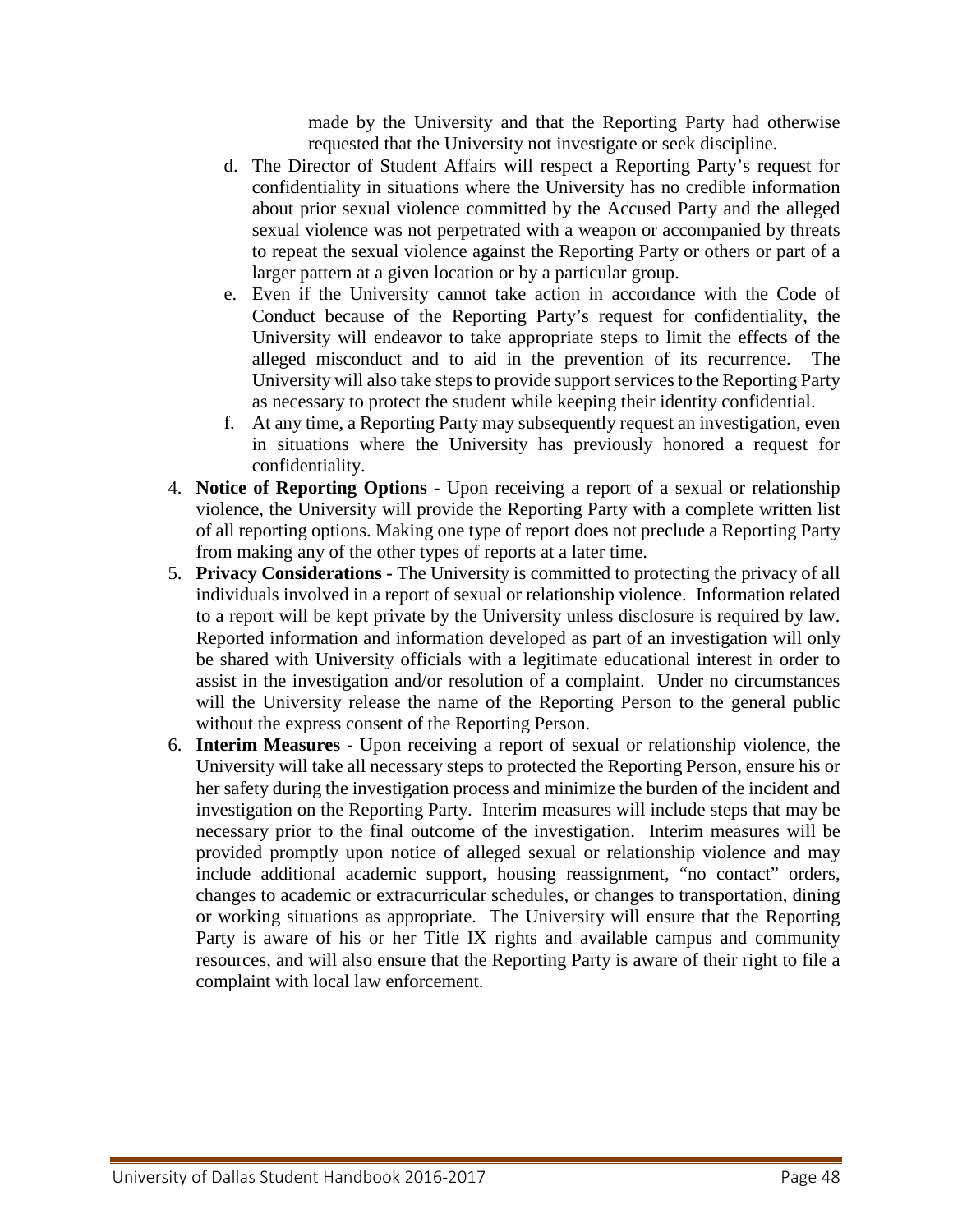made by the University and that the Reporting Party had otherwise requested that the University not investigate or seek discipline.

- d. The Director of Student Affairs will respect a Reporting Party's request for confidentiality in situations where the University has no credible information about prior sexual violence committed by the Accused Party and the alleged sexual violence was not perpetrated with a weapon or accompanied by threats to repeat the sexual violence against the Reporting Party or others or part of a larger pattern at a given location or by a particular group.
- e. Even if the University cannot take action in accordance with the Code of Conduct because of the Reporting Party's request for confidentiality, the University will endeavor to take appropriate steps to limit the effects of the alleged misconduct and to aid in the prevention of its recurrence. The University will also take steps to provide support services to the Reporting Party as necessary to protect the student while keeping their identity confidential.
- f. At any time, a Reporting Party may subsequently request an investigation, even in situations where the University has previously honored a request for confidentiality.
- 4. **Notice of Reporting Options** Upon receiving a report of a sexual or relationship violence, the University will provide the Reporting Party with a complete written list of all reporting options. Making one type of report does not preclude a Reporting Party from making any of the other types of reports at a later time.
- 5. **Privacy Considerations -** The University is committed to protecting the privacy of all individuals involved in a report of sexual or relationship violence. Information related to a report will be kept private by the University unless disclosure is required by law. Reported information and information developed as part of an investigation will only be shared with University officials with a legitimate educational interest in order to assist in the investigation and/or resolution of a complaint. Under no circumstances will the University release the name of the Reporting Person to the general public without the express consent of the Reporting Person.
- 6. **Interim Measures -** Upon receiving a report of sexual or relationship violence, the University will take all necessary steps to protected the Reporting Person, ensure his or her safety during the investigation process and minimize the burden of the incident and investigation on the Reporting Party. Interim measures will include steps that may be necessary prior to the final outcome of the investigation. Interim measures will be provided promptly upon notice of alleged sexual or relationship violence and may include additional academic support, housing reassignment, "no contact" orders, changes to academic or extracurricular schedules, or changes to transportation, dining or working situations as appropriate. The University will ensure that the Reporting Party is aware of his or her Title IX rights and available campus and community resources, and will also ensure that the Reporting Party is aware of their right to file a complaint with local law enforcement.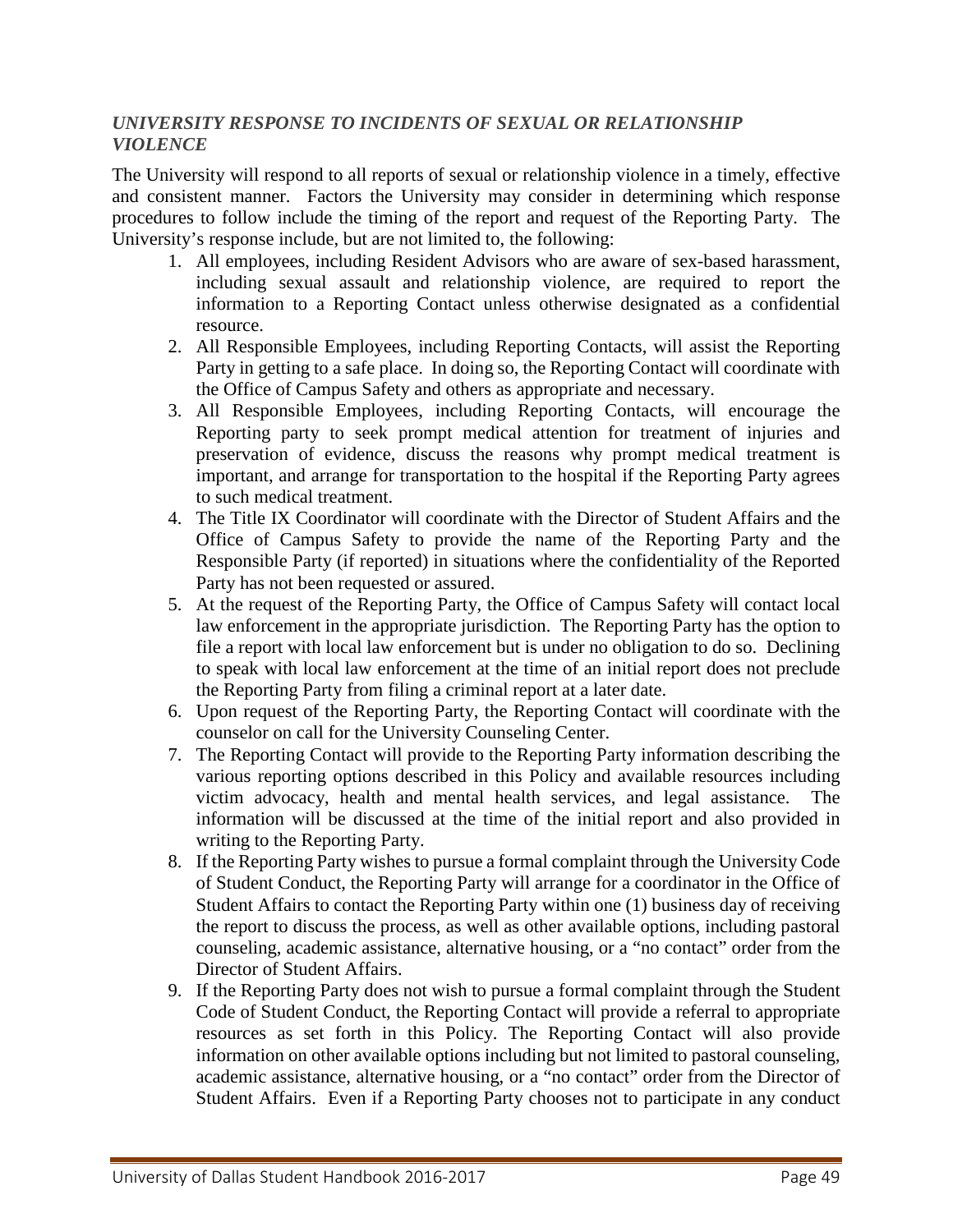#### *UNIVERSITY RESPONSE TO INCIDENTS OF SEXUAL OR RELATIONSHIP VIOLENCE*

The University will respond to all reports of sexual or relationship violence in a timely, effective and consistent manner. Factors the University may consider in determining which response procedures to follow include the timing of the report and request of the Reporting Party. The University's response include, but are not limited to, the following:

- 1. All employees, including Resident Advisors who are aware of sex-based harassment, including sexual assault and relationship violence, are required to report the information to a Reporting Contact unless otherwise designated as a confidential resource.
- 2. All Responsible Employees, including Reporting Contacts, will assist the Reporting Party in getting to a safe place. In doing so, the Reporting Contact will coordinate with the Office of Campus Safety and others as appropriate and necessary.
- 3. All Responsible Employees, including Reporting Contacts, will encourage the Reporting party to seek prompt medical attention for treatment of injuries and preservation of evidence, discuss the reasons why prompt medical treatment is important, and arrange for transportation to the hospital if the Reporting Party agrees to such medical treatment.
- 4. The Title IX Coordinator will coordinate with the Director of Student Affairs and the Office of Campus Safety to provide the name of the Reporting Party and the Responsible Party (if reported) in situations where the confidentiality of the Reported Party has not been requested or assured.
- 5. At the request of the Reporting Party, the Office of Campus Safety will contact local law enforcement in the appropriate jurisdiction. The Reporting Party has the option to file a report with local law enforcement but is under no obligation to do so. Declining to speak with local law enforcement at the time of an initial report does not preclude the Reporting Party from filing a criminal report at a later date.
- 6. Upon request of the Reporting Party, the Reporting Contact will coordinate with the counselor on call for the University Counseling Center.
- 7. The Reporting Contact will provide to the Reporting Party information describing the various reporting options described in this Policy and available resources including victim advocacy, health and mental health services, and legal assistance. The information will be discussed at the time of the initial report and also provided in writing to the Reporting Party.
- 8. If the Reporting Party wishes to pursue a formal complaint through the University Code of Student Conduct, the Reporting Party will arrange for a coordinator in the Office of Student Affairs to contact the Reporting Party within one (1) business day of receiving the report to discuss the process, as well as other available options, including pastoral counseling, academic assistance, alternative housing, or a "no contact" order from the Director of Student Affairs.
- 9. If the Reporting Party does not wish to pursue a formal complaint through the Student Code of Student Conduct, the Reporting Contact will provide a referral to appropriate resources as set forth in this Policy. The Reporting Contact will also provide information on other available options including but not limited to pastoral counseling, academic assistance, alternative housing, or a "no contact" order from the Director of Student Affairs. Even if a Reporting Party chooses not to participate in any conduct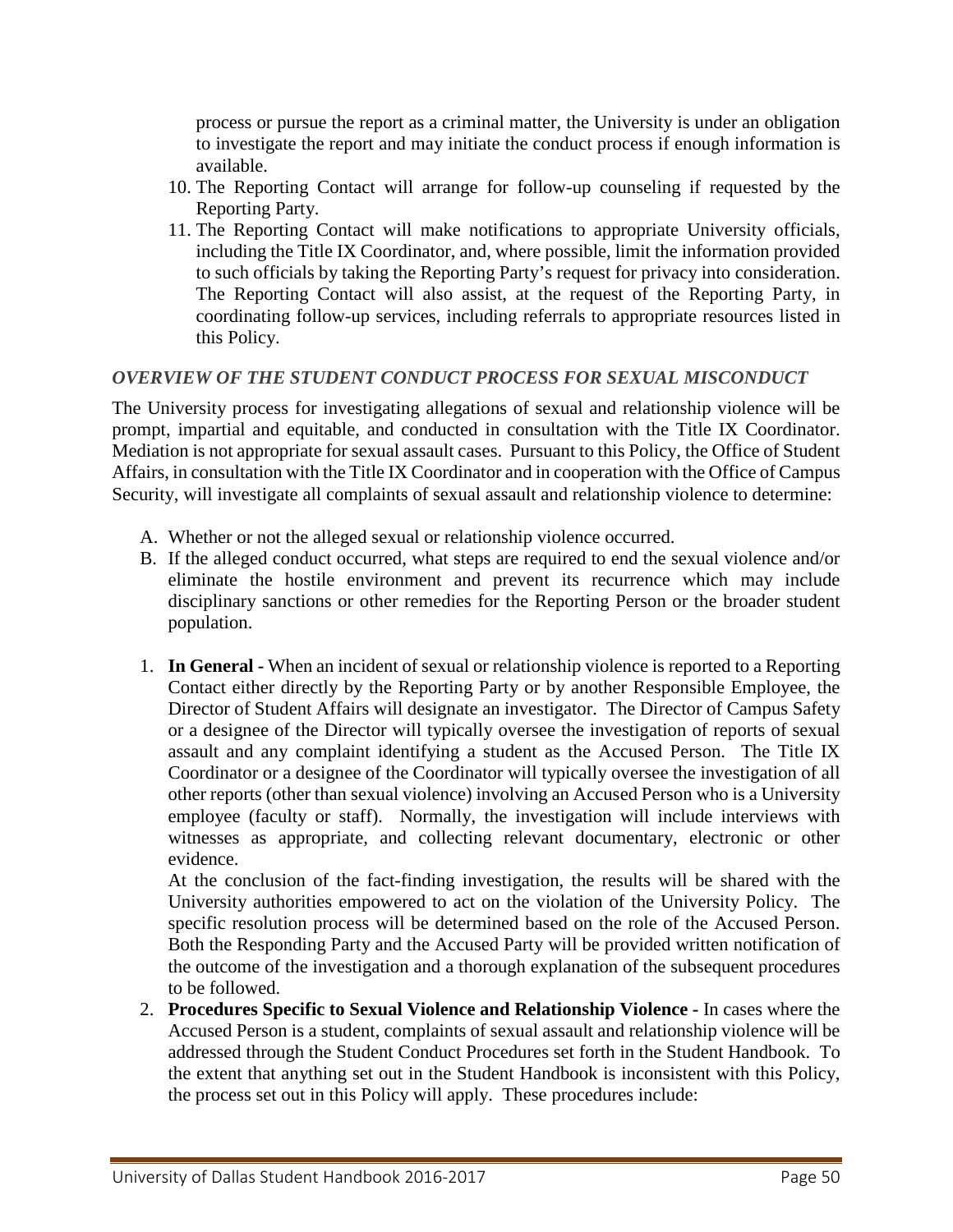process or pursue the report as a criminal matter, the University is under an obligation to investigate the report and may initiate the conduct process if enough information is available.

- 10. The Reporting Contact will arrange for follow-up counseling if requested by the Reporting Party.
- 11. The Reporting Contact will make notifications to appropriate University officials, including the Title IX Coordinator, and, where possible, limit the information provided to such officials by taking the Reporting Party's request for privacy into consideration. The Reporting Contact will also assist, at the request of the Reporting Party, in coordinating follow-up services, including referrals to appropriate resources listed in this Policy.

## *OVERVIEW OF THE STUDENT CONDUCT PROCESS FOR SEXUAL MISCONDUCT*

The University process for investigating allegations of sexual and relationship violence will be prompt, impartial and equitable, and conducted in consultation with the Title IX Coordinator. Mediation is not appropriate for sexual assault cases. Pursuant to this Policy, the Office of Student Affairs, in consultation with the Title IX Coordinator and in cooperation with the Office of Campus Security, will investigate all complaints of sexual assault and relationship violence to determine:

- A. Whether or not the alleged sexual or relationship violence occurred.
- B. If the alleged conduct occurred, what steps are required to end the sexual violence and/or eliminate the hostile environment and prevent its recurrence which may include disciplinary sanctions or other remedies for the Reporting Person or the broader student population.
- 1. **In General -** When an incident of sexual or relationship violence is reported to a Reporting Contact either directly by the Reporting Party or by another Responsible Employee, the Director of Student Affairs will designate an investigator. The Director of Campus Safety or a designee of the Director will typically oversee the investigation of reports of sexual assault and any complaint identifying a student as the Accused Person. The Title IX Coordinator or a designee of the Coordinator will typically oversee the investigation of all other reports (other than sexual violence) involving an Accused Person who is a University employee (faculty or staff). Normally, the investigation will include interviews with witnesses as appropriate, and collecting relevant documentary, electronic or other evidence.

At the conclusion of the fact-finding investigation, the results will be shared with the University authorities empowered to act on the violation of the University Policy. The specific resolution process will be determined based on the role of the Accused Person. Both the Responding Party and the Accused Party will be provided written notification of the outcome of the investigation and a thorough explanation of the subsequent procedures to be followed.

2. **Procedures Specific to Sexual Violence and Relationship Violence -** In cases where the Accused Person is a student, complaints of sexual assault and relationship violence will be addressed through the Student Conduct Procedures set forth in the Student Handbook. To the extent that anything set out in the Student Handbook is inconsistent with this Policy, the process set out in this Policy will apply. These procedures include: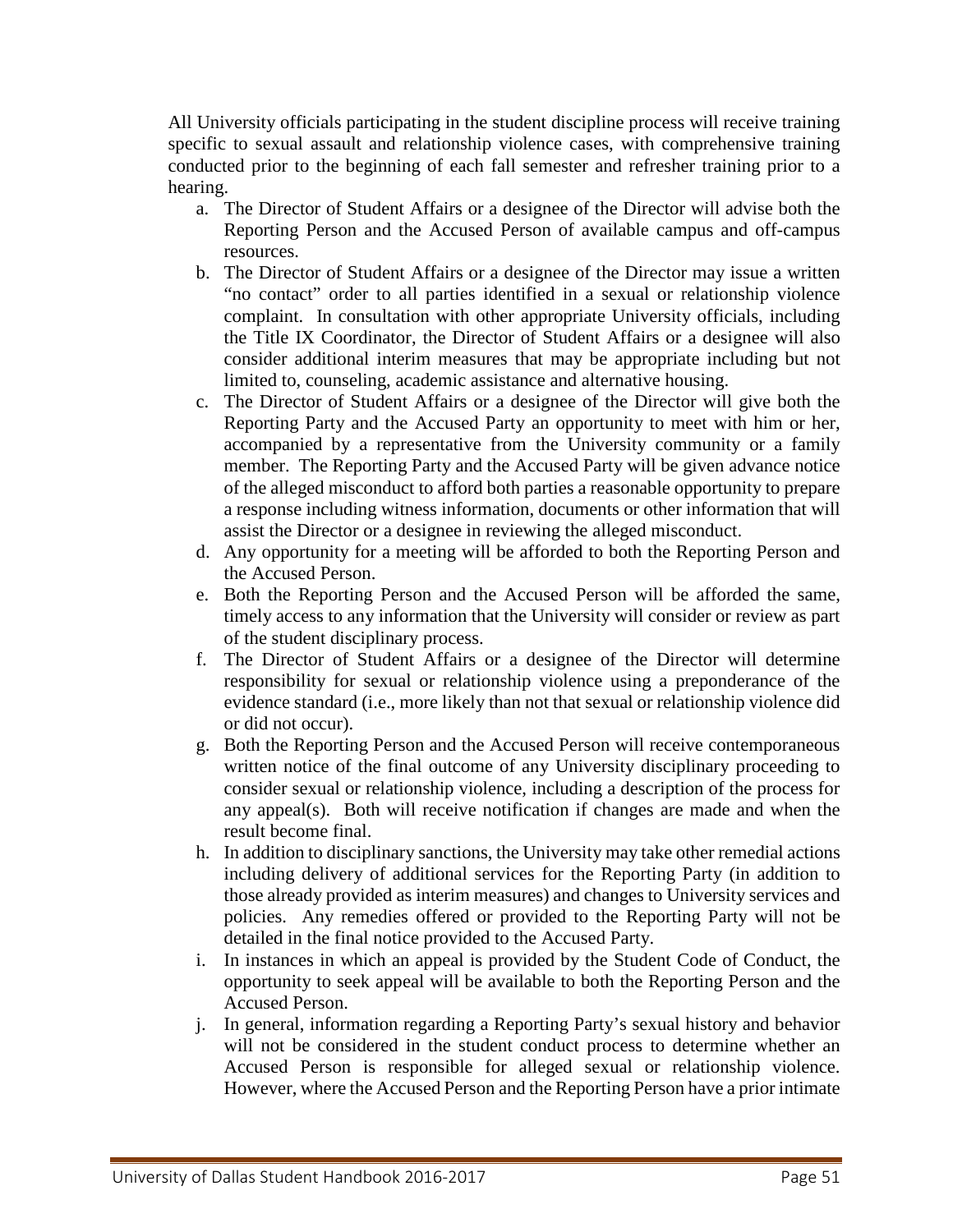All University officials participating in the student discipline process will receive training specific to sexual assault and relationship violence cases, with comprehensive training conducted prior to the beginning of each fall semester and refresher training prior to a hearing.

- a. The Director of Student Affairs or a designee of the Director will advise both the Reporting Person and the Accused Person of available campus and off-campus resources.
- b. The Director of Student Affairs or a designee of the Director may issue a written "no contact" order to all parties identified in a sexual or relationship violence complaint. In consultation with other appropriate University officials, including the Title IX Coordinator, the Director of Student Affairs or a designee will also consider additional interim measures that may be appropriate including but not limited to, counseling, academic assistance and alternative housing.
- c. The Director of Student Affairs or a designee of the Director will give both the Reporting Party and the Accused Party an opportunity to meet with him or her, accompanied by a representative from the University community or a family member. The Reporting Party and the Accused Party will be given advance notice of the alleged misconduct to afford both parties a reasonable opportunity to prepare a response including witness information, documents or other information that will assist the Director or a designee in reviewing the alleged misconduct.
- d. Any opportunity for a meeting will be afforded to both the Reporting Person and the Accused Person.
- e. Both the Reporting Person and the Accused Person will be afforded the same, timely access to any information that the University will consider or review as part of the student disciplinary process.
- f. The Director of Student Affairs or a designee of the Director will determine responsibility for sexual or relationship violence using a preponderance of the evidence standard (i.e., more likely than not that sexual or relationship violence did or did not occur).
- g. Both the Reporting Person and the Accused Person will receive contemporaneous written notice of the final outcome of any University disciplinary proceeding to consider sexual or relationship violence, including a description of the process for any appeal(s). Both will receive notification if changes are made and when the result become final.
- h. In addition to disciplinary sanctions, the University may take other remedial actions including delivery of additional services for the Reporting Party (in addition to those already provided as interim measures) and changes to University services and policies. Any remedies offered or provided to the Reporting Party will not be detailed in the final notice provided to the Accused Party.
- i. In instances in which an appeal is provided by the Student Code of Conduct, the opportunity to seek appeal will be available to both the Reporting Person and the Accused Person.
- j. In general, information regarding a Reporting Party's sexual history and behavior will not be considered in the student conduct process to determine whether an Accused Person is responsible for alleged sexual or relationship violence. However, where the Accused Person and the Reporting Person have a prior intimate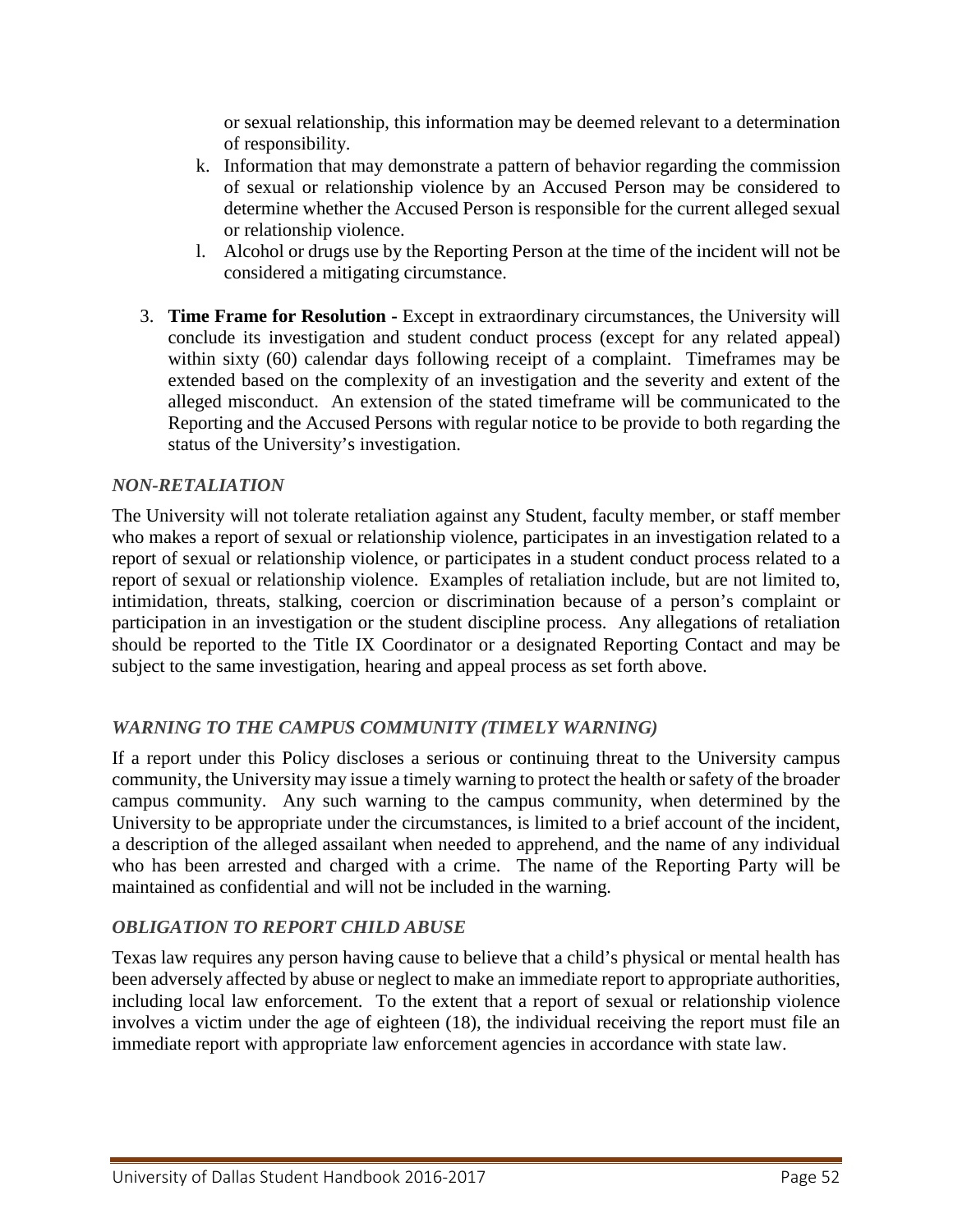or sexual relationship, this information may be deemed relevant to a determination of responsibility.

- k. Information that may demonstrate a pattern of behavior regarding the commission of sexual or relationship violence by an Accused Person may be considered to determine whether the Accused Person is responsible for the current alleged sexual or relationship violence.
- l. Alcohol or drugs use by the Reporting Person at the time of the incident will not be considered a mitigating circumstance.
- 3. **Time Frame for Resolution -** Except in extraordinary circumstances, the University will conclude its investigation and student conduct process (except for any related appeal) within sixty (60) calendar days following receipt of a complaint. Timeframes may be extended based on the complexity of an investigation and the severity and extent of the alleged misconduct. An extension of the stated timeframe will be communicated to the Reporting and the Accused Persons with regular notice to be provide to both regarding the status of the University's investigation.

## *NON-RETALIATION*

The University will not tolerate retaliation against any Student, faculty member, or staff member who makes a report of sexual or relationship violence, participates in an investigation related to a report of sexual or relationship violence, or participates in a student conduct process related to a report of sexual or relationship violence. Examples of retaliation include, but are not limited to, intimidation, threats, stalking, coercion or discrimination because of a person's complaint or participation in an investigation or the student discipline process. Any allegations of retaliation should be reported to the Title IX Coordinator or a designated Reporting Contact and may be subject to the same investigation, hearing and appeal process as set forth above.

#### *WARNING TO THE CAMPUS COMMUNITY (TIMELY WARNING)*

If a report under this Policy discloses a serious or continuing threat to the University campus community, the University may issue a timely warning to protect the health or safety of the broader campus community. Any such warning to the campus community, when determined by the University to be appropriate under the circumstances, is limited to a brief account of the incident, a description of the alleged assailant when needed to apprehend, and the name of any individual who has been arrested and charged with a crime. The name of the Reporting Party will be maintained as confidential and will not be included in the warning.

#### *OBLIGATION TO REPORT CHILD ABUSE*

Texas law requires any person having cause to believe that a child's physical or mental health has been adversely affected by abuse or neglect to make an immediate report to appropriate authorities, including local law enforcement. To the extent that a report of sexual or relationship violence involves a victim under the age of eighteen (18), the individual receiving the report must file an immediate report with appropriate law enforcement agencies in accordance with state law.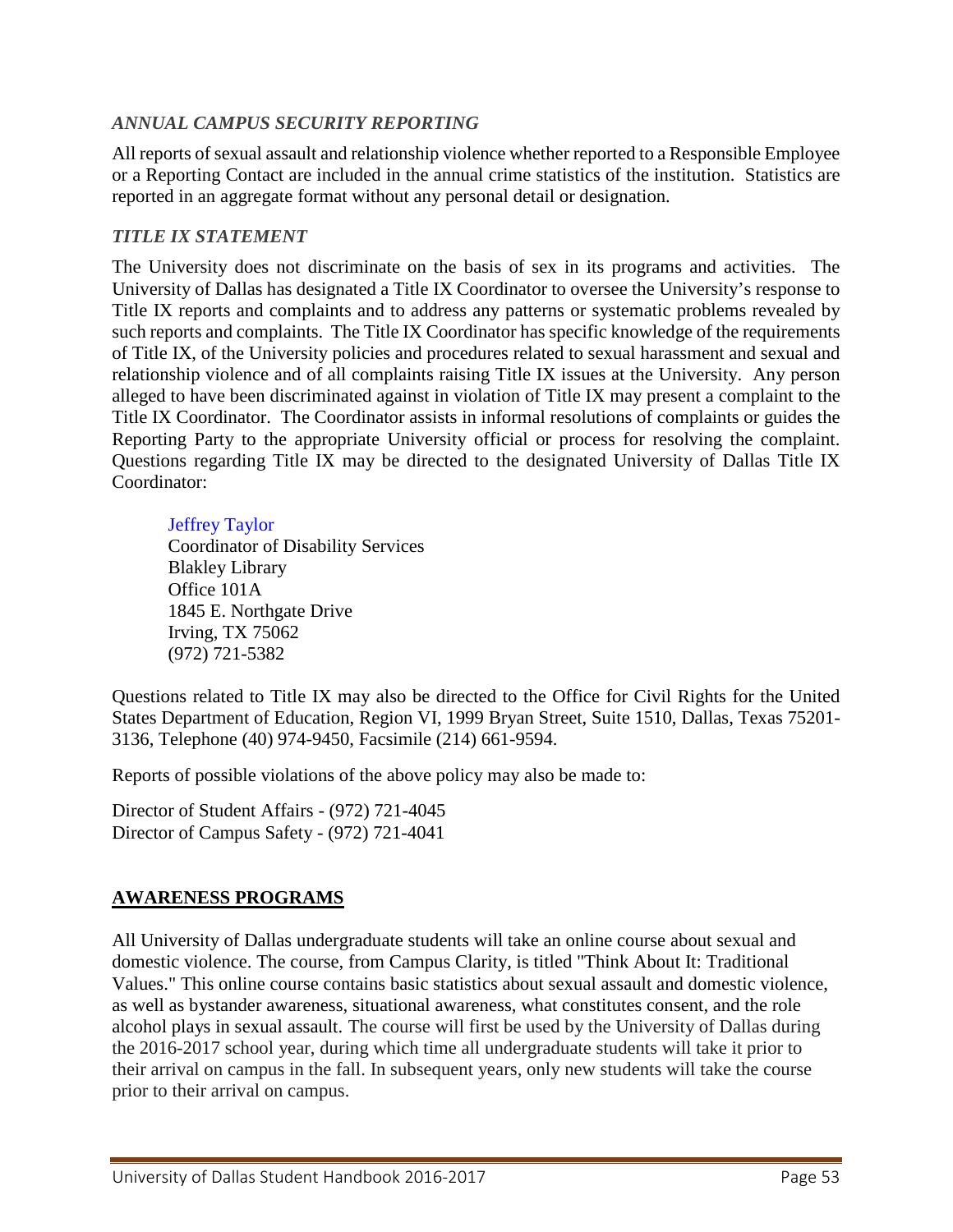## *ANNUAL CAMPUS SECURITY REPORTING*

All reports of sexual assault and relationship violence whether reported to a Responsible Employee or a Reporting Contact are included in the annual crime statistics of the institution. Statistics are reported in an aggregate format without any personal detail or designation.

## *TITLE IX STATEMENT*

The University does not discriminate on the basis of sex in its programs and activities. The University of Dallas has designated a Title IX Coordinator to oversee the University's response to Title IX reports and complaints and to address any patterns or systematic problems revealed by such reports and complaints. The Title IX Coordinator has specific knowledge of the requirements of Title IX, of the University policies and procedures related to sexual harassment and sexual and relationship violence and of all complaints raising Title IX issues at the University. Any person alleged to have been discriminated against in violation of Title IX may present a complaint to the Title IX Coordinator. The Coordinator assists in informal resolutions of complaints or guides the Reporting Party to the appropriate University official or process for resolving the complaint. Questions regarding Title IX may be directed to the designated University of Dallas Title IX Coordinator:

#### [Jeffrey](mailto:jtownsend@udallas.edu) Taylor

Coordinator of Disability Services Blakley Library Office 101A 1845 E. Northgate Drive Irving, TX 75062 (972) 721-5382

Questions related to Title IX may also be directed to the Office for Civil Rights for the United States Department of Education, Region VI, 1999 Bryan Street, Suite 1510, Dallas, Texas 75201- 3136, Telephone (40) 974-9450, Facsimile (214) 661-9594.

Reports of possible violations of the above policy may also be made to:

Director of Student Affairs - (972) 721-4045 Director of Campus Safety - (972) 721-4041

## **AWARENESS PROGRAMS**

All University of Dallas undergraduate students will take an online course about sexual and domestic violence. The course, from Campus Clarity, is titled "Think About It: Traditional Values." This online course contains basic statistics about sexual assault and domestic violence, as well as bystander awareness, situational awareness, what constitutes consent, and the role alcohol plays in sexual assault. The course will first be used by the University of Dallas during the 2016-2017 school year, during which time all undergraduate students will take it prior to their arrival on campus in the fall. In subsequent years, only new students will take the course prior to their arrival on campus.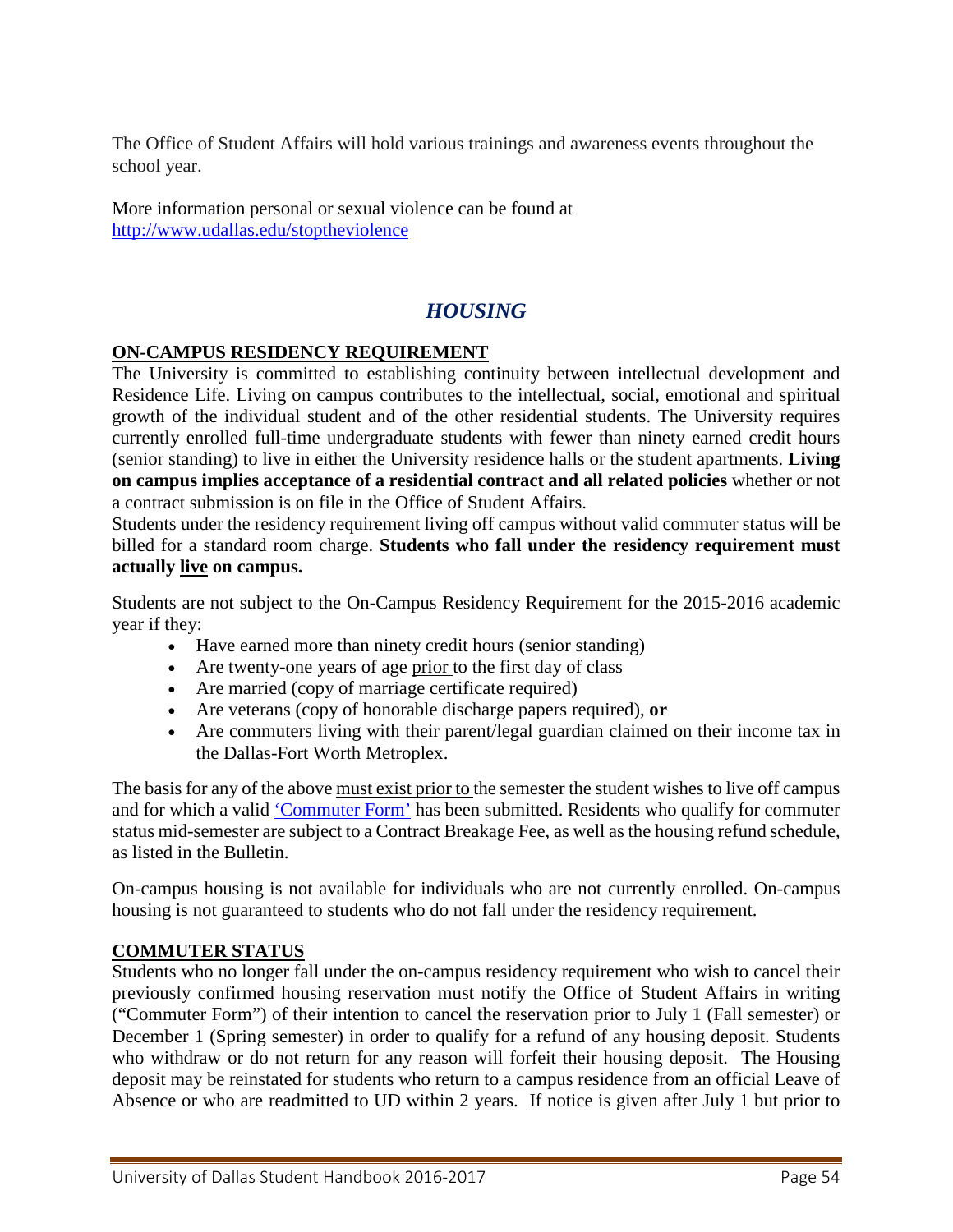The Office of Student Affairs will hold various trainings and awareness events throughout the school year.

More information personal or sexual violence can be found at <http://www.udallas.edu/stoptheviolence>

# *HOUSING*

## **ON-CAMPUS RESIDENCY REQUIREMENT**

The University is committed to establishing continuity between intellectual development and Residence Life. Living on campus contributes to the intellectual, social, emotional and spiritual growth of the individual student and of the other residential students. The University requires currently enrolled full-time undergraduate students with fewer than ninety earned credit hours (senior standing) to live in either the University residence halls or the student apartments. **Living on campus implies acceptance of a residential contract and all related policies** whether or not a contract submission is on file in the Office of Student Affairs.

Students under the residency requirement living off campus without valid commuter status will be billed for a standard room charge. **Students who fall under the residency requirement must actually live on campus.**

Students are not subject to the On-Campus Residency Requirement for the 2015-2016 academic year if they:

- Have earned more than ninety credit hours (senior standing)
- Are twenty-one years of age prior to the first day of class
- Are married (copy of marriage certificate required)
- Are veterans (copy of honorable discharge papers required), **or**
- Are commuters living with their parent/legal guardian claimed on their income tax in the Dallas-Fort Worth Metroplex.

The basis for any of the above must exist prior to the semester the student wishes to live off campus and for which a valid ['Commuter Form'](http://www.udallas.edu/offices/studentlife/forms/commuter.html) has been submitted. Residents who qualify for commuter status mid-semester are subject to a Contract Breakage Fee, as well as the housing refund schedule, as listed in the Bulletin.

On-campus housing is not available for individuals who are not currently enrolled. On-campus housing is not guaranteed to students who do not fall under the residency requirement.

#### **COMMUTER STATUS**

Students who no longer fall under the on-campus residency requirement who wish to cancel their previously confirmed housing reservation must notify the Office of Student Affairs in writing ("Commuter Form") of their intention to cancel the reservation prior to July 1 (Fall semester) or December 1 (Spring semester) in order to qualify for a refund of any housing deposit. Students who withdraw or do not return for any reason will forfeit their housing deposit. The Housing deposit may be reinstated for students who return to a campus residence from an official Leave of Absence or who are readmitted to UD within 2 years. If notice is given after July 1 but prior to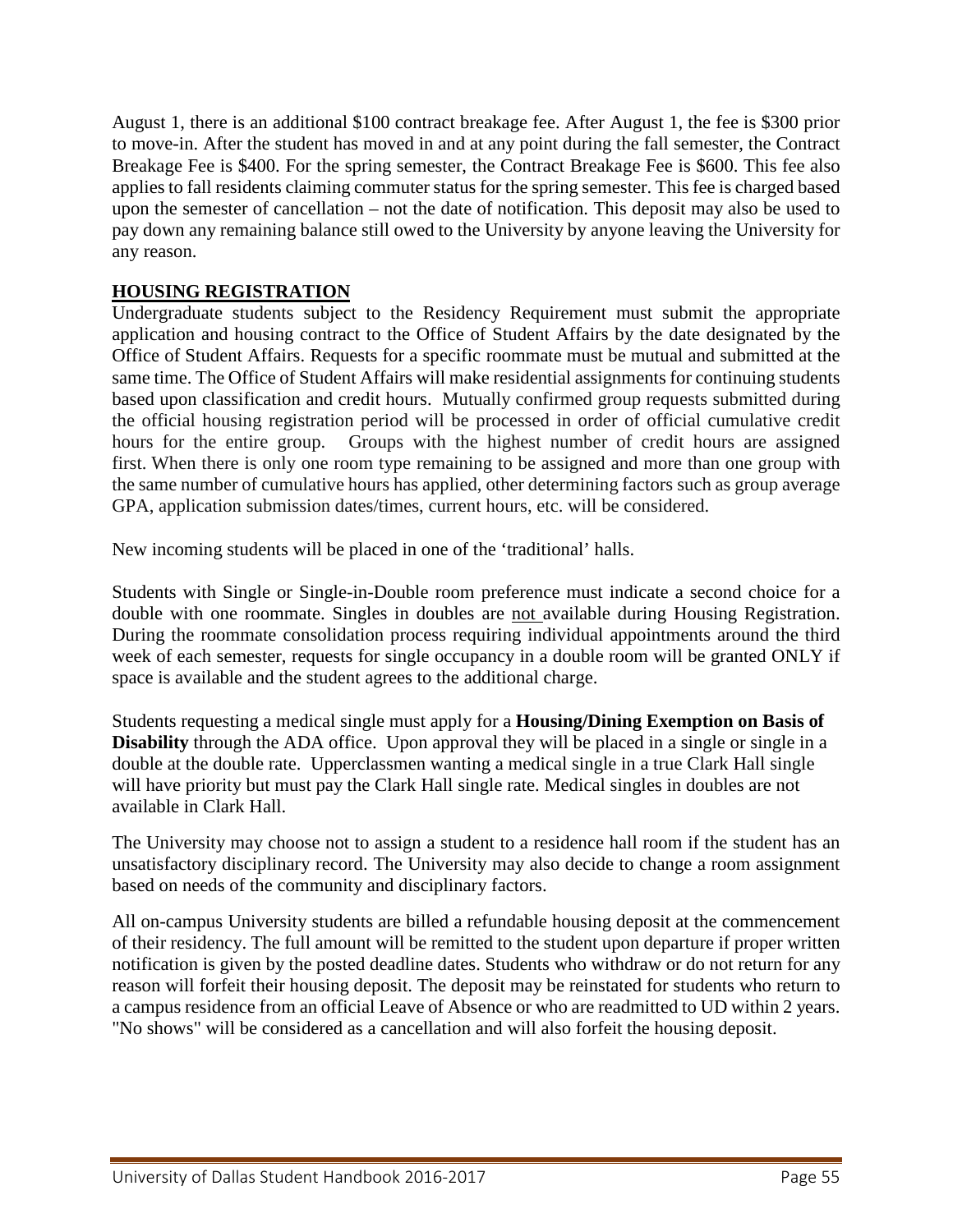August 1, there is an additional \$100 contract breakage fee. After August 1, the fee is \$300 prior to move-in. After the student has moved in and at any point during the fall semester, the Contract Breakage Fee is \$400. For the spring semester, the Contract Breakage Fee is \$600. This fee also applies to fall residents claiming commuter status for the spring semester. This fee is charged based upon the semester of cancellation – not the date of notification. This deposit may also be used to pay down any remaining balance still owed to the University by anyone leaving the University for any reason.

## **HOUSING REGISTRATION**

Undergraduate students subject to the Residency Requirement must submit the appropriate application and housing contract to the Office of Student Affairs by the date designated by the Office of Student Affairs. Requests for a specific roommate must be mutual and submitted at the same time. The Office of Student Affairs will make residential assignments for continuing students based upon classification and credit hours. Mutually confirmed group requests submitted during the official housing registration period will be processed in order of official cumulative credit hours for the entire group. Groups with the highest number of credit hours are assigned first. When there is only one room type remaining to be assigned and more than one group with the same number of cumulative hours has applied, other determining factors such as group average GPA, application submission dates/times, current hours, etc. will be considered.

New incoming students will be placed in one of the 'traditional' halls.

Students with Single or Single-in-Double room preference must indicate a second choice for a double with one roommate. Singles in doubles are not available during Housing Registration. During the roommate consolidation process requiring individual appointments around the third week of each semester, requests for single occupancy in a double room will be granted ONLY if space is available and the student agrees to the additional charge.

Students requesting a medical single must apply for a **Housing/Dining Exemption on Basis of Disability** through the ADA office. Upon approval they will be placed in a single or single in a double at the double rate. Upperclassmen wanting a medical single in a true Clark Hall single will have priority but must pay the Clark Hall single rate. Medical singles in doubles are not available in Clark Hall.

The University may choose not to assign a student to a residence hall room if the student has an unsatisfactory disciplinary record. The University may also decide to change a room assignment based on needs of the community and disciplinary factors.

All on-campus University students are billed a refundable housing deposit at the commencement of their residency. The full amount will be remitted to the student upon departure if proper written notification is given by the posted deadline dates. Students who withdraw or do not return for any reason will forfeit their housing deposit. The deposit may be reinstated for students who return to a campus residence from an official Leave of Absence or who are readmitted to UD within 2 years. "No shows" will be considered as a cancellation and will also forfeit the housing deposit.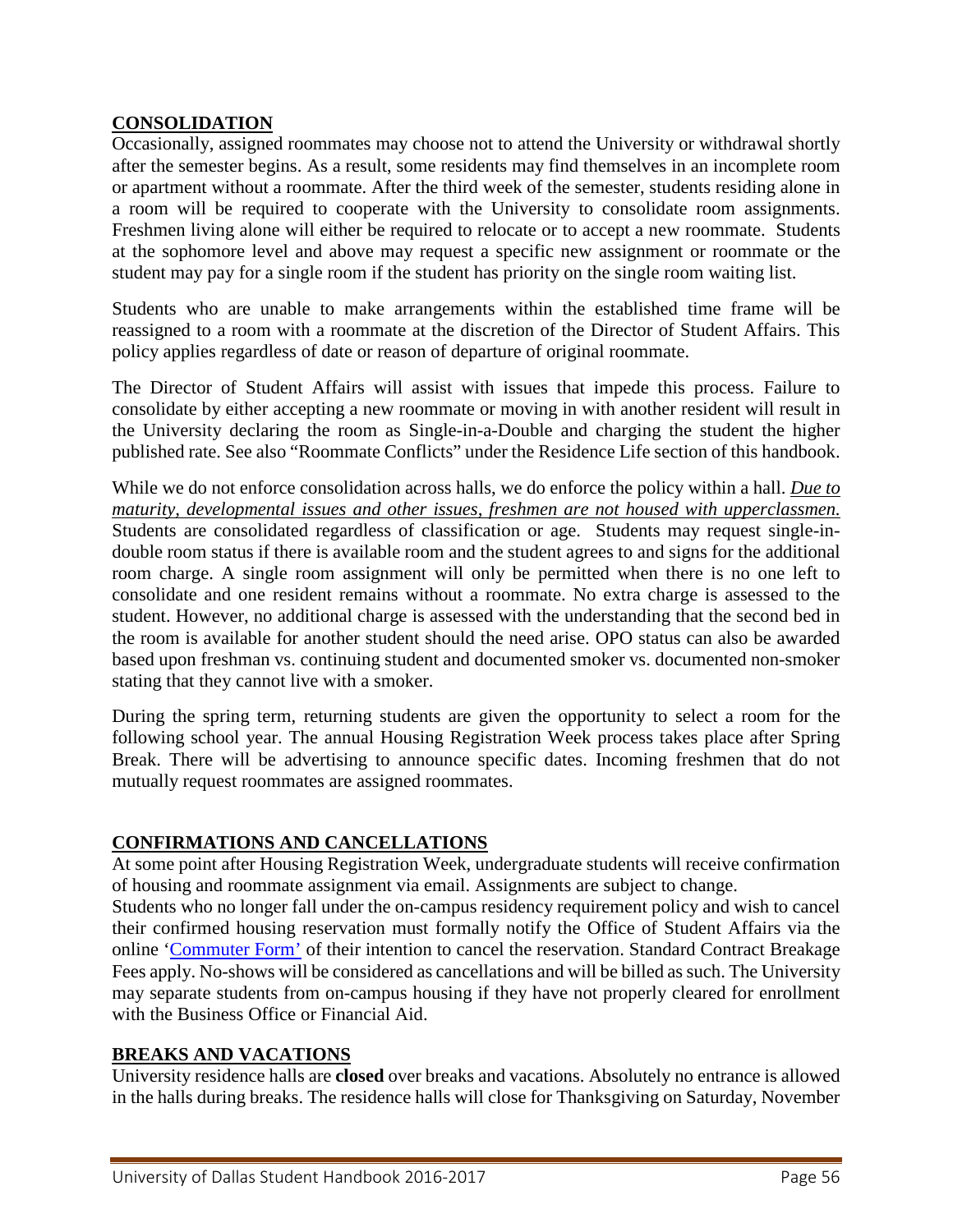#### **CONSOLIDATION**

Occasionally, assigned roommates may choose not to attend the University or withdrawal shortly after the semester begins. As a result, some residents may find themselves in an incomplete room or apartment without a roommate. After the third week of the semester, students residing alone in a room will be required to cooperate with the University to consolidate room assignments. Freshmen living alone will either be required to relocate or to accept a new roommate. Students at the sophomore level and above may request a specific new assignment or roommate or the student may pay for a single room if the student has priority on the single room waiting list.

Students who are unable to make arrangements within the established time frame will be reassigned to a room with a roommate at the discretion of the Director of Student Affairs. This policy applies regardless of date or reason of departure of original roommate.

The Director of Student Affairs will assist with issues that impede this process. Failure to consolidate by either accepting a new roommate or moving in with another resident will result in the University declaring the room as Single-in-a-Double and charging the student the higher published rate. See also "Roommate Conflicts" under the Residence Life section of this handbook.

While we do not enforce consolidation across halls, we do enforce the policy within a hall. *Due to maturity, developmental issues and other issues, freshmen are not housed with upperclassmen.* Students are consolidated regardless of classification or age. Students may request single-indouble room status if there is available room and the student agrees to and signs for the additional room charge. A single room assignment will only be permitted when there is no one left to consolidate and one resident remains without a roommate. No extra charge is assessed to the student. However, no additional charge is assessed with the understanding that the second bed in the room is available for another student should the need arise. OPO status can also be awarded based upon freshman vs. continuing student and documented smoker vs. documented non-smoker stating that they cannot live with a smoker.

During the spring term, returning students are given the opportunity to select a room for the following school year. The annual Housing Registration Week process takes place after Spring Break. There will be advertising to announce specific dates. Incoming freshmen that do not mutually request roommates are assigned roommates.

#### **CONFIRMATIONS AND CANCELLATIONS**

At some point after Housing Registration Week, undergraduate students will receive confirmation of housing and roommate assignment via email. Assignments are subject to change.

Students who no longer fall under the on-campus residency requirement policy and wish to cancel their confirmed housing reservation must formally notify the Office of Student Affairs via the online ['Commuter Form'](http://www.udallas.edu/offices/studentlife/forms/commuter.html) of their intention to cancel the reservation. Standard Contract Breakage Fees apply. No-shows will be considered as cancellations and will be billed as such. The University may separate students from on-campus housing if they have not properly cleared for enrollment with the Business Office or Financial Aid.

#### **BREAKS AND VACATIONS**

University residence halls are **closed** over breaks and vacations. Absolutely no entrance is allowed in the halls during breaks. The residence halls will close for Thanksgiving on Saturday, November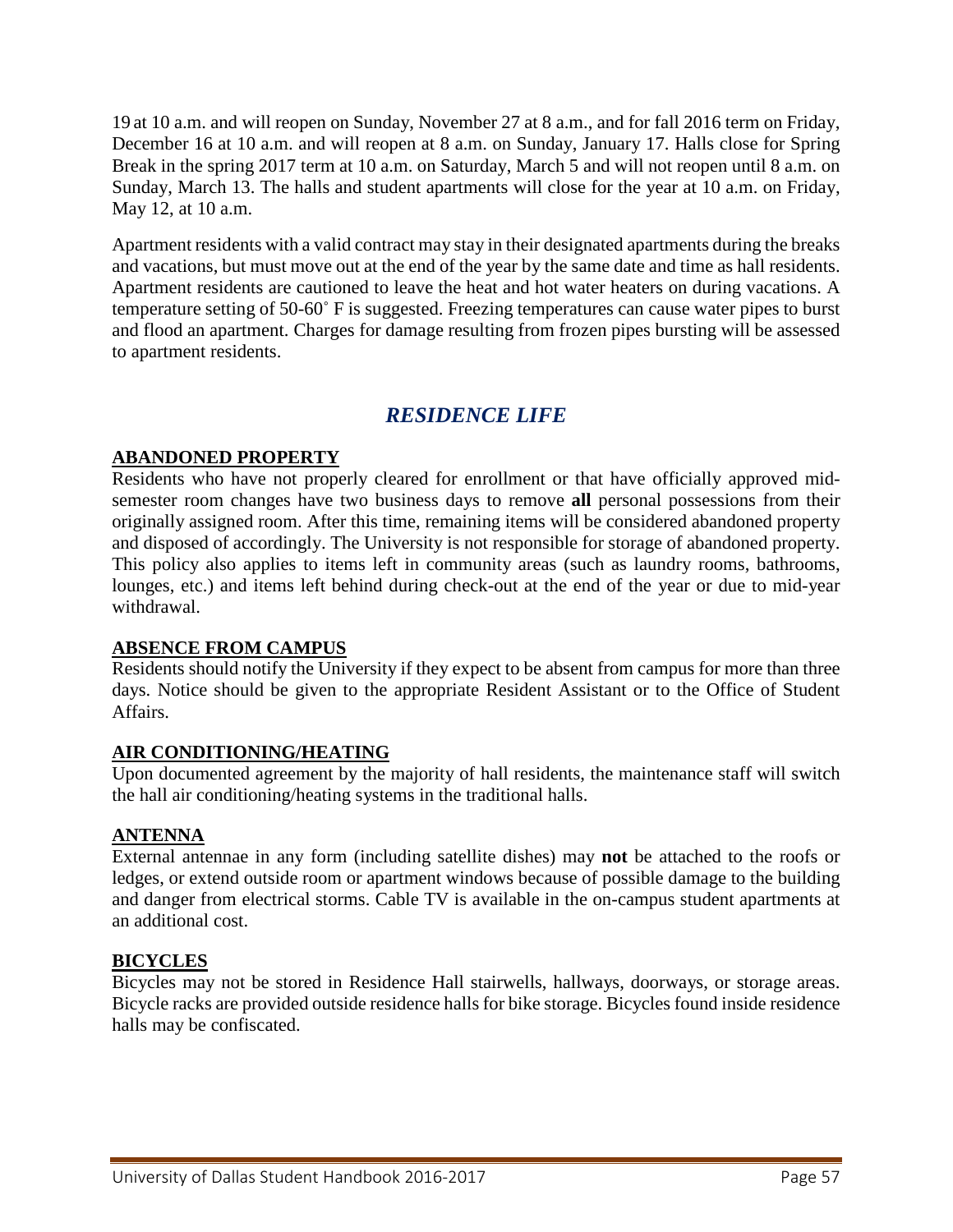19 at 10 a.m. and will reopen on Sunday, November 27 at 8 a.m., and for fall 2016 term on Friday, December 16 at 10 a.m. and will reopen at 8 a.m. on Sunday, January 17. Halls close for Spring Break in the spring 2017 term at 10 a.m. on Saturday, March 5 and will not reopen until 8 a.m. on Sunday, March 13. The halls and student apartments will close for the year at 10 a.m. on Friday, May 12, at 10 a.m.

Apartment residents with a valid contract may stay in their designated apartments during the breaks and vacations, but must move out at the end of the year by the same date and time as hall residents. Apartment residents are cautioned to leave the heat and hot water heaters on during vacations. A temperature setting of 50-60˚ F is suggested. Freezing temperatures can cause water pipes to burst and flood an apartment. Charges for damage resulting from frozen pipes bursting will be assessed to apartment residents.

# *RESIDENCE LIFE*

## **ABANDONED PROPERTY**

Residents who have not properly cleared for enrollment or that have officially approved midsemester room changes have two business days to remove **all** personal possessions from their originally assigned room. After this time, remaining items will be considered abandoned property and disposed of accordingly. The University is not responsible for storage of abandoned property. This policy also applies to items left in community areas (such as laundry rooms, bathrooms, lounges, etc.) and items left behind during check-out at the end of the year or due to mid-year withdrawal.

#### **ABSENCE FROM CAMPUS**

Residents should notify the University if they expect to be absent from campus for more than three days. Notice should be given to the appropriate Resident Assistant or to the Office of Student Affairs.

#### **AIR CONDITIONING/HEATING**

Upon documented agreement by the majority of hall residents, the maintenance staff will switch the hall air conditioning/heating systems in the traditional halls.

## **ANTENNA**

External antennae in any form (including satellite dishes) may **not** be attached to the roofs or ledges, or extend outside room or apartment windows because of possible damage to the building and danger from electrical storms. Cable TV is available in the on-campus student apartments at an additional cost.

## **BICYCLES**

Bicycles may not be stored in Residence Hall stairwells, hallways, doorways, or storage areas. Bicycle racks are provided outside residence halls for bike storage. Bicycles found inside residence halls may be confiscated.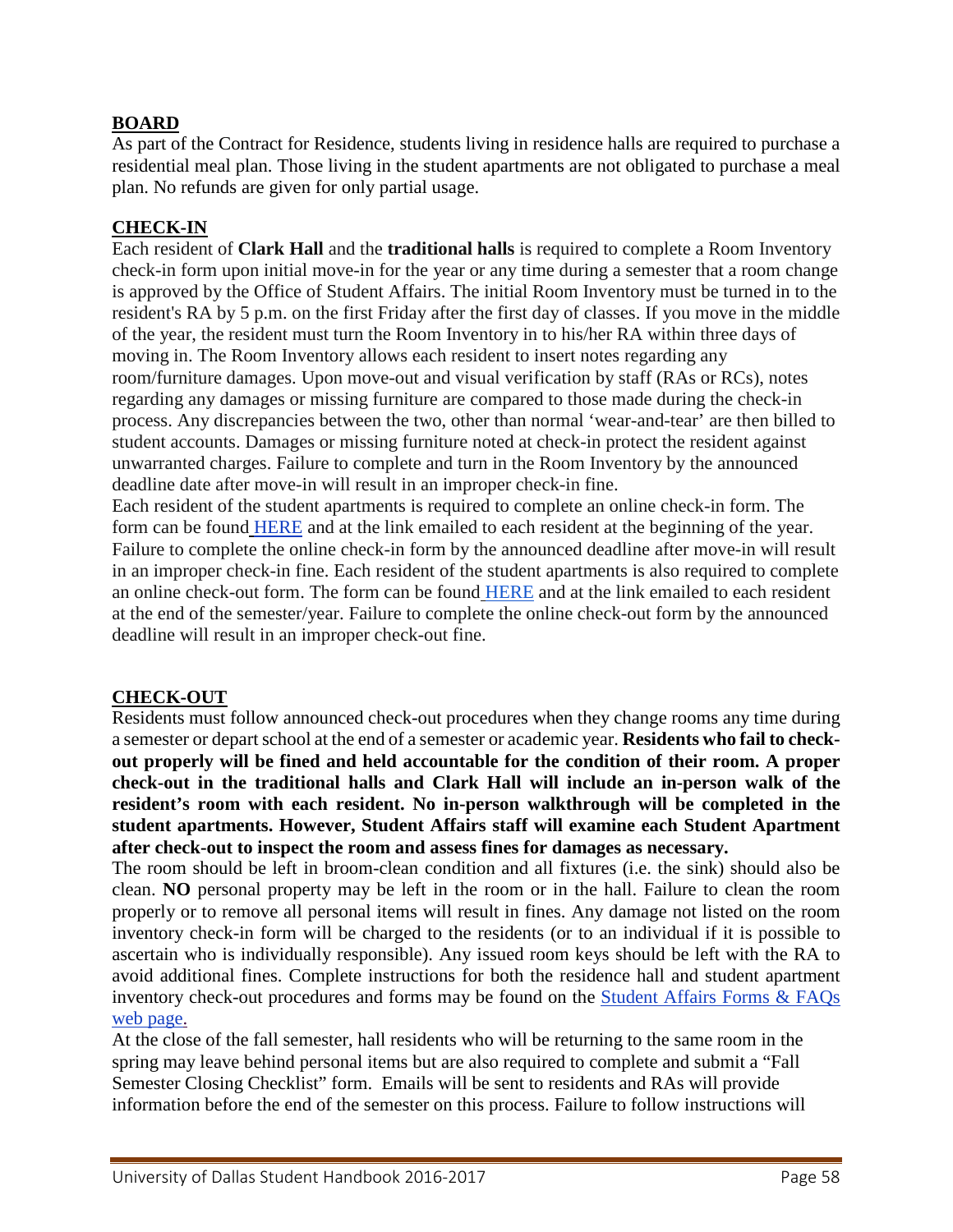## **BOARD**

As part of the Contract for Residence, students living in residence halls are required to purchase a residential meal plan. Those living in the student apartments are not obligated to purchase a meal plan. No refunds are given for only partial usage.

#### **CHECK-IN**

Each resident of **Clark Hall** and the **traditional halls** is required to complete a Room Inventory check-in form upon initial move-in for the year or any time during a semester that a room change is approved by the Office of Student Affairs. The initial Room Inventory must be turned in to the resident's RA by 5 p.m. on the first Friday after the first day of classes. If you move in the middle of the year, the resident must turn the Room Inventory in to his/her RA within three days of moving in. The Room Inventory allows each resident to insert notes regarding any room/furniture damages. Upon move-out and visual verification by staff (RAs or RCs), notes regarding any damages or missing furniture are compared to those made during the check-in process. Any discrepancies between the two, other than normal 'wear-and-tear' are then billed to student accounts. Damages or missing furniture noted at check-in protect the resident against unwarranted charges. Failure to complete and turn in the Room Inventory by the announced deadline date after move-in will result in an improper check-in fine.

Each resident of the student apartments is required to complete an online check-in form. The form can be found [HERE](http://udallas.edu/offices/residencelife/forms/hall_check_in.php) and at the link emailed to each resident at the beginning of the year. Failure to complete the online check-in form by the announced deadline after move-in will result in an improper check-in fine. Each resident of the student apartments is also required to complete an online check-out form. The form can be found [HERE](http://udallas.edu/offices/housing/forms/apt_check_out.php) and at the link emailed to each resident at the end of the semester/year. Failure to complete the online check-out form by the announced deadline will result in an improper check-out fine.

#### **CHECK-OUT**

Residents must follow announced check-out procedures when they change rooms any time during a semester or depart school at the end of a semester or academic year. **Residents who fail to checkout properly will be fined and held accountable for the condition of their room. A proper check-out in the traditional halls and Clark Hall will include an in-person walk of the resident's room with each resident. No in-person walkthrough will be completed in the student apartments. However, Student Affairs staff will examine each Student Apartment after check-out to inspect the room and assess fines for damages as necessary.**

The room should be left in broom-clean condition and all fixtures (i.e. the sink) should also be clean. **NO** personal property may be left in the room or in the hall. Failure to clean the room properly or to remove all personal items will result in fines. Any damage not listed on the room inventory check-in form will be charged to the residents (or to an individual if it is possible to ascertain who is individually responsible). Any issued room keys should be left with the RA to avoid additional fines. Complete instructions for both the residence hall and student apartment inventory check-out procedures and forms may be found on the [Student Affairs Forms & FAQs](http://udallas.edu/offices/housing/forms-information.php)  [web page.](http://udallas.edu/offices/housing/forms-information.php)

At the close of the fall semester, hall residents who will be returning to the same room in the spring may leave behind personal items but are also required to complete and submit a "Fall Semester Closing Checklist" form. Emails will be sent to residents and RAs will provide information before the end of the semester on this process. Failure to follow instructions will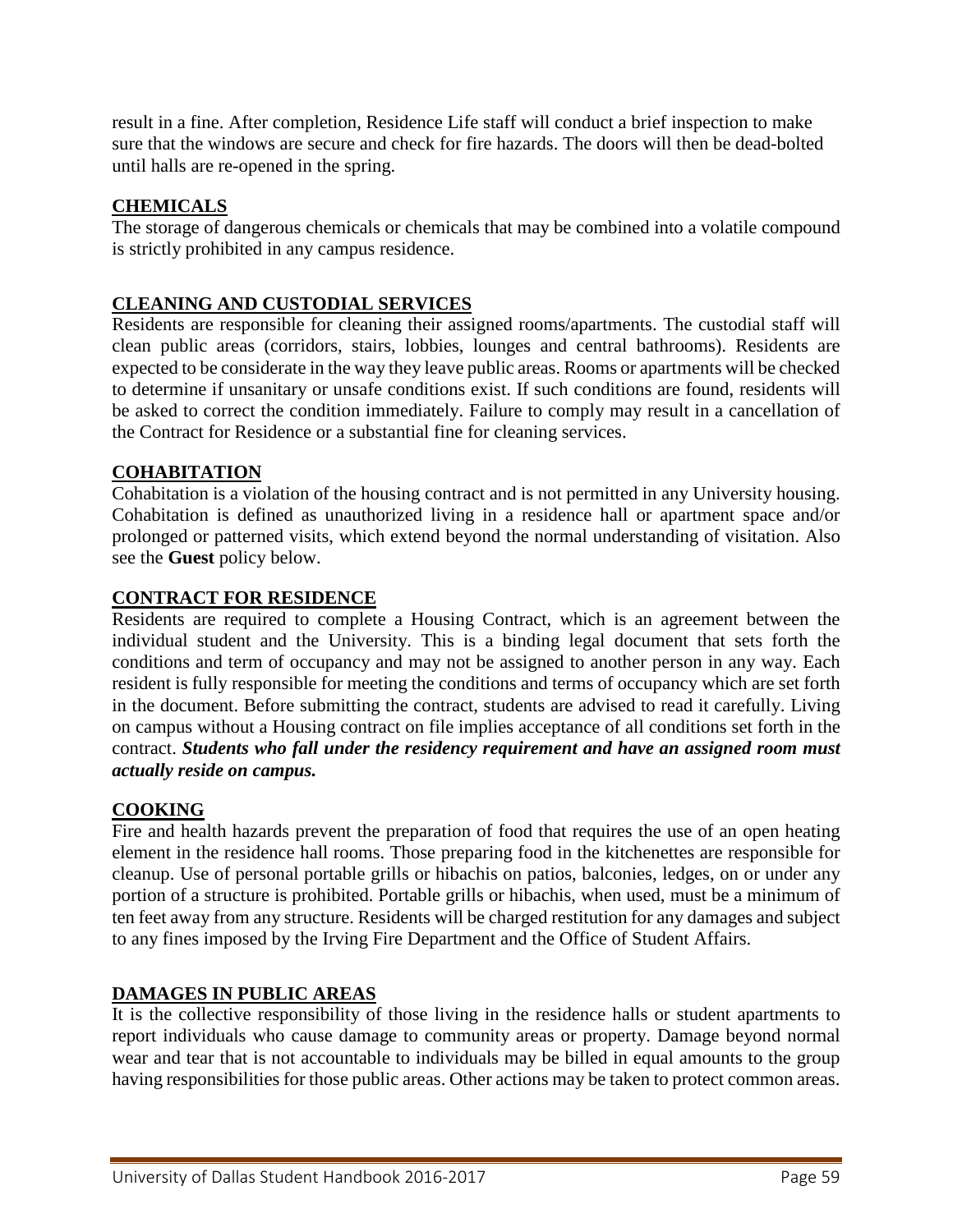result in a fine. After completion, Residence Life staff will conduct a brief inspection to make sure that the windows are secure and check for fire hazards. The doors will then be dead-bolted until halls are re-opened in the spring.

## **CHEMICALS**

The storage of dangerous chemicals or chemicals that may be combined into a volatile compound is strictly prohibited in any campus residence.

## **CLEANING AND CUSTODIAL SERVICES**

Residents are responsible for cleaning their assigned rooms/apartments. The custodial staff will clean public areas (corridors, stairs, lobbies, lounges and central bathrooms). Residents are expected to be considerate in the way they leave public areas. Rooms or apartments will be checked to determine if unsanitary or unsafe conditions exist. If such conditions are found, residents will be asked to correct the condition immediately. Failure to comply may result in a cancellation of the Contract for Residence or a substantial fine for cleaning services.

## **COHABITATION**

Cohabitation is a violation of the housing contract and is not permitted in any University housing. Cohabitation is defined as unauthorized living in a residence hall or apartment space and/or prolonged or patterned visits, which extend beyond the normal understanding of visitation. Also see the **Guest** policy below.

#### **CONTRACT FOR RESIDENCE**

Residents are required to complete a Housing Contract, which is an agreement between the individual student and the University. This is a binding legal document that sets forth the conditions and term of occupancy and may not be assigned to another person in any way. Each resident is fully responsible for meeting the conditions and terms of occupancy which are set forth in the document. Before submitting the contract, students are advised to read it carefully. Living on campus without a Housing contract on file implies acceptance of all conditions set forth in the contract. *Students who fall under the residency requirement and have an assigned room must actually reside on campus.*

#### **COOKING**

Fire and health hazards prevent the preparation of food that requires the use of an open heating element in the residence hall rooms. Those preparing food in the kitchenettes are responsible for cleanup. Use of personal portable grills or hibachis on patios, balconies, ledges, on or under any portion of a structure is prohibited. Portable grills or hibachis, when used, must be a minimum of ten feet away from any structure. Residents will be charged restitution for any damages and subject to any fines imposed by the Irving Fire Department and the Office of Student Affairs.

#### **DAMAGES IN PUBLIC AREAS**

It is the collective responsibility of those living in the residence halls or student apartments to report individuals who cause damage to community areas or property. Damage beyond normal wear and tear that is not accountable to individuals may be billed in equal amounts to the group having responsibilities for those public areas. Other actions may be taken to protect common areas.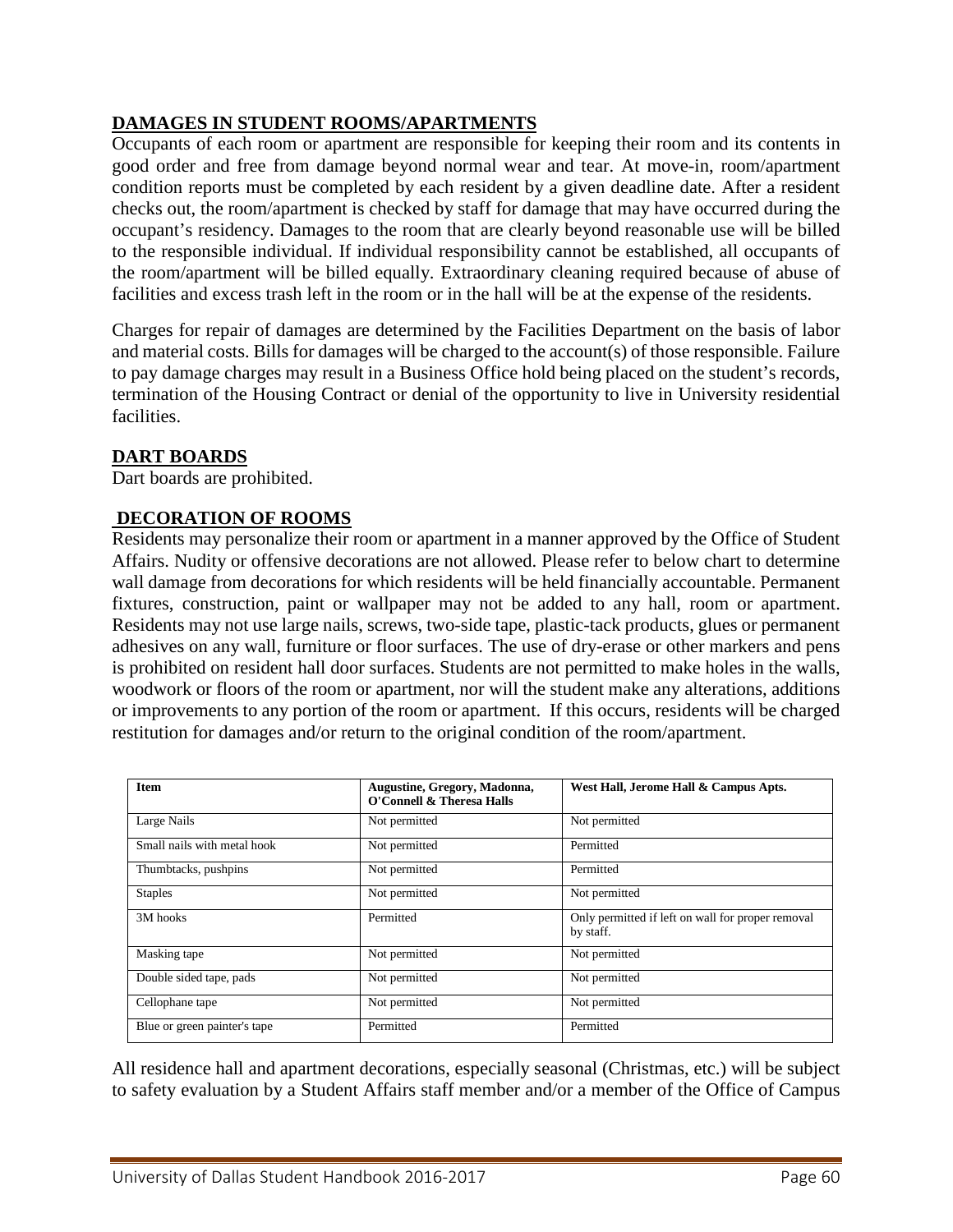## **DAMAGES IN STUDENT ROOMS/APARTMENTS**

Occupants of each room or apartment are responsible for keeping their room and its contents in good order and free from damage beyond normal wear and tear. At move-in, room/apartment condition reports must be completed by each resident by a given deadline date. After a resident checks out, the room/apartment is checked by staff for damage that may have occurred during the occupant's residency. Damages to the room that are clearly beyond reasonable use will be billed to the responsible individual. If individual responsibility cannot be established, all occupants of the room/apartment will be billed equally. Extraordinary cleaning required because of abuse of facilities and excess trash left in the room or in the hall will be at the expense of the residents.

Charges for repair of damages are determined by the Facilities Department on the basis of labor and material costs. Bills for damages will be charged to the account(s) of those responsible. Failure to pay damage charges may result in a Business Office hold being placed on the student's records, termination of the Housing Contract or denial of the opportunity to live in University residential facilities.

#### **DART BOARDS**

Dart boards are prohibited.

## **DECORATION OF ROOMS**

Residents may personalize their room or apartment in a manner approved by the Office of Student Affairs. Nudity or offensive decorations are not allowed. Please refer to below chart to determine wall damage from decorations for which residents will be held financially accountable. Permanent fixtures, construction, paint or wallpaper may not be added to any hall, room or apartment. Residents may not use large nails, screws, two-side tape, plastic-tack products, glues or permanent adhesives on any wall, furniture or floor surfaces. The use of dry-erase or other markers and pens is prohibited on resident hall door surfaces. Students are not permitted to make holes in the walls, woodwork or floors of the room or apartment, nor will the student make any alterations, additions or improvements to any portion of the room or apartment. If this occurs, residents will be charged restitution for damages and/or return to the original condition of the room/apartment.

| <b>Item</b>                  | Augustine, Gregory, Madonna,<br>O'Connell & Theresa Halls | West Hall, Jerome Hall & Campus Apts.                          |
|------------------------------|-----------------------------------------------------------|----------------------------------------------------------------|
| Large Nails                  | Not permitted                                             | Not permitted                                                  |
| Small nails with metal hook  | Not permitted                                             | Permitted                                                      |
| Thumbtacks, pushpins         | Not permitted                                             | Permitted                                                      |
| <b>Staples</b>               | Not permitted                                             | Not permitted                                                  |
| 3M hooks                     | Permitted                                                 | Only permitted if left on wall for proper removal<br>by staff. |
| Masking tape                 | Not permitted                                             | Not permitted                                                  |
| Double sided tape, pads      | Not permitted                                             | Not permitted                                                  |
| Cellophane tape              | Not permitted                                             | Not permitted                                                  |
| Blue or green painter's tape | Permitted                                                 | Permitted                                                      |

All residence hall and apartment decorations, especially seasonal (Christmas, etc.) will be subject to safety evaluation by a Student Affairs staff member and/or a member of the Office of Campus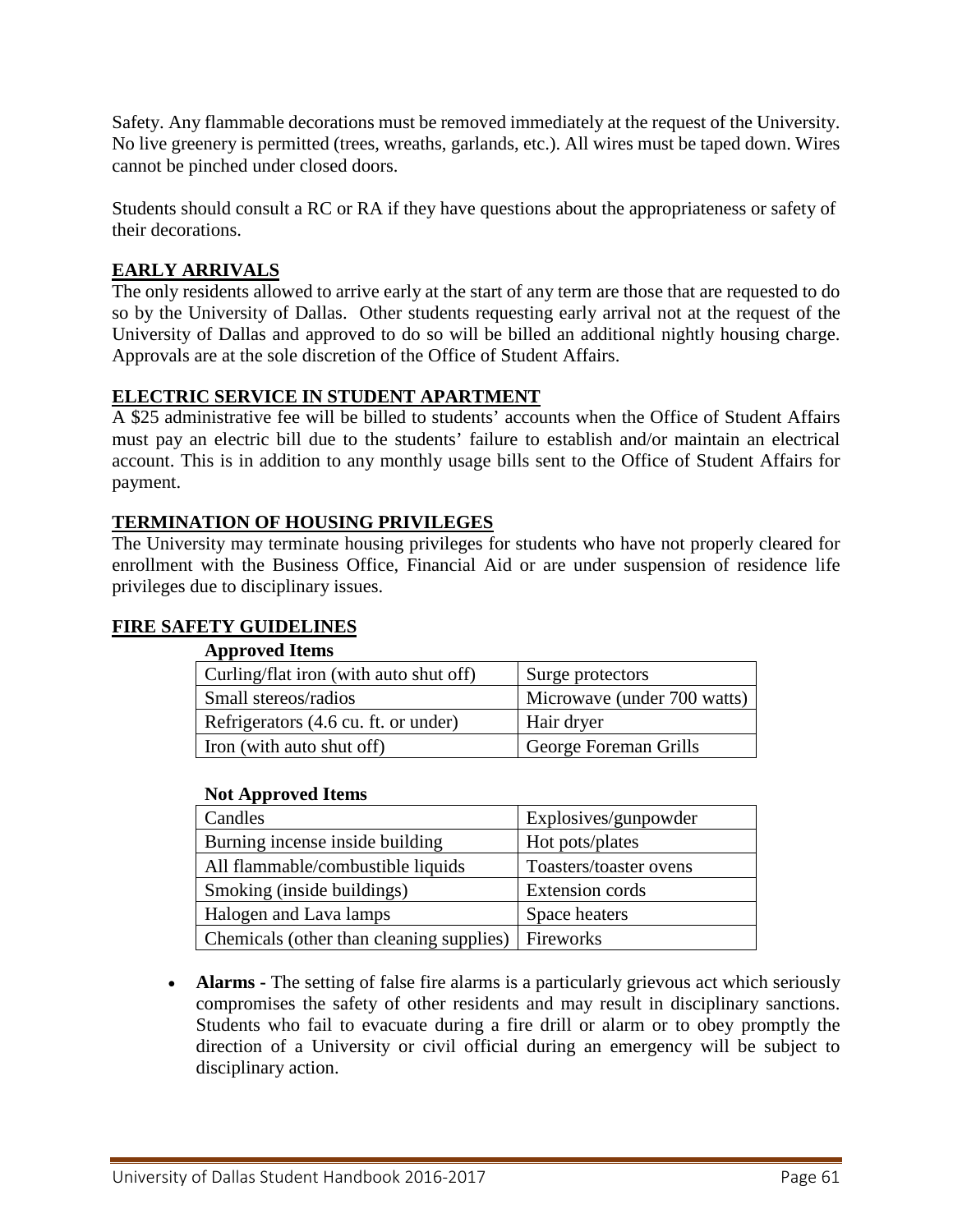Safety. Any flammable decorations must be removed immediately at the request of the University. No live greenery is permitted (trees, wreaths, garlands, etc.). All wires must be taped down. Wires cannot be pinched under closed doors.

Students should consult a RC or RA if they have questions about the appropriateness or safety of their decorations.

## **EARLY ARRIVALS**

The only residents allowed to arrive early at the start of any term are those that are requested to do so by the University of Dallas. Other students requesting early arrival not at the request of the University of Dallas and approved to do so will be billed an additional nightly housing charge. Approvals are at the sole discretion of the Office of Student Affairs.

## **ELECTRIC SERVICE IN STUDENT APARTMENT**

A \$25 administrative fee will be billed to students' accounts when the Office of Student Affairs must pay an electric bill due to the students' failure to establish and/or maintain an electrical account. This is in addition to any monthly usage bills sent to the Office of Student Affairs for payment.

## **TERMINATION OF HOUSING PRIVILEGES**

The University may terminate housing privileges for students who have not properly cleared for enrollment with the Business Office, Financial Aid or are under suspension of residence life privileges due to disciplinary issues.

## **FIRE SAFETY GUIDELINES**

#### **Approved Items**

| Curling/flat iron (with auto shut off) | Surge protectors            |  |
|----------------------------------------|-----------------------------|--|
| Small stereos/radios                   | Microwave (under 700 watts) |  |
| Refrigerators (4.6 cu. ft. or under)   | Hair dryer                  |  |
| Iron (with auto shut off)              | George Foreman Grills       |  |

#### **Not Approved Items**

| Candles                                  | Explosives/gunpowder   |  |
|------------------------------------------|------------------------|--|
| Burning incense inside building          | Hot pots/plates        |  |
| All flammable/combustible liquids        | Toasters/toaster ovens |  |
| Smoking (inside buildings)               | Extension cords        |  |
| Halogen and Lava lamps                   | Space heaters          |  |
| Chemicals (other than cleaning supplies) | Fireworks              |  |

• **Alarms -** The setting of false fire alarms is a particularly grievous act which seriously compromises the safety of other residents and may result in disciplinary sanctions. Students who fail to evacuate during a fire drill or alarm or to obey promptly the direction of a University or civil official during an emergency will be subject to disciplinary action.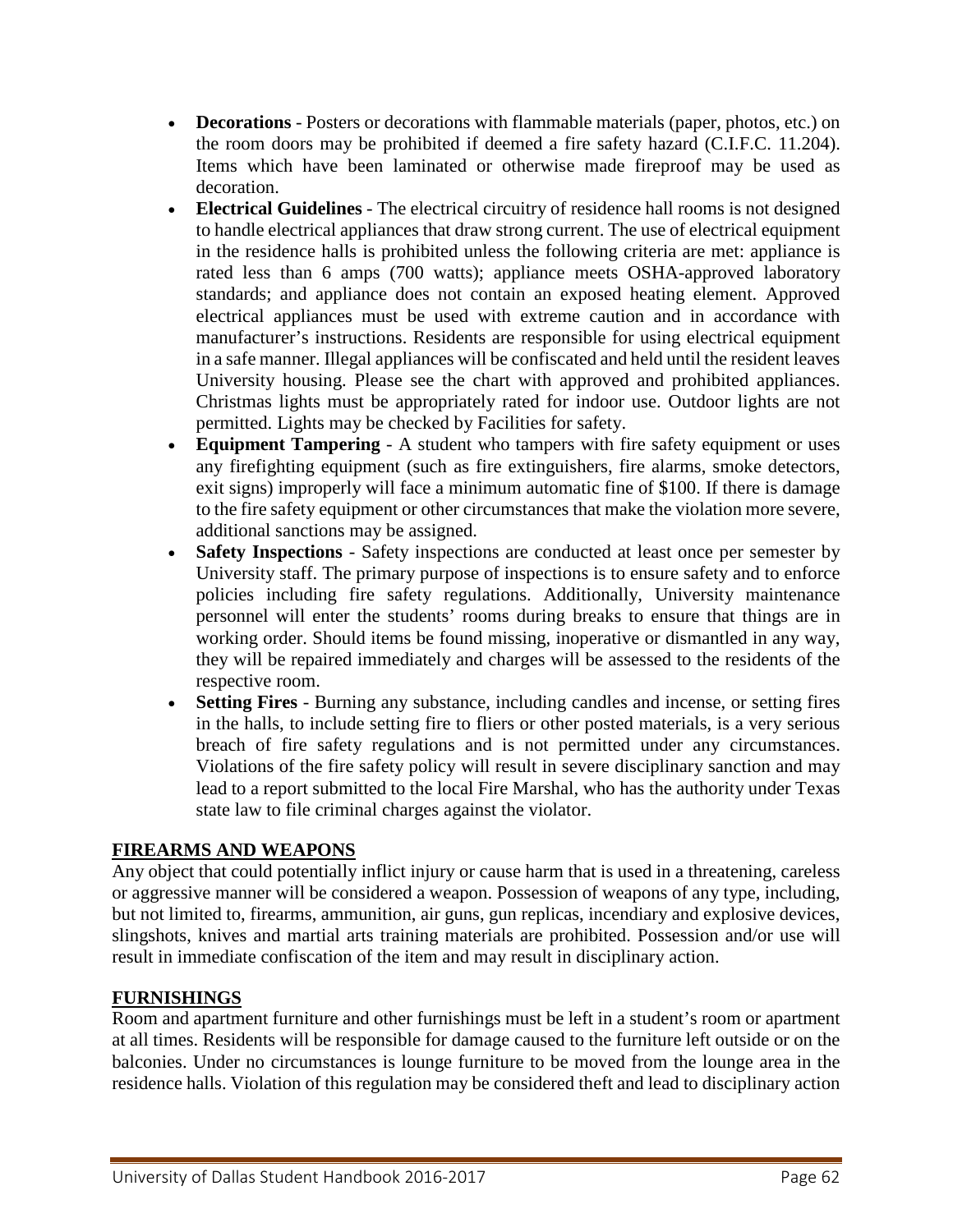- **Decorations** Posters or decorations with flammable materials (paper, photos, etc.) on the room doors may be prohibited if deemed a fire safety hazard (C.I.F.C. 11.204). Items which have been laminated or otherwise made fireproof may be used as decoration.
- **Electrical Guidelines** The electrical circuitry of residence hall rooms is not designed to handle electrical appliances that draw strong current. The use of electrical equipment in the residence halls is prohibited unless the following criteria are met: appliance is rated less than 6 amps (700 watts); appliance meets OSHA-approved laboratory standards; and appliance does not contain an exposed heating element. Approved electrical appliances must be used with extreme caution and in accordance with manufacturer's instructions. Residents are responsible for using electrical equipment in a safe manner. Illegal appliances will be confiscated and held until the resident leaves University housing. Please see the chart with approved and prohibited appliances. Christmas lights must be appropriately rated for indoor use. Outdoor lights are not permitted. Lights may be checked by Facilities for safety.
- **Equipment Tampering** A student who tampers with fire safety equipment or uses any firefighting equipment (such as fire extinguishers, fire alarms, smoke detectors, exit signs) improperly will face a minimum automatic fine of \$100. If there is damage to the fire safety equipment or other circumstances that make the violation more severe, additional sanctions may be assigned.
- **Safety Inspections** Safety inspections are conducted at least once per semester by University staff. The primary purpose of inspections is to ensure safety and to enforce policies including fire safety regulations. Additionally, University maintenance personnel will enter the students' rooms during breaks to ensure that things are in working order. Should items be found missing, inoperative or dismantled in any way, they will be repaired immediately and charges will be assessed to the residents of the respective room.
- **Setting Fires** Burning any substance, including candles and incense, or setting fires in the halls, to include setting fire to fliers or other posted materials, is a very serious breach of fire safety regulations and is not permitted under any circumstances. Violations of the fire safety policy will result in severe disciplinary sanction and may lead to a report submitted to the local Fire Marshal, who has the authority under Texas state law to file criminal charges against the violator.

## **FIREARMS AND WEAPONS**

Any object that could potentially inflict injury or cause harm that is used in a threatening, careless or aggressive manner will be considered a weapon. Possession of weapons of any type, including, but not limited to, firearms, ammunition, air guns, gun replicas, incendiary and explosive devices, slingshots, knives and martial arts training materials are prohibited. Possession and/or use will result in immediate confiscation of the item and may result in disciplinary action.

#### **FURNISHINGS**

Room and apartment furniture and other furnishings must be left in a student's room or apartment at all times. Residents will be responsible for damage caused to the furniture left outside or on the balconies. Under no circumstances is lounge furniture to be moved from the lounge area in the residence halls. Violation of this regulation may be considered theft and lead to disciplinary action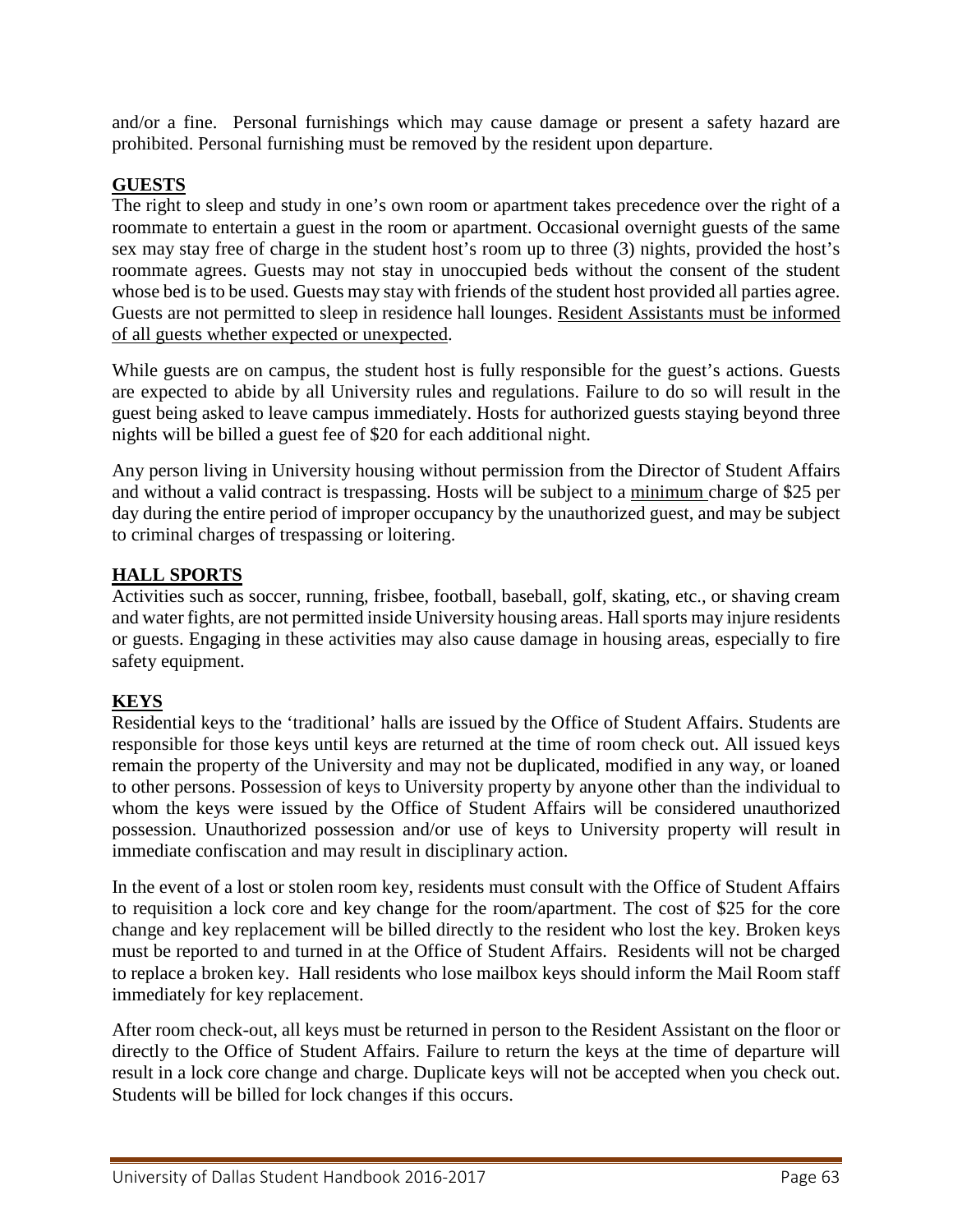and/or a fine. Personal furnishings which may cause damage or present a safety hazard are prohibited. Personal furnishing must be removed by the resident upon departure.

## **GUESTS**

The right to sleep and study in one's own room or apartment takes precedence over the right of a roommate to entertain a guest in the room or apartment. Occasional overnight guests of the same sex may stay free of charge in the student host's room up to three (3) nights, provided the host's roommate agrees. Guests may not stay in unoccupied beds without the consent of the student whose bed is to be used. Guests may stay with friends of the student host provided all parties agree. Guests are not permitted to sleep in residence hall lounges. Resident Assistants must be informed of all guests whether expected or unexpected.

While guests are on campus, the student host is fully responsible for the guest's actions. Guests are expected to abide by all University rules and regulations. Failure to do so will result in the guest being asked to leave campus immediately. Hosts for authorized guests staying beyond three nights will be billed a guest fee of \$20 for each additional night.

Any person living in University housing without permission from the Director of Student Affairs and without a valid contract is trespassing. Hosts will be subject to a minimum charge of \$25 per day during the entire period of improper occupancy by the unauthorized guest, and may be subject to criminal charges of trespassing or loitering.

## **HALL SPORTS**

Activities such as soccer, running, frisbee, football, baseball, golf, skating, etc., or shaving cream and water fights, are not permitted inside University housing areas. Hall sports may injure residents or guests. Engaging in these activities may also cause damage in housing areas, especially to fire safety equipment.

## **KEYS**

Residential keys to the 'traditional' halls are issued by the Office of Student Affairs. Students are responsible for those keys until keys are returned at the time of room check out. All issued keys remain the property of the University and may not be duplicated, modified in any way, or loaned to other persons. Possession of keys to University property by anyone other than the individual to whom the keys were issued by the Office of Student Affairs will be considered unauthorized possession. Unauthorized possession and/or use of keys to University property will result in immediate confiscation and may result in disciplinary action.

In the event of a lost or stolen room key, residents must consult with the Office of Student Affairs to requisition a lock core and key change for the room/apartment. The cost of \$25 for the core change and key replacement will be billed directly to the resident who lost the key. Broken keys must be reported to and turned in at the Office of Student Affairs. Residents will not be charged to replace a broken key. Hall residents who lose mailbox keys should inform the Mail Room staff immediately for key replacement.

After room check-out, all keys must be returned in person to the Resident Assistant on the floor or directly to the Office of Student Affairs. Failure to return the keys at the time of departure will result in a lock core change and charge. Duplicate keys will not be accepted when you check out. Students will be billed for lock changes if this occurs.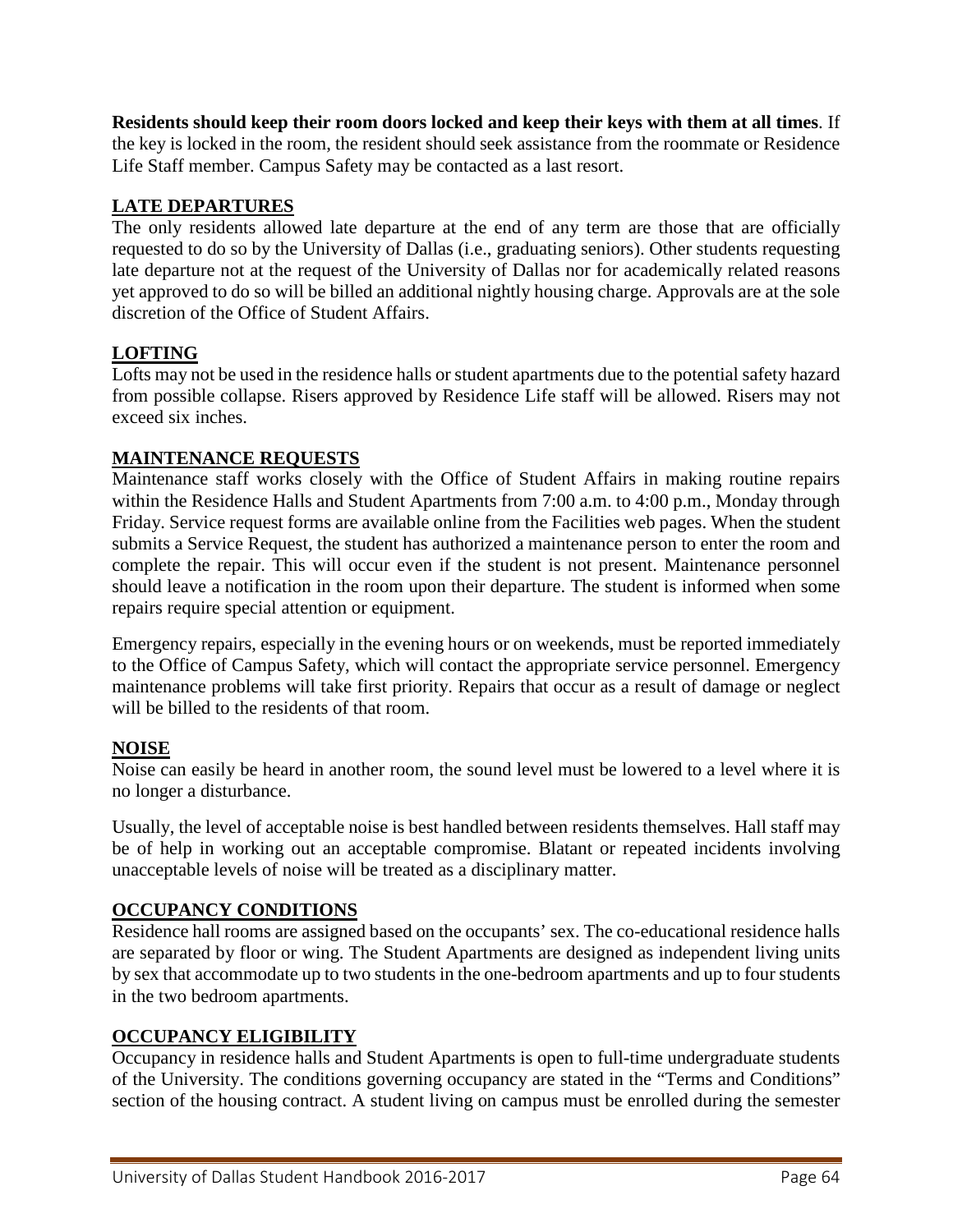**Residents should keep their room doors locked and keep their keys with them at all times**. If the key is locked in the room, the resident should seek assistance from the roommate or Residence Life Staff member. Campus Safety may be contacted as a last resort.

## **LATE DEPARTURES**

The only residents allowed late departure at the end of any term are those that are officially requested to do so by the University of Dallas (i.e., graduating seniors). Other students requesting late departure not at the request of the University of Dallas nor for academically related reasons yet approved to do so will be billed an additional nightly housing charge. Approvals are at the sole discretion of the Office of Student Affairs.

## **LOFTING**

Lofts may not be used in the residence halls or student apartments due to the potential safety hazard from possible collapse. Risers approved by Residence Life staff will be allowed. Risers may not exceed six inches.

## **MAINTENANCE REQUESTS**

Maintenance staff works closely with the Office of Student Affairs in making routine repairs within the Residence Halls and Student Apartments from 7:00 a.m. to 4:00 p.m., Monday through Friday. Service request forms are available online from the Facilities web pages. When the student submits a Service Request, the student has authorized a maintenance person to enter the room and complete the repair. This will occur even if the student is not present. Maintenance personnel should leave a notification in the room upon their departure. The student is informed when some repairs require special attention or equipment.

Emergency repairs, especially in the evening hours or on weekends, must be reported immediately to the Office of Campus Safety, which will contact the appropriate service personnel. Emergency maintenance problems will take first priority. Repairs that occur as a result of damage or neglect will be billed to the residents of that room.

#### **NOISE**

Noise can easily be heard in another room, the sound level must be lowered to a level where it is no longer a disturbance.

Usually, the level of acceptable noise is best handled between residents themselves. Hall staff may be of help in working out an acceptable compromise. Blatant or repeated incidents involving unacceptable levels of noise will be treated as a disciplinary matter.

## **OCCUPANCY CONDITIONS**

Residence hall rooms are assigned based on the occupants' sex. The co-educational residence halls are separated by floor or wing. The Student Apartments are designed as independent living units by sex that accommodate up to two students in the one-bedroom apartments and up to four students in the two bedroom apartments.

#### **OCCUPANCY ELIGIBILITY**

Occupancy in residence halls and Student Apartments is open to full-time undergraduate students of the University. The conditions governing occupancy are stated in the "Terms and Conditions" section of the housing contract. A student living on campus must be enrolled during the semester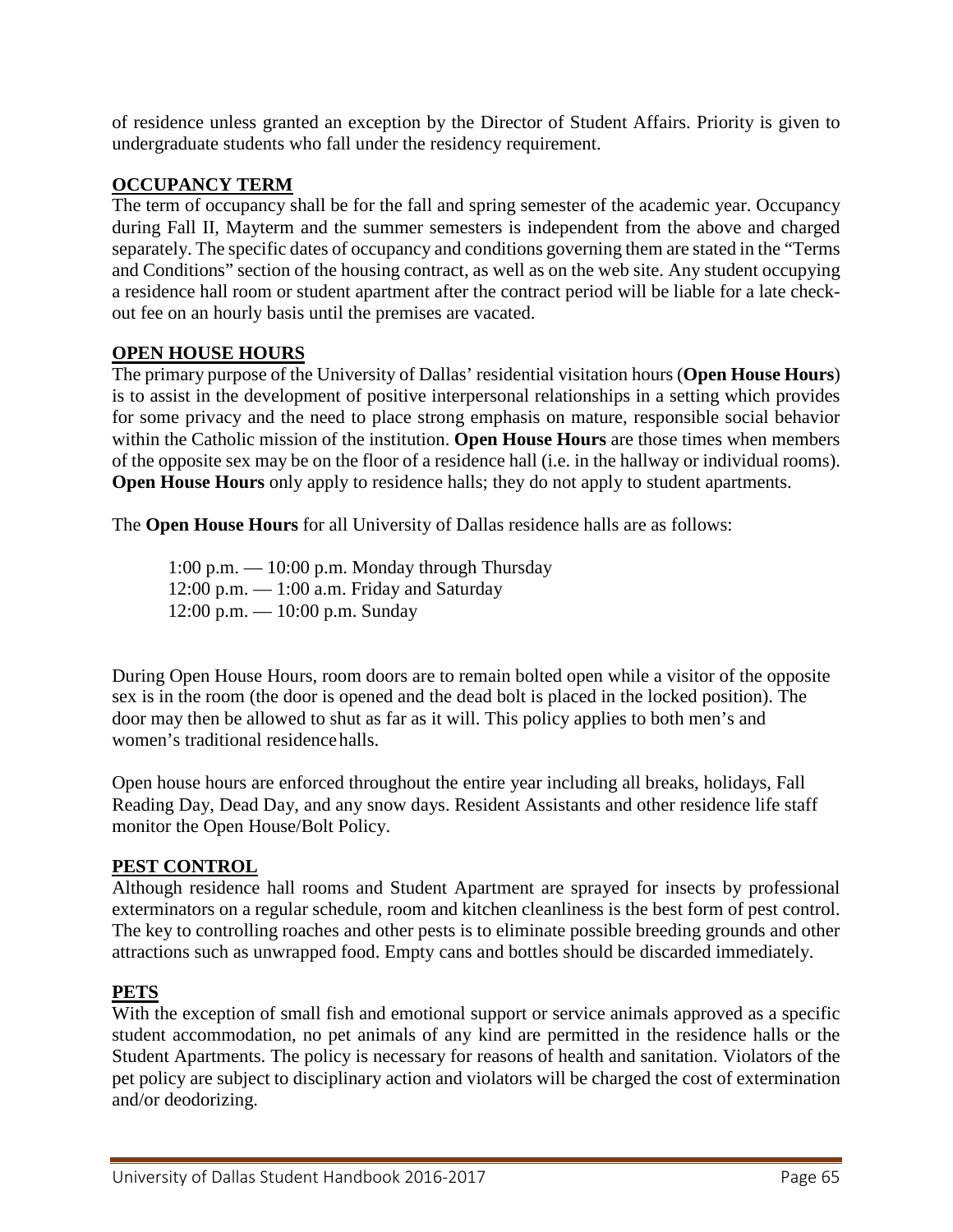of residence unless granted an exception by the Director of Student Affairs. Priority is given to undergraduate students who fall under the residency requirement.

#### **OCCUPANCY TERM**

The term of occupancy shall be for the fall and spring semester of the academic year. Occupancy during Fall II, Mayterm and the summer semesters is independent from the above and charged separately. The specific dates of occupancy and conditions governing them are stated in the "Terms and Conditions" section of the housing contract, as well as on the web site. Any student occupying a residence hall room or student apartment after the contract period will be liable for a late checkout fee on an hourly basis until the premises are vacated.

## **OPEN HOUSE HOURS**

The primary purpose of the University of Dallas' residential visitation hours (**Open House Hours**) is to assist in the development of positive interpersonal relationships in a setting which provides for some privacy and the need to place strong emphasis on mature, responsible social behavior within the Catholic mission of the institution. **Open House Hours** are those times when members of the opposite sex may be on the floor of a residence hall (i.e. in the hallway or individual rooms). **Open House Hours** only apply to residence halls; they do not apply to student apartments.

The **Open House Hours** for all University of Dallas residence halls are as follows:

1:00 p.m. — 10:00 p.m. Monday through Thursday  $12:00$  p.m.  $-1:00$  a.m. Friday and Saturday 12:00 p.m. — 10:00 p.m. Sunday

During Open House Hours, room doors are to remain bolted open while a visitor of the opposite sex is in the room (the door is opened and the dead bolt is placed in the locked position). The door may then be allowed to shut as far as it will. This policy applies to both men's and women's traditional residencehalls.

Open house hours are enforced throughout the entire year including all breaks, holidays, Fall Reading Day, Dead Day, and any snow days. Resident Assistants and other residence life staff monitor the Open House/Bolt Policy.

#### **PEST CONTROL**

Although residence hall rooms and Student Apartment are sprayed for insects by professional exterminators on a regular schedule, room and kitchen cleanliness is the best form of pest control. The key to controlling roaches and other pests is to eliminate possible breeding grounds and other attractions such as unwrapped food. Empty cans and bottles should be discarded immediately.

#### **PETS**

With the exception of small fish and emotional support or service animals approved as a specific student accommodation, no pet animals of any kind are permitted in the residence halls or the Student Apartments. The policy is necessary for reasons of health and sanitation. Violators of the pet policy are subject to disciplinary action and violators will be charged the cost of extermination and/or deodorizing.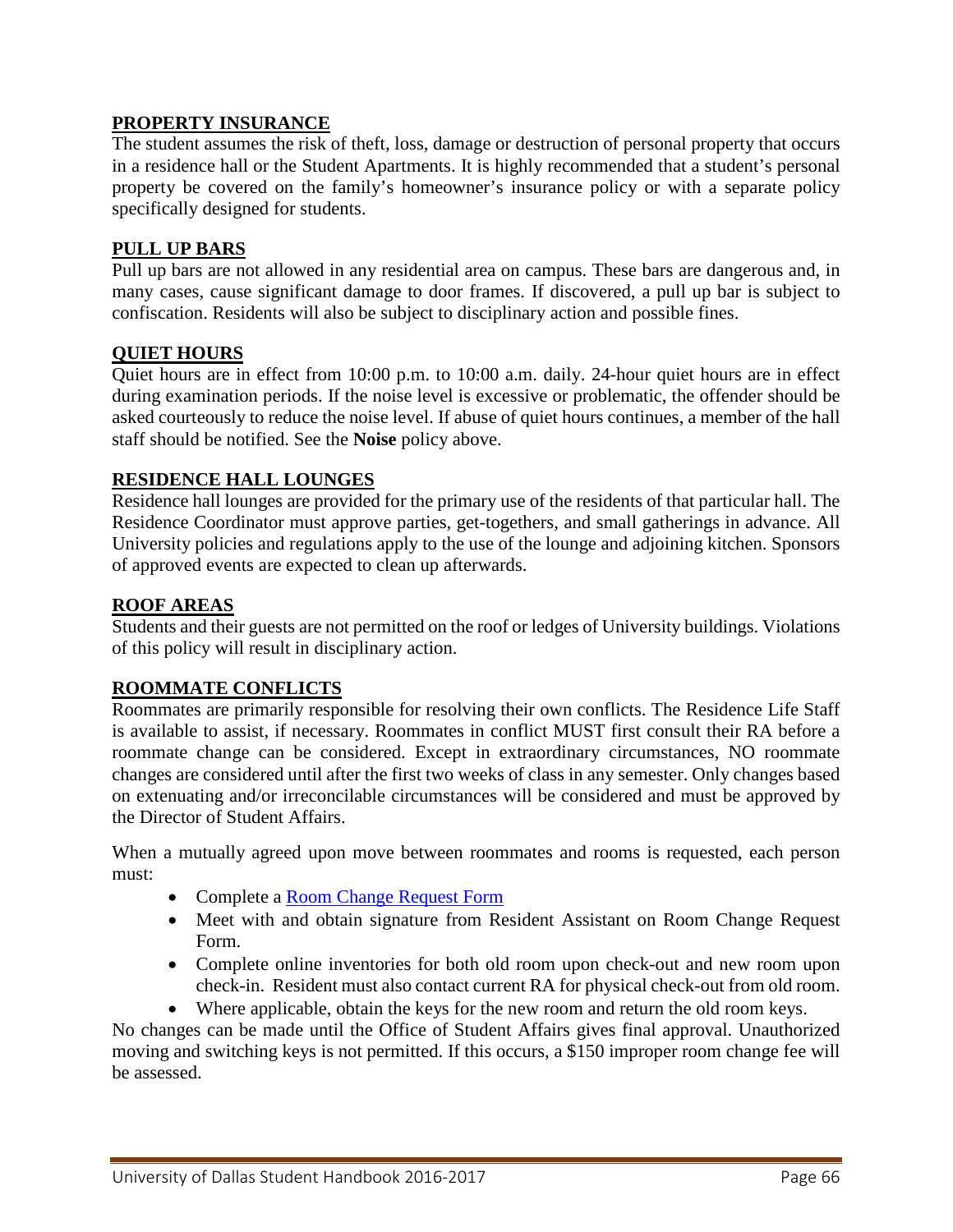#### **PROPERTY INSURANCE**

The student assumes the risk of theft, loss, damage or destruction of personal property that occurs in a residence hall or the Student Apartments. It is highly recommended that a student's personal property be covered on the family's homeowner's insurance policy or with a separate policy specifically designed for students.

## **PULL UP BARS**

Pull up bars are not allowed in any residential area on campus. These bars are dangerous and, in many cases, cause significant damage to door frames. If discovered, a pull up bar is subject to confiscation. Residents will also be subject to disciplinary action and possible fines.

## **QUIET HOURS**

Quiet hours are in effect from 10:00 p.m. to 10:00 a.m. daily. 24-hour quiet hours are in effect during examination periods. If the noise level is excessive or problematic, the offender should be asked courteously to reduce the noise level. If abuse of quiet hours continues, a member of the hall staff should be notified. See the **Noise** policy above.

## **RESIDENCE HALL LOUNGES**

Residence hall lounges are provided for the primary use of the residents of that particular hall. The Residence Coordinator must approve parties, get-togethers, and small gatherings in advance. All University policies and regulations apply to the use of the lounge and adjoining kitchen. Sponsors of approved events are expected to clean up afterwards.

#### **ROOF AREAS**

Students and their guests are not permitted on the roof or ledges of University buildings. Violations of this policy will result in disciplinary action.

## **ROOMMATE CONFLICTS**

Roommates are primarily responsible for resolving their own conflicts. The Residence Life Staff is available to assist, if necessary. Roommates in conflict MUST first consult their RA before a roommate change can be considered. Except in extraordinary circumstances, NO roommate changes are considered until after the first two weeks of class in any semester. Only changes based on extenuating and/or irreconcilable circumstances will be considered and must be approved by the Director of Student Affairs.

When a mutually agreed upon move between roommates and rooms is requested, each person must:

- Complete a [Room Change Request Form](http://www.udallas.edu/offices/studentlife/pdf/roomchangerequestform1516.pdf)
- Meet with and obtain signature from Resident Assistant on Room Change Request Form.
- Complete online inventories for both old room upon check-out and new room upon check-in. Resident must also contact current RA for physical check-out from old room.
- Where applicable, obtain the keys for the new room and return the old room keys.

No changes can be made until the Office of Student Affairs gives final approval. Unauthorized moving and switching keys is not permitted. If this occurs, a \$150 improper room change fee will be assessed.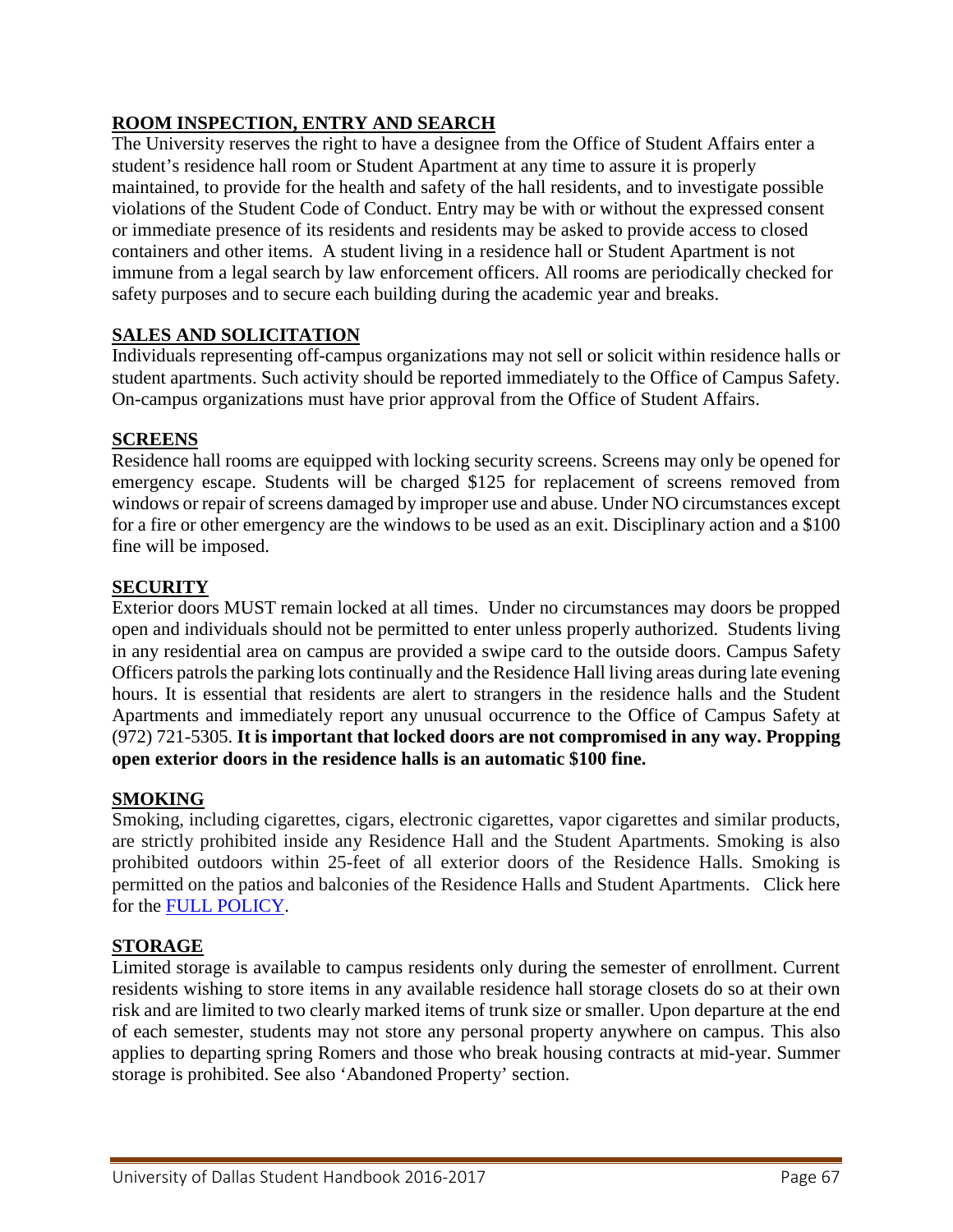## **ROOM INSPECTION, ENTRY AND SEARCH**

The University reserves the right to have a designee from the Office of Student Affairs enter a student's residence hall room or Student Apartment at any time to assure it is properly maintained, to provide for the health and safety of the hall residents, and to investigate possible violations of the Student Code of Conduct. Entry may be with or without the expressed consent or immediate presence of its residents and residents may be asked to provide access to closed containers and other items. A student living in a residence hall or Student Apartment is not immune from a legal search by law enforcement officers. All rooms are periodically checked for safety purposes and to secure each building during the academic year and breaks.

## **SALES AND SOLICITATION**

Individuals representing off-campus organizations may not sell or solicit within residence halls or student apartments. Such activity should be reported immediately to the Office of Campus Safety. On-campus organizations must have prior approval from the Office of Student Affairs.

#### **SCREENS**

Residence hall rooms are equipped with locking security screens. Screens may only be opened for emergency escape. Students will be charged \$125 for replacement of screens removed from windows or repair of screens damaged by improper use and abuse. Under NO circumstances except for a fire or other emergency are the windows to be used as an exit. Disciplinary action and a \$100 fine will be imposed.

#### **SECURITY**

Exterior doors MUST remain locked at all times. Under no circumstances may doors be propped open and individuals should not be permitted to enter unless properly authorized. Students living in any residential area on campus are provided a swipe card to the outside doors. Campus Safety Officers patrols the parking lots continually and the Residence Hall living areas during late evening hours. It is essential that residents are alert to strangers in the residence halls and the Student Apartments and immediately report any unusual occurrence to the Office of Campus Safety at (972) 721-5305. **It is important that locked doors are not compromised in any way. Propping open exterior doors in the residence halls is an automatic \$100 fine.**

#### **SMOKING**

Smoking, including cigarettes, cigars, electronic cigarettes, vapor cigarettes and similar products, are strictly prohibited inside any Residence Hall and the Student Apartments. Smoking is also prohibited outdoors within 25-feet of all exterior doors of the Residence Halls. Smoking is permitted on the patios and balconies of the Residence Halls and Student Apartments. Click here for the [FULL POLICY.](http://udallas.edu/offices/cso/smoking_policy.html)

#### **STORAGE**

Limited storage is available to campus residents only during the semester of enrollment. Current residents wishing to store items in any available residence hall storage closets do so at their own risk and are limited to two clearly marked items of trunk size or smaller. Upon departure at the end of each semester, students may not store any personal property anywhere on campus. This also applies to departing spring Romers and those who break housing contracts at mid-year. Summer storage is prohibited. See also 'Abandoned Property' section.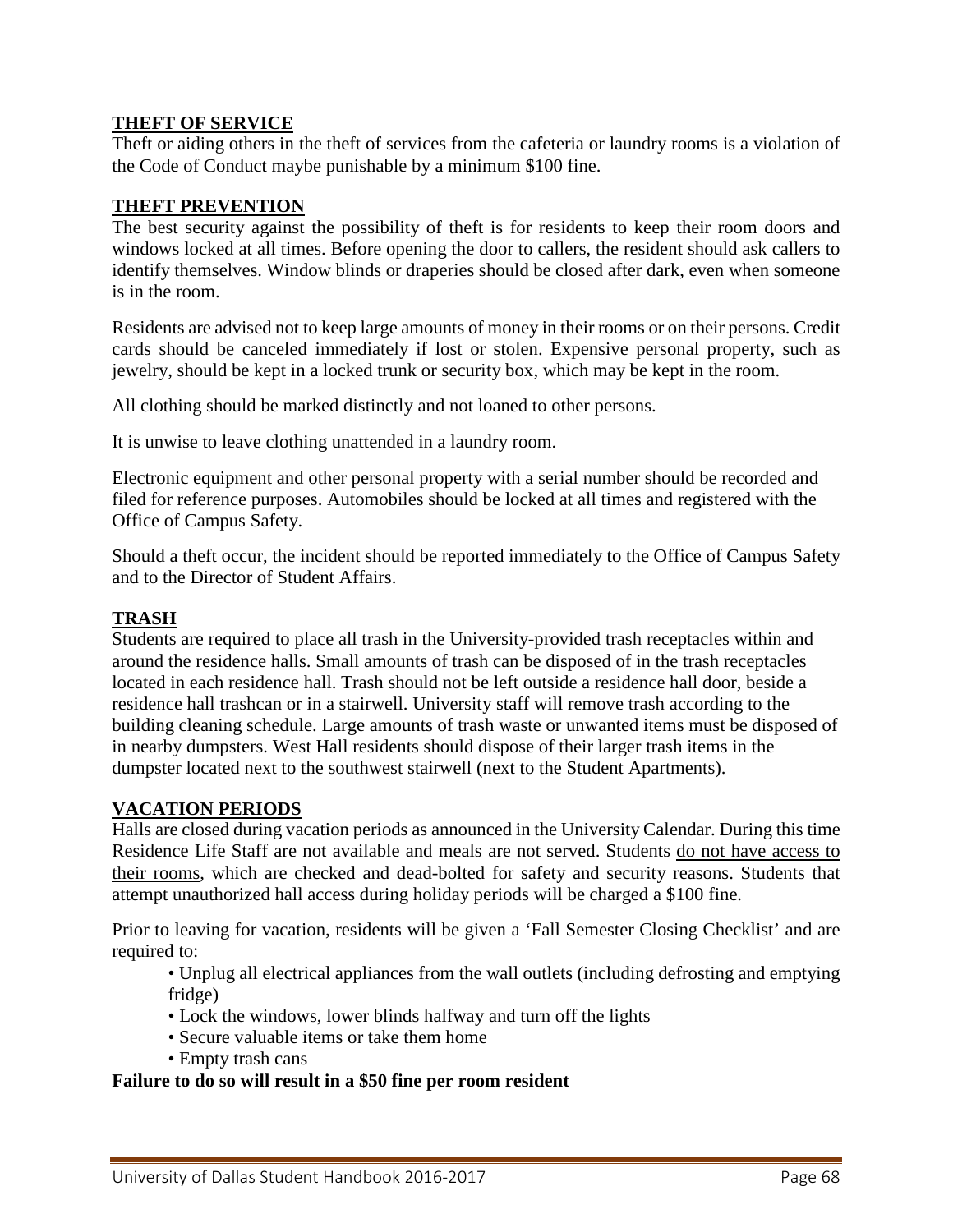## **THEFT OF SERVICE**

Theft or aiding others in the theft of services from the cafeteria or laundry rooms is a violation of the Code of Conduct maybe punishable by a minimum \$100 fine.

#### **THEFT PREVENTION**

The best security against the possibility of theft is for residents to keep their room doors and windows locked at all times. Before opening the door to callers, the resident should ask callers to identify themselves. Window blinds or draperies should be closed after dark, even when someone is in the room.

Residents are advised not to keep large amounts of money in their rooms or on their persons. Credit cards should be canceled immediately if lost or stolen. Expensive personal property, such as jewelry, should be kept in a locked trunk or security box, which may be kept in the room.

All clothing should be marked distinctly and not loaned to other persons.

It is unwise to leave clothing unattended in a laundry room.

Electronic equipment and other personal property with a serial number should be recorded and filed for reference purposes. Automobiles should be locked at all times and registered with the Office of Campus Safety.

Should a theft occur, the incident should be reported immediately to the Office of Campus Safety and to the Director of Student Affairs.

#### **TRASH**

Students are required to place all trash in the University-provided trash receptacles within and around the residence halls. Small amounts of trash can be disposed of in the trash receptacles located in each residence hall. Trash should not be left outside a residence hall door, beside a residence hall trashcan or in a stairwell. University staff will remove trash according to the building cleaning schedule. Large amounts of trash waste or unwanted items must be disposed of in nearby dumpsters. West Hall residents should dispose of their larger trash items in the dumpster located next to the southwest stairwell (next to the Student Apartments).

#### **VACATION PERIODS**

Halls are closed during vacation periods as announced in the University Calendar. During this time Residence Life Staff are not available and meals are not served. Students do not have access to their rooms, which are checked and dead-bolted for safety and security reasons. Students that attempt unauthorized hall access during holiday periods will be charged a \$100 fine.

Prior to leaving for vacation, residents will be given a 'Fall Semester Closing Checklist' and are required to:

• Unplug all electrical appliances from the wall outlets (including defrosting and emptying fridge)

- Lock the windows, lower blinds halfway and turn off the lights
- Secure valuable items or take them home
- Empty trash cans

#### **Failure to do so will result in a \$50 fine per room resident**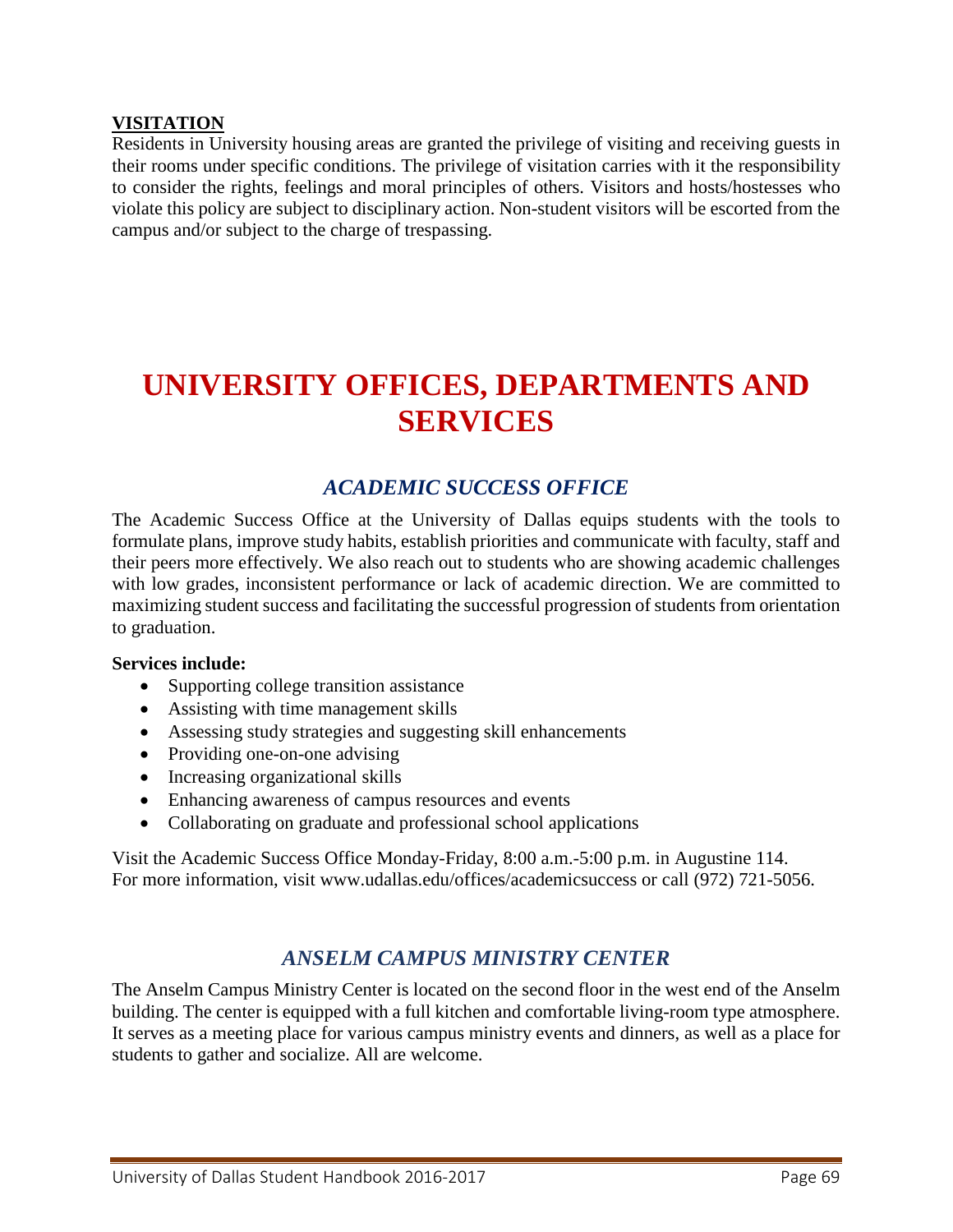#### **VISITATION**

Residents in University housing areas are granted the privilege of visiting and receiving guests in their rooms under specific conditions. The privilege of visitation carries with it the responsibility to consider the rights, feelings and moral principles of others. Visitors and hosts/hostesses who violate this policy are subject to disciplinary action. Non-student visitors will be escorted from the campus and/or subject to the charge of trespassing.

# **UNIVERSITY OFFICES, DEPARTMENTS AND SERVICES**

# *[ACADEMIC SUCCESS OFFICE](http://www.udallas.edu/offices/academicsuccess/index.html)*

The Academic Success Office at the University of Dallas equips students with the tools to formulate plans, improve study habits, establish priorities and communicate with faculty, staff and their peers more effectively. We also reach out to students who are showing academic challenges with low grades, inconsistent performance or lack of academic direction. We are committed to maximizing student success and facilitating the successful progression of students from orientation to graduation.

#### **Services include:**

- Supporting college transition assistance
- Assisting with time management skills
- Assessing study strategies and suggesting skill enhancements
- Providing one-on-one advising
- Increasing organizational skills
- Enhancing awareness of campus resources and events
- Collaborating on graduate and professional school applications

Visit the Academic Success Office Monday-Friday, 8:00 a.m.-5:00 p.m. in Augustine 114. For more information, visit www.udallas.edu/offices/academicsuccess or call (972) 721-5056.

# *[ANSELM CAMPUS MINISTRY CENTER](http://www.udallas.edu/offices/campusministry/)*

The Anselm Campus Ministry Center is located on the second floor in the west end of the Anselm building. The center is equipped with a full kitchen and comfortable living-room type atmosphere. It serves as a meeting place for various campus ministry events and dinners, as well as a place for students to gather and socialize. All are welcome.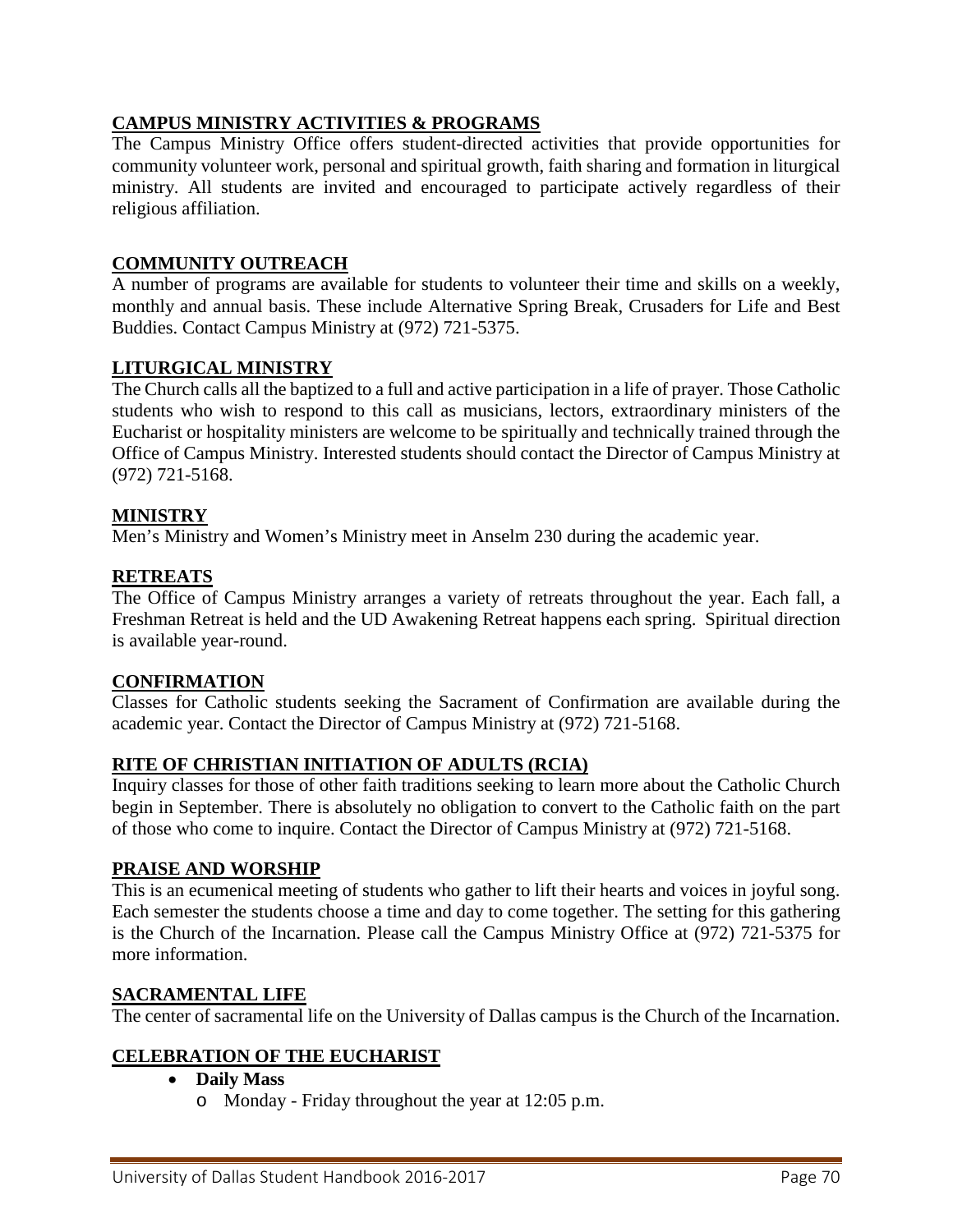## **CAMPUS MINISTRY ACTIVITIES & PROGRAMS**

The Campus Ministry Office offers student-directed activities that provide opportunities for community volunteer work, personal and spiritual growth, faith sharing and formation in liturgical ministry. All students are invited and encouraged to participate actively regardless of their religious affiliation.

#### **COMMUNITY OUTREACH**

A number of programs are available for students to volunteer their time and skills on a weekly, monthly and annual basis. These include Alternative Spring Break, Crusaders for Life and Best Buddies. Contact Campus Ministry at (972) 721-5375.

#### **LITURGICAL MINISTRY**

The Church calls all the baptized to a full and active participation in a life of prayer. Those Catholic students who wish to respond to this call as musicians, lectors, extraordinary ministers of the Eucharist or hospitality ministers are welcome to be spiritually and technically trained through the Office of Campus Ministry. Interested students should contact the Director of Campus Ministry at (972) 721-5168.

#### **MINISTRY**

Men's Ministry and Women's Ministry meet in Anselm 230 during the academic year.

#### **RETREATS**

The Office of Campus Ministry arranges a variety of retreats throughout the year. Each fall, a Freshman Retreat is held and the UD Awakening Retreat happens each spring. Spiritual direction is available year-round.

#### **CONFIRMATION**

Classes for Catholic students seeking the Sacrament of Confirmation are available during the academic year. Contact the Director of Campus Ministry at (972) 721-5168.

#### **RITE OF CHRISTIAN INITIATION OF ADULTS (RCIA)**

Inquiry classes for those of other faith traditions seeking to learn more about the Catholic Church begin in September. There is absolutely no obligation to convert to the Catholic faith on the part of those who come to inquire. Contact the Director of Campus Ministry at (972) 721-5168.

#### **PRAISE AND WORSHIP**

This is an ecumenical meeting of students who gather to lift their hearts and voices in joyful song. Each semester the students choose a time and day to come together. The setting for this gathering is the Church of the Incarnation. Please call the Campus Ministry Office at (972) 721-5375 for more information.

#### **SACRAMENTAL LIFE**

The center of sacramental life on the University of Dallas campus is the Church of the Incarnation.

#### **CELEBRATION OF THE EUCHARIST**

#### • **Daily Mass**

o Monday - Friday throughout the year at 12:05 p.m.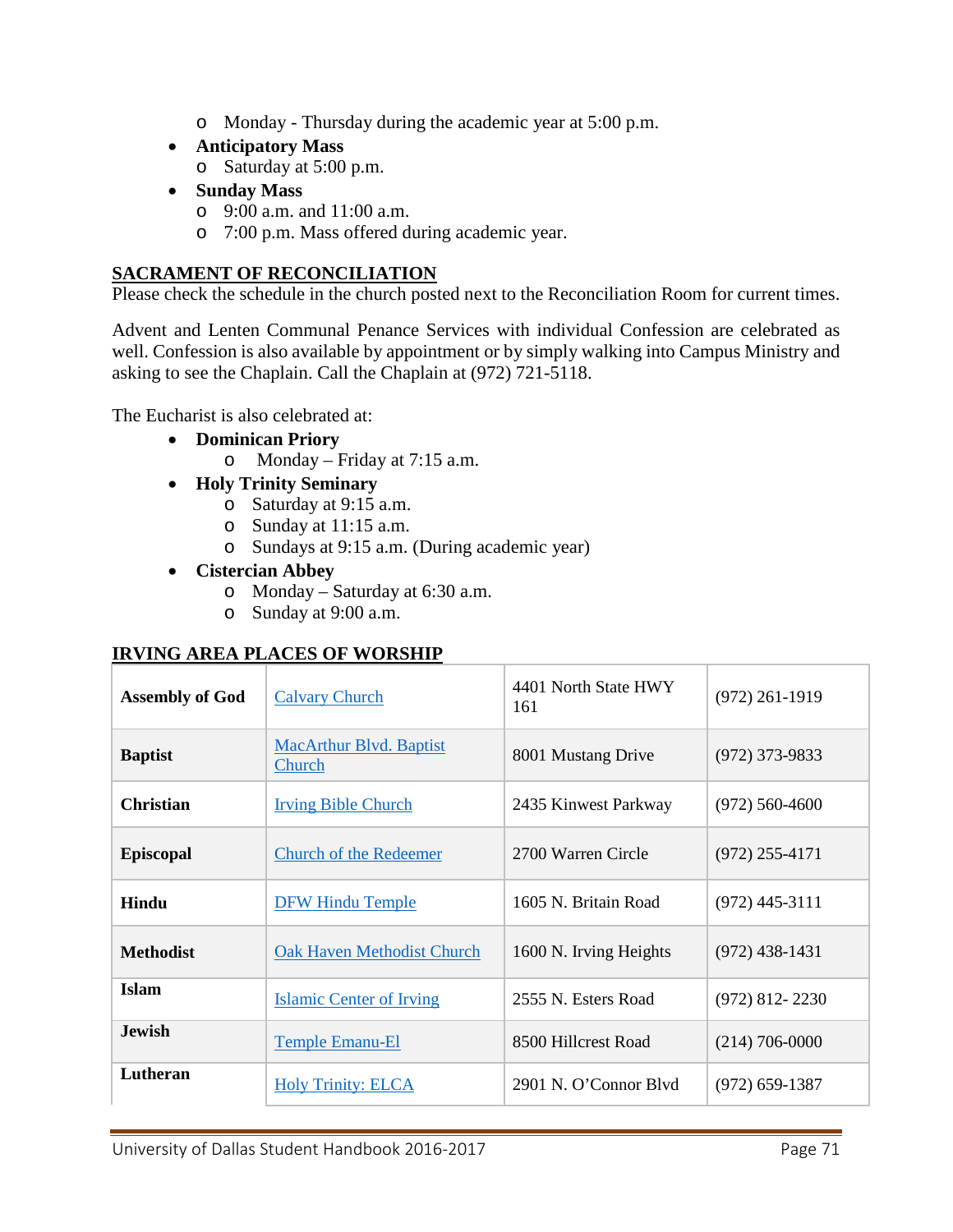- o Monday Thursday during the academic year at 5:00 p.m.
- **Anticipatory Mass**
	- o Saturday at 5:00 p.m.
- **Sunday Mass**
	- o 9:00 a.m. and 11:00 a.m.
	- o 7:00 p.m. Mass offered during academic year.

## **SACRAMENT OF RECONCILIATION**

Please check the schedule in the church posted next to the Reconciliation Room for current times.

Advent and Lenten Communal Penance Services with individual Confession are celebrated as well. Confession is also available by appointment or by simply walking into Campus Ministry and asking to see the Chaplain. Call the Chaplain at (972) 721-5118.

The Eucharist is also celebrated at:

- **Dominican Priory**
	- o Monday Friday at 7:15 a.m.
- **Holy Trinity Seminary**
	- o Saturday at 9:15 a.m.
	- o Sunday at 11:15 a.m.
	- o Sundays at 9:15 a.m. (During academic year)
- **Cistercian Abbey**
	- o Monday Saturday at 6:30 a.m.
	- o Sunday at 9:00 a.m.

#### **IRVING AREA PLACES OF WORSHIP**

| <b>Assembly of God</b> | <b>Calvary Church</b>                    | 4401 North State HWY<br>161 | $(972)$ 261-1919 |
|------------------------|------------------------------------------|-----------------------------|------------------|
| <b>Baptist</b>         | <b>MacArthur Blvd. Baptist</b><br>Church | 8001 Mustang Drive          | $(972)$ 373-9833 |
| <b>Christian</b>       | <b>Irving Bible Church</b>               | 2435 Kinwest Parkway        | $(972)$ 560-4600 |
| <b>Episcopal</b>       | <b>Church of the Redeemer</b>            | 2700 Warren Circle          | $(972)$ 255-4171 |
| Hindu                  | <b>DFW Hindu Temple</b>                  | 1605 N. Britain Road        | $(972)$ 445-3111 |
| <b>Methodist</b>       | <b>Oak Haven Methodist Church</b>        | 1600 N. Irving Heights      | $(972)$ 438-1431 |
| <b>Islam</b>           | <b>Islamic Center of Irving</b>          | 2555 N. Esters Road         | $(972)$ 812-2230 |
| <b>Jewish</b>          | <b>Temple Emanu-El</b>                   | 8500 Hillcrest Road         | $(214)$ 706-0000 |
| Lutheran               | <b>Holy Trinity: ELCA</b>                | 2901 N. O'Connor Blyd       | $(972)$ 659-1387 |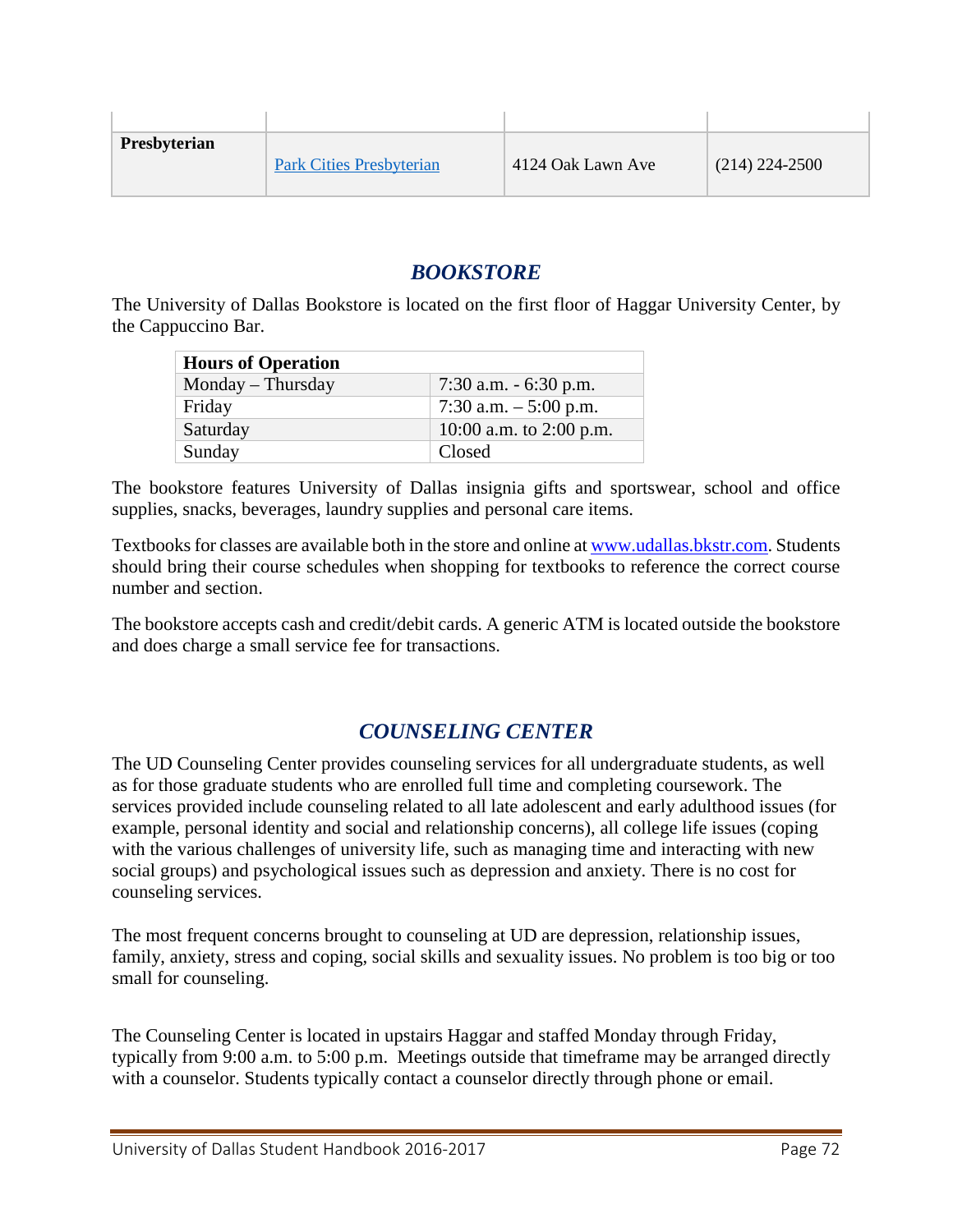| Presbyterian | <b>Park Cities Presbyterian</b> | 4124 Oak Lawn Ave | $(214)$ 224-2500 |
|--------------|---------------------------------|-------------------|------------------|

# *[BOOKSTORE](http://www.bkstr.com/webapp/wcs/stores/servlet/StoreCatalogDisplay?storeId=10278&langId+-1&catalogId=10001)*

The University of Dallas Bookstore is located on the first floor of Haggar University Center, by the Cappuccino Bar.

| <b>Hours of Operation</b> |                         |
|---------------------------|-------------------------|
| Monday – Thursday         | 7:30 a.m. $-6:30$ p.m.  |
| Friday                    | 7:30 a.m. $-$ 5:00 p.m. |
| Saturday                  | 10:00 a.m. to 2:00 p.m. |
| Sunday                    | Closed                  |

The bookstore features University of Dallas insignia gifts and sportswear, school and office supplies, snacks, beverages, laundry supplies and personal care items.

Textbooks for classes are available both in the store and online a[t www.udallas.bkstr.com.](http://www.udallas.bkstr.com/) Students should bring their course schedules when shopping for textbooks to reference the correct course number and section.

The bookstore accepts cash and credit/debit cards. A generic ATM is located outside the bookstore and does charge a small service fee for transactions.

# *[COUNSELING CENTER](http://udallas.edu/offices/healthservices/counseling/index.html)*

The UD Counseling Center provides counseling services for all undergraduate students, as well as for those graduate students who are enrolled full time and completing coursework. The services provided include counseling related to all late adolescent and early adulthood issues (for example, personal identity and social and relationship concerns), all college life issues (coping with the various challenges of university life, such as managing time and interacting with new social groups) and psychological issues such as depression and anxiety. There is no cost for counseling services.

The most frequent concerns brought to counseling at UD are depression, relationship issues, family, anxiety, stress and coping, social skills and sexuality issues. No problem is too big or too small for counseling.

The Counseling Center is located in upstairs Haggar and staffed Monday through Friday, typically from 9:00 a.m. to 5:00 p.m. Meetings outside that timeframe may be arranged directly with a counselor. Students typically contact a counselor directly through phone or email.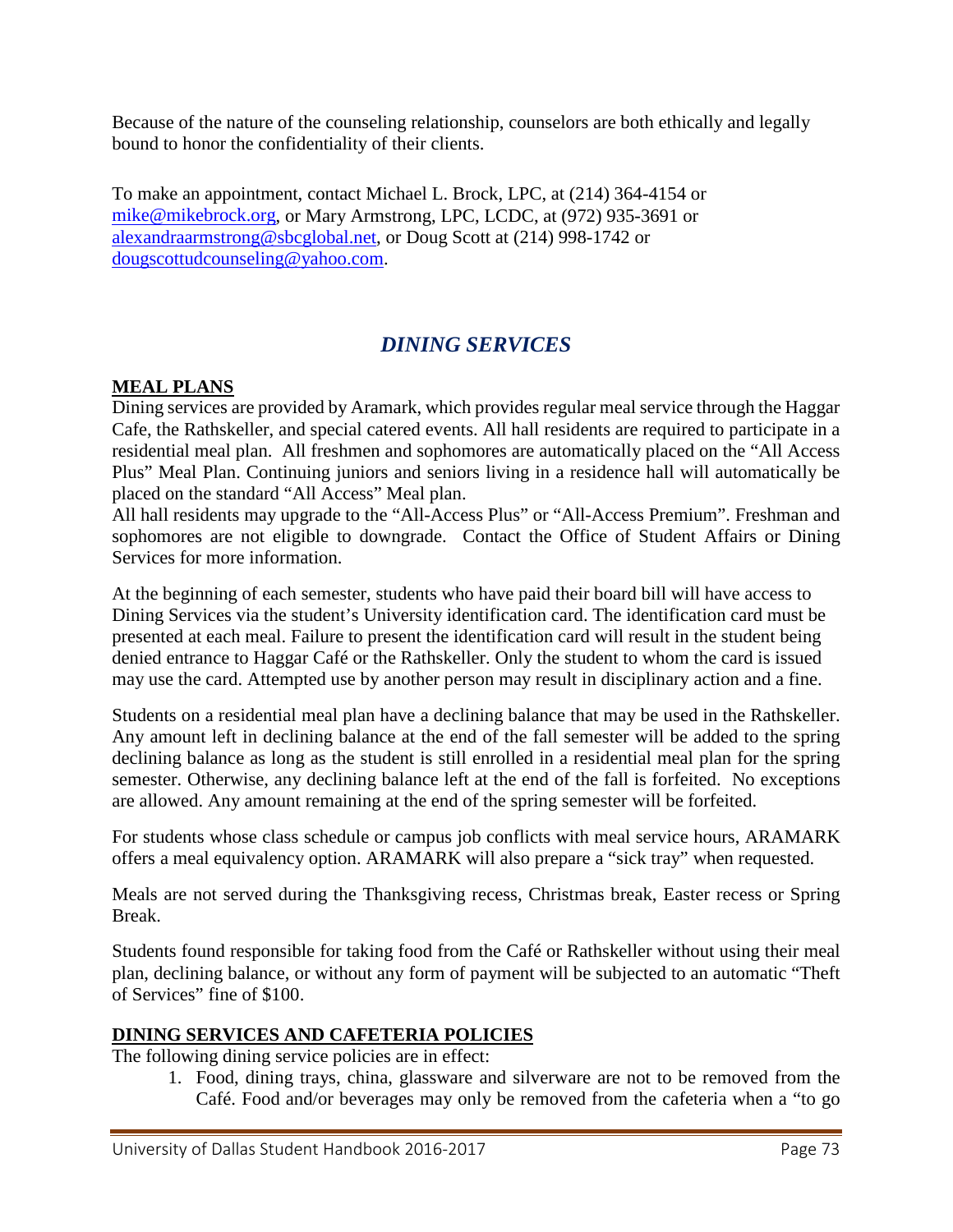Because of the nature of the counseling relationship, counselors are both ethically and legally bound to honor the confidentiality of their clients.

To make an appointment, contact Michael L. Brock, LPC, at (214) 364-4154 or [mike@mikebrock.org,](mailto:mike@mikebrock.org) or Mary Armstrong, LPC, LCDC, at (972) 935-3691 or [alexandraarmstrong@sbcglobal.net,](mailto:alexandraarmstrong@sbcglobal.net) or Doug Scott at (214) 998-1742 or [dougscottudcounseling@yahoo.com.](mailto:dougscottudcounseling@yahoo.com)

# *[DINING SERVICES](http://udallas.edu/offices/diningservices/index.html)*

### **MEAL PLANS**

Dining services are provided by Aramark, which provides regular meal service through the Haggar Cafe, the Rathskeller, and special catered events. All hall residents are required to participate in a residential meal plan. All freshmen and sophomores are automatically placed on the "All Access Plus" Meal Plan. Continuing juniors and seniors living in a residence hall will automatically be placed on the standard "All Access" Meal plan.

All hall residents may upgrade to the "All-Access Plus" or "All-Access Premium". Freshman and sophomores are not eligible to downgrade. Contact the Office of Student Affairs or Dining Services for more information.

At the beginning of each semester, students who have paid their board bill will have access to Dining Services via the student's University identification card. The identification card must be presented at each meal. Failure to present the identification card will result in the student being denied entrance to Haggar Café or the Rathskeller. Only the student to whom the card is issued may use the card. Attempted use by another person may result in disciplinary action and a fine.

Students on a residential meal plan have a declining balance that may be used in the Rathskeller. Any amount left in declining balance at the end of the fall semester will be added to the spring declining balance as long as the student is still enrolled in a residential meal plan for the spring semester. Otherwise, any declining balance left at the end of the fall is forfeited. No exceptions are allowed. Any amount remaining at the end of the spring semester will be forfeited.

For students whose class schedule or campus job conflicts with meal service hours, ARAMARK offers a meal equivalency option. ARAMARK will also prepare a "sick tray" when requested.

Meals are not served during the Thanksgiving recess, Christmas break, Easter recess or Spring Break.

Students found responsible for taking food from the Café or Rathskeller without using their meal plan, declining balance, or without any form of payment will be subjected to an automatic "Theft of Services" fine of \$100.

### **DINING SERVICES AND CAFETERIA POLICIES**

The following dining service policies are in effect:

1. Food, dining trays, china, glassware and silverware are not to be removed from the Café. Food and/or beverages may only be removed from the cafeteria when a "to go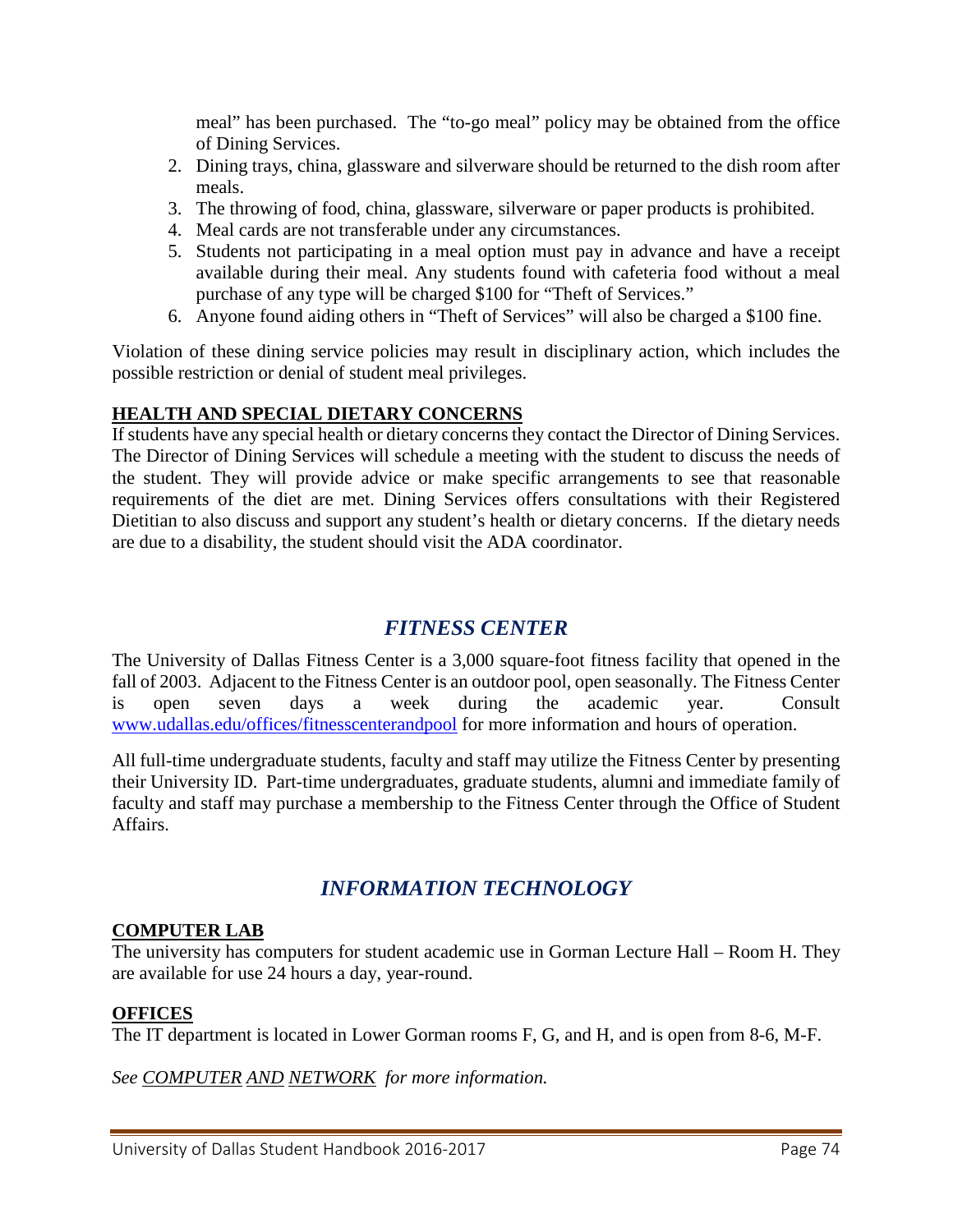meal" has been purchased. The "to-go meal" policy may be obtained from the office of Dining Services.

- 2. Dining trays, china, glassware and silverware should be returned to the dish room after meals.
- 3. The throwing of food, china, glassware, silverware or paper products is prohibited.
- 4. Meal cards are not transferable under any circumstances.
- 5. Students not participating in a meal option must pay in advance and have a receipt available during their meal. Any students found with cafeteria food without a meal purchase of any type will be charged \$100 for "Theft of Services."
- 6. Anyone found aiding others in "Theft of Services" will also be charged a \$100 fine.

Violation of these dining service policies may result in disciplinary action, which includes the possible restriction or denial of student meal privileges.

### **HEALTH AND SPECIAL DIETARY CONCERNS**

If students have any special health or dietary concerns they contact the Director of Dining Services. The Director of Dining Services will schedule a meeting with the student to discuss the needs of the student. They will provide advice or make specific arrangements to see that reasonable requirements of the diet are met. Dining Services offers consultations with their Registered Dietitian to also discuss and support any student's health or dietary concerns. If the dietary needs are due to a disability, the student should visit the ADA coordinator.

# *[FITNESS CENTER](http://www.udallas.edu/offices/fitnesscenterandpool/index.html)*

The University of Dallas Fitness Center is a 3,000 square-foot fitness facility that opened in the fall of 2003. Adjacent to the Fitness Center is an outdoor pool, open seasonally. The Fitness Center is open seven days a week during the academic year. Consult [www.udallas.edu/offices/fitnesscenterandpool](http://www.udallas.edu/offices/fitnesscenterandpool) for more information and hours of operation.

All full-time undergraduate students, faculty and staff may utilize the Fitness Center by presenting their University ID. Part-time undergraduates, graduate students, alumni and immediate family of faculty and staff may purchase a membership to the Fitness Center through the Office of Student Affairs.

# *INFORMATION TECHNOLOGY*

### **COMPUTER LAB**

The university has computers for student academic use in Gorman Lecture Hall – Room H. They are available for use 24 hours a day, year-round.

### **OFFICES**

The IT department is located in Lower Gorman rooms F, G, and H, and is open from 8-6, M-F.

*See COMPUTER AND NETWORK for more information.*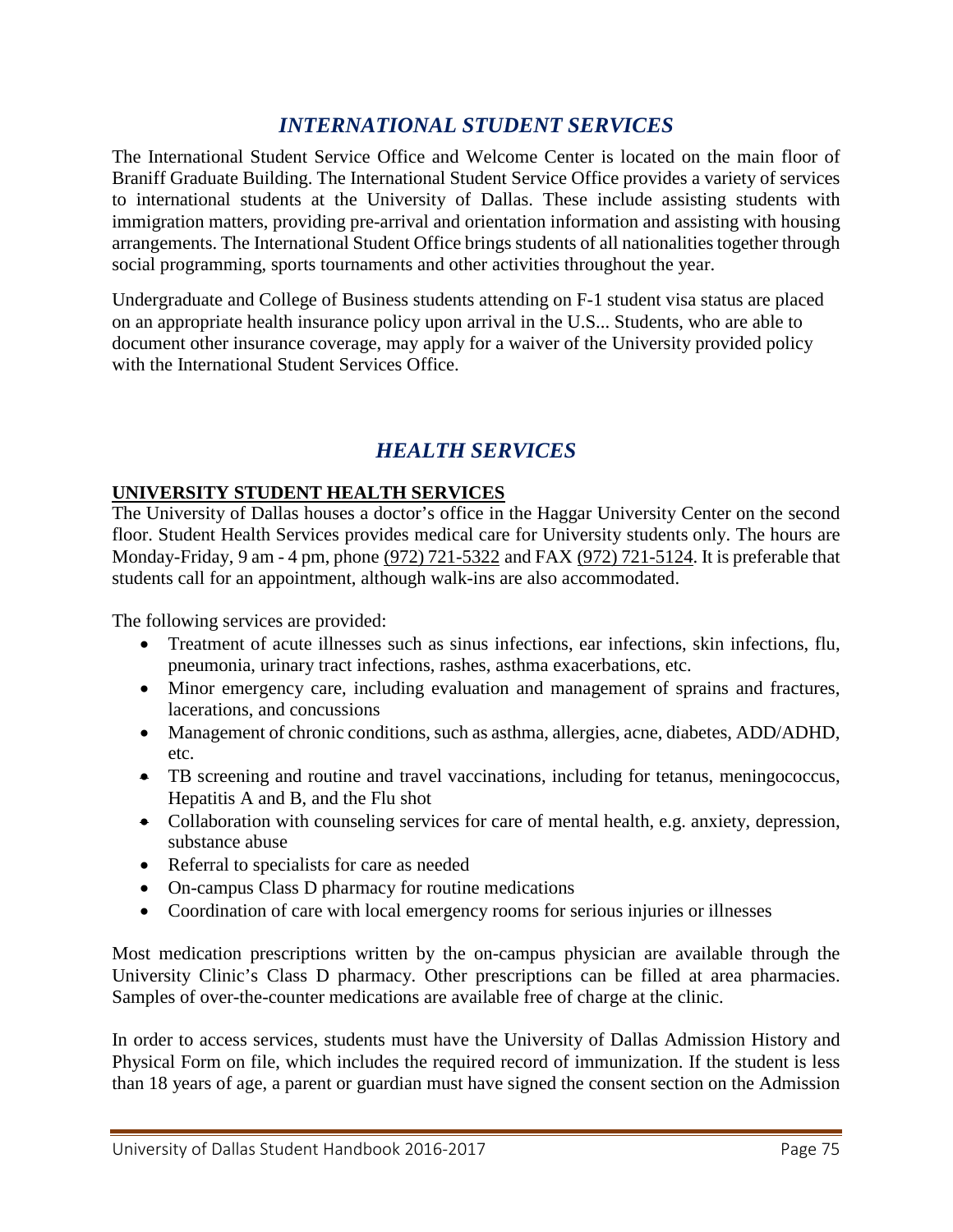# *[INTERNATIONAL STUDENT SERVICES](http://udallas.edu/offices/iss/index.html)*

The International Student Service Office and Welcome Center is located on the main floor of Braniff Graduate Building. The International Student Service Office provides a variety of services to international students at the University of Dallas. These include assisting students with immigration matters, providing pre-arrival and orientation information and assisting with housing arrangements. The International Student Office brings students of all nationalities together through social programming, sports tournaments and other activities throughout the year.

Undergraduate and College of Business students attending on F-1 student visa status are placed on an appropriate health insurance policy upon arrival in the U.S... Students, who are able to document other insurance coverage, may apply for a waiver of the University provided policy with the International Student Services Office.

# *[HEALTH SERVICES](http://udallas.edu/offices/healthservices/index.html)*

### **UNIVERSITY STUDENT HEALTH SERVICES**

The University of Dallas houses a doctor's office in the Haggar University Center on the second floor. Student Health Services provides medical care for University students only. The hours are Monday-Friday, 9 am - 4 pm, phone [\(972\) 721-5322](tel:%28972%29%20721-5322) and FAX [\(972\) 721-5124.](tel:%28972%29%20721-5124) It is preferable that students call for an appointment, although walk-ins are also accommodated.

The following services are provided:

- Treatment of acute illnesses such as sinus infections, ear infections, skin infections, flu, pneumonia, urinary tract infections, rashes, asthma exacerbations, etc.
- Minor emergency care, including evaluation and management of sprains and fractures, lacerations, and concussions
- Management of chronic conditions, such as asthma, allergies, acne, diabetes, ADD/ADHD, etc.
- TB screening and routine and travel vaccinations, including for tetanus, meningococcus, Hepatitis A and B, and the Flu shot
- Collaboration with counseling services for care of mental health, e.g. anxiety, depression, substance abuse
- Referral to specialists for care as needed
- On-campus Class D pharmacy for routine medications
- Coordination of care with local emergency rooms for serious injuries or illnesses

Most medication prescriptions written by the on-campus physician are available through the University Clinic's Class D pharmacy. Other prescriptions can be filled at area pharmacies. Samples of over-the-counter medications are available free of charge at the clinic.

In order to access services, students must have the University of Dallas Admission History and Physical Form on file, which includes the required record of immunization. If the student is less than 18 years of age, a parent or guardian must have signed the consent section on the Admission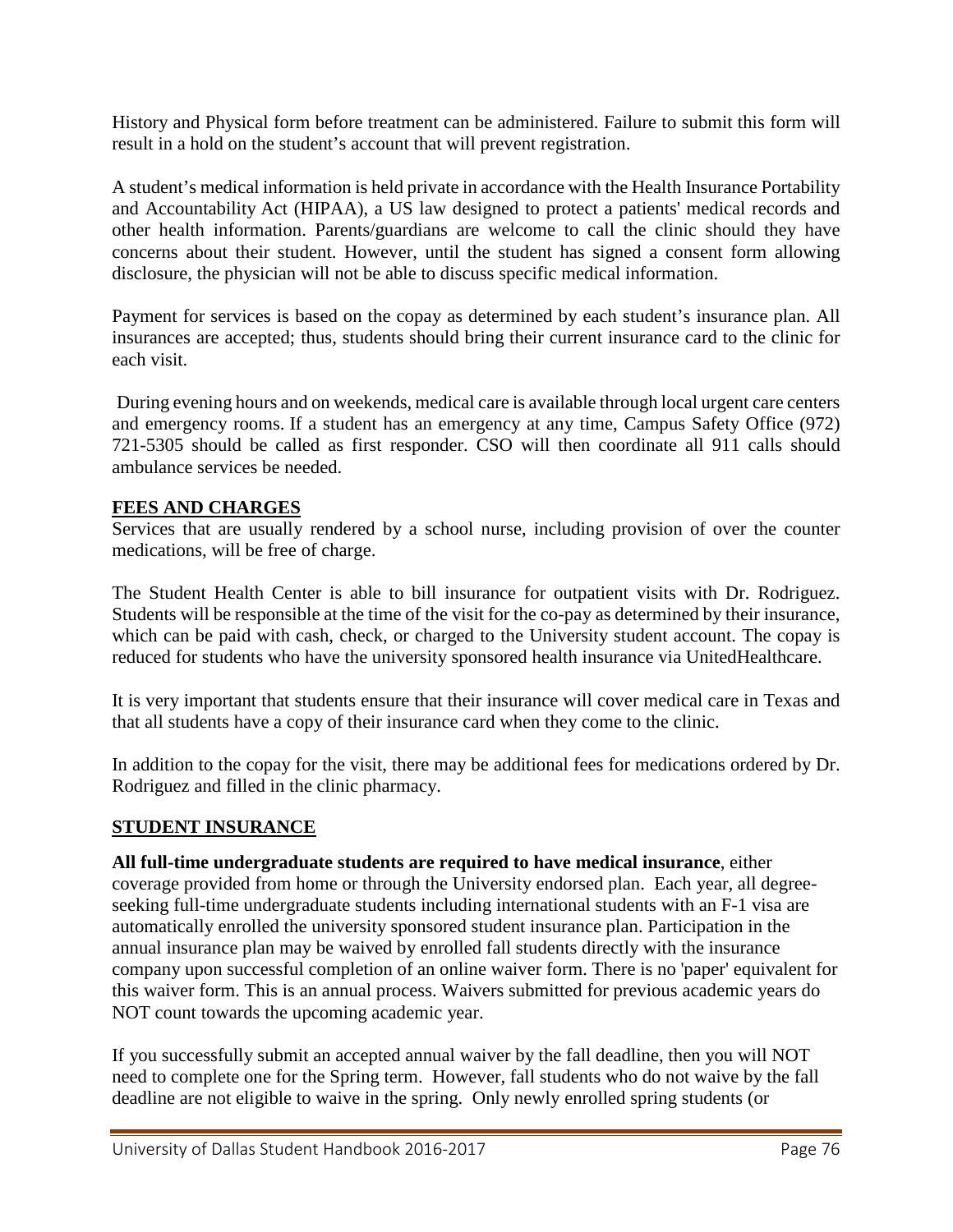History and Physical form before treatment can be administered. Failure to submit this form will result in a hold on the student's account that will prevent registration.

A student's medical information is held private in accordance with the Health Insurance Portability and Accountability Act (HIPAA), a US law designed to protect a patients' medical records and other health information. Parents/guardians are welcome to call the clinic should they have concerns about their student. However, until the student has signed a consent form allowing disclosure, the physician will not be able to discuss specific medical information.

Payment for services is based on the copay as determined by each student's insurance plan. All insurances are accepted; thus, students should bring their current insurance card to the clinic for each visit.

During evening hours and on weekends, medical care is available through local urgent care centers and emergency rooms. If a student has an emergency at any time, Campus Safety Office (972) 721-5305 should be called as first responder. CSO will then coordinate all 911 calls should ambulance services be needed.

### **FEES AND CHARGES**

Services that are usually rendered by a school nurse, including provision of over the counter medications, will be free of charge.

The Student Health Center is able to bill insurance for outpatient visits with Dr. Rodriguez. Students will be responsible at the time of the visit for the co-pay as determined by their insurance, which can be paid with cash, check, or charged to the University student account. The copay is reduced for students who have the university sponsored health insurance via UnitedHealthcare.

It is very important that students ensure that their insurance will cover medical care in Texas and that all students have a copy of their insurance card when they come to the clinic.

In addition to the copay for the visit, there may be additional fees for medications ordered by Dr. Rodriguez and filled in the clinic pharmacy.

### **STUDENT INSURANCE**

**All full-time undergraduate students are required to have medical insurance**, either coverage provided from home or through the University endorsed plan. Each year, all degreeseeking full-time undergraduate students including international students with an F-1 visa are automatically enrolled the university sponsored student insurance plan. Participation in the annual insurance plan may be waived by enrolled fall students directly with the insurance company upon successful completion of an online waiver form. There is no 'paper' equivalent for this waiver form. This is an annual process. Waivers submitted for previous academic years do NOT count towards the upcoming academic year.

If you successfully submit an accepted annual waiver by the fall deadline, then you will NOT need to complete one for the Spring term. However, fall students who do not waive by the fall deadline are not eligible to waive in the spring. Only newly enrolled spring students (or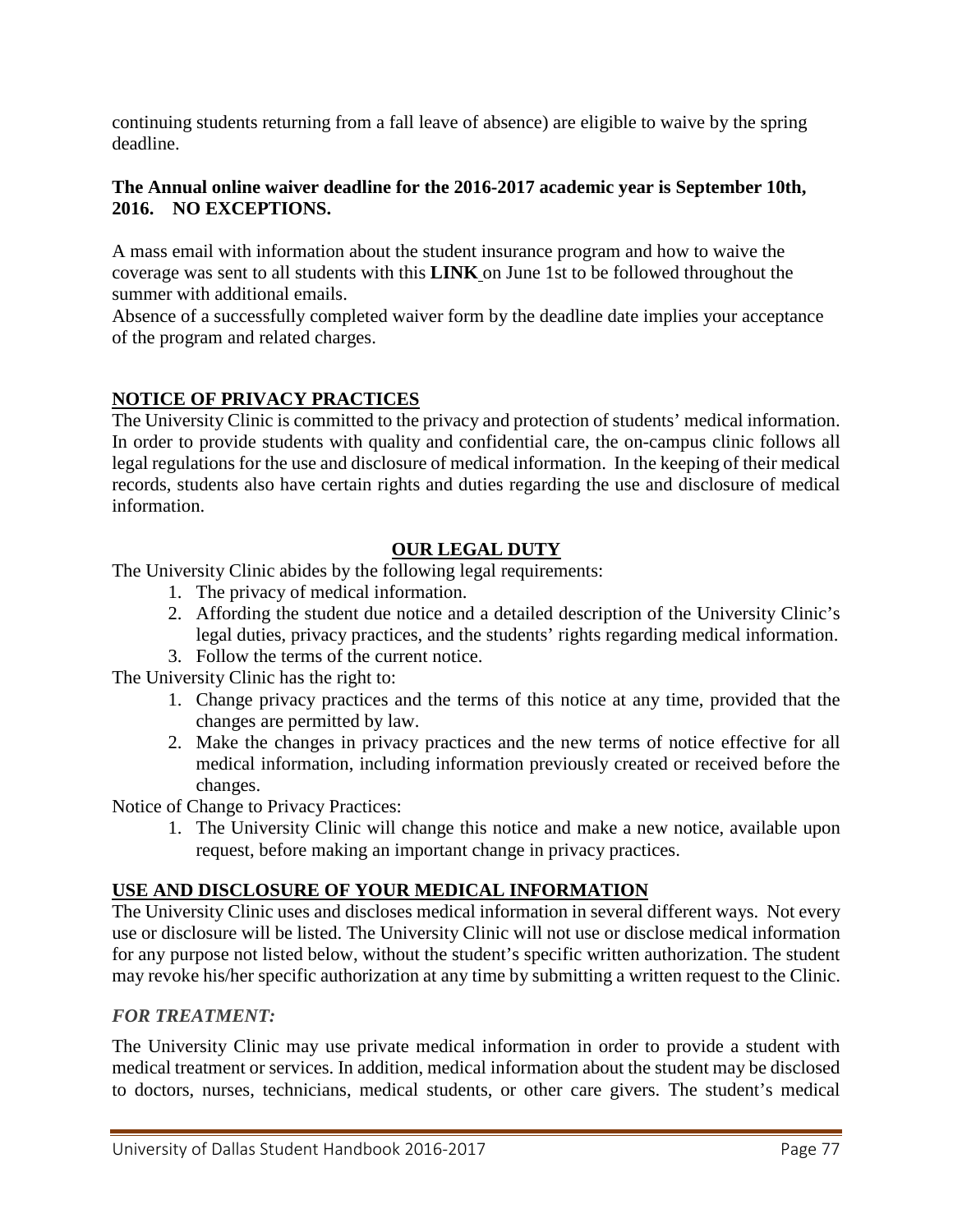continuing students returning from a fall leave of absence) are eligible to waive by the spring deadline.

### **The Annual online waiver deadline for the 2016-2017 academic year is September 10th, 2016. NO EXCEPTIONS.**

A mass email with information about the student insurance program and how to waive the coverage was sent to all students with this **[LINK](https://udallas.myahpcare.com/)** on June 1st to be followed throughout the summer with additional emails.

Absence of a successfully completed waiver form by the deadline date implies your acceptance of the program and related charges.

### **NOTICE OF PRIVACY PRACTICES**

The University Clinic is committed to the privacy and protection of students' medical information. In order to provide students with quality and confidential care, the on-campus clinic follows all legal regulations for the use and disclosure of medical information. In the keeping of their medical records, students also have certain rights and duties regarding the use and disclosure of medical information.

### **OUR LEGAL DUTY**

The University Clinic abides by the following legal requirements:

- 1. The privacy of medical information.
- 2. Affording the student due notice and a detailed description of the University Clinic's legal duties, privacy practices, and the students' rights regarding medical information.
- 3. Follow the terms of the current notice.

The University Clinic has the right to:

- 1. Change privacy practices and the terms of this notice at any time, provided that the changes are permitted by law.
- 2. Make the changes in privacy practices and the new terms of notice effective for all medical information, including information previously created or received before the changes.

Notice of Change to Privacy Practices:

1. The University Clinic will change this notice and make a new notice, available upon request, before making an important change in privacy practices.

### **USE AND DISCLOSURE OF YOUR MEDICAL INFORMATION**

The University Clinic uses and discloses medical information in several different ways. Not every use or disclosure will be listed. The University Clinic will not use or disclose medical information for any purpose not listed below, without the student's specific written authorization. The student may revoke his/her specific authorization at any time by submitting a written request to the Clinic.

### *FOR TREATMENT:*

The University Clinic may use private medical information in order to provide a student with medical treatment or services. In addition, medical information about the student may be disclosed to doctors, nurses, technicians, medical students, or other care givers. The student's medical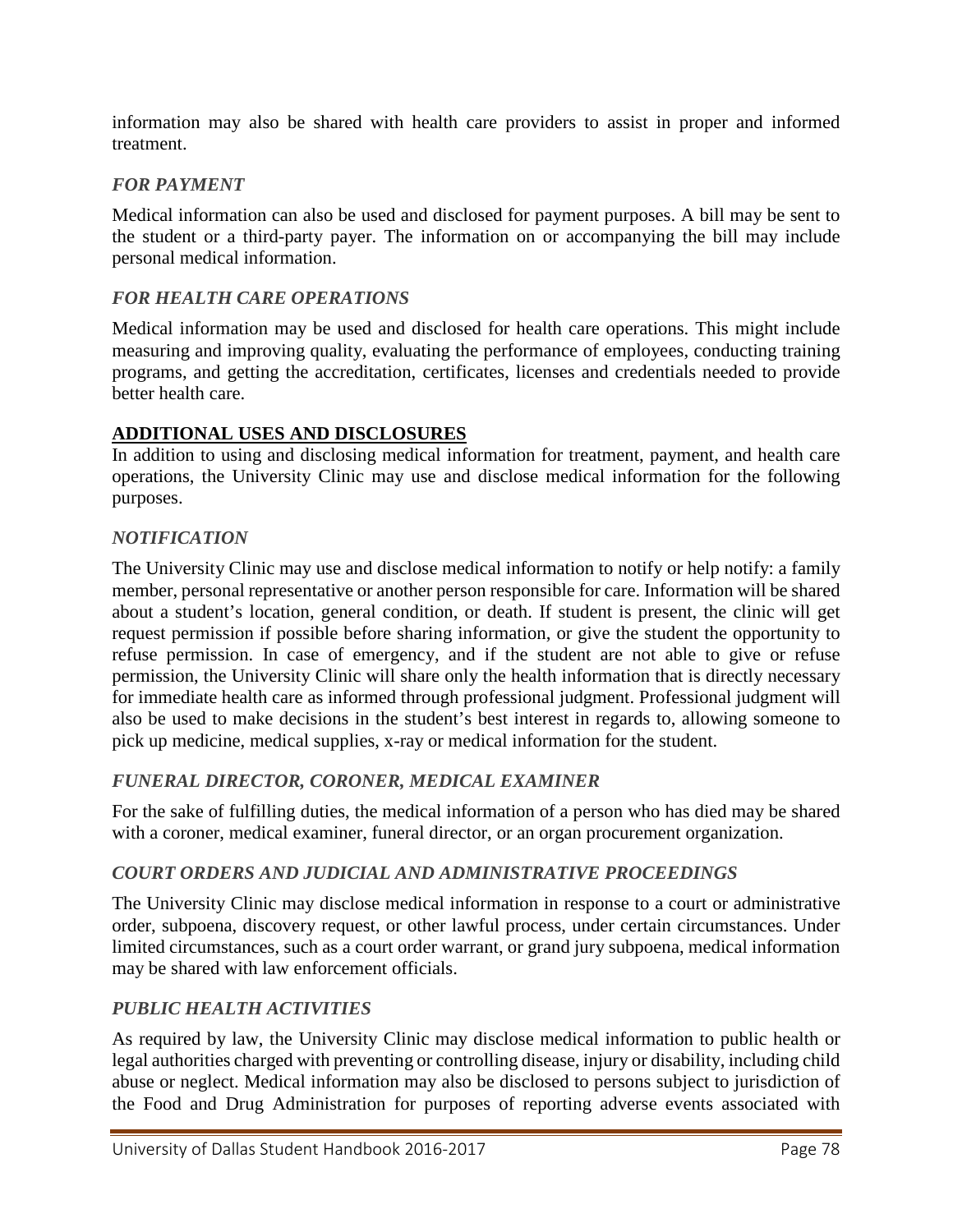information may also be shared with health care providers to assist in proper and informed treatment.

### *FOR PAYMENT*

Medical information can also be used and disclosed for payment purposes. A bill may be sent to the student or a third-party payer. The information on or accompanying the bill may include personal medical information.

### *FOR HEALTH CARE OPERATIONS*

Medical information may be used and disclosed for health care operations. This might include measuring and improving quality, evaluating the performance of employees, conducting training programs, and getting the accreditation, certificates, licenses and credentials needed to provide better health care.

### **ADDITIONAL USES AND DISCLOSURES**

In addition to using and disclosing medical information for treatment, payment, and health care operations, the University Clinic may use and disclose medical information for the following purposes.

### *NOTIFICATION*

The University Clinic may use and disclose medical information to notify or help notify: a family member, personal representative or another person responsible for care. Information will be shared about a student's location, general condition, or death. If student is present, the clinic will get request permission if possible before sharing information, or give the student the opportunity to refuse permission. In case of emergency, and if the student are not able to give or refuse permission, the University Clinic will share only the health information that is directly necessary for immediate health care as informed through professional judgment. Professional judgment will also be used to make decisions in the student's best interest in regards to, allowing someone to pick up medicine, medical supplies, x-ray or medical information for the student.

### *FUNERAL DIRECTOR, CORONER, MEDICAL EXAMINER*

For the sake of fulfilling duties, the medical information of a person who has died may be shared with a coroner, medical examiner, funeral director, or an organ procurement organization.

### *COURT ORDERS AND JUDICIAL AND ADMINISTRATIVE PROCEEDINGS*

The University Clinic may disclose medical information in response to a court or administrative order, subpoena, discovery request, or other lawful process, under certain circumstances. Under limited circumstances, such as a court order warrant, or grand jury subpoena, medical information may be shared with law enforcement officials.

### *PUBLIC HEALTH ACTIVITIES*

As required by law, the University Clinic may disclose medical information to public health or legal authorities charged with preventing or controlling disease, injury or disability, including child abuse or neglect. Medical information may also be disclosed to persons subject to jurisdiction of the Food and Drug Administration for purposes of reporting adverse events associated with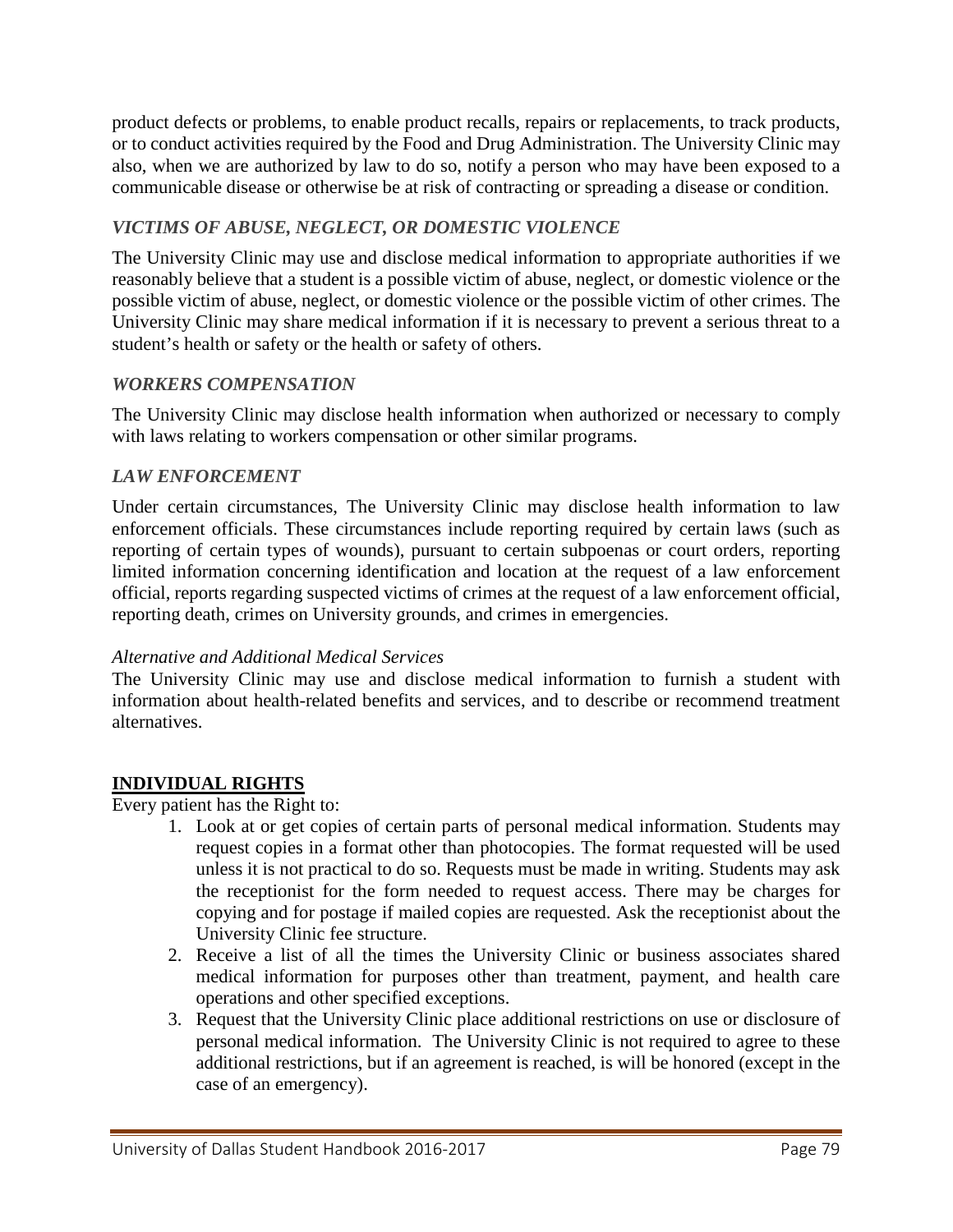product defects or problems, to enable product recalls, repairs or replacements, to track products, or to conduct activities required by the Food and Drug Administration. The University Clinic may also, when we are authorized by law to do so, notify a person who may have been exposed to a communicable disease or otherwise be at risk of contracting or spreading a disease or condition.

## *VICTIMS OF ABUSE, NEGLECT, OR DOMESTIC VIOLENCE*

The University Clinic may use and disclose medical information to appropriate authorities if we reasonably believe that a student is a possible victim of abuse, neglect, or domestic violence or the possible victim of abuse, neglect, or domestic violence or the possible victim of other crimes. The University Clinic may share medical information if it is necessary to prevent a serious threat to a student's health or safety or the health or safety of others.

### *WORKERS COMPENSATION*

The University Clinic may disclose health information when authorized or necessary to comply with laws relating to workers compensation or other similar programs.

### *LAW ENFORCEMENT*

Under certain circumstances, The University Clinic may disclose health information to law enforcement officials. These circumstances include reporting required by certain laws (such as reporting of certain types of wounds), pursuant to certain subpoenas or court orders, reporting limited information concerning identification and location at the request of a law enforcement official, reports regarding suspected victims of crimes at the request of a law enforcement official, reporting death, crimes on University grounds, and crimes in emergencies.

### *Alternative and Additional Medical Services*

The University Clinic may use and disclose medical information to furnish a student with information about health-related benefits and services, and to describe or recommend treatment alternatives.

### **INDIVIDUAL RIGHTS**

Every patient has the Right to:

- 1. Look at or get copies of certain parts of personal medical information. Students may request copies in a format other than photocopies. The format requested will be used unless it is not practical to do so. Requests must be made in writing. Students may ask the receptionist for the form needed to request access. There may be charges for copying and for postage if mailed copies are requested. Ask the receptionist about the University Clinic fee structure.
- 2. Receive a list of all the times the University Clinic or business associates shared medical information for purposes other than treatment, payment, and health care operations and other specified exceptions.
- 3. Request that the University Clinic place additional restrictions on use or disclosure of personal medical information. The University Clinic is not required to agree to these additional restrictions, but if an agreement is reached, is will be honored (except in the case of an emergency).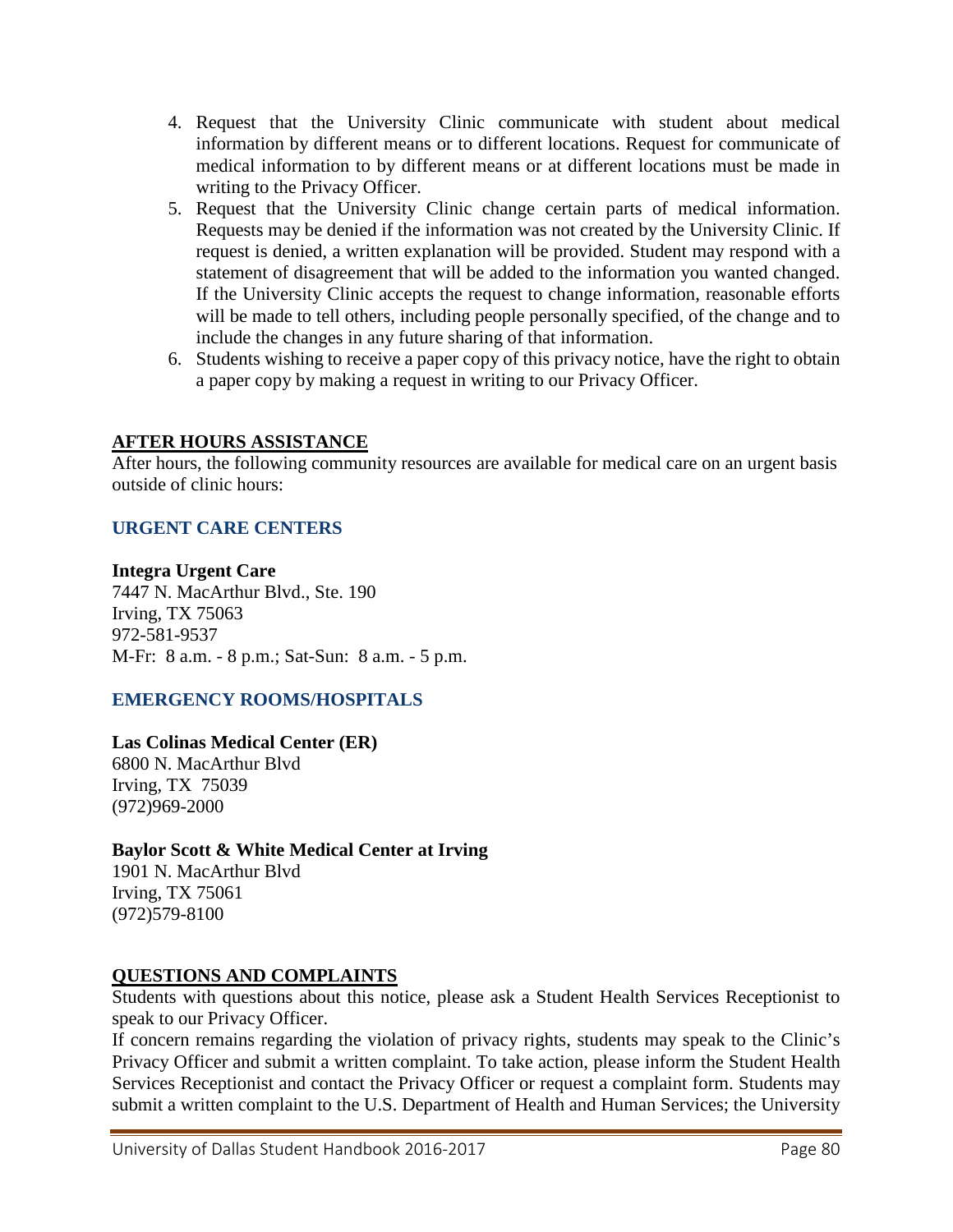- 4. Request that the University Clinic communicate with student about medical information by different means or to different locations. Request for communicate of medical information to by different means or at different locations must be made in writing to the Privacy Officer.
- 5. Request that the University Clinic change certain parts of medical information. Requests may be denied if the information was not created by the University Clinic. If request is denied, a written explanation will be provided. Student may respond with a statement of disagreement that will be added to the information you wanted changed. If the University Clinic accepts the request to change information, reasonable efforts will be made to tell others, including people personally specified, of the change and to include the changes in any future sharing of that information.
- 6. Students wishing to receive a paper copy of this privacy notice, have the right to obtain a paper copy by making a request in writing to our Privacy Officer.

### **AFTER HOURS ASSISTANCE**

After hours, the following community resources are available for medical care on an urgent basis outside of clinic hours:

### **URGENT CARE CENTERS**

#### **Integra Urgent Care**

7447 N. MacArthur Blvd., Ste. 190 Irving, TX 75063 972-581-9537 M-Fr: 8 a.m. - 8 p.m.; Sat-Sun: 8 a.m. - 5 p.m.

#### **EMERGENCY ROOMS/HOSPITALS**

#### **Las Colinas Medical Center (ER)** 6800 N. MacArthur Blvd

Irving, TX 75039 (972)969-2000

### **Baylor Scott & White Medical Center at Irving**

1901 N. MacArthur Blvd Irving, TX 75061 (972)579-8100

#### **QUESTIONS AND COMPLAINTS**

Students with questions about this notice, please ask a Student Health Services Receptionist to speak to our Privacy Officer.

If concern remains regarding the violation of privacy rights, students may speak to the Clinic's Privacy Officer and submit a written complaint. To take action, please inform the Student Health Services Receptionist and contact the Privacy Officer or request a complaint form. Students may submit a written complaint to the U.S. Department of Health and Human Services; the University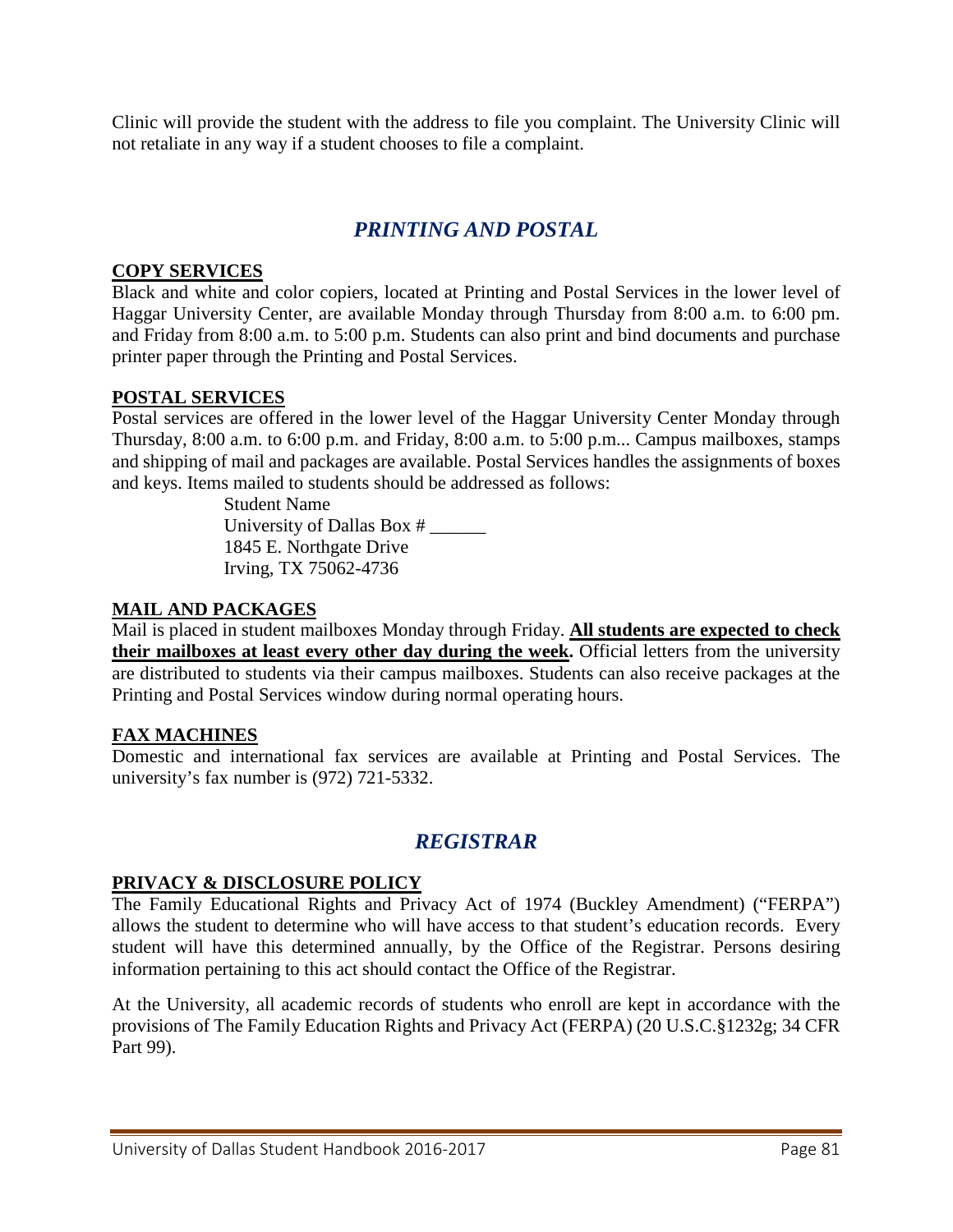Clinic will provide the student with the address to file you complaint. The University Clinic will not retaliate in any way if a student chooses to file a complaint.

# *PRINTING AND POSTAL*

### **COPY SERVICES**

Black and white and color copiers, located at Printing and Postal Services in the lower level of Haggar University Center, are available Monday through Thursday from 8:00 a.m. to 6:00 pm. and Friday from 8:00 a.m. to 5:00 p.m. Students can also print and bind documents and purchase printer paper through the Printing and Postal Services.

### **POSTAL SERVICES**

Postal services are offered in the lower level of the Haggar University Center Monday through Thursday, 8:00 a.m. to 6:00 p.m. and Friday, 8:00 a.m. to 5:00 p.m... Campus mailboxes, stamps and shipping of mail and packages are available. Postal Services handles the assignments of boxes and keys. Items mailed to students should be addressed as follows:

> Student Name University of Dallas Box # 1845 E. Northgate Drive Irving, TX 75062-4736

### **MAIL AND PACKAGES**

Mail is placed in student mailboxes Monday through Friday. **All students are expected to check their mailboxes at least every other day during the week.** Official letters from the university are distributed to students via their campus mailboxes. Students can also receive packages at the Printing and Postal Services window during normal operating hours.

#### **FAX MACHINES**

Domestic and international fax services are available at Printing and Postal Services. The university's fax number is (972) 721-5332.

# *REGISTRAR*

#### **PRIVACY & DISCLOSURE POLICY**

The Family Educational Rights and Privacy Act of 1974 (Buckley Amendment) ("FERPA") allows the student to determine who will have access to that student's education records. Every student will have this determined annually, by the Office of the Registrar. Persons desiring information pertaining to this act should contact the Office of the Registrar.

At the University, all academic records of students who enroll are kept in accordance with the provisions of The Family Education Rights and Privacy Act (FERPA) (20 U.S.C.§1232g; 34 CFR Part 99).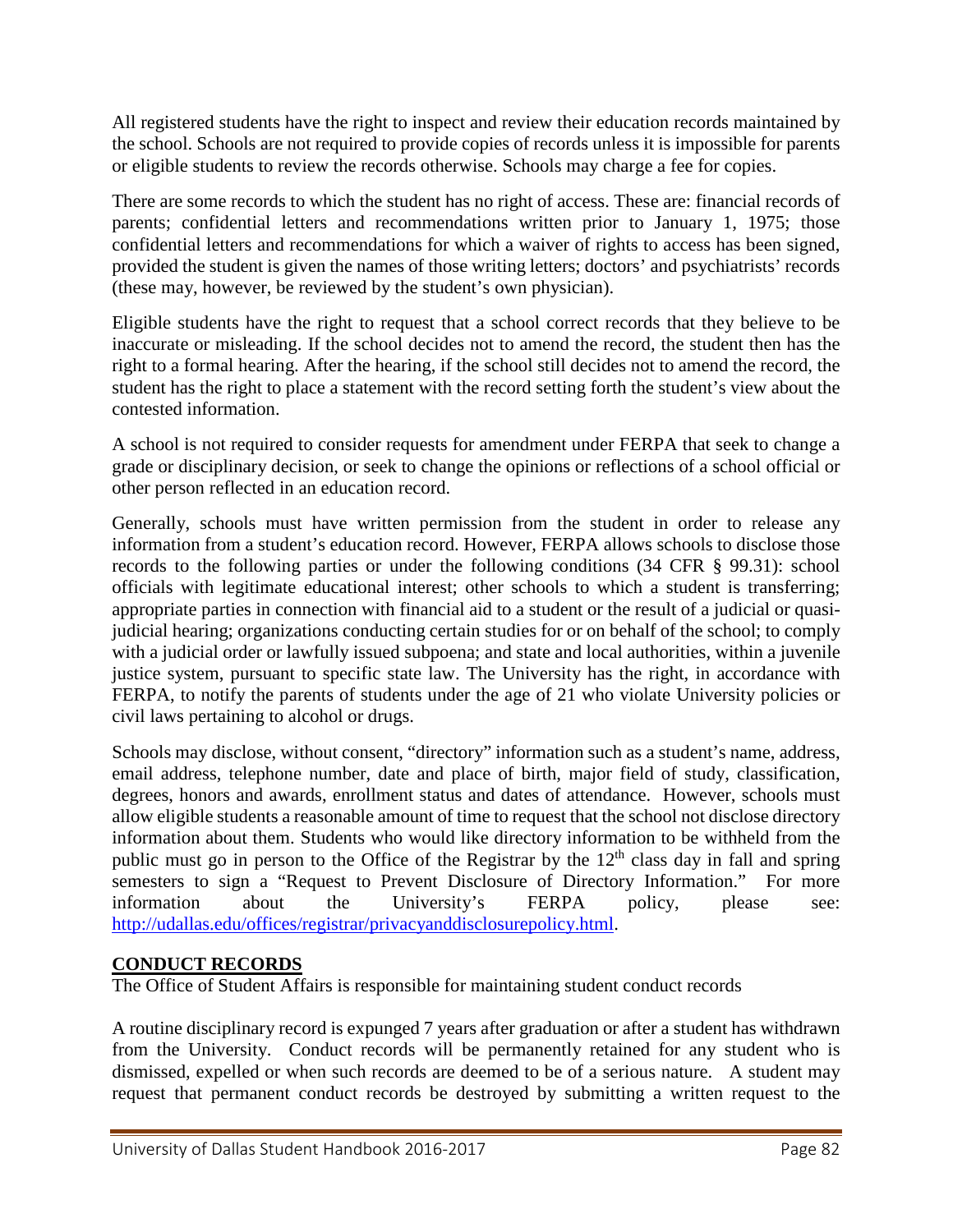All registered students have the right to inspect and review their education records maintained by the school. Schools are not required to provide copies of records unless it is impossible for parents or eligible students to review the records otherwise. Schools may charge a fee for copies.

There are some records to which the student has no right of access. These are: financial records of parents; confidential letters and recommendations written prior to January 1, 1975; those confidential letters and recommendations for which a waiver of rights to access has been signed, provided the student is given the names of those writing letters; doctors' and psychiatrists' records (these may, however, be reviewed by the student's own physician).

Eligible students have the right to request that a school correct records that they believe to be inaccurate or misleading. If the school decides not to amend the record, the student then has the right to a formal hearing. After the hearing, if the school still decides not to amend the record, the student has the right to place a statement with the record setting forth the student's view about the contested information.

A school is not required to consider requests for amendment under FERPA that seek to change a grade or disciplinary decision, or seek to change the opinions or reflections of a school official or other person reflected in an education record.

Generally, schools must have written permission from the student in order to release any information from a student's education record. However, FERPA allows schools to disclose those records to the following parties or under the following conditions (34 CFR § 99.31): school officials with legitimate educational interest; other schools to which a student is transferring; appropriate parties in connection with financial aid to a student or the result of a judicial or quasijudicial hearing; organizations conducting certain studies for or on behalf of the school; to comply with a judicial order or lawfully issued subpoena; and state and local authorities, within a juvenile justice system, pursuant to specific state law. The University has the right, in accordance with FERPA, to notify the parents of students under the age of 21 who violate University policies or civil laws pertaining to alcohol or drugs.

Schools may disclose, without consent, "directory" information such as a student's name, address, email address, telephone number, date and place of birth, major field of study, classification, degrees, honors and awards, enrollment status and dates of attendance. However, schools must allow eligible students a reasonable amount of time to request that the school not disclose directory information about them. Students who would like directory information to be withheld from the public must go in person to the Office of the Registrar by the  $12<sup>th</sup>$  class day in fall and spring semesters to sign a "Request to Prevent Disclosure of Directory Information." For more information about the University's FERPA policy, please see: [http://udallas.edu/offices/registrar/privacyanddisclosurepolicy.html.](http://udallas.edu/offices/registrar/privacyanddisclosurepolicy.html)

### **CONDUCT RECORDS**

The Office of Student Affairs is responsible for maintaining student conduct records

A routine disciplinary record is expunged 7 years after graduation or after a student has withdrawn from the University. Conduct records will be permanently retained for any student who is dismissed, expelled or when such records are deemed to be of a serious nature. A student may request that permanent conduct records be destroyed by submitting a written request to the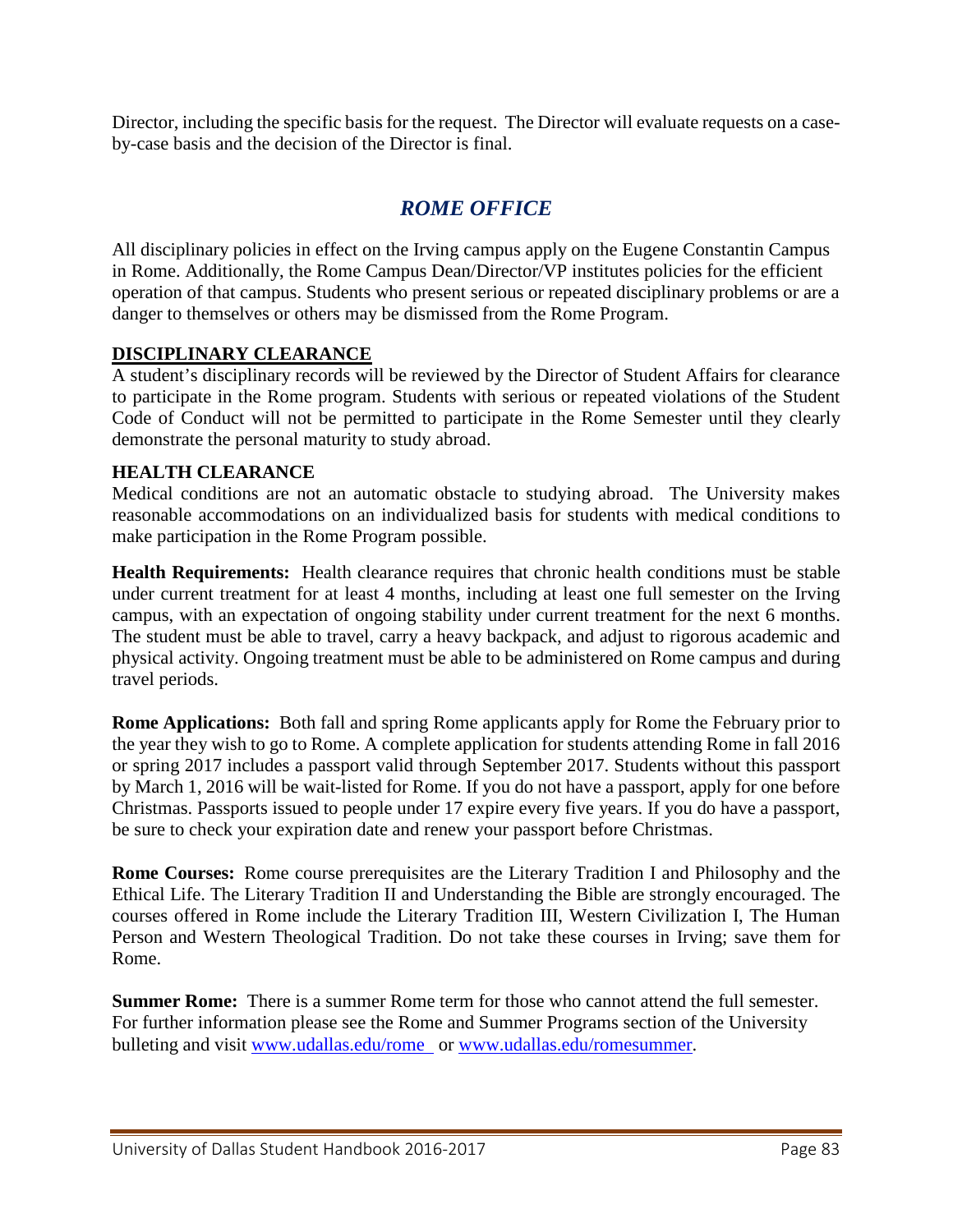Director, including the specific basis for the request. The Director will evaluate requests on a caseby-case basis and the decision of the Director is final.

# *ROME OFFICE*

All disciplinary policies in effect on the Irving campus apply on the Eugene Constantin Campus in Rome. Additionally, the Rome Campus Dean/Director/VP institutes policies for the efficient operation of that campus. Students who present serious or repeated disciplinary problems or are a danger to themselves or others may be dismissed from the Rome Program.

### **DISCIPLINARY CLEARANCE**

A student's disciplinary records will be reviewed by the Director of Student Affairs for clearance to participate in the Rome program. Students with serious or repeated violations of the Student Code of Conduct will not be permitted to participate in the Rome Semester until they clearly demonstrate the personal maturity to study abroad.

### **HEALTH CLEARANCE**

Medical conditions are not an automatic obstacle to studying abroad. The University makes reasonable accommodations on an individualized basis for students with medical conditions to make participation in the Rome Program possible.

**Health Requirements:** Health clearance requires that chronic health conditions must be stable under current treatment for at least 4 months, including at least one full semester on the Irving campus, with an expectation of ongoing stability under current treatment for the next 6 months. The student must be able to travel, carry a heavy backpack, and adjust to rigorous academic and physical activity. Ongoing treatment must be able to be administered on Rome campus and during travel periods.

**Rome Applications:** Both fall and spring Rome applicants apply for Rome the February prior to the year they wish to go to Rome. A complete application for students attending Rome in fall 2016 or spring 2017 includes a passport valid through September 2017. Students without this passport by March 1, 2016 will be wait-listed for Rome. If you do not have a passport, apply for one before Christmas. Passports issued to people under 17 expire every five years. If you do have a passport, be sure to check your expiration date and renew your passport before Christmas.

**Rome Courses:** Rome course prerequisites are the Literary Tradition I and Philosophy and the Ethical Life. The Literary Tradition II and Understanding the Bible are strongly encouraged. The courses offered in Rome include the Literary Tradition III, Western Civilization I, The Human Person and Western Theological Tradition. Do not take these courses in Irving; save them for Rome.

**Summer Rome:** There is a summer Rome term for those who cannot attend the full semester. For further information please see the Rome and Summer Programs section of the University bulleting and visit [www.udallas.edu/rome](http://udallas.edu/rome/) or [www.udallas.edu/romesummer.](http://www.udallas.edu/romesummer)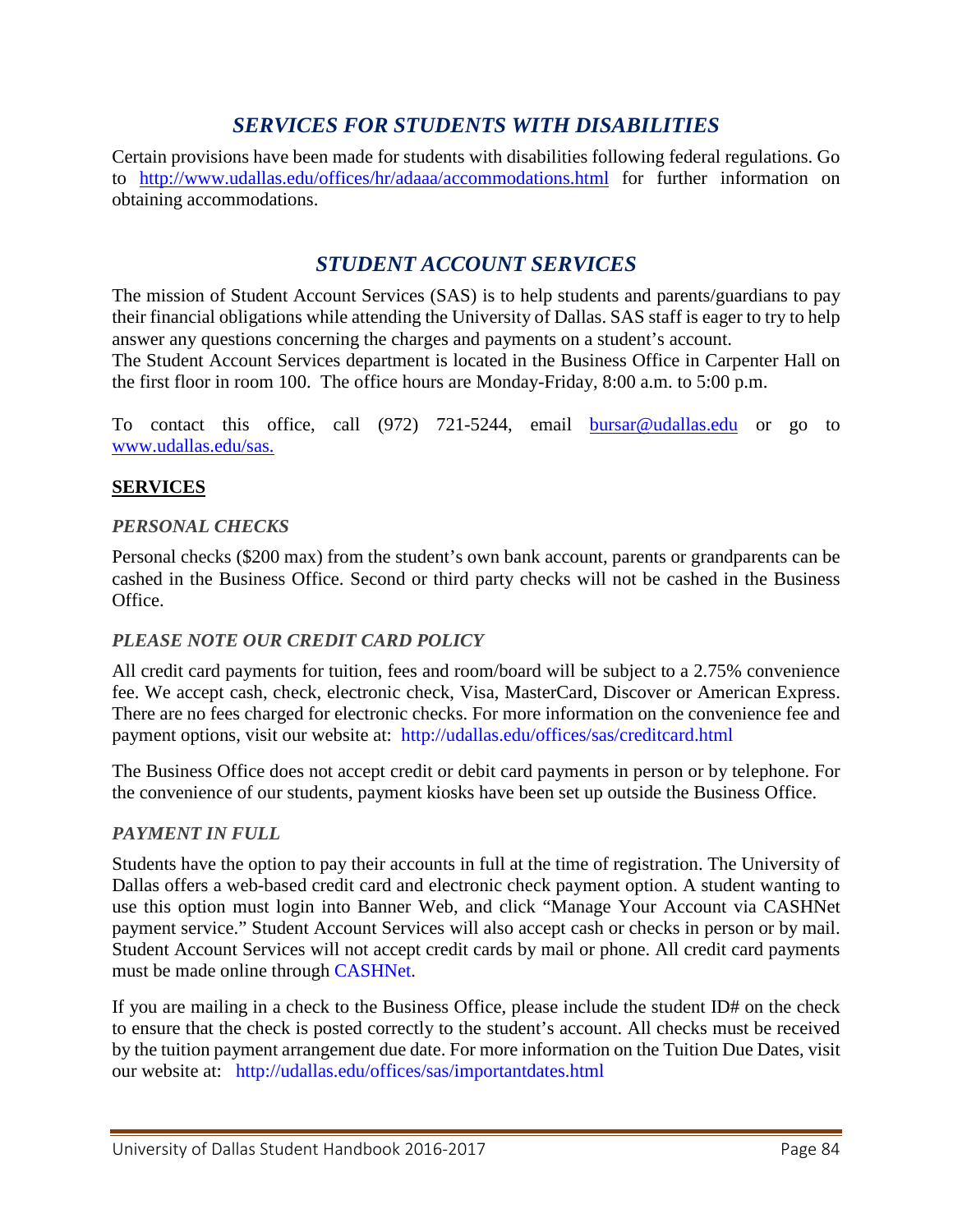# *SERVICES FOR STUDENTS WITH DISABILITIES*

Certain provisions have been made for students with disabilities following federal regulations. Go to <http://www.udallas.edu/offices/hr/adaaa/accommodations.html> for further information on obtaining accommodations.

# *[STUDENT ACCOUNT SERVICES](http://www.udallas.edu/offices/sas/index.html)*

The mission of Student Account Services (SAS) is to help students and parents/guardians to pay their financial obligations while attending the University of Dallas. SAS staff is eager to try to help answer any questions concerning the charges and payments on a student's account.

The Student Account Services department is located in the Business Office in Carpenter Hall on the first floor in room 100. The office hours are Monday-Friday, 8:00 a.m. to 5:00 p.m.

To contact this office, call (972) 721-5244, email [bursar@udallas.edu](mailto:bursar@udallas.edu) or go to [www.udallas.edu/sas.](http://www.udallas.edu/sas)

### **SERVICES**

### *PERSONAL CHECKS*

Personal checks (\$200 max) from the student's own bank account, parents or grandparents can be cashed in the Business Office. Second or third party checks will not be cashed in the Business Office.

#### *PLEASE NOTE OUR CREDIT CARD POLICY*

All credit card payments for tuition, fees and room/board will be subject to a 2.75% convenience fee. We accept cash, check, electronic check, Visa, MasterCard, Discover or American Express. There are no fees charged for electronic checks. For more information on the convenience fee and payment options, visit our website at: <http://udallas.edu/offices/sas/creditcard.html>

The Business Office does not accept credit or debit card payments in person or by telephone. For the convenience of our students, payment kiosks have been set up outside the Business Office.

### *PAYMENT IN FULL*

Students have the option to pay their accounts in full at the time of registration. The University of Dallas offers a web-based credit card and electronic check payment option. A student wanting to use this option must login into Banner Web, and click "Manage Your Account via CASHNet payment service." Student Account Services will also accept cash or checks in person or by mail. Student Account Services will not accept credit cards by mail or phone. All credit card payments must be made online through [CASHNet.](https://commerce.cashnet.com/cashnetb/selfserve/ebilllogin.aspx?client=UDALLAS_PROD&)

If you are mailing in a check to the Business Office, please include the student ID# on the check to ensure that the check is posted correctly to the student's account. All checks must be received by the tuition payment arrangement due date. For more information on the Tuition Due Dates, visit our website at: <http://udallas.edu/offices/sas/importantdates.html>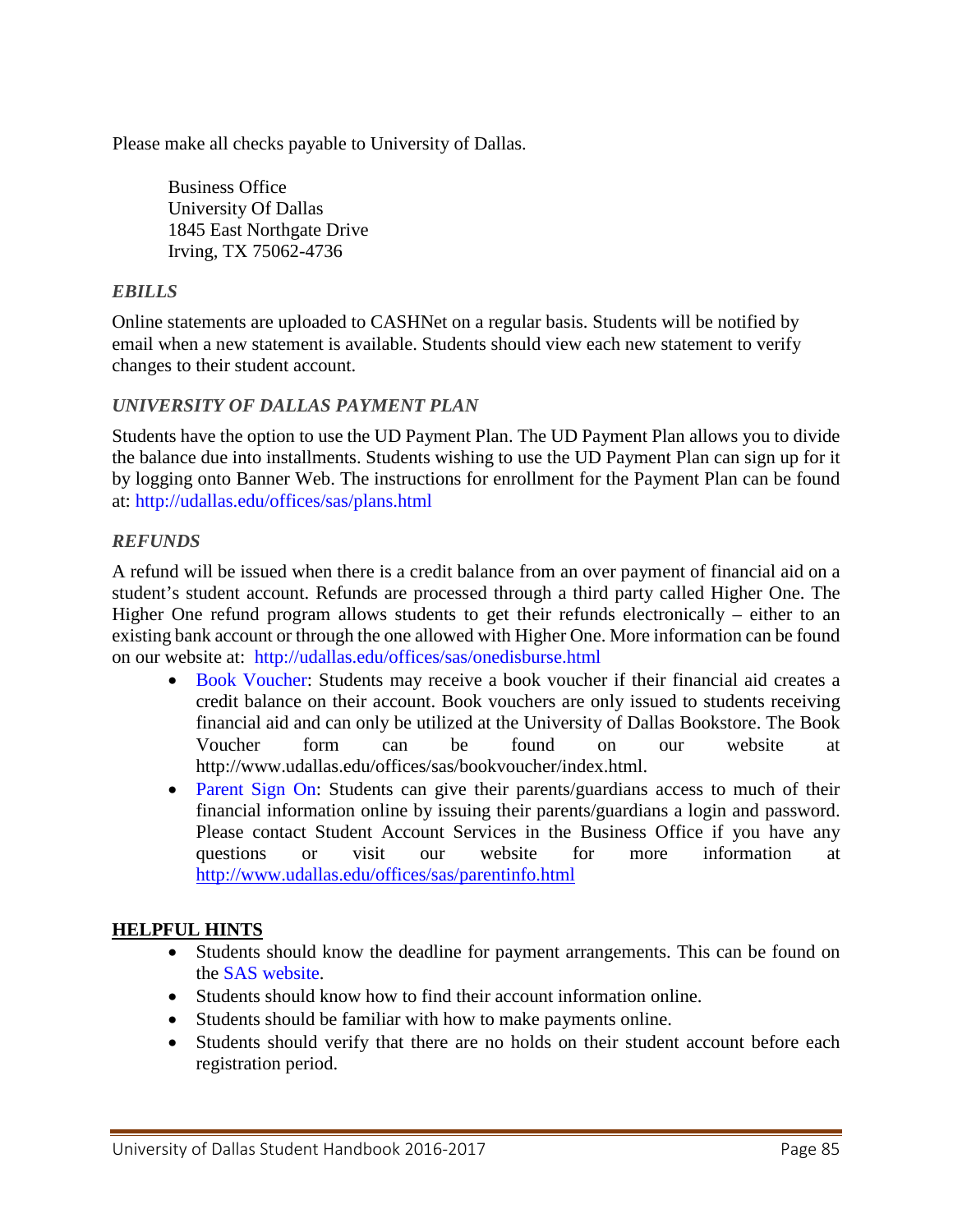Please make all checks payable to University of Dallas.

Business Office University Of Dallas 1845 East Northgate Drive Irving, TX 75062-4736

### *EBILLS*

Online statements are uploaded to CASHNet on a regular basis. Students will be notified by email when a new statement is available. Students should view each new statement to verify changes to their student account.

### *UNIVERSITY OF DALLAS PAYMENT PLAN*

Students have the option to use the UD Payment Plan. The UD Payment Plan allows you to divide the balance due into installments. Students wishing to use the UD Payment Plan can sign up for it by logging onto Banner Web. The instructions for enrollment for the Payment Plan can be found at:<http://udallas.edu/offices/sas/plans.html>

### *REFUNDS*

A refund will be issued when there is a credit balance from an over payment of financial aid on a student's student account. Refunds are processed through a third party called Higher One. The Higher One refund program allows students to get their refunds electronically – either to an existing bank account or through the one allowed with Higher One. More information can be found on our website at: <http://udallas.edu/offices/sas/onedisburse.html>

- [Book Voucher:](http://udallas.edu/offices/sas/bookvoucher/index.html) Students may receive a book voucher if their financial aid creates a credit balance on their account. Book vouchers are only issued to students receiving financial aid and can only be utilized at the University of Dallas Bookstore. The Book Voucher form can be found on our website at http://www.udallas.edu/offices/sas/bookvoucher/index.html.
- [Parent Sign On:](http://udallas.edu/offices/sas/parentinfo.html) Students can give their parents/guardians access to much of their financial information online by issuing their parents/guardians a login and password. Please contact Student Account Services in the Business Office if you have any questions or visit our website for more information at <http://www.udallas.edu/offices/sas/parentinfo.html>

### **HELPFUL HINTS**

- Students should know the deadline for payment arrangements. This can be found on the [SAS website.](http://udallas.edu/offices/sas/importantdates.html)
- Students should know how to find their account information online.
- Students should be familiar with how to make payments online.
- Students should verify that there are no holds on their student account before each registration period.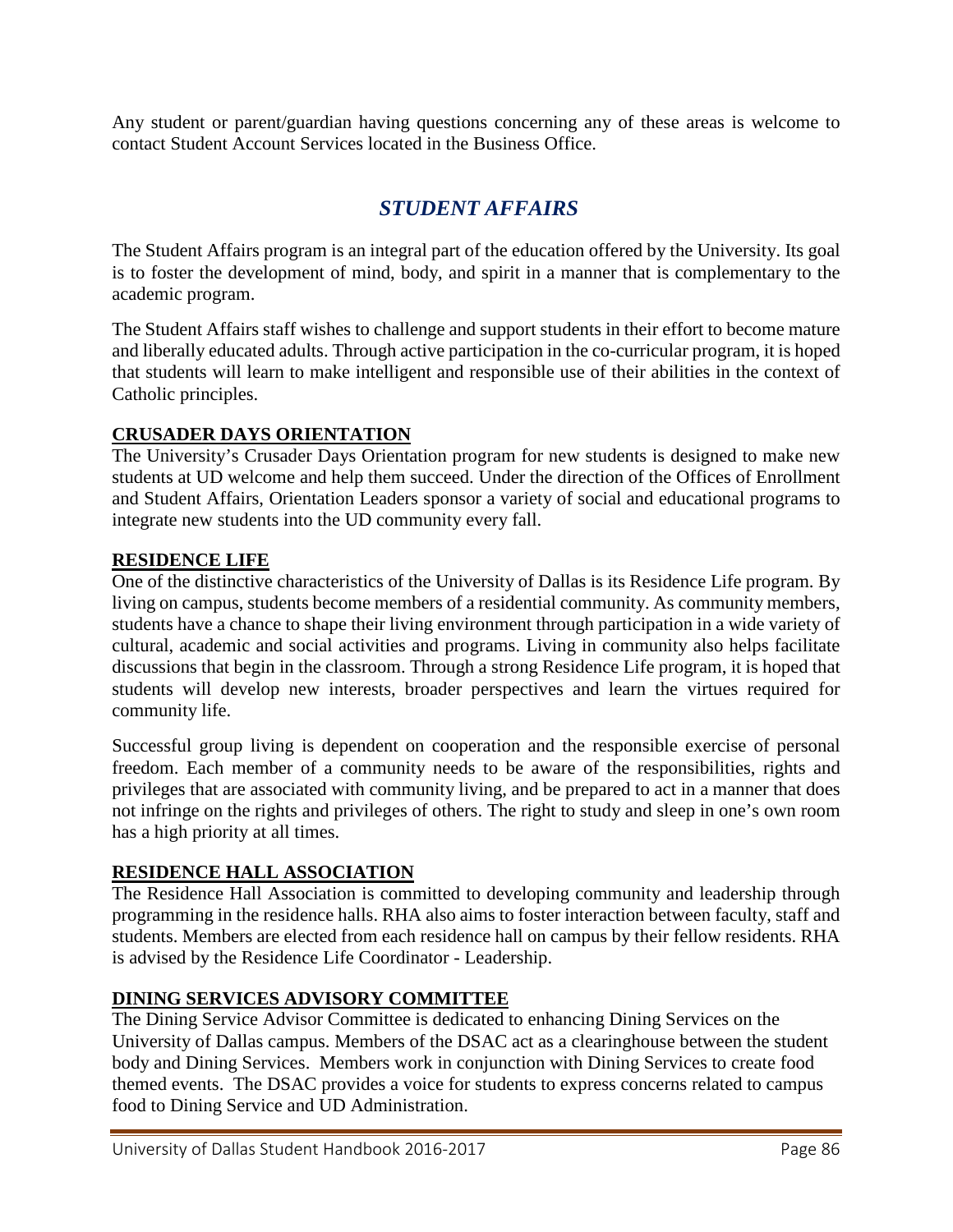Any student or parent/guardian having questions concerning any of these areas is welcome to contact Student Account Services located in the Business Office.

# *[STUDENT AFFAIRS](http://www.udallas.edu/offices/studentlife/index.html)*

The Student Affairs program is an integral part of the education offered by the University. Its goal is to foster the development of mind, body, and spirit in a manner that is complementary to the academic program.

The Student Affairs staff wishes to challenge and support students in their effort to become mature and liberally educated adults. Through active participation in the co-curricular program, it is hoped that students will learn to make intelligent and responsible use of their abilities in the context of Catholic principles.

### **[CRUSADER DAYS ORIENTATION](http://www.udallas.edu/offices/studentlife/newstudents/orientation.html)**

The University's Crusader Days Orientation program for new students is designed to make new students at UD welcome and help them succeed. Under the direction of the Offices of Enrollment and Student Affairs, Orientation Leaders sponsor a variety of social and educational programs to integrate new students into the UD community every fall.

### **[RESIDENCE LIFE](http://udallas.edu/offices/studentlife/residence_life/)**

One of the distinctive characteristics of the University of Dallas is its Residence Life program. By living on campus, students become members of a residential community. As community members, students have a chance to shape their living environment through participation in a wide variety of cultural, academic and social activities and programs. Living in community also helps facilitate discussions that begin in the classroom. Through a strong Residence Life program, it is hoped that students will develop new interests, broader perspectives and learn the virtues required for community life.

Successful group living is dependent on cooperation and the responsible exercise of personal freedom. Each member of a community needs to be aware of the responsibilities, rights and privileges that are associated with community living, and be prepared to act in a manner that does not infringe on the rights and privileges of others. The right to study and sleep in one's own room has a high priority at all times.

### **[RESIDENCE HALL ASSOCIATION](http://udallas.edu/offices/studentlife/residence_life/rha/)**

The Residence Hall Association is committed to developing community and leadership through programming in the residence halls. RHA also aims to foster interaction between faculty, staff and students. Members are elected from each residence hall on campus by their fellow residents. RHA is advised by the Residence Life Coordinator - Leadership.

### **DINING SERVICES ADVISORY COMMITTEE**

The Dining Service Advisor Committee is dedicated to enhancing Dining Services on the University of Dallas campus. Members of the DSAC act as a clearinghouse between the student body and Dining Services. Members work in conjunction with Dining Services to create food themed events. The DSAC provides a voice for students to express concerns related to campus food to Dining Service and UD Administration.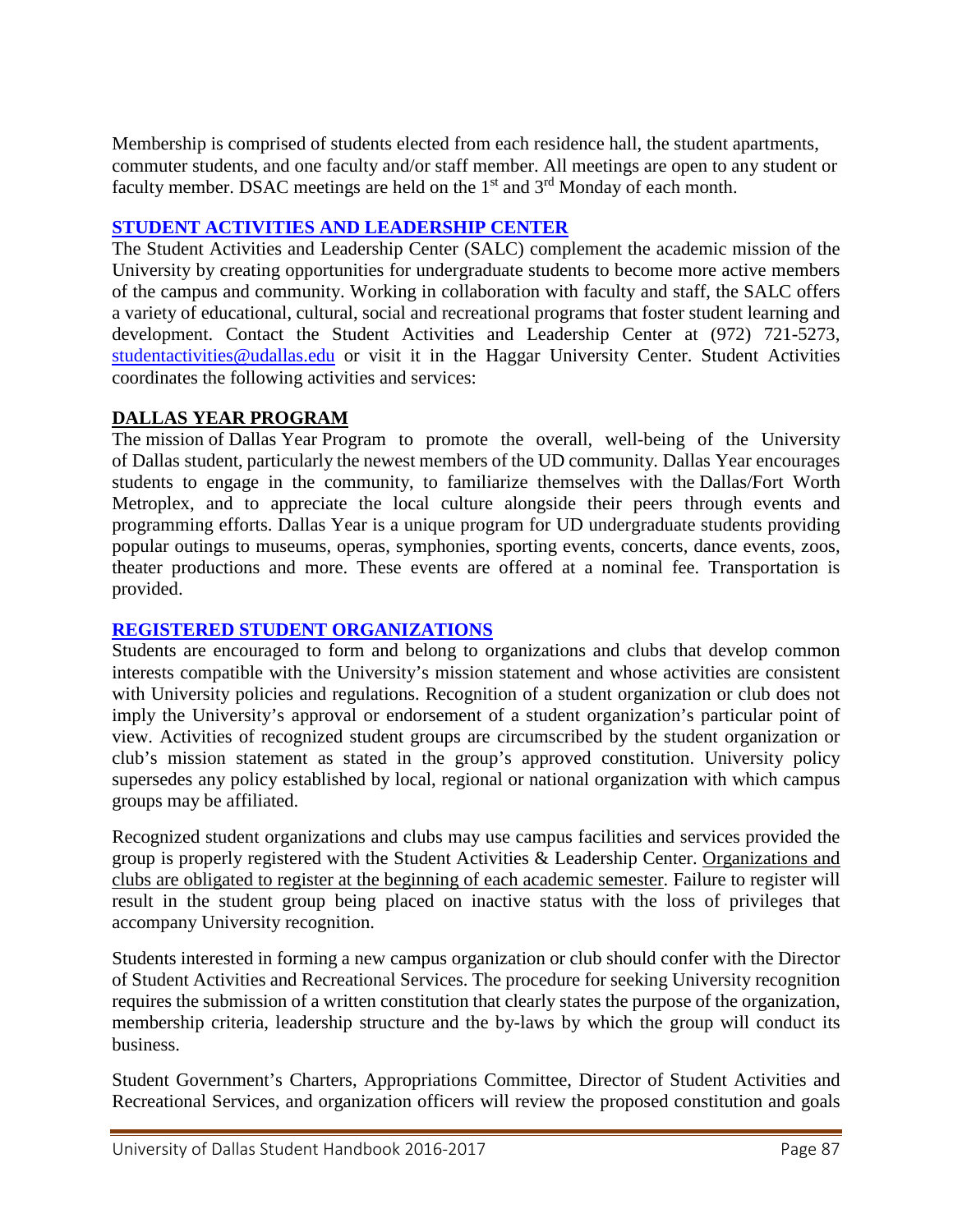Membership is comprised of students elected from each residence hall, the student apartments, commuter students, and one faculty and/or staff member. All meetings are open to any student or faculty member. DSAC meetings are held on the  $1<sup>st</sup>$  and  $3<sup>rd</sup>$  Monday of each month.

### **[STUDENT ACTIVITIES AND LEADERSHIP CENTER](http://www.udallas.edu/offices/studentactivities/index.html)**

The Student Activities and Leadership Center (SALC) complement the academic mission of the University by creating opportunities for undergraduate students to become more active members of the campus and community. Working in collaboration with faculty and staff, the SALC offers a variety of educational, cultural, social and recreational programs that foster student learning and development. Contact the Student Activities and Leadership Center at (972) 721-5273, [studentactivities@udallas.edu](mailto:studentactivities@udallas.edu) or visit it in the Haggar University Center. Student Activities coordinates the following activities and services:

### **DALLAS YEAR PROGRAM**

The mission of Dallas Year Program to promote the overall, well-being of the University of Dallas student, particularly the newest members of the UD community. Dallas Year encourages students to engage in the community, to familiarize themselves with the Dallas/Fort Worth Metroplex, and to appreciate the local culture alongside their peers through events and programming efforts. Dallas Year is a unique program for UD undergraduate students providing popular outings to museums, operas, symphonies, sporting events, concerts, dance events, zoos, theater productions and more. These events are offered at a nominal fee. Transportation is provided.

### **[REGISTERED STUDENT ORGANIZATIONS](https://orgsync.com/login/university-of-dallas)**

Students are encouraged to form and belong to organizations and clubs that develop common interests compatible with the University's mission statement and whose activities are consistent with University policies and regulations. Recognition of a student organization or club does not imply the University's approval or endorsement of a student organization's particular point of view. Activities of recognized student groups are circumscribed by the student organization or club's mission statement as stated in the group's approved constitution. University policy supersedes any policy established by local, regional or national organization with which campus groups may be affiliated.

Recognized student organizations and clubs may use campus facilities and services provided the group is properly registered with the Student Activities & Leadership Center. Organizations and clubs are obligated to register at the beginning of each academic semester. Failure to register will result in the student group being placed on inactive status with the loss of privileges that accompany University recognition.

Students interested in forming a new campus organization or club should confer with the Director of Student Activities and Recreational Services. The procedure for seeking University recognition requires the submission of a written constitution that clearly states the purpose of the organization, membership criteria, leadership structure and the by-laws by which the group will conduct its business.

Student Government's Charters, Appropriations Committee, Director of Student Activities and Recreational Services, and organization officers will review the proposed constitution and goals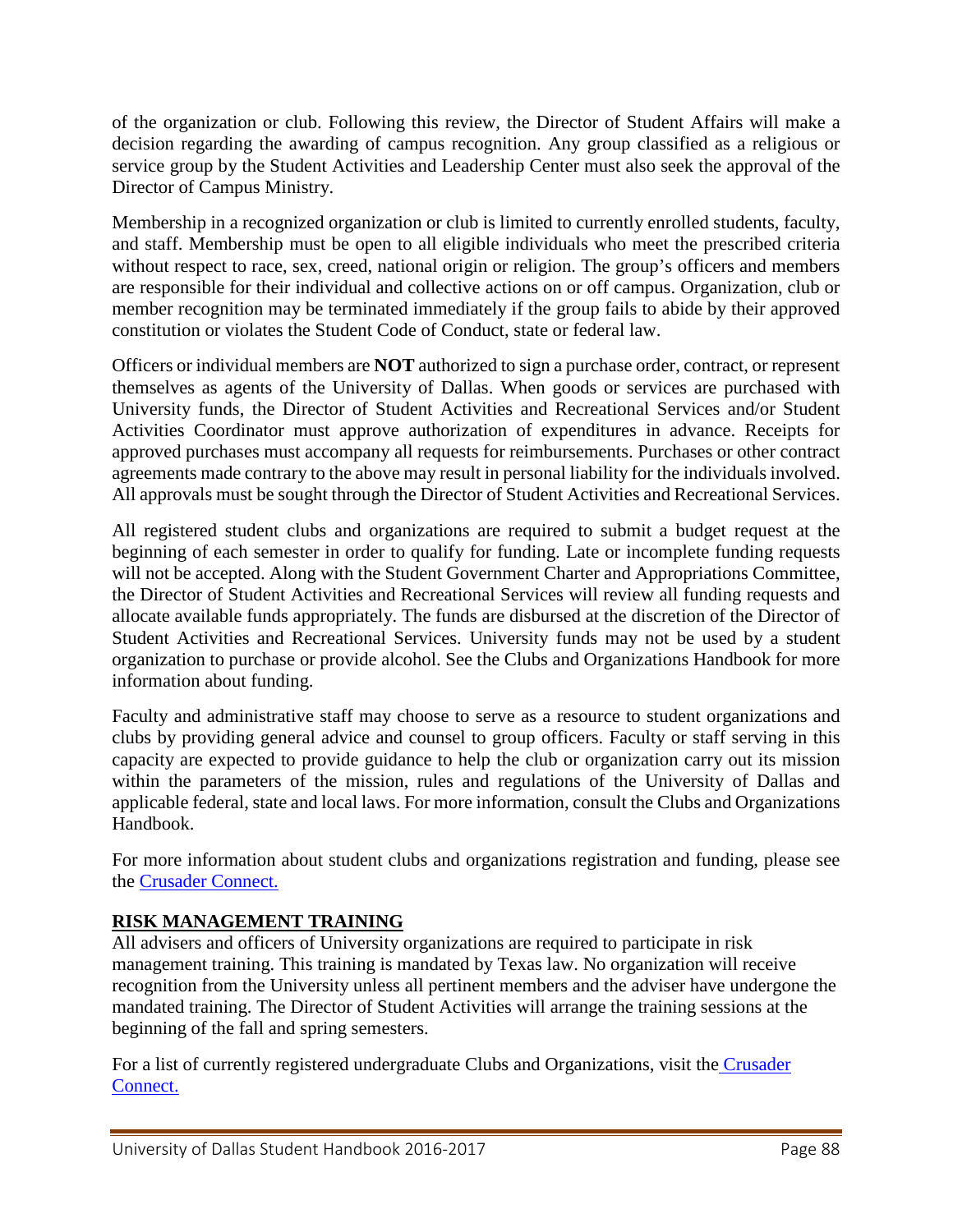of the organization or club. Following this review, the Director of Student Affairs will make a decision regarding the awarding of campus recognition. Any group classified as a religious or service group by the Student Activities and Leadership Center must also seek the approval of the Director of Campus Ministry.

Membership in a recognized organization or club is limited to currently enrolled students, faculty, and staff. Membership must be open to all eligible individuals who meet the prescribed criteria without respect to race, sex, creed, national origin or religion. The group's officers and members are responsible for their individual and collective actions on or off campus. Organization, club or member recognition may be terminated immediately if the group fails to abide by their approved constitution or violates the Student Code of Conduct, state or federal law.

Officers or individual members are **NOT** authorized to sign a purchase order, contract, or represent themselves as agents of the University of Dallas. When goods or services are purchased with University funds, the Director of Student Activities and Recreational Services and/or Student Activities Coordinator must approve authorization of expenditures in advance. Receipts for approved purchases must accompany all requests for reimbursements. Purchases or other contract agreements made contrary to the above may result in personal liability for the individuals involved. All approvals must be sought through the Director of Student Activities and Recreational Services.

All registered student clubs and organizations are required to submit a budget request at the beginning of each semester in order to qualify for funding. Late or incomplete funding requests will not be accepted. Along with the Student Government Charter and Appropriations Committee, the Director of Student Activities and Recreational Services will review all funding requests and allocate available funds appropriately. The funds are disbursed at the discretion of the Director of Student Activities and Recreational Services. University funds may not be used by a student organization to purchase or provide alcohol. See the Clubs and Organizations Handbook for more information about funding.

Faculty and administrative staff may choose to serve as a resource to student organizations and clubs by providing general advice and counsel to group officers. Faculty or staff serving in this capacity are expected to provide guidance to help the club or organization carry out its mission within the parameters of the mission, rules and regulations of the University of Dallas and applicable federal, state and local laws. For more information, consult the Clubs and Organizations Handbook.

For more information about student clubs and organizations registration and funding, please see the [Crusader Connect.](https://orgsync.com/login/university-of-dallas)

### **RISK MANAGEMENT TRAINING**

All advisers and officers of University organizations are required to participate in risk management training. This training is mandated by Texas law. No organization will receive recognition from the University unless all pertinent members and the adviser have undergone the mandated training. The Director of Student Activities will arrange the training sessions at the beginning of the fall and spring semesters.

For a list of currently registered undergraduate Clubs and Organizations, visit the Crusader [Connect.](https://orgsync.com/login/university-of-dallas)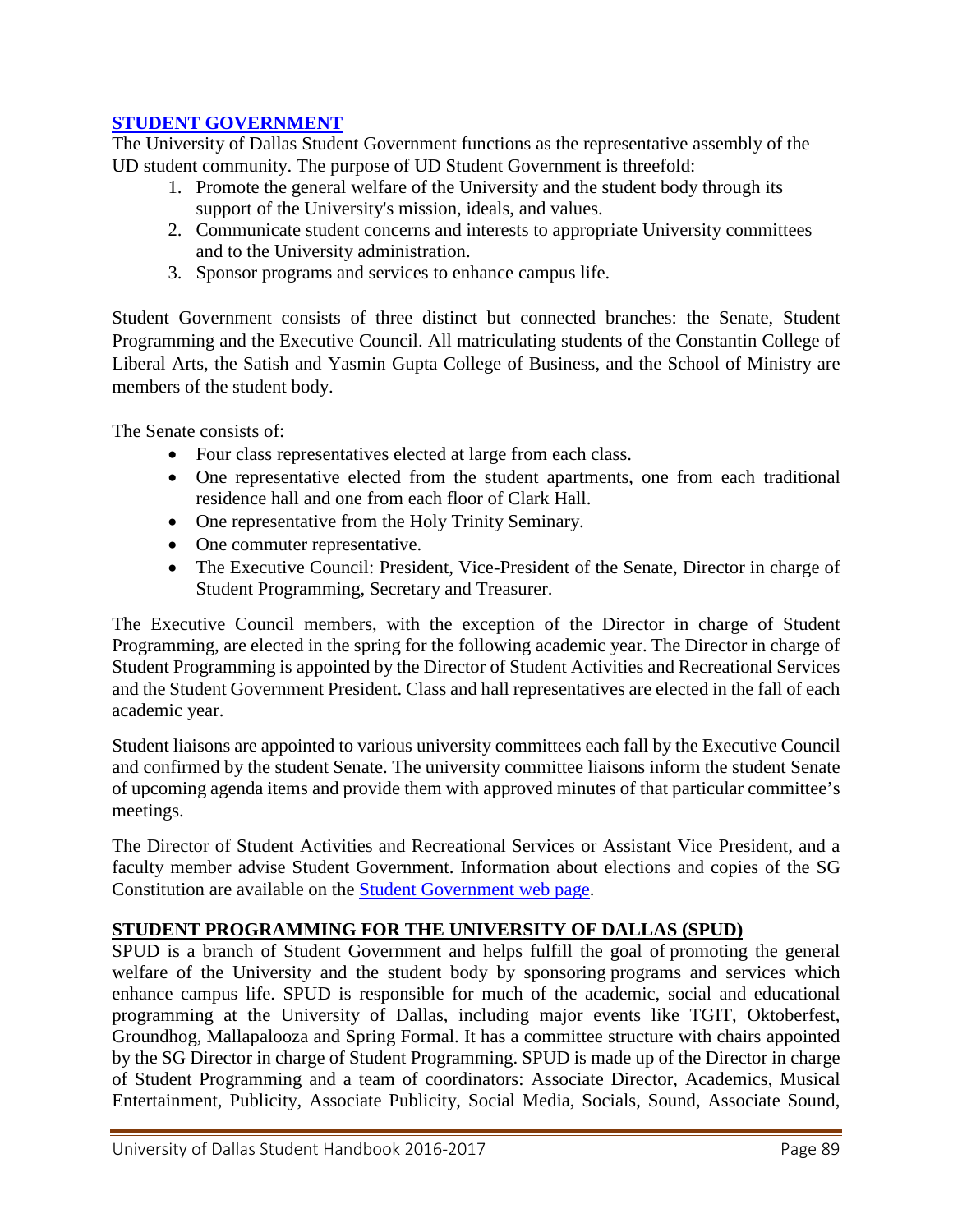### **[STUDENT GOVERNMENT](http://www.udallas.edu/offices/studentactivities/studentgov/index.html)**

The University of Dallas Student Government functions as the representative assembly of the UD student community. The purpose of UD Student Government is threefold:

- 1. Promote the general welfare of the University and the student body through its support of the University's mission, ideals, and values.
- 2. Communicate student concerns and interests to appropriate University committees and to the University administration.
- 3. Sponsor programs and services to enhance campus life.

Student Government consists of three distinct but connected branches: the Senate, Student Programming and the Executive Council. All matriculating students of the Constantin College of Liberal Arts, the Satish and Yasmin Gupta College of Business, and the School of Ministry are members of the student body.

The Senate consists of:

- Four class representatives elected at large from each class.
- One representative elected from the student apartments, one from each traditional residence hall and one from each floor of Clark Hall.
- One representative from the Holy Trinity Seminary.
- One commuter representative.
- The Executive Council: President, Vice-President of the Senate, Director in charge of Student Programming, Secretary and Treasurer.

The Executive Council members, with the exception of the Director in charge of Student Programming, are elected in the spring for the following academic year. The Director in charge of Student Programming is appointed by the Director of Student Activities and Recreational Services and the Student Government President. Class and hall representatives are elected in the fall of each academic year.

Student liaisons are appointed to various university committees each fall by the Executive Council and confirmed by the student Senate. The university committee liaisons inform the student Senate of upcoming agenda items and provide them with approved minutes of that particular committee's meetings.

The Director of Student Activities and Recreational Services or Assistant Vice President, and a faculty member advise Student Government. Information about elections and copies of the SG Constitution are available on the [Student Government web page.](http://www.udallas.edu/offices/studentactivities/studentgov/index.html)

### **STUDENT PROGRAMMING FOR THE UNIVERSITY OF DALLAS (SPUD)**

SPUD is a branch of Student Government and helps fulfill the goal of promoting the general welfare of the University and the student body by sponsoring programs and services which enhance campus life. SPUD is responsible for much of the academic, social and educational programming at the University of Dallas, including major events like TGIT, Oktoberfest, Groundhog, Mallapalooza and Spring Formal. It has a committee structure with chairs appointed by the SG Director in charge of Student Programming. SPUD is made up of the Director in charge of Student Programming and a team of coordinators: Associate Director, Academics, Musical Entertainment, Publicity, Associate Publicity, Social Media, Socials, Sound, Associate Sound,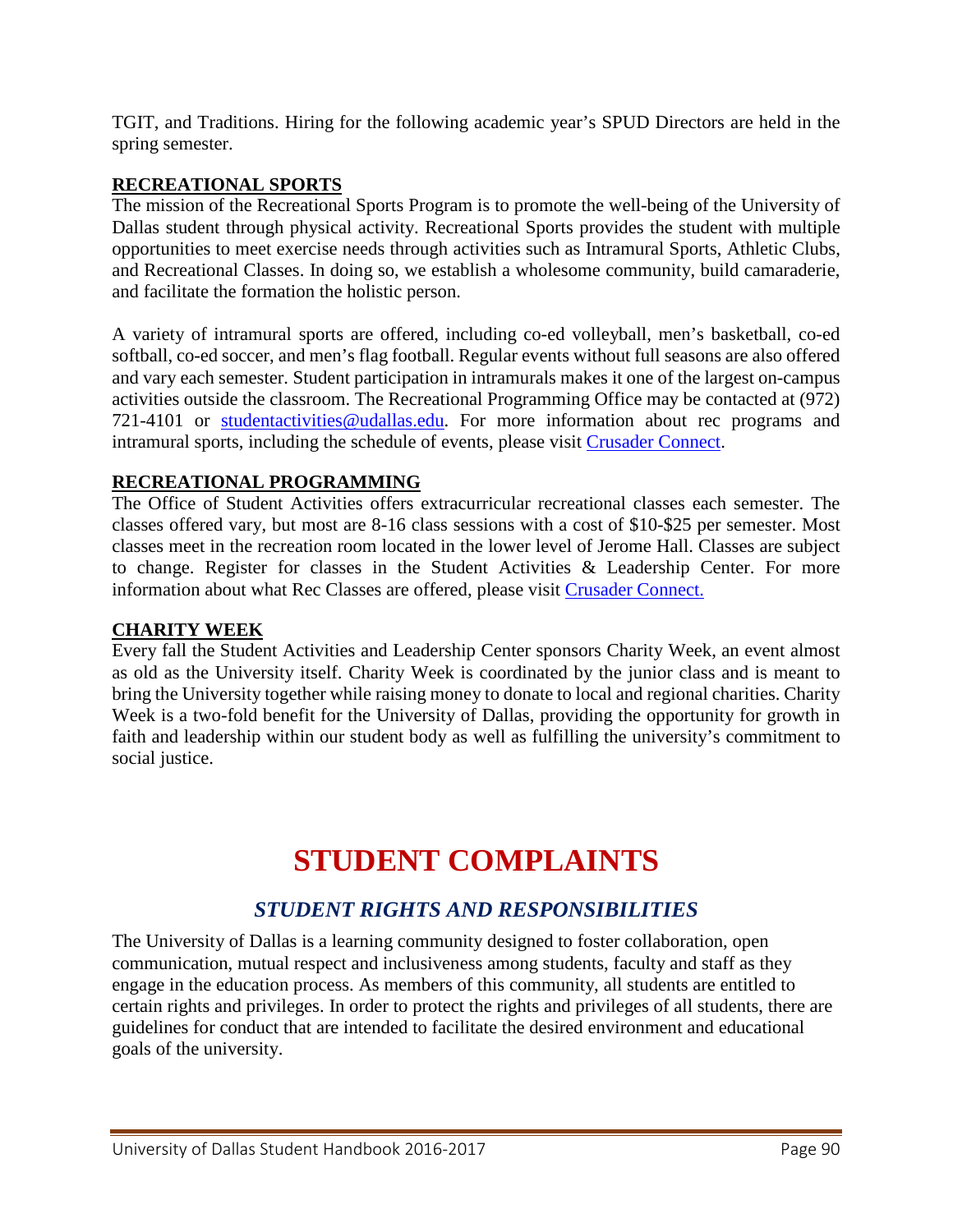TGIT, and Traditions. Hiring for the following academic year's SPUD Directors are held in the spring semester.

### **RECREATIONAL SPORTS**

The mission of the Recreational Sports Program is to promote the well-being of the University of Dallas student through physical activity. Recreational Sports provides the student with multiple opportunities to meet exercise needs through activities such as Intramural Sports, Athletic Clubs, and Recreational Classes. In doing so, we establish a wholesome community, build camaraderie, and facilitate the formation the holistic person.

A variety of intramural sports are offered, including co-ed volleyball, men's basketball, co-ed softball, co-ed soccer, and men's flag football. Regular events without full seasons are also offered and vary each semester. Student participation in intramurals makes it one of the largest on-campus activities outside the classroom. The Recreational Programming Office may be contacted at (972) 721-4101 or [studentactivities@udallas.edu.](mailto:studentactivities@udallas.edu) For more information about rec programs and intramural sports, including the schedule of events, please visit [Crusader Connect.](https://orgsync.com/login/university-of-dallas)

### **RECREATIONAL PROGRAMMING**

The Office of Student Activities offers extracurricular recreational classes each semester. The classes offered vary, but most are 8-16 class sessions with a cost of \$10-\$25 per semester. Most classes meet in the recreation room located in the lower level of Jerome Hall. Classes are subject to change. Register for classes in the Student Activities & Leadership Center. For more information about what Rec Classes are offered, please visit [Crusader](https://orgsync.com/login/university-of-dallas) Connect.

#### **CHARITY WEEK**

Every fall the Student Activities and Leadership Center sponsors Charity Week, an event almost as old as the University itself. Charity Week is coordinated by the junior class and is meant to bring the University together while raising money to donate to local and regional charities. Charity Week is a two-fold benefit for the University of Dallas, providing the opportunity for growth in faith and leadership within our student body as well as fulfilling the university's commitment to social justice.

# **STUDENT COMPLAINTS**

# *STUDENT RIGHTS AND RESPONSIBILITIES*

The University of Dallas is a learning community designed to foster collaboration, open communication, mutual respect and inclusiveness among students, faculty and staff as they engage in the education process. As members of this community, all students are entitled to certain rights and privileges. In order to protect the rights and privileges of all students, there are guidelines for conduct that are intended to facilitate the desired environment and educational goals of the university.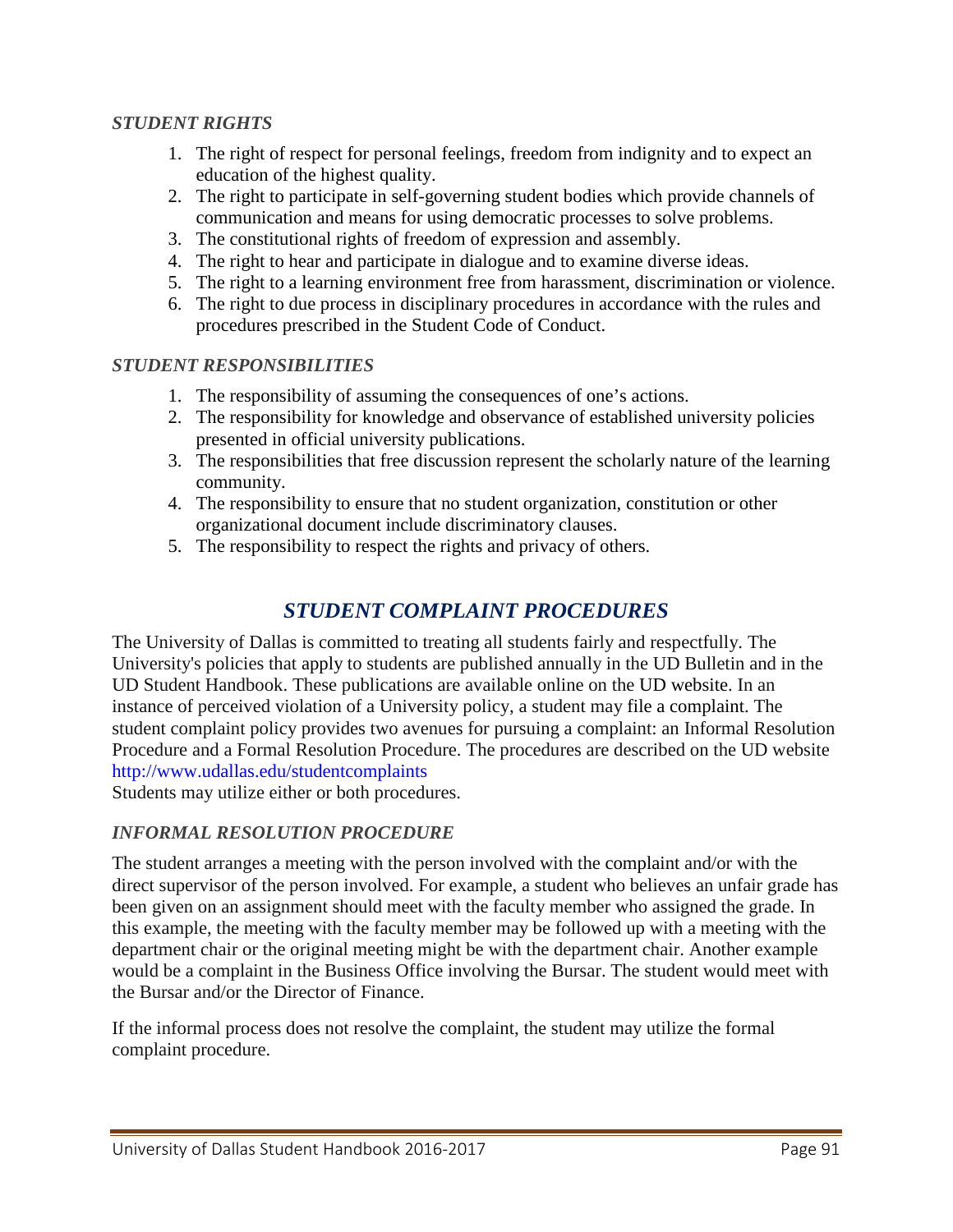### *STUDENT RIGHTS*

- 1. The right of respect for personal feelings, freedom from indignity and to expect an education of the highest quality.
- 2. The right to participate in self-governing student bodies which provide channels of communication and means for using democratic processes to solve problems.
- 3. The constitutional rights of freedom of expression and assembly.
- 4. The right to hear and participate in dialogue and to examine diverse ideas.
- 5. The right to a learning environment free from harassment, discrimination or violence.
- 6. The right to due process in disciplinary procedures in accordance with the rules and procedures prescribed in the Student Code of Conduct.

#### *STUDENT RESPONSIBILITIES*

- 1. The responsibility of assuming the consequences of one's actions.
- 2. The responsibility for knowledge and observance of established university policies presented in official university publications.
- 3. The responsibilities that free discussion represent the scholarly nature of the learning community.
- 4. The responsibility to ensure that no student organization, constitution or other organizational document include discriminatory clauses.
- 5. The responsibility to respect the rights and privacy of others.

# *STUDENT COMPLAINT PROCEDURES*

The University of Dallas is committed to treating all students fairly and respectfully. The University's policies that apply to students are published annually in the UD Bulletin and in the UD Student Handbook. These publications are available online on the UD website. In an instance of perceived violation of a University policy, a student may file a complaint. The student complaint policy provides two avenues for pursuing a complaint: an Informal Resolution Procedure and a Formal Resolution Procedure. The procedures are described on the UD website <http://www.udallas.edu/studentcomplaints>

Students may utilize either or both procedures.

#### *INFORMAL RESOLUTION PROCEDURE*

The student arranges a meeting with the person involved with the complaint and/or with the direct supervisor of the person involved. For example, a student who believes an unfair grade has been given on an assignment should meet with the faculty member who assigned the grade. In this example, the meeting with the faculty member may be followed up with a meeting with the department chair or the original meeting might be with the department chair. Another example would be a complaint in the Business Office involving the Bursar. The student would meet with the Bursar and/or the Director of Finance.

If the informal process does not resolve the complaint, the student may utilize the formal complaint procedure.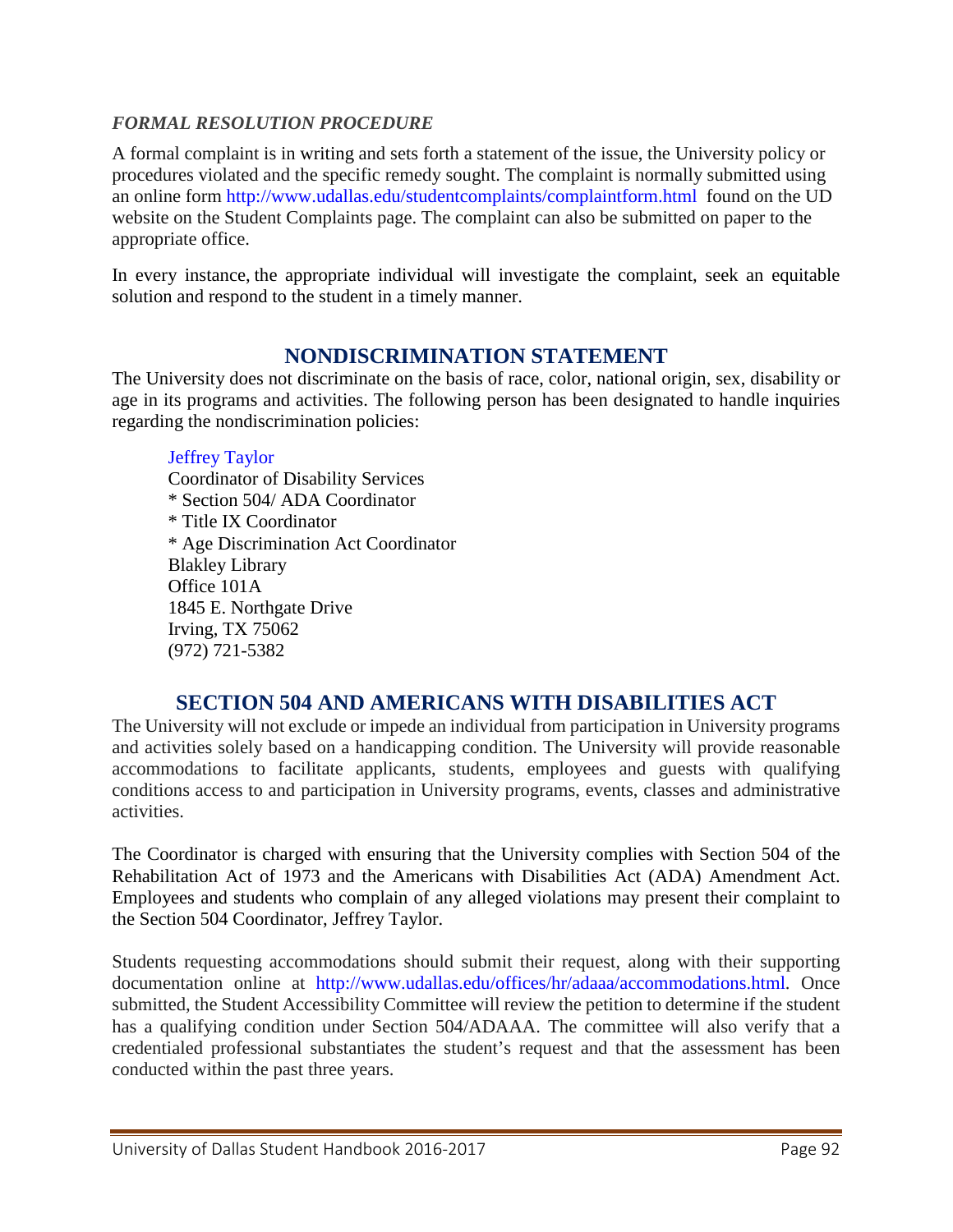### *FORMAL RESOLUTION PROCEDURE*

A formal complaint is in writing and sets forth a statement of the issue, the University policy or procedures violated and the specific remedy sought. The complaint is normally submitted using an online form<http://www.udallas.edu/studentcomplaints/complaintform.html>found on the UD website on the Student Complaints page. The complaint can also be submitted on paper to the appropriate office.

In every instance, the appropriate individual will investigate the complaint, seek an equitable solution and respond to the student in a timely manner.

# **NONDISCRIMINATION STATEMENT**

The University does not discriminate on the basis of race, color, national origin, sex, disability or age in its programs and activities. The following person has been designated to handle inquiries regarding the nondiscrimination policies:

### [Jeffrey](mailto:jtownsend@udallas.edu) Taylor

Coordinator of Disability Services \* Section 504/ ADA Coordinator \* Title IX Coordinator \* Age Discrimination Act Coordinator Blakley Library Office 101A 1845 E. Northgate Drive Irving, TX 75062 (972) 721-5382

# **SECTION 504 AND AMERICANS WITH DISABILITIES ACT**

The University will not exclude or impede an individual from participation in University programs and activities solely based on a handicapping condition. The University will provide reasonable accommodations to facilitate applicants, students, employees and guests with qualifying conditions access to and participation in University programs, events, classes and administrative activities.

The Coordinator is charged with ensuring that the University complies with Section 504 of the Rehabilitation Act of 1973 and the Americans with Disabilities Act (ADA) Amendment Act. Employees and students who complain of any alleged violations may present their complaint to the Section 504 Coordinator, Jeffrey Taylor.

Students requesting accommodations should submit their request, along with their supporting documentation online at [http://www.udallas.edu/offices/hr/adaaa/accommodations.html.](http://www.udallas.edu/offices/hr/adaaa/accommodations.html) Once submitted, the Student Accessibility Committee will review the petition to determine if the student has a qualifying condition under Section 504/ADAAA. The committee will also verify that a credentialed professional substantiates the student's request and that the assessment has been conducted within the past three years.